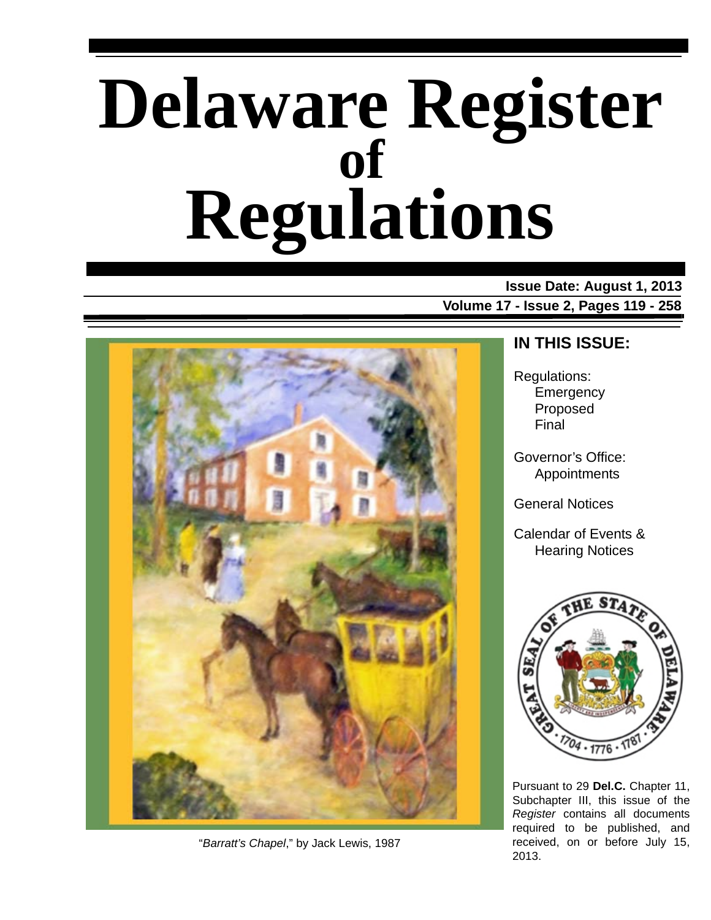# **Delaware Register Regulations of**

**Issue Date: August 1, 2013 Volume 17 - Issue 2, Pages 119 - 258**



"*Barratt's Chapel*," by Jack Lewis, 1987

### **IN THIS ISSUE:**

Regulations: **Emergency** Proposed Final

Governor's Office: Appointments

General Notices

Calendar of Events & Hearing Notices



Pursuant to 29 **Del.C.** Chapter 11, Subchapter III, this issue of the *Register* contains all documents required to be published, and received, on or before July 15, 2013.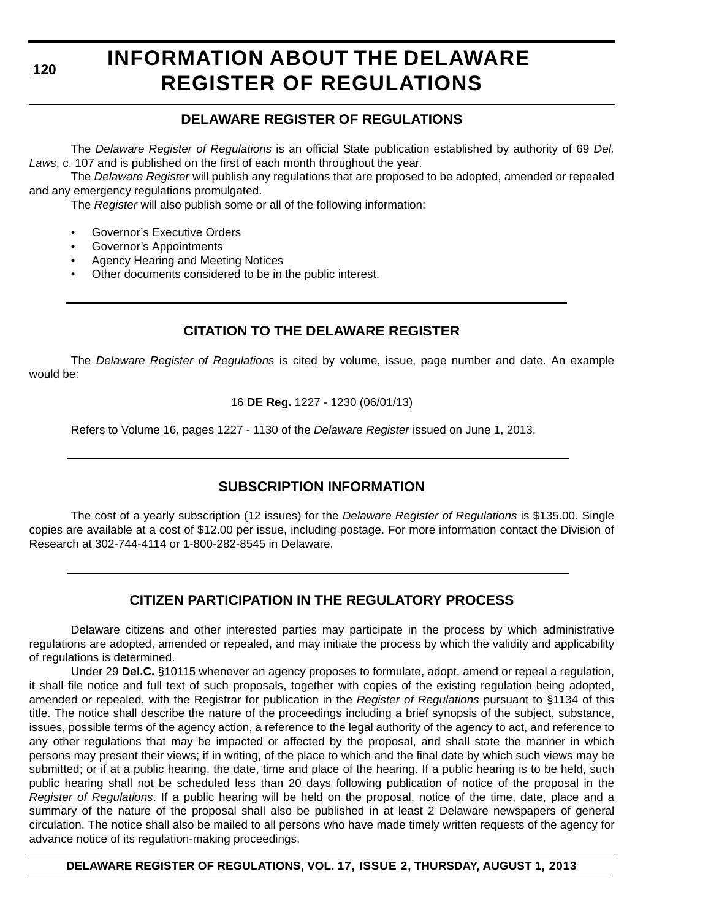**120**

# **INFORMATION ABOUT THE DELAWARE REGISTER OF REGULATIONS**

### **DELAWARE REGISTER OF REGULATIONS**

The *Delaware Register of Regulations* is an official State publication established by authority of 69 *Del. Laws*, c. 107 and is published on the first of each month throughout the year.

The *Delaware Register* will publish any regulations that are proposed to be adopted, amended or repealed and any emergency regulations promulgated.

The *Register* will also publish some or all of the following information:

- Governor's Executive Orders
- Governor's Appointments
- Agency Hearing and Meeting Notices
- Other documents considered to be in the public interest.

### **CITATION TO THE DELAWARE REGISTER**

The *Delaware Register of Regulations* is cited by volume, issue, page number and date. An example would be:

16 **DE Reg.** 1227 - 1230 (06/01/13)

Refers to Volume 16, pages 1227 - 1130 of the *Delaware Register* issued on June 1, 2013.

### **SUBSCRIPTION INFORMATION**

The cost of a yearly subscription (12 issues) for the *Delaware Register of Regulations* is \$135.00. Single copies are available at a cost of \$12.00 per issue, including postage. For more information contact the Division of Research at 302-744-4114 or 1-800-282-8545 in Delaware.

### **CITIZEN PARTICIPATION IN THE REGULATORY PROCESS**

Delaware citizens and other interested parties may participate in the process by which administrative regulations are adopted, amended or repealed, and may initiate the process by which the validity and applicability of regulations is determined.

Under 29 **Del.C.** §10115 whenever an agency proposes to formulate, adopt, amend or repeal a regulation, it shall file notice and full text of such proposals, together with copies of the existing regulation being adopted, amended or repealed, with the Registrar for publication in the *Register of Regulations* pursuant to §1134 of this title. The notice shall describe the nature of the proceedings including a brief synopsis of the subject, substance, issues, possible terms of the agency action, a reference to the legal authority of the agency to act, and reference to any other regulations that may be impacted or affected by the proposal, and shall state the manner in which persons may present their views; if in writing, of the place to which and the final date by which such views may be submitted; or if at a public hearing, the date, time and place of the hearing. If a public hearing is to be held, such public hearing shall not be scheduled less than 20 days following publication of notice of the proposal in the *Register of Regulations*. If a public hearing will be held on the proposal, notice of the time, date, place and a summary of the nature of the proposal shall also be published in at least 2 Delaware newspapers of general circulation. The notice shall also be mailed to all persons who have made timely written requests of the agency for advance notice of its regulation-making proceedings.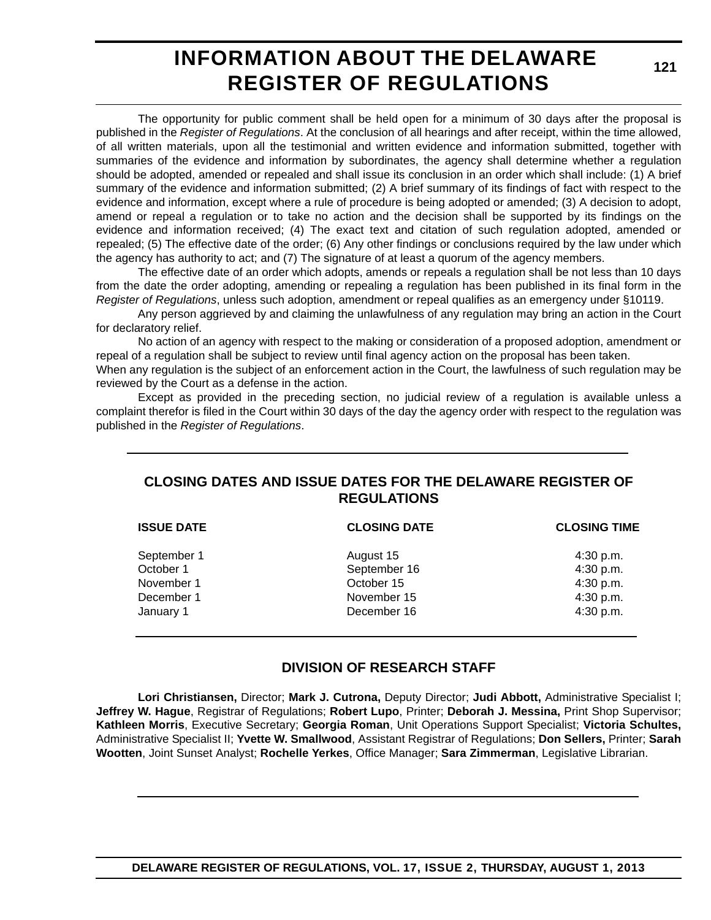# **INFORMATION ABOUT THE DELAWARE REGISTER OF REGULATIONS**

**121**

The opportunity for public comment shall be held open for a minimum of 30 days after the proposal is published in the *Register of Regulations*. At the conclusion of all hearings and after receipt, within the time allowed, of all written materials, upon all the testimonial and written evidence and information submitted, together with summaries of the evidence and information by subordinates, the agency shall determine whether a regulation should be adopted, amended or repealed and shall issue its conclusion in an order which shall include: (1) A brief summary of the evidence and information submitted; (2) A brief summary of its findings of fact with respect to the evidence and information, except where a rule of procedure is being adopted or amended; (3) A decision to adopt, amend or repeal a regulation or to take no action and the decision shall be supported by its findings on the evidence and information received; (4) The exact text and citation of such regulation adopted, amended or repealed; (5) The effective date of the order; (6) Any other findings or conclusions required by the law under which the agency has authority to act; and (7) The signature of at least a quorum of the agency members.

The effective date of an order which adopts, amends or repeals a regulation shall be not less than 10 days from the date the order adopting, amending or repealing a regulation has been published in its final form in the *Register of Regulations*, unless such adoption, amendment or repeal qualifies as an emergency under §10119.

Any person aggrieved by and claiming the unlawfulness of any regulation may bring an action in the Court for declaratory relief.

No action of an agency with respect to the making or consideration of a proposed adoption, amendment or repeal of a regulation shall be subject to review until final agency action on the proposal has been taken.

When any regulation is the subject of an enforcement action in the Court, the lawfulness of such regulation may be reviewed by the Court as a defense in the action.

Except as provided in the preceding section, no judicial review of a regulation is available unless a complaint therefor is filed in the Court within 30 days of the day the agency order with respect to the regulation was published in the *Register of Regulations*.

### **CLOSING DATES AND ISSUE DATES FOR THE DELAWARE REGISTER OF REGULATIONS**

| <b>ISSUE DATE</b> | <b>CLOSING DATE</b> | <b>CLOSING TIME</b> |  |
|-------------------|---------------------|---------------------|--|
| September 1       | August 15           | 4:30 p.m.           |  |
| October 1         | September 16        | 4:30 p.m.           |  |
| November 1        | October 15          | 4:30 p.m.           |  |
| December 1        | November 15         | 4:30 p.m.           |  |
| January 1         | December 16         | 4:30 p.m.           |  |

### **DIVISION OF RESEARCH STAFF**

**Lori Christiansen,** Director; **Mark J. Cutrona,** Deputy Director; **Judi Abbott,** Administrative Specialist I; **Jeffrey W. Hague**, Registrar of Regulations; **Robert Lupo**, Printer; **Deborah J. Messina,** Print Shop Supervisor; **Kathleen Morris**, Executive Secretary; **Georgia Roman**, Unit Operations Support Specialist; **Victoria Schultes,** Administrative Specialist II; **Yvette W. Smallwood**, Assistant Registrar of Regulations; **Don Sellers,** Printer; **Sarah Wootten**, Joint Sunset Analyst; **Rochelle Yerkes**, Office Manager; **Sara Zimmerman**, Legislative Librarian.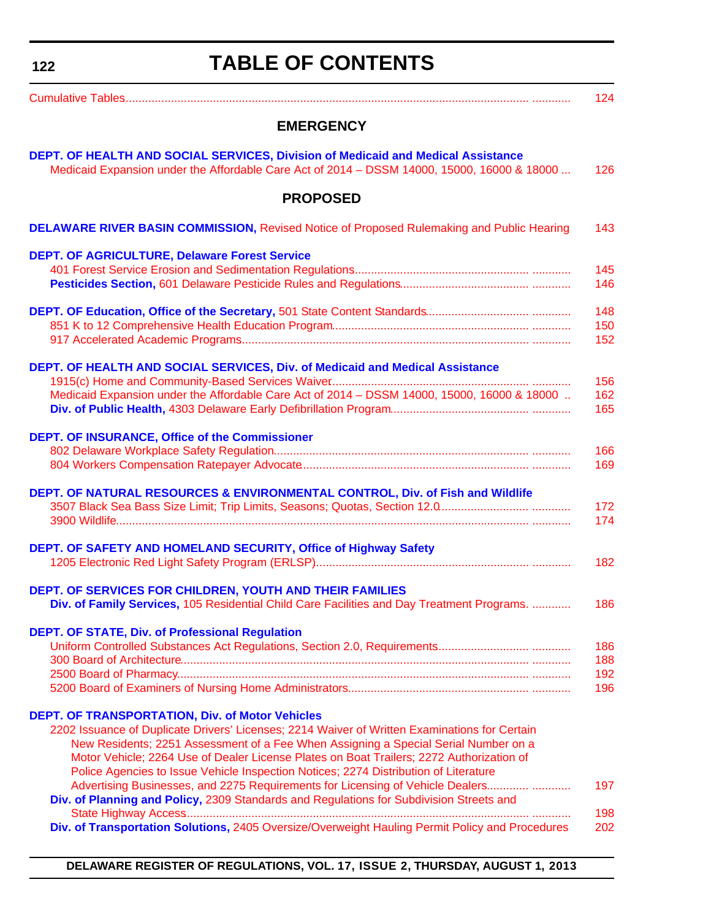<span id="page-3-0"></span>**TABLE OF CONTENTS** [Cumulative Tables.............................................................................................................................. ............ 124](#page-5-0)

### **EMERGENCY**

| <b>DEPT. OF HEALTH AND SOCIAL SERVICES, Division of Medicaid and Medical Assistance</b><br>Medicaid Expansion under the Affordable Care Act of 2014 - DSSM 14000, 15000, 16000 & 18000 | 126        |
|----------------------------------------------------------------------------------------------------------------------------------------------------------------------------------------|------------|
| <b>PROPOSED</b>                                                                                                                                                                        |            |
| <b>DELAWARE RIVER BASIN COMMISSION, Revised Notice of Proposed Rulemaking and Public Hearing</b>                                                                                       | 143        |
| <b>DEPT. OF AGRICULTURE, Delaware Forest Service</b>                                                                                                                                   |            |
|                                                                                                                                                                                        | 145        |
|                                                                                                                                                                                        | 146        |
|                                                                                                                                                                                        | 148        |
|                                                                                                                                                                                        | 150        |
|                                                                                                                                                                                        | 152        |
| DEPT. OF HEALTH AND SOCIAL SERVICES, Div. of Medicaid and Medical Assistance                                                                                                           | 156        |
| Medicaid Expansion under the Affordable Care Act of 2014 - DSSM 14000, 15000, 16000 & 18000                                                                                            | 162        |
|                                                                                                                                                                                        | 165        |
| DEPT. OF INSURANCE, Office of the Commissioner                                                                                                                                         |            |
|                                                                                                                                                                                        | 166        |
|                                                                                                                                                                                        | 169        |
| DEPT. OF NATURAL RESOURCES & ENVIRONMENTAL CONTROL, Div. of Fish and Wildlife                                                                                                          |            |
|                                                                                                                                                                                        | 172        |
|                                                                                                                                                                                        | 174        |
| DEPT. OF SAFETY AND HOMELAND SECURITY, Office of Highway Safety                                                                                                                        |            |
|                                                                                                                                                                                        | 182        |
| DEPT. OF SERVICES FOR CHILDREN, YOUTH AND THEIR FAMILIES                                                                                                                               |            |
| Div. of Family Services, 105 Residential Child Care Facilities and Day Treatment Programs.                                                                                             | 186        |
| <b>DEPT. OF STATE, Div. of Professional Regulation</b>                                                                                                                                 |            |
|                                                                                                                                                                                        | 186        |
|                                                                                                                                                                                        | 188        |
|                                                                                                                                                                                        | 192<br>196 |
| <b>DEPT. OF TRANSPORTATION, Div. of Motor Vehicles</b>                                                                                                                                 |            |
| 2202 Issuance of Duplicate Drivers' Licenses; 2214 Waiver of Written Examinations for Certain                                                                                          |            |
| New Residents; 2251 Assessment of a Fee When Assigning a Special Serial Number on a                                                                                                    |            |
| Motor Vehicle; 2264 Use of Dealer License Plates on Boat Trailers; 2272 Authorization of                                                                                               |            |
| Police Agencies to Issue Vehicle Inspection Notices; 2274 Distribution of Literature                                                                                                   |            |
| Advertising Businesses, and 2275 Requirements for Licensing of Vehicle Dealers                                                                                                         | 197        |
| Div. of Planning and Policy, 2309 Standards and Regulations for Subdivision Streets and                                                                                                |            |
|                                                                                                                                                                                        | 198        |
| Div. of Transportation Solutions, 2405 Oversize/Overweight Hauling Permit Policy and Procedures                                                                                        | 202        |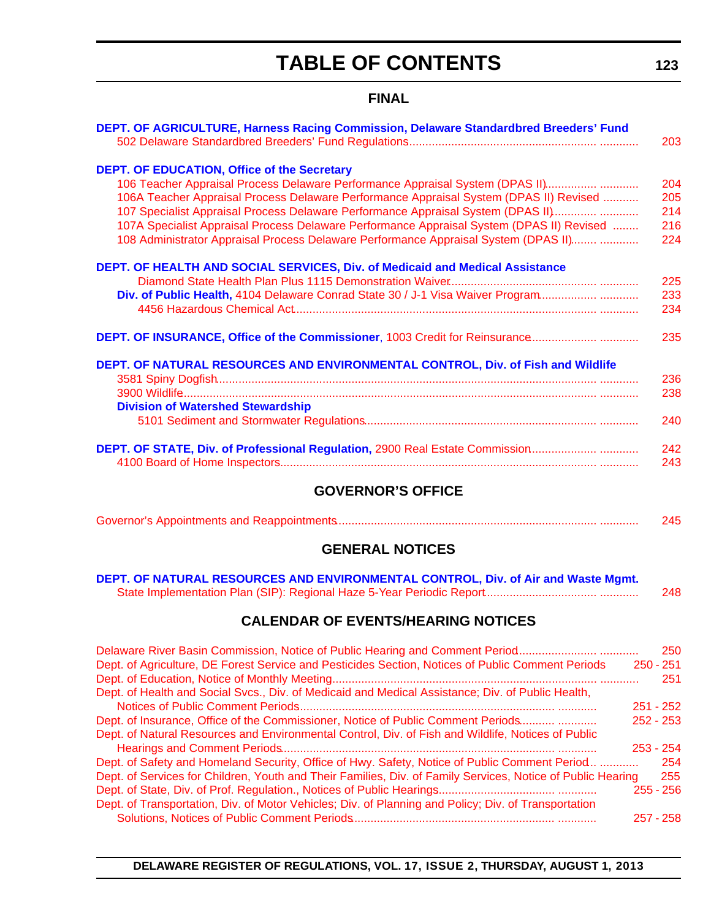# **TABLE OF CONTENTS**

### **FINAL**

| DEPT. OF AGRICULTURE, Harness Racing Commission, Delaware Standardbred Breeders' Fund     | 203 |
|-------------------------------------------------------------------------------------------|-----|
| <b>DEPT. OF EDUCATION, Office of the Secretary</b>                                        |     |
| 106 Teacher Appraisal Process Delaware Performance Appraisal System (DPAS II)             | 204 |
| 106A Teacher Appraisal Process Delaware Performance Appraisal System (DPAS II) Revised    | 205 |
| 107 Specialist Appraisal Process Delaware Performance Appraisal System (DPAS II)          | 214 |
| 107A Specialist Appraisal Process Delaware Performance Appraisal System (DPAS II) Revised | 216 |
| 108 Administrator Appraisal Process Delaware Performance Appraisal System (DPAS II)       | 224 |
| DEPT. OF HEALTH AND SOCIAL SERVICES, Div. of Medicaid and Medical Assistance              |     |
|                                                                                           | 225 |
| Div. of Public Health, 4104 Delaware Conrad State 30 / J-1 Visa Waiver Program            | 233 |
|                                                                                           | 234 |
| DEPT. OF INSURANCE, Office of the Commissioner, 1003 Credit for Reinsurance               | 235 |
| DEPT. OF NATURAL RESOURCES AND ENVIRONMENTAL CONTROL, Div. of Fish and Wildlife           |     |
|                                                                                           | 236 |
|                                                                                           | 238 |
| <b>Division of Watershed Stewardship</b>                                                  |     |
|                                                                                           | 240 |
|                                                                                           | 242 |
|                                                                                           | 243 |
| <b>GOVERNOR'S OFFICE</b>                                                                  |     |
|                                                                                           | 245 |
| <b>GENERAL NOTICES</b>                                                                    |     |
|                                                                                           |     |
| DEPT. OF NATURAL RESOURCES AND ENVIRONMENTAL CONTROL, Div. of Air and Waste Mgmt.         | 248 |

### **CALENDAR OF EVENTS/HEARING NOTICES**

| 250         |
|-------------|
| $250 - 251$ |
| 251         |
|             |
| $251 - 252$ |
| $252 - 253$ |
|             |
| $253 - 254$ |
| 254         |
| 255         |
| $255 - 256$ |
|             |
| $257 - 258$ |
|             |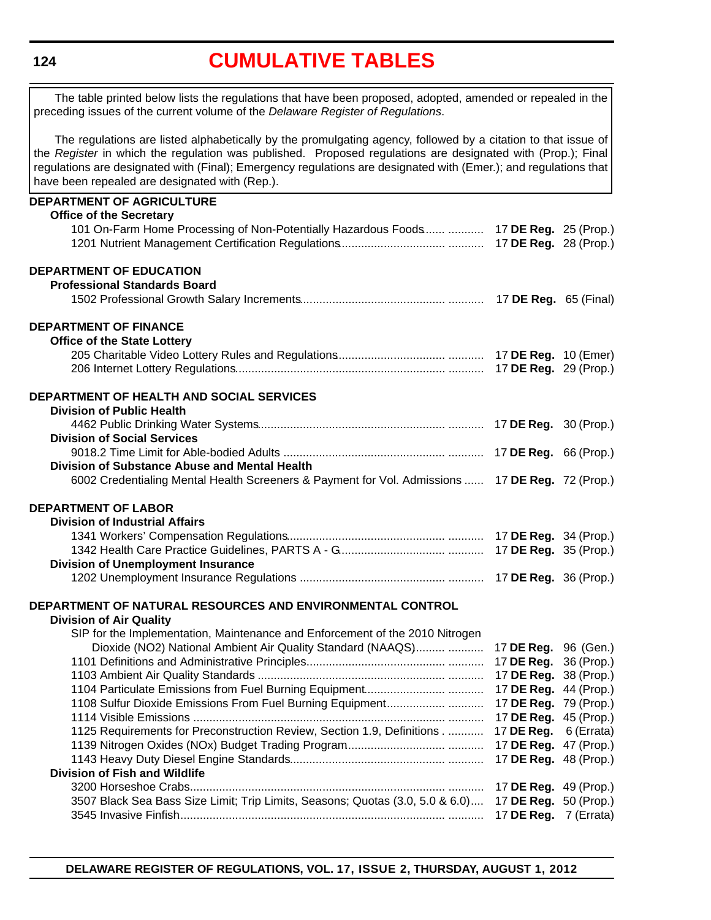#### <span id="page-5-0"></span>**124**

# **[CUMULATIVE TABLES](#page-3-0)**

The table printed below lists the regulations that have been proposed, adopted, amended or repealed in the preceding issues of the current volume of the *Delaware Register of Regulations*.

The regulations are listed alphabetically by the promulgating agency, followed by a citation to that issue of the *Register* in which the regulation was published. Proposed regulations are designated with (Prop.); Final regulations are designated with (Final); Emergency regulations are designated with (Emer.); and regulations that have been repealed are designated with (Rep.).

| <b>DEPARTMENT OF AGRICULTURE</b><br><b>Office of the Secretary</b><br>101 On-Farm Home Processing of Non-Potentially Hazardous Foods  17 DE Reg. 25 (Prop.) |                              |  |
|-------------------------------------------------------------------------------------------------------------------------------------------------------------|------------------------------|--|
| <b>DEPARTMENT OF EDUCATION</b>                                                                                                                              |                              |  |
| <b>Professional Standards Board</b>                                                                                                                         |                              |  |
|                                                                                                                                                             |                              |  |
| <b>DEPARTMENT OF FINANCE</b>                                                                                                                                |                              |  |
| <b>Office of the State Lottery</b>                                                                                                                          |                              |  |
|                                                                                                                                                             |                              |  |
|                                                                                                                                                             |                              |  |
| DEPARTMENT OF HEALTH AND SOCIAL SERVICES                                                                                                                    |                              |  |
| <b>Division of Public Health</b>                                                                                                                            |                              |  |
|                                                                                                                                                             |                              |  |
| <b>Division of Social Services</b>                                                                                                                          |                              |  |
|                                                                                                                                                             |                              |  |
| <b>Division of Substance Abuse and Mental Health</b>                                                                                                        |                              |  |
| 6002 Credentialing Mental Health Screeners & Payment for Vol. Admissions  17 DE Reg. 72 (Prop.)                                                             |                              |  |
| <b>DEPARTMENT OF LABOR</b>                                                                                                                                  |                              |  |
| <b>Division of Industrial Affairs</b>                                                                                                                       |                              |  |
|                                                                                                                                                             |                              |  |
|                                                                                                                                                             |                              |  |
| <b>Division of Unemployment Insurance</b>                                                                                                                   |                              |  |
|                                                                                                                                                             |                              |  |
| DEPARTMENT OF NATURAL RESOURCES AND ENVIRONMENTAL CONTROL                                                                                                   |                              |  |
| <b>Division of Air Quality</b>                                                                                                                              |                              |  |
| SIP for the Implementation, Maintenance and Enforcement of the 2010 Nitrogen                                                                                |                              |  |
| Dioxide (NO2) National Ambient Air Quality Standard (NAAQS)                                                                                                 | 17 DE Reg. 96 (Gen.)         |  |
|                                                                                                                                                             | 17 DE Reg. 36 (Prop.)        |  |
|                                                                                                                                                             | 17 DE Reg. 38 (Prop.)        |  |
|                                                                                                                                                             | 17 DE Reg. 44 (Prop.)        |  |
|                                                                                                                                                             | 17 DE Reg. 79 (Prop.)        |  |
|                                                                                                                                                             | 17 DE Reg. 45 (Prop.)        |  |
| 1125 Requirements for Preconstruction Review, Section 1.9, Definitions 17 DE Reg. 6 (Errata)                                                                |                              |  |
|                                                                                                                                                             | 17 DE Reg. 47 (Prop.)        |  |
|                                                                                                                                                             | 17 DE Reg. 48 (Prop.)        |  |
| <b>Division of Fish and Wildlife</b>                                                                                                                        |                              |  |
|                                                                                                                                                             | 17 <b>DE Reg.</b> 49 (Prop.) |  |
| 3507 Black Sea Bass Size Limit; Trip Limits, Seasons; Quotas (3.0, 5.0 & 6.0)                                                                               | 17 DE Reg. 50 (Prop.)        |  |
|                                                                                                                                                             | 17 DE Reg. 7 (Errata)        |  |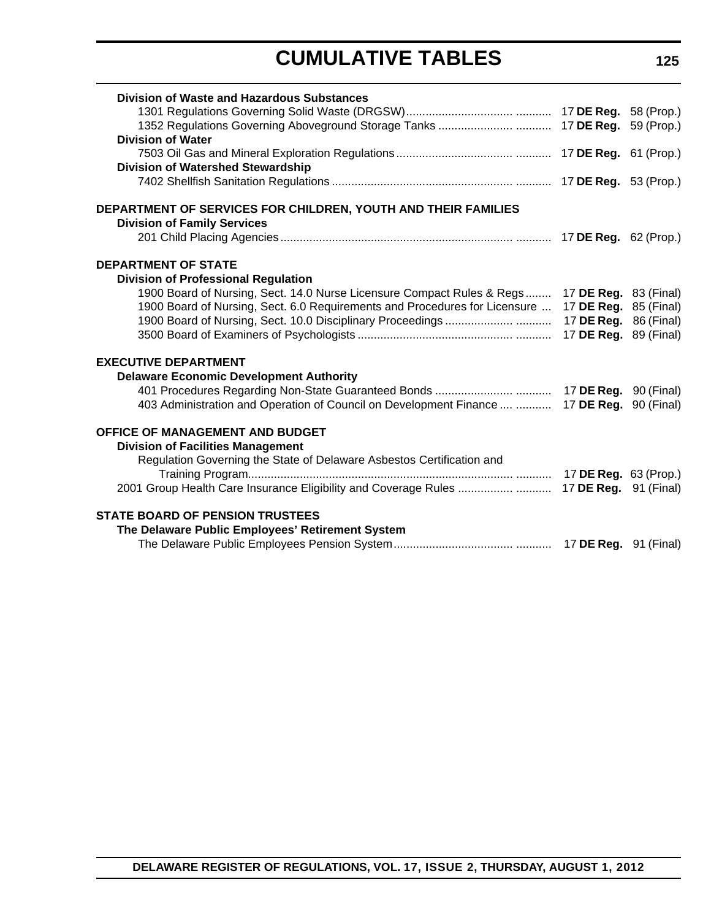# **CUMULATIVE TABLES**

| <b>Division of Waste and Hazardous Substances</b>                                                 |                              |            |
|---------------------------------------------------------------------------------------------------|------------------------------|------------|
|                                                                                                   |                              |            |
|                                                                                                   |                              | 59 (Prop.) |
| <b>Division of Water</b>                                                                          |                              |            |
|                                                                                                   |                              |            |
| <b>Division of Watershed Stewardship</b>                                                          |                              |            |
|                                                                                                   |                              |            |
|                                                                                                   |                              |            |
| DEPARTMENT OF SERVICES FOR CHILDREN, YOUTH AND THEIR FAMILIES                                     |                              |            |
| <b>Division of Family Services</b>                                                                |                              |            |
|                                                                                                   |                              |            |
|                                                                                                   |                              |            |
| <b>DEPARTMENT OF STATE</b><br><b>Division of Professional Regulation</b>                          |                              |            |
| 1900 Board of Nursing, Sect. 14.0 Nurse Licensure Compact Rules & Regs 17 DE Reg. 83 (Final)      |                              |            |
| 1900 Board of Nursing, Sect. 6.0 Requirements and Procedures for Licensure  17 DE Reg. 85 (Final) |                              |            |
|                                                                                                   |                              |            |
|                                                                                                   | 17 <b>DE Reg.</b> 89 (Final) |            |
|                                                                                                   |                              |            |
| <b>EXECUTIVE DEPARTMENT</b>                                                                       |                              |            |
| <b>Delaware Economic Development Authority</b>                                                    |                              |            |
|                                                                                                   |                              |            |
| 403 Administration and Operation of Council on Development Finance   17 DE Reg. 90 (Final)        |                              |            |
|                                                                                                   |                              |            |
| OFFICE OF MANAGEMENT AND BUDGET                                                                   |                              |            |
| <b>Division of Facilities Management</b>                                                          |                              |            |
| Regulation Governing the State of Delaware Asbestos Certification and                             |                              |            |
|                                                                                                   |                              |            |
| 2001 Group Health Care Insurance Eligibility and Coverage Rules  17 DE Reg. 91 (Final)            |                              |            |
|                                                                                                   |                              |            |
| <b>STATE BOARD OF PENSION TRUSTEES</b>                                                            |                              |            |
| The Delaware Public Employees' Retirement System                                                  |                              |            |
|                                                                                                   |                              |            |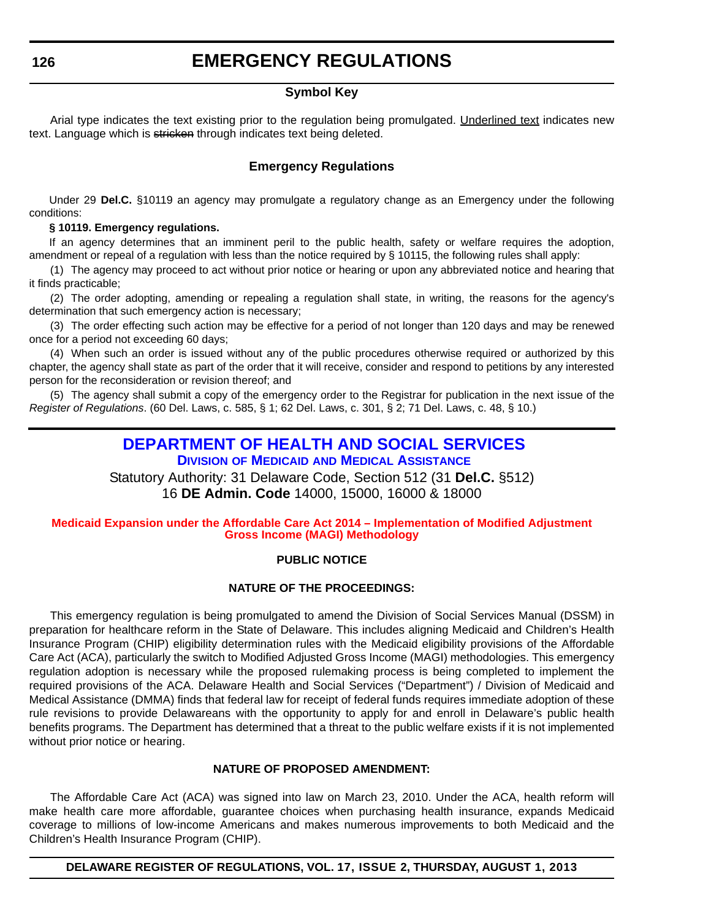#### **Symbol Key**

<span id="page-7-0"></span>Arial type indicates the text existing prior to the regulation being promulgated. Underlined text indicates new text. Language which is stricken through indicates text being deleted.

#### **Emergency Regulations**

Under 29 **Del.C.** §10119 an agency may promulgate a regulatory change as an Emergency under the following conditions:

#### **§ 10119. Emergency regulations.**

If an agency determines that an imminent peril to the public health, safety or welfare requires the adoption, amendment or repeal of a regulation with less than the notice required by § 10115, the following rules shall apply:

(1) The agency may proceed to act without prior notice or hearing or upon any abbreviated notice and hearing that it finds practicable;

(2) The order adopting, amending or repealing a regulation shall state, in writing, the reasons for the agency's determination that such emergency action is necessary;

(3) The order effecting such action may be effective for a period of not longer than 120 days and may be renewed once for a period not exceeding 60 days;

(4) When such an order is issued without any of the public procedures otherwise required or authorized by this chapter, the agency shall state as part of the order that it will receive, consider and respond to petitions by any interested person for the reconsideration or revision thereof; and

(5) The agency shall submit a copy of the emergency order to the Registrar for publication in the next issue of the *Register of Regulations*. (60 Del. Laws, c. 585, § 1; 62 Del. Laws, c. 301, § 2; 71 Del. Laws, c. 48, § 10.)

### **DEPARTMENT OF HEALTH AND SOCIAL SERVICES**

**DIVISION OF MEDICAID AND MEDICAL ASSISTANCE**

Statutory Authority: 31 Delaware Code, Section 512 (31 **Del.C.** §512) 16 **DE Admin. Code** 14000, 15000, 16000 & 18000

#### **[Medicaid Expansion under the Affordable Care Act 2014](#page-3-0) – Implementation of Modified Adjustment Gross Income (MAGI) Methodology**

#### **[PUBLIC NOTICE](#page-3-0)**

#### **NATURE OF THE PROCEEDINGS:**

This emergency regulation is being promulgated to amend the Division of Social Services Manual (DSSM) in preparation for healthcare reform in the State of Delaware. This includes aligning Medicaid and Children's Health Insurance Program (CHIP) eligibility determination rules with the Medicaid eligibility provisions of the Affordable Care Act (ACA), particularly the switch to Modified Adjusted Gross Income (MAGI) methodologies. This emergency regulation adoption is necessary while the proposed rulemaking process is being completed to implement the required provisions of the ACA. Delaware Health and Social Services ("Department") / Division of Medicaid and Medical Assistance (DMMA) finds that federal law for receipt of federal funds requires immediate adoption of these rule revisions to provide Delawareans with the opportunity to apply for and enroll in Delaware's public health benefits programs. The Department has determined that a threat to the public welfare exists if it is not implemented without prior notice or hearing.

#### **NATURE OF PROPOSED AMENDMENT:**

The Affordable Care Act (ACA) was signed into law on March 23, 2010. Under the ACA, health reform will make health care more affordable, guarantee choices when purchasing health insurance, expands Medicaid coverage to millions of low-income Americans and makes numerous improvements to both Medicaid and the Children's Health Insurance Program (CHIP).

**DELAWARE REGISTER OF REGULATIONS, VOL. 17, ISSUE 2, THURSDAY, AUGUST 1, 2013**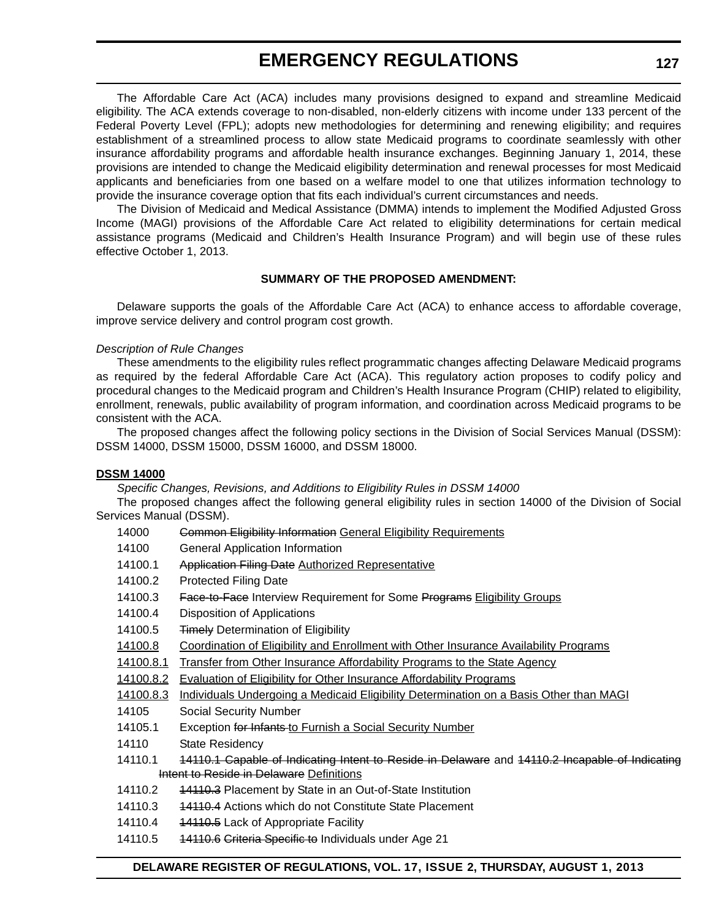The Affordable Care Act (ACA) includes many provisions designed to expand and streamline Medicaid eligibility. The ACA extends coverage to non-disabled, non-elderly citizens with income under 133 percent of the Federal Poverty Level (FPL); adopts new methodologies for determining and renewing eligibility; and requires establishment of a streamlined process to allow state Medicaid programs to coordinate seamlessly with other insurance affordability programs and affordable health insurance exchanges. Beginning January 1, 2014, these provisions are intended to change the Medicaid eligibility determination and renewal processes for most Medicaid applicants and beneficiaries from one based on a welfare model to one that utilizes information technology to provide the insurance coverage option that fits each individual's current circumstances and needs.

The Division of Medicaid and Medical Assistance (DMMA) intends to implement the Modified Adjusted Gross Income (MAGI) provisions of the Affordable Care Act related to eligibility determinations for certain medical assistance programs (Medicaid and Children's Health Insurance Program) and will begin use of these rules effective October 1, 2013.

#### **SUMMARY OF THE PROPOSED AMENDMENT:**

Delaware supports the goals of the Affordable Care Act (ACA) to enhance access to affordable coverage, improve service delivery and control program cost growth.

#### *Description of Rule Changes*

These amendments to the eligibility rules reflect programmatic changes affecting Delaware Medicaid programs as required by the federal Affordable Care Act (ACA). This regulatory action proposes to codify policy and procedural changes to the Medicaid program and Children's Health Insurance Program (CHIP) related to eligibility, enrollment, renewals, public availability of program information, and coordination across Medicaid programs to be consistent with the ACA.

The proposed changes affect the following policy sections in the Division of Social Services Manual (DSSM): DSSM 14000, DSSM 15000, DSSM 16000, and DSSM 18000.

#### **DSSM 14000**

*Specific Changes, Revisions, and Additions to Eligibility Rules in DSSM 14000*

The proposed changes affect the following general eligibility rules in section 14000 of the Division of Social Services Manual (DSSM).

- 14000 Common Eligibility Information General Eligibility Requirements
- 14100 General Application Information
- 14100.1 Application Filing Date Authorized Representative
- 14100.2 Protected Filing Date
- 14100.3 Face-to-Face Interview Requirement for Some Programs Eligibility Groups
- 14100.4 Disposition of Applications
- 14100.5 Timely Determination of Eligibility
- 14100.8 Coordination of Eligibility and Enrollment with Other Insurance Availability Programs
- 14100.8.1 Transfer from Other Insurance Affordability Programs to the State Agency
- 14100.8.2 Evaluation of Eligibility for Other Insurance Affordability Programs
- 14100.8.3 Individuals Undergoing a Medicaid Eligibility Determination on a Basis Other than MAGI
- 14105 Social Security Number
- 14105.1 Exception for Infants-to Furnish a Social Security Number
- 14110 State Residency
- 14110.1 14110.1 Capable of Indicating Intent to Reside in Delaware and 14110.2 Incapable of Indicating Intent to Reside in Delaware Definitions
- 14110.2 14110.3 Placement by State in an Out-of-State Institution
- 14110.3 14110.4 Actions which do not Constitute State Placement
- 14110.4 14110.5 Lack of Appropriate Facility
- 14110.5 44110.6 Criteria Specific to Individuals under Age 21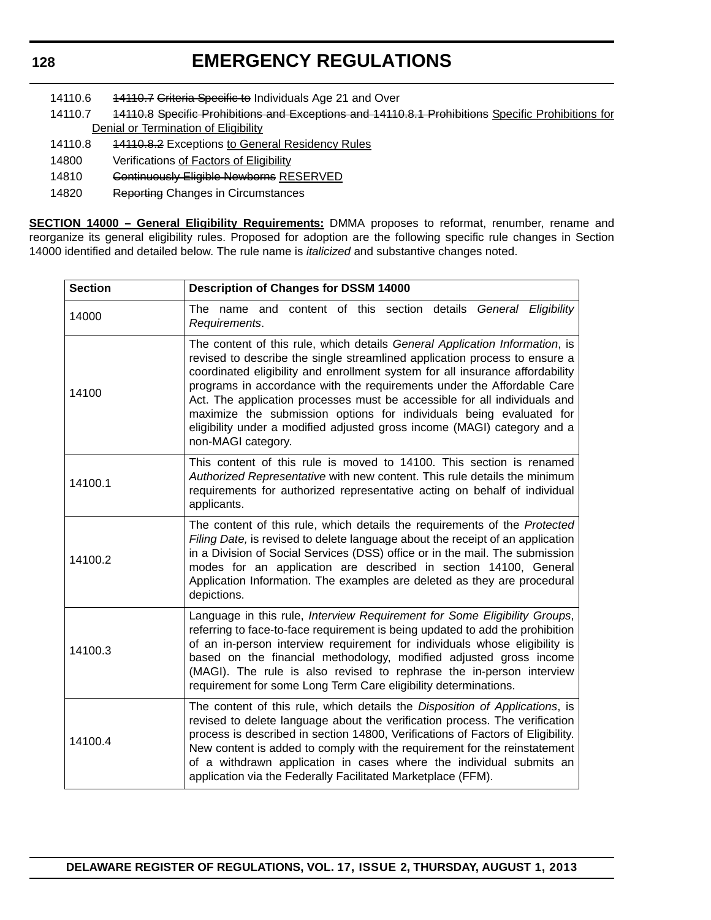| 14110.6 | 14110.7 Griteria Specific to Individuals Age 21 and Over                                          |
|---------|---------------------------------------------------------------------------------------------------|
| 14110.7 | 14110.8 Specific Prohibitions and Exceptions and 14110.8.1 Prohibitions Specific Prohibitions for |
|         | Denial or Termination of Eligibility                                                              |
| 14110.8 | 14110.8.2 Exceptions to General Residency Rules                                                   |
| 14800   | Verifications of Factors of Eligibility                                                           |
| 14810   | Continuously Eligible Newborns RESERVED                                                           |

14820 Reporting Changes in Circumstances

**SECTION 14000 – General Eligibility Requirements:** DMMA proposes to reformat, renumber, rename and reorganize its general eligibility rules. Proposed for adoption are the following specific rule changes in Section 14000 identified and detailed below. The rule name is *italicized* and substantive changes noted.

| <b>Section</b> | <b>Description of Changes for DSSM 14000</b>                                                                                                                                                                                                                                                                                                                                                                                                                                                                                                                               |
|----------------|----------------------------------------------------------------------------------------------------------------------------------------------------------------------------------------------------------------------------------------------------------------------------------------------------------------------------------------------------------------------------------------------------------------------------------------------------------------------------------------------------------------------------------------------------------------------------|
| 14000          | The name and content of this section details General Eligibility<br>Requirements.                                                                                                                                                                                                                                                                                                                                                                                                                                                                                          |
| 14100          | The content of this rule, which details General Application Information, is<br>revised to describe the single streamlined application process to ensure a<br>coordinated eligibility and enrollment system for all insurance affordability<br>programs in accordance with the requirements under the Affordable Care<br>Act. The application processes must be accessible for all individuals and<br>maximize the submission options for individuals being evaluated for<br>eligibility under a modified adjusted gross income (MAGI) category and a<br>non-MAGI category. |
| 14100.1        | This content of this rule is moved to 14100. This section is renamed<br>Authorized Representative with new content. This rule details the minimum<br>requirements for authorized representative acting on behalf of individual<br>applicants.                                                                                                                                                                                                                                                                                                                              |
| 14100.2        | The content of this rule, which details the requirements of the Protected<br>Filing Date, is revised to delete language about the receipt of an application<br>in a Division of Social Services (DSS) office or in the mail. The submission<br>modes for an application are described in section 14100, General<br>Application Information. The examples are deleted as they are procedural<br>depictions.                                                                                                                                                                 |
| 14100.3        | Language in this rule, Interview Requirement for Some Eligibility Groups,<br>referring to face-to-face requirement is being updated to add the prohibition<br>of an in-person interview requirement for individuals whose eligibility is<br>based on the financial methodology, modified adjusted gross income<br>(MAGI). The rule is also revised to rephrase the in-person interview<br>requirement for some Long Term Care eligibility determinations.                                                                                                                  |
| 14100.4        | The content of this rule, which details the Disposition of Applications, is<br>revised to delete language about the verification process. The verification<br>process is described in section 14800, Verifications of Factors of Eligibility.<br>New content is added to comply with the requirement for the reinstatement<br>of a withdrawn application in cases where the individual submits an<br>application via the Federally Facilitated Marketplace (FFM).                                                                                                          |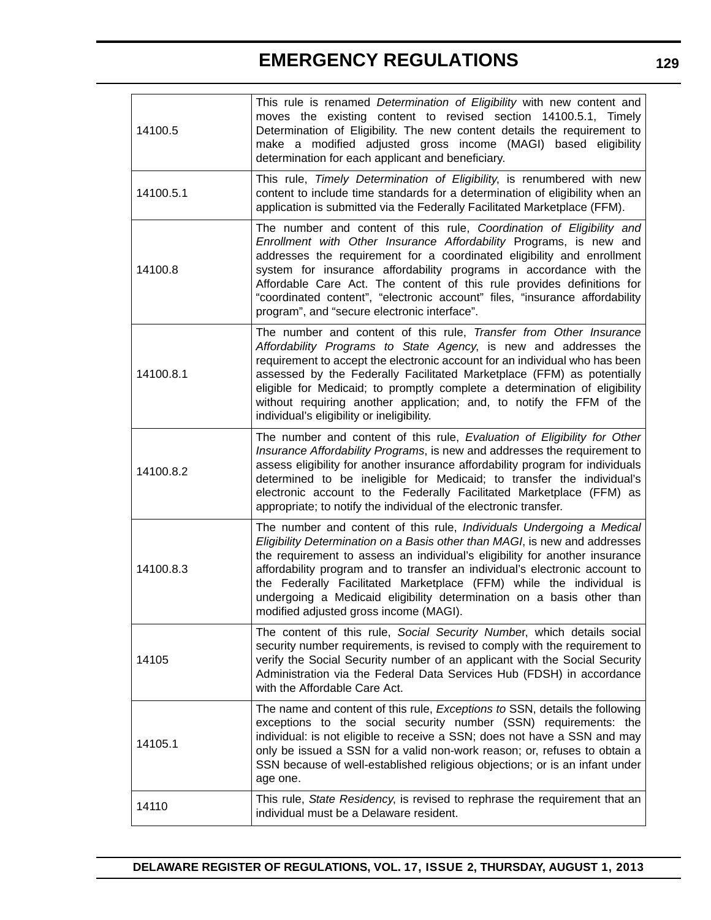| 14100.5   | This rule is renamed Determination of Eligibility with new content and<br>moves the existing content to revised section 14100.5.1, Timely<br>Determination of Eligibility. The new content details the requirement to<br>make a modified adjusted gross income (MAGI) based eligibility<br>determination for each applicant and beneficiary.                                                                                                                                                                |
|-----------|-------------------------------------------------------------------------------------------------------------------------------------------------------------------------------------------------------------------------------------------------------------------------------------------------------------------------------------------------------------------------------------------------------------------------------------------------------------------------------------------------------------|
| 14100.5.1 | This rule, Timely Determination of Eligibility, is renumbered with new<br>content to include time standards for a determination of eligibility when an<br>application is submitted via the Federally Facilitated Marketplace (FFM).                                                                                                                                                                                                                                                                         |
| 14100.8   | The number and content of this rule, Coordination of Eligibility and<br>Enrollment with Other Insurance Affordability Programs, is new and<br>addresses the requirement for a coordinated eligibility and enrollment<br>system for insurance affordability programs in accordance with the<br>Affordable Care Act. The content of this rule provides definitions for<br>"coordinated content", "electronic account" files, "insurance affordability<br>program", and "secure electronic interface".         |
| 14100.8.1 | The number and content of this rule, Transfer from Other Insurance<br>Affordability Programs to State Agency, is new and addresses the<br>requirement to accept the electronic account for an individual who has been<br>assessed by the Federally Facilitated Marketplace (FFM) as potentially<br>eligible for Medicaid; to promptly complete a determination of eligibility<br>without requiring another application; and, to notify the FFM of the<br>individual's eligibility or ineligibility.         |
| 14100.8.2 | The number and content of this rule, Evaluation of Eligibility for Other<br>Insurance Affordability Programs, is new and addresses the requirement to<br>assess eligibility for another insurance affordability program for individuals<br>determined to be ineligible for Medicaid; to transfer the individual's<br>electronic account to the Federally Facilitated Marketplace (FFM) as<br>appropriate; to notify the individual of the electronic transfer.                                              |
| 14100.8.3 | The number and content of this rule, Individuals Undergoing a Medical<br>Eligibility Determination on a Basis other than MAGI, is new and addresses<br>the requirement to assess an individual's eligibility for another insurance<br>affordability program and to transfer an individual's electronic account to<br>the Federally Facilitated Marketplace (FFM) while the individual is<br>undergoing a Medicaid eligibility determination on a basis other than<br>modified adjusted gross income (MAGI). |
| 14105     | The content of this rule, Social Security Number, which details social<br>security number requirements, is revised to comply with the requirement to<br>verify the Social Security number of an applicant with the Social Security<br>Administration via the Federal Data Services Hub (FDSH) in accordance<br>with the Affordable Care Act.                                                                                                                                                                |
| 14105.1   | The name and content of this rule, <i>Exceptions to</i> SSN, details the following<br>exceptions to the social security number (SSN) requirements: the<br>individual: is not eligible to receive a SSN; does not have a SSN and may<br>only be issued a SSN for a valid non-work reason; or, refuses to obtain a<br>SSN because of well-established religious objections; or is an infant under<br>age one.                                                                                                 |
| 14110     | This rule, State Residency, is revised to rephrase the requirement that an<br>individual must be a Delaware resident.                                                                                                                                                                                                                                                                                                                                                                                       |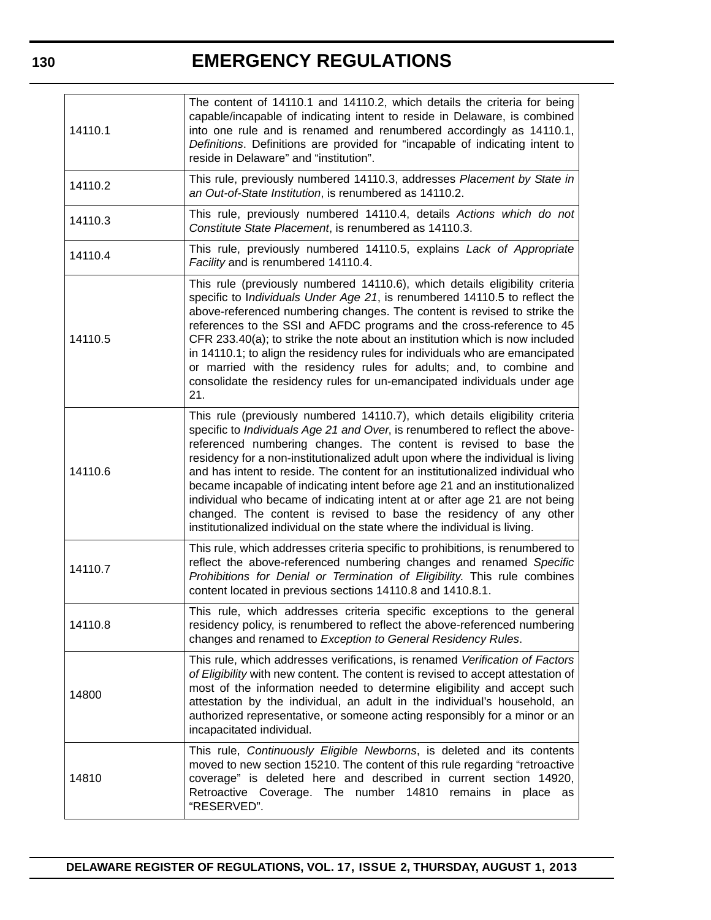| 14110.1 | The content of 14110.1 and 14110.2, which details the criteria for being<br>capable/incapable of indicating intent to reside in Delaware, is combined<br>into one rule and is renamed and renumbered accordingly as 14110.1,<br>Definitions. Definitions are provided for "incapable of indicating intent to<br>reside in Delaware" and "institution".                                                                                                                                                                                                                                                                                                                                                                |
|---------|-----------------------------------------------------------------------------------------------------------------------------------------------------------------------------------------------------------------------------------------------------------------------------------------------------------------------------------------------------------------------------------------------------------------------------------------------------------------------------------------------------------------------------------------------------------------------------------------------------------------------------------------------------------------------------------------------------------------------|
| 14110.2 | This rule, previously numbered 14110.3, addresses Placement by State in<br>an Out-of-State Institution, is renumbered as 14110.2.                                                                                                                                                                                                                                                                                                                                                                                                                                                                                                                                                                                     |
| 14110.3 | This rule, previously numbered 14110.4, details Actions which do not<br>Constitute State Placement, is renumbered as 14110.3.                                                                                                                                                                                                                                                                                                                                                                                                                                                                                                                                                                                         |
| 14110.4 | This rule, previously numbered 14110.5, explains Lack of Appropriate<br>Facility and is renumbered 14110.4.                                                                                                                                                                                                                                                                                                                                                                                                                                                                                                                                                                                                           |
| 14110.5 | This rule (previously numbered 14110.6), which details eligibility criteria<br>specific to Individuals Under Age 21, is renumbered 14110.5 to reflect the<br>above-referenced numbering changes. The content is revised to strike the<br>references to the SSI and AFDC programs and the cross-reference to 45<br>CFR 233.40(a); to strike the note about an institution which is now included<br>in 14110.1; to align the residency rules for individuals who are emancipated<br>or married with the residency rules for adults; and, to combine and<br>consolidate the residency rules for un-emancipated individuals under age<br>21.                                                                              |
| 14110.6 | This rule (previously numbered 14110.7), which details eligibility criteria<br>specific to Individuals Age 21 and Over, is renumbered to reflect the above-<br>referenced numbering changes. The content is revised to base the<br>residency for a non-institutionalized adult upon where the individual is living<br>and has intent to reside. The content for an institutionalized individual who<br>became incapable of indicating intent before age 21 and an institutionalized<br>individual who became of indicating intent at or after age 21 are not being<br>changed. The content is revised to base the residency of any other<br>institutionalized individual on the state where the individual is living. |
| 14110.7 | This rule, which addresses criteria specific to prohibitions, is renumbered to<br>reflect the above-referenced numbering changes and renamed Specific<br>Prohibitions for Denial or Termination of Eligibility. This rule combines<br>content located in previous sections 14110.8 and 1410.8.1.                                                                                                                                                                                                                                                                                                                                                                                                                      |
| 14110.8 | This rule, which addresses criteria specific exceptions to the general<br>residency policy, is renumbered to reflect the above-referenced numbering<br>changes and renamed to Exception to General Residency Rules.                                                                                                                                                                                                                                                                                                                                                                                                                                                                                                   |
| 14800   | This rule, which addresses verifications, is renamed Verification of Factors<br>of Eligibility with new content. The content is revised to accept attestation of<br>most of the information needed to determine eligibility and accept such<br>attestation by the individual, an adult in the individual's household, an<br>authorized representative, or someone acting responsibly for a minor or an<br>incapacitated individual.                                                                                                                                                                                                                                                                                   |
| 14810   | This rule, Continuously Eligible Newborns, is deleted and its contents<br>moved to new section 15210. The content of this rule regarding "retroactive<br>coverage" is deleted here and described in current section 14920,<br>Retroactive Coverage. The number 14810 remains in place as<br>"RESERVED".                                                                                                                                                                                                                                                                                                                                                                                                               |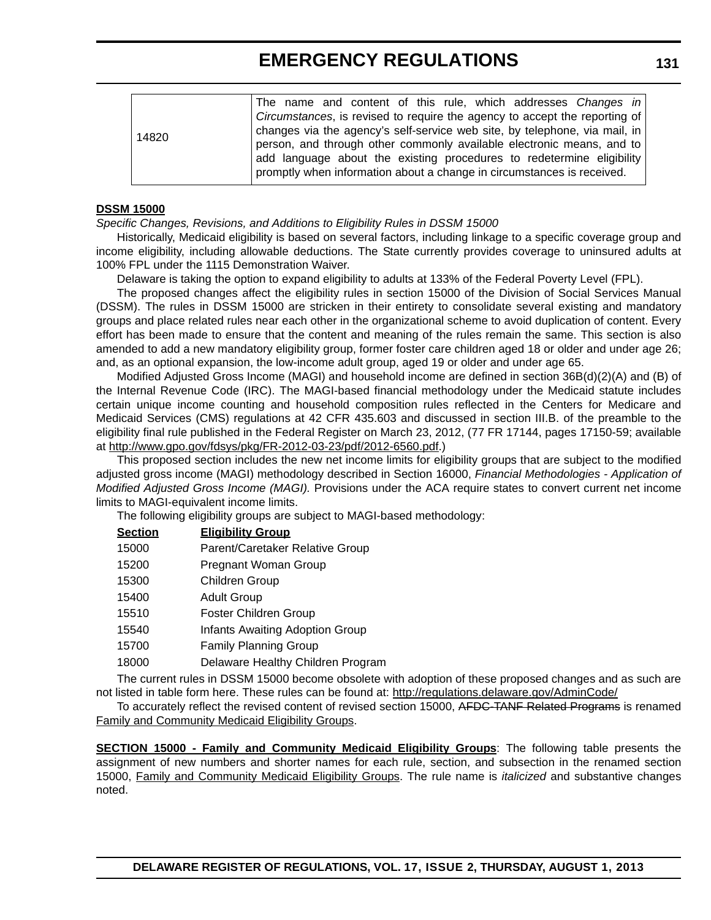| 14820 | The name and content of this rule, which addresses Changes in                      |
|-------|------------------------------------------------------------------------------------|
|       | <i>Circumstances</i> , is revised to require the agency to accept the reporting of |
|       | changes via the agency's self-service web site, by telephone, via mail, in         |
|       | person, and through other commonly available electronic means, and to              |
|       | add language about the existing procedures to redetermine eligibility              |
|       | promptly when information about a change in circumstances is received.             |

#### **DSSM 15000**

*Specific Changes, Revisions, and Additions to Eligibility Rules in DSSM 15000*

Historically, Medicaid eligibility is based on several factors, including linkage to a specific coverage group and income eligibility, including allowable deductions. The State currently provides coverage to uninsured adults at 100% FPL under the 1115 Demonstration Waiver.

Delaware is taking the option to expand eligibility to adults at 133% of the Federal Poverty Level (FPL).

The proposed changes affect the eligibility rules in section 15000 of the Division of Social Services Manual (DSSM). The rules in DSSM 15000 are stricken in their entirety to consolidate several existing and mandatory groups and place related rules near each other in the organizational scheme to avoid duplication of content. Every effort has been made to ensure that the content and meaning of the rules remain the same. This section is also amended to add a new mandatory eligibility group, former foster care children aged 18 or older and under age 26; and, as an optional expansion, the low-income adult group, aged 19 or older and under age 65.

Modified Adjusted Gross Income (MAGI) and household income are defined in section 36B(d)(2)(A) and (B) of the Internal Revenue Code (IRC). The MAGI-based financial methodology under the Medicaid statute includes certain unique income counting and household composition rules reflected in the Centers for Medicare and Medicaid Services (CMS) regulations at 42 CFR 435.603 and discussed in section III.B. of the preamble to the eligibility final rule published in the Federal Register on March 23, 2012, (77 FR 17144, pages 17150-59; available at http://www.gpo.gov/fdsys/pkg/FR-2012-03-23/pdf/2012-6560.pdf.)

This proposed section includes the new net income limits for eligibility groups that are subject to the modified adjusted gross income (MAGI) methodology described in Section 16000, *Financial Methodologies - Application of Modified Adjusted Gross Income (MAGI).* Provisions under the ACA require states to convert current net income limits to MAGI-equivalent income limits.

The following eligibility groups are subject to MAGI-based methodology:

| <b>Section</b> | <b>Eligibility Group</b>               |
|----------------|----------------------------------------|
| 15000          | Parent/Caretaker Relative Group        |
| 15200          | <b>Pregnant Woman Group</b>            |
| 15300          | Children Group                         |
| 15400          | <b>Adult Group</b>                     |
| 15510          | <b>Foster Children Group</b>           |
| 15540          | <b>Infants Awaiting Adoption Group</b> |
| 15700          | <b>Family Planning Group</b>           |
| 18000          | Delaware Healthy Children Program      |

The current rules in DSSM 15000 become obsolete with adoption of these proposed changes and as such are not listed in table form here. These rules can be found at: http://regulations.delaware.gov/AdminCode/

To accurately reflect the revised content of revised section 15000, AFDC-TANF Related Programs is renamed Family and Community Medicaid Eligibility Groups.

**SECTION 15000 - Family and Community Medicaid Eligibility Groups**: The following table presents the assignment of new numbers and shorter names for each rule, section, and subsection in the renamed section 15000, Family and Community Medicaid Eligibility Groups. The rule name is *italicized* and substantive changes noted.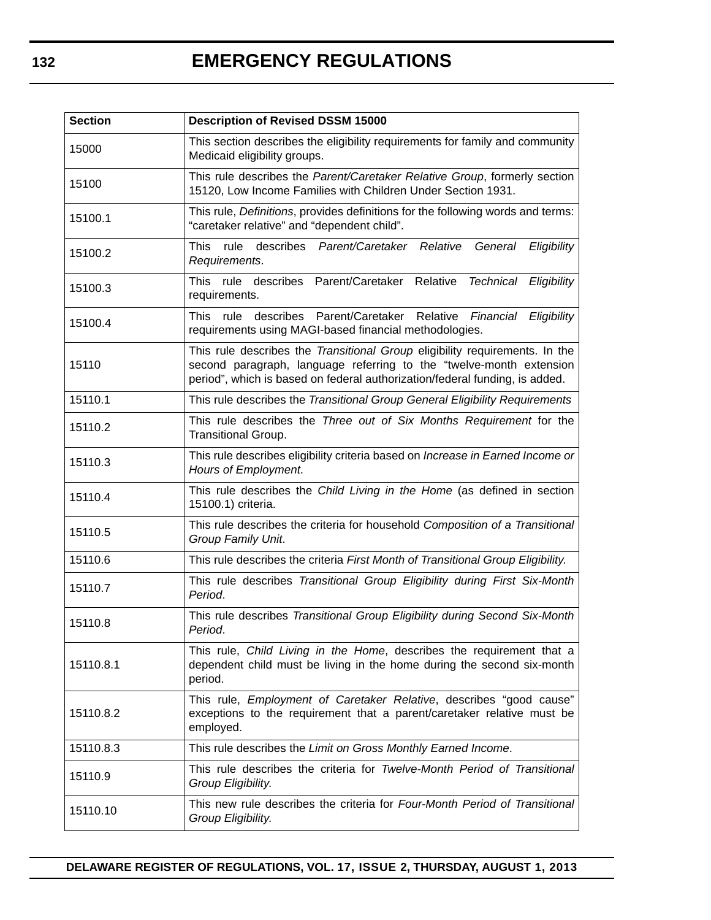| <b>Section</b> | <b>Description of Revised DSSM 15000</b>                                                                                                                                                                                          |
|----------------|-----------------------------------------------------------------------------------------------------------------------------------------------------------------------------------------------------------------------------------|
| 15000          | This section describes the eligibility requirements for family and community<br>Medicaid eligibility groups.                                                                                                                      |
| 15100          | This rule describes the Parent/Caretaker Relative Group, formerly section<br>15120, Low Income Families with Children Under Section 1931.                                                                                         |
| 15100.1        | This rule, Definitions, provides definitions for the following words and terms:<br>"caretaker relative" and "dependent child".                                                                                                    |
| 15100.2        | <b>This</b><br>describes Parent/Caretaker Relative<br>Eligibility<br>rule.<br>General<br>Requirements.                                                                                                                            |
| 15100.3        | This rule describes Parent/Caretaker<br>Relative<br>Technical<br>Eligibility<br>requirements.                                                                                                                                     |
| 15100.4        | This<br>describes Parent/Caretaker Relative Financial<br>Eligibility<br>rule<br>requirements using MAGI-based financial methodologies.                                                                                            |
| 15110          | This rule describes the Transitional Group eligibility requirements. In the<br>second paragraph, language referring to the "twelve-month extension<br>period", which is based on federal authorization/federal funding, is added. |
| 15110.1        | This rule describes the Transitional Group General Eligibility Requirements                                                                                                                                                       |
| 15110.2        | This rule describes the Three out of Six Months Requirement for the<br><b>Transitional Group.</b>                                                                                                                                 |
| 15110.3        | This rule describes eligibility criteria based on Increase in Earned Income or<br>Hours of Employment.                                                                                                                            |
| 15110.4        | This rule describes the Child Living in the Home (as defined in section<br>15100.1) criteria.                                                                                                                                     |
| 15110.5        | This rule describes the criteria for household Composition of a Transitional<br>Group Family Unit.                                                                                                                                |
| 15110.6        | This rule describes the criteria First Month of Transitional Group Eligibility.                                                                                                                                                   |
| 15110.7        | This rule describes Transitional Group Eligibility during First Six-Month<br>Period.                                                                                                                                              |
| 15110.8        | This rule describes Transitional Group Eligibility during Second Six-Month<br>Period.                                                                                                                                             |
| 15110.8.1      | This rule, Child Living in the Home, describes the requirement that a<br>dependent child must be living in the home during the second six-month<br>period.                                                                        |
| 15110.8.2      | This rule, Employment of Caretaker Relative, describes "good cause"<br>exceptions to the requirement that a parent/caretaker relative must be<br>employed.                                                                        |
| 15110.8.3      | This rule describes the Limit on Gross Monthly Earned Income.                                                                                                                                                                     |
| 15110.9        | This rule describes the criteria for Twelve-Month Period of Transitional<br>Group Eligibility.                                                                                                                                    |
| 15110.10       | This new rule describes the criteria for Four-Month Period of Transitional<br>Group Eligibility.                                                                                                                                  |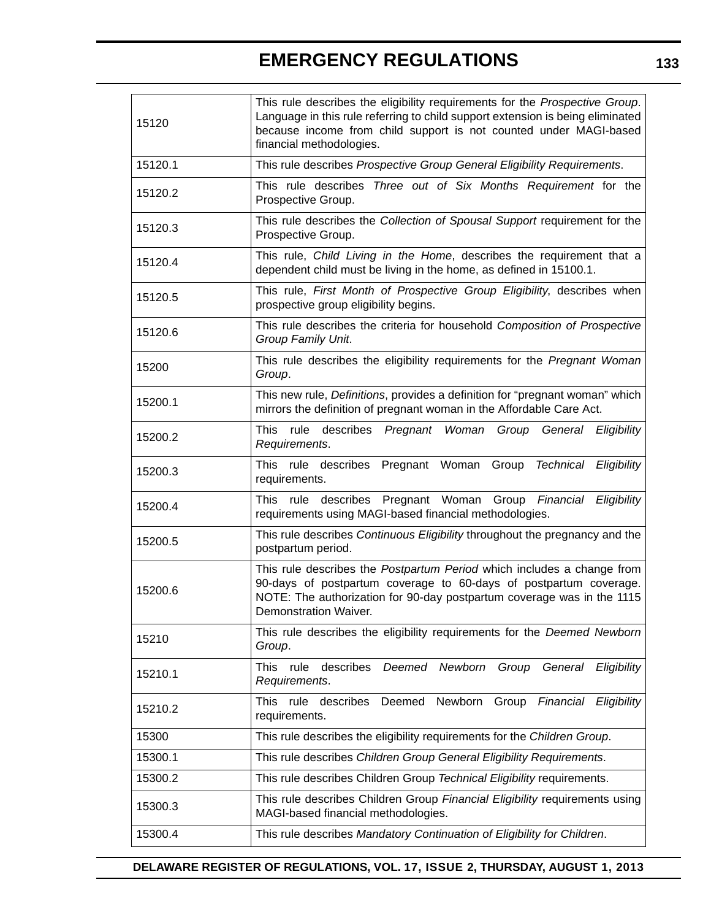| 15120   | This rule describes the eligibility requirements for the Prospective Group.<br>Language in this rule referring to child support extension is being eliminated<br>because income from child support is not counted under MAGI-based<br>financial methodologies. |
|---------|----------------------------------------------------------------------------------------------------------------------------------------------------------------------------------------------------------------------------------------------------------------|
| 15120.1 | This rule describes Prospective Group General Eligibility Requirements.                                                                                                                                                                                        |
| 15120.2 | This rule describes Three out of Six Months Requirement for the<br>Prospective Group.                                                                                                                                                                          |
| 15120.3 | This rule describes the Collection of Spousal Support requirement for the<br>Prospective Group.                                                                                                                                                                |
| 15120.4 | This rule, Child Living in the Home, describes the requirement that a<br>dependent child must be living in the home, as defined in 15100.1.                                                                                                                    |
| 15120.5 | This rule, First Month of Prospective Group Eligibility, describes when<br>prospective group eligibility begins.                                                                                                                                               |
| 15120.6 | This rule describes the criteria for household Composition of Prospective<br>Group Family Unit.                                                                                                                                                                |
| 15200   | This rule describes the eligibility requirements for the Pregnant Woman<br>Group.                                                                                                                                                                              |
| 15200.1 | This new rule, Definitions, provides a definition for "pregnant woman" which<br>mirrors the definition of pregnant woman in the Affordable Care Act.                                                                                                           |
| 15200.2 | This<br>rule<br>describes<br>Pregnant Woman<br>Group General Eligibility<br>Requirements.                                                                                                                                                                      |
| 15200.3 | This rule describes Pregnant Woman<br>Group Technical Eligibility<br>requirements.                                                                                                                                                                             |
| 15200.4 | This rule describes Pregnant Woman Group Financial<br>Eligibility<br>requirements using MAGI-based financial methodologies.                                                                                                                                    |
| 15200.5 | This rule describes Continuous Eligibility throughout the pregnancy and the<br>postpartum period.                                                                                                                                                              |
| 15200.6 | This rule describes the Postpartum Period which includes a change from<br>90-days of postpartum coverage to 60-days of postpartum coverage.<br>NOTE: The authorization for 90-day postpartum coverage was in the 1115<br>Demonstration Waiver.                 |
| 15210   | This rule describes the eligibility requirements for the Deemed Newborn<br>Group.                                                                                                                                                                              |
| 15210.1 | rule describes<br>Deemed Newborn<br>Group<br>Eligibility<br><b>This</b><br>General<br>Requirements.                                                                                                                                                            |
| 15210.2 | This rule<br>describes Deemed<br>Newborn Group<br>Financial Eligibility<br>requirements.                                                                                                                                                                       |
| 15300   | This rule describes the eligibility requirements for the Children Group.                                                                                                                                                                                       |
| 15300.1 | This rule describes Children Group General Eligibility Requirements.                                                                                                                                                                                           |
| 15300.2 | This rule describes Children Group Technical Eligibility requirements.                                                                                                                                                                                         |
| 15300.3 | This rule describes Children Group Financial Eligibility requirements using<br>MAGI-based financial methodologies.                                                                                                                                             |
| 15300.4 | This rule describes Mandatory Continuation of Eligibility for Children.                                                                                                                                                                                        |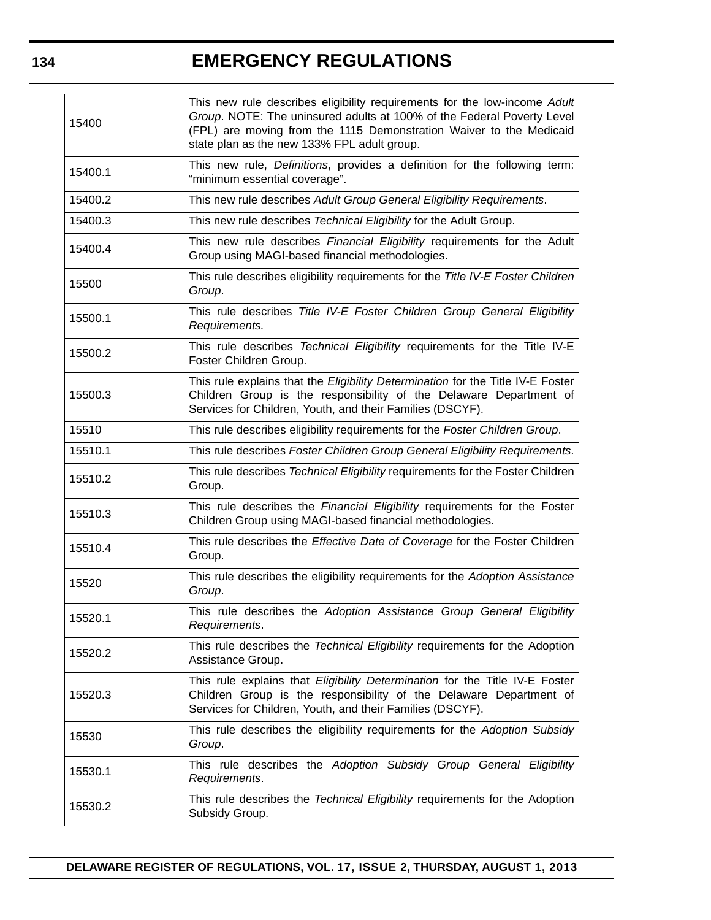| 15400   | This new rule describes eligibility requirements for the low-income Adult<br>Group. NOTE: The uninsured adults at 100% of the Federal Poverty Level<br>(FPL) are moving from the 1115 Demonstration Waiver to the Medicaid<br>state plan as the new 133% FPL adult group. |
|---------|---------------------------------------------------------------------------------------------------------------------------------------------------------------------------------------------------------------------------------------------------------------------------|
| 15400.1 | This new rule, Definitions, provides a definition for the following term:<br>"minimum essential coverage".                                                                                                                                                                |
| 15400.2 | This new rule describes Adult Group General Eligibility Requirements.                                                                                                                                                                                                     |
| 15400.3 | This new rule describes Technical Eligibility for the Adult Group.                                                                                                                                                                                                        |
| 15400.4 | This new rule describes Financial Eligibility requirements for the Adult<br>Group using MAGI-based financial methodologies.                                                                                                                                               |
| 15500   | This rule describes eligibility requirements for the Title IV-E Foster Children<br>Group.                                                                                                                                                                                 |
| 15500.1 | This rule describes Title IV-E Foster Children Group General Eligibility<br>Requirements.                                                                                                                                                                                 |
| 15500.2 | This rule describes Technical Eligibility requirements for the Title IV-E<br>Foster Children Group.                                                                                                                                                                       |
| 15500.3 | This rule explains that the Eligibility Determination for the Title IV-E Foster<br>Children Group is the responsibility of the Delaware Department of<br>Services for Children, Youth, and their Families (DSCYF).                                                        |
| 15510   | This rule describes eligibility requirements for the Foster Children Group.                                                                                                                                                                                               |
| 15510.1 | This rule describes Foster Children Group General Eligibility Requirements.                                                                                                                                                                                               |
| 15510.2 | This rule describes Technical Eligibility requirements for the Foster Children<br>Group.                                                                                                                                                                                  |
| 15510.3 | This rule describes the Financial Eligibility requirements for the Foster<br>Children Group using MAGI-based financial methodologies.                                                                                                                                     |
| 15510.4 | This rule describes the Effective Date of Coverage for the Foster Children<br>Group.                                                                                                                                                                                      |
| 15520   | This rule describes the eligibility requirements for the Adoption Assistance<br>Group.                                                                                                                                                                                    |
| 15520.1 | This rule describes the Adoption Assistance Group General Eligibility<br>Requirements.                                                                                                                                                                                    |
| 15520.2 | This rule describes the Technical Eligibility requirements for the Adoption<br>Assistance Group.                                                                                                                                                                          |
| 15520.3 | This rule explains that Eligibility Determination for the Title IV-E Foster<br>Children Group is the responsibility of the Delaware Department of<br>Services for Children, Youth, and their Families (DSCYF).                                                            |
| 15530   | This rule describes the eligibility requirements for the Adoption Subsidy<br>Group.                                                                                                                                                                                       |
| 15530.1 | This rule describes the Adoption Subsidy Group General Eligibility<br>Requirements.                                                                                                                                                                                       |
| 15530.2 | This rule describes the Technical Eligibility requirements for the Adoption<br>Subsidy Group.                                                                                                                                                                             |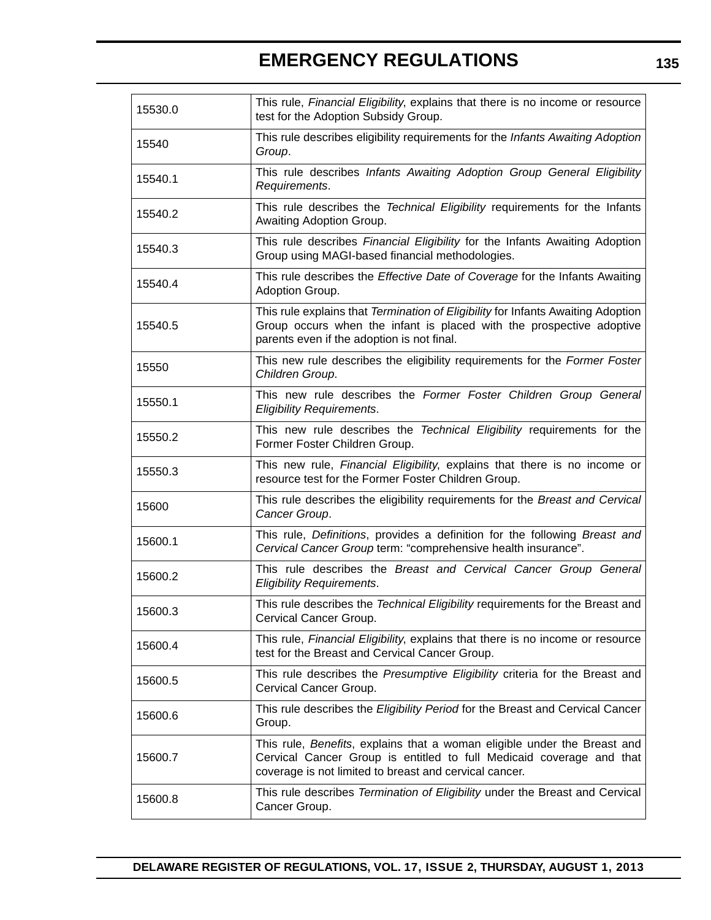| 15530.0 | This rule, Financial Eligibility, explains that there is no income or resource<br>test for the Adoption Subsidy Group.                                                                                     |
|---------|------------------------------------------------------------------------------------------------------------------------------------------------------------------------------------------------------------|
| 15540   | This rule describes eligibility requirements for the Infants Awaiting Adoption<br>Group.                                                                                                                   |
| 15540.1 | This rule describes Infants Awaiting Adoption Group General Eligibility<br>Requirements.                                                                                                                   |
| 15540.2 | This rule describes the Technical Eligibility requirements for the Infants<br>Awaiting Adoption Group.                                                                                                     |
| 15540.3 | This rule describes Financial Eligibility for the Infants Awaiting Adoption<br>Group using MAGI-based financial methodologies.                                                                             |
| 15540.4 | This rule describes the Effective Date of Coverage for the Infants Awaiting<br>Adoption Group.                                                                                                             |
| 15540.5 | This rule explains that Termination of Eligibility for Infants Awaiting Adoption<br>Group occurs when the infant is placed with the prospective adoptive<br>parents even if the adoption is not final.     |
| 15550   | This new rule describes the eligibility requirements for the Former Foster<br>Children Group.                                                                                                              |
| 15550.1 | This new rule describes the Former Foster Children Group General<br><b>Eligibility Requirements.</b>                                                                                                       |
| 15550.2 | This new rule describes the Technical Eligibility requirements for the<br>Former Foster Children Group.                                                                                                    |
| 15550.3 | This new rule, Financial Eligibility, explains that there is no income or<br>resource test for the Former Foster Children Group.                                                                           |
| 15600   | This rule describes the eligibility requirements for the Breast and Cervical<br>Cancer Group.                                                                                                              |
| 15600.1 | This rule, Definitions, provides a definition for the following Breast and<br>Cervical Cancer Group term: "comprehensive health insurance".                                                                |
| 15600.2 | This rule describes the Breast and Cervical Cancer Group General<br><b>Eligibility Requirements.</b>                                                                                                       |
| 15600.3 | This rule describes the Technical Eligibility requirements for the Breast and<br>Cervical Cancer Group.                                                                                                    |
| 15600.4 | This rule, Financial Eligibility, explains that there is no income or resource<br>test for the Breast and Cervical Cancer Group.                                                                           |
| 15600.5 | This rule describes the Presumptive Eligibility criteria for the Breast and<br>Cervical Cancer Group.                                                                                                      |
| 15600.6 | This rule describes the Eligibility Period for the Breast and Cervical Cancer<br>Group.                                                                                                                    |
| 15600.7 | This rule, Benefits, explains that a woman eligible under the Breast and<br>Cervical Cancer Group is entitled to full Medicaid coverage and that<br>coverage is not limited to breast and cervical cancer. |
| 15600.8 | This rule describes Termination of Eligibility under the Breast and Cervical<br>Cancer Group.                                                                                                              |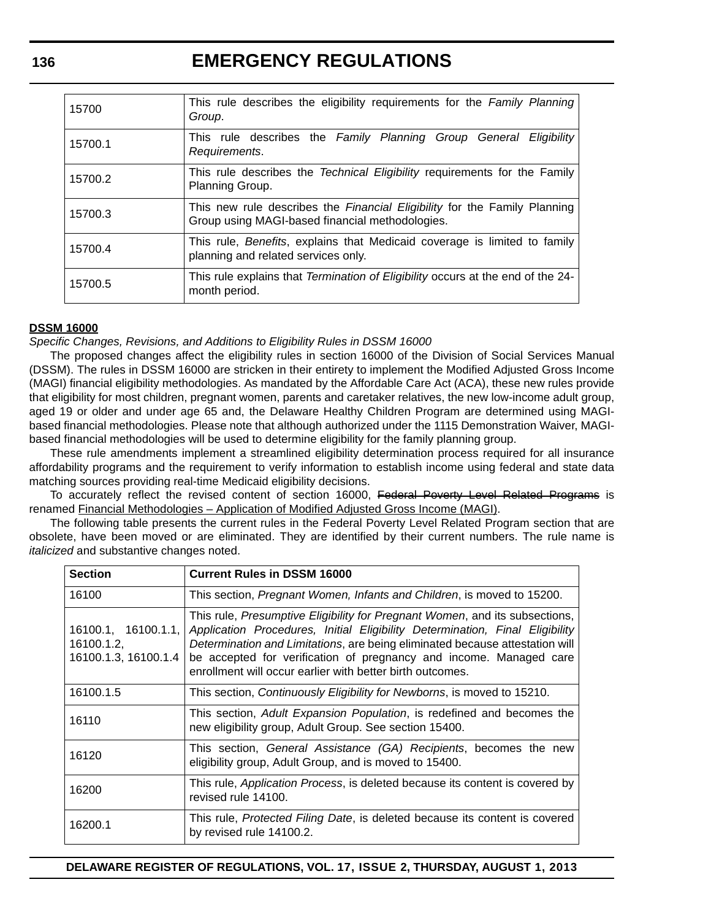| 15700   | This rule describes the eligibility requirements for the Family Planning<br>Group.                                                  |
|---------|-------------------------------------------------------------------------------------------------------------------------------------|
| 15700.1 | This rule describes the Family Planning Group General Eligibility<br>Requirements.                                                  |
| 15700.2 | This rule describes the Technical Eligibility requirements for the Family<br>Planning Group.                                        |
| 15700.3 | This new rule describes the <i>Financial Eligibility</i> for the Family Planning<br>Group using MAGI-based financial methodologies. |
| 15700.4 | This rule, <i>Benefits</i> , explains that Medicaid coverage is limited to family<br>planning and related services only.            |
| 15700.5 | This rule explains that Termination of Eligibility occurs at the end of the 24-<br>month period.                                    |

#### **DSSM 16000**

#### *Specific Changes, Revisions, and Additions to Eligibility Rules in DSSM 16000*

The proposed changes affect the eligibility rules in section 16000 of the Division of Social Services Manual (DSSM). The rules in DSSM 16000 are stricken in their entirety to implement the Modified Adjusted Gross Income (MAGI) financial eligibility methodologies. As mandated by the Affordable Care Act (ACA), these new rules provide that eligibility for most children, pregnant women, parents and caretaker relatives, the new low-income adult group, aged 19 or older and under age 65 and, the Delaware Healthy Children Program are determined using MAGIbased financial methodologies. Please note that although authorized under the 1115 Demonstration Waiver, MAGIbased financial methodologies will be used to determine eligibility for the family planning group.

These rule amendments implement a streamlined eligibility determination process required for all insurance affordability programs and the requirement to verify information to establish income using federal and state data matching sources providing real-time Medicaid eligibility decisions.

To accurately reflect the revised content of section 16000, Federal Poverty Level Related Programs is renamed Financial Methodologies – Application of Modified Adjusted Gross Income (MAGI).

The following table presents the current rules in the Federal Poverty Level Related Program section that are obsolete, have been moved or are eliminated. They are identified by their current numbers. The rule name is *italicized* and substantive changes noted.

| <b>Section</b>                                            | <b>Current Rules in DSSM 16000</b>                                                                                                                                                                                                                                                                                                                                                     |
|-----------------------------------------------------------|----------------------------------------------------------------------------------------------------------------------------------------------------------------------------------------------------------------------------------------------------------------------------------------------------------------------------------------------------------------------------------------|
| 16100                                                     | This section, Pregnant Women, Infants and Children, is moved to 15200.                                                                                                                                                                                                                                                                                                                 |
| 16100.1, 16100.1.1,<br>16100.1.2,<br>16100.1.3, 16100.1.4 | This rule, <i>Presumptive Eligibility for Pregnant Women</i> , and its subsections,<br>Application Procedures, Initial Eligibility Determination, Final Eligibility<br>Determination and Limitations, are being eliminated because attestation will<br>be accepted for verification of pregnancy and income. Managed care<br>enrollment will occur earlier with better birth outcomes. |
| 16100.1.5                                                 | This section, Continuously Eligibility for Newborns, is moved to 15210.                                                                                                                                                                                                                                                                                                                |
| 16110                                                     | This section, Adult Expansion Population, is redefined and becomes the<br>new eligibility group, Adult Group. See section 15400.                                                                                                                                                                                                                                                       |
| 16120                                                     | This section, General Assistance (GA) Recipients, becomes the new<br>eligibility group, Adult Group, and is moved to 15400.                                                                                                                                                                                                                                                            |
| 16200                                                     | This rule, Application Process, is deleted because its content is covered by<br>revised rule 14100.                                                                                                                                                                                                                                                                                    |
| 16200.1                                                   | This rule, <i>Protected Filing Date</i> , is deleted because its content is covered<br>by revised rule 14100.2.                                                                                                                                                                                                                                                                        |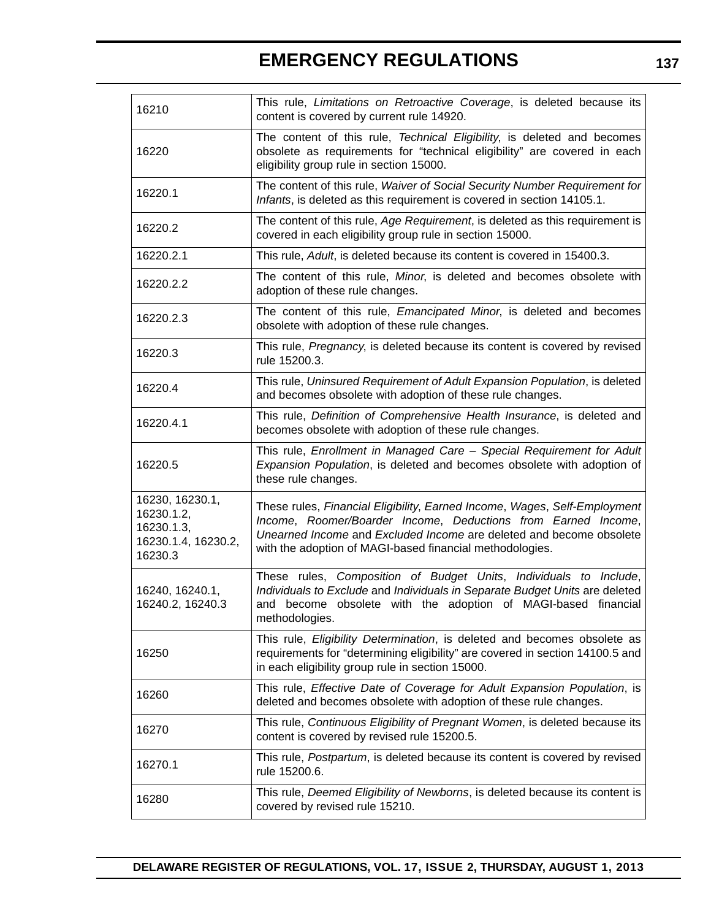| 16210                                                                         | This rule, Limitations on Retroactive Coverage, is deleted because its<br>content is covered by current rule 14920.                                                                                                                                                           |
|-------------------------------------------------------------------------------|-------------------------------------------------------------------------------------------------------------------------------------------------------------------------------------------------------------------------------------------------------------------------------|
| 16220                                                                         | The content of this rule, Technical Eligibility, is deleted and becomes<br>obsolete as requirements for "technical eligibility" are covered in each<br>eligibility group rule in section 15000.                                                                               |
| 16220.1                                                                       | The content of this rule, Waiver of Social Security Number Requirement for<br>Infants, is deleted as this requirement is covered in section 14105.1.                                                                                                                          |
| 16220.2                                                                       | The content of this rule, Age Requirement, is deleted as this requirement is<br>covered in each eligibility group rule in section 15000.                                                                                                                                      |
| 16220.2.1                                                                     | This rule, Adult, is deleted because its content is covered in 15400.3.                                                                                                                                                                                                       |
| 16220.2.2                                                                     | The content of this rule, Minor, is deleted and becomes obsolete with<br>adoption of these rule changes.                                                                                                                                                                      |
| 16220.2.3                                                                     | The content of this rule, Emancipated Minor, is deleted and becomes<br>obsolete with adoption of these rule changes.                                                                                                                                                          |
| 16220.3                                                                       | This rule, Pregnancy, is deleted because its content is covered by revised<br>rule 15200.3.                                                                                                                                                                                   |
| 16220.4                                                                       | This rule, Uninsured Requirement of Adult Expansion Population, is deleted<br>and becomes obsolete with adoption of these rule changes.                                                                                                                                       |
| 16220.4.1                                                                     | This rule, Definition of Comprehensive Health Insurance, is deleted and<br>becomes obsolete with adoption of these rule changes.                                                                                                                                              |
| 16220.5                                                                       | This rule, Enrollment in Managed Care - Special Requirement for Adult<br>Expansion Population, is deleted and becomes obsolete with adoption of<br>these rule changes.                                                                                                        |
| 16230, 16230.1,<br>16230.1.2,<br>16230.1.3,<br>16230.1.4, 16230.2,<br>16230.3 | These rules, Financial Eligibility, Earned Income, Wages, Self-Employment<br>Income, Roomer/Boarder Income, Deductions from Earned Income,<br>Unearned Income and Excluded Income are deleted and become obsolete<br>with the adoption of MAGI-based financial methodologies. |
| 16240, 16240.1,<br>16240.2, 16240.3                                           | These rules, Composition of Budget Units, Individuals to Include,<br>Individuals to Exclude and Individuals in Separate Budget Units are deleted<br>and become obsolete with the adoption of MAGI-based financial<br>methodologies.                                           |
| 16250                                                                         | This rule, Eligibility Determination, is deleted and becomes obsolete as<br>requirements for "determining eligibility" are covered in section 14100.5 and<br>in each eligibility group rule in section 15000.                                                                 |
| 16260                                                                         | This rule, Effective Date of Coverage for Adult Expansion Population, is<br>deleted and becomes obsolete with adoption of these rule changes.                                                                                                                                 |
| 16270                                                                         | This rule, Continuous Eligibility of Pregnant Women, is deleted because its<br>content is covered by revised rule 15200.5.                                                                                                                                                    |
| 16270.1                                                                       | This rule, Postpartum, is deleted because its content is covered by revised<br>rule 15200.6.                                                                                                                                                                                  |
| 16280                                                                         | This rule, Deemed Eligibility of Newborns, is deleted because its content is<br>covered by revised rule 15210.                                                                                                                                                                |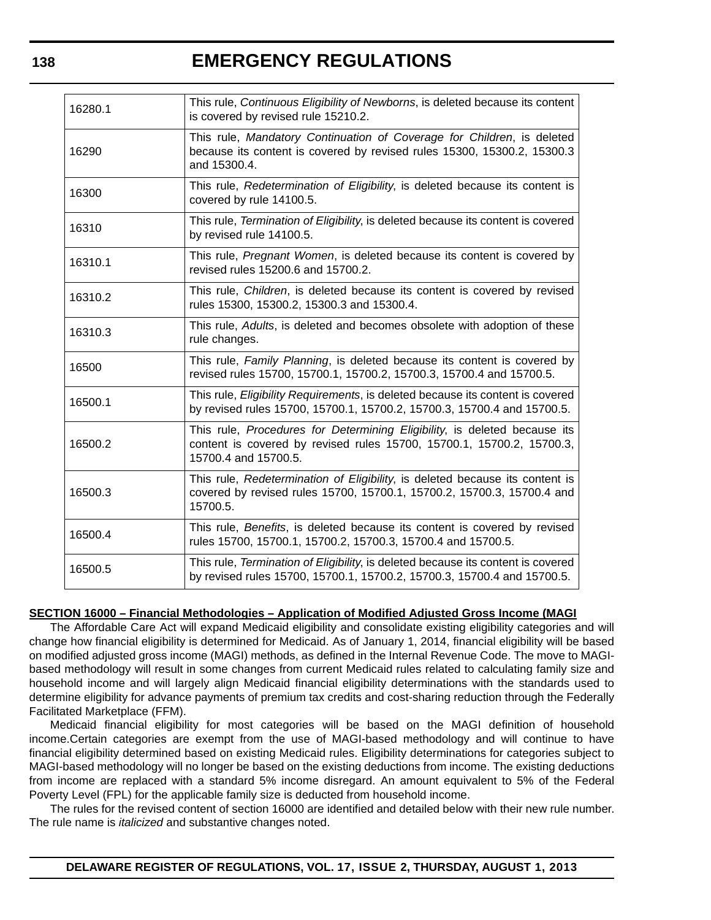| 16280.1 | This rule, Continuous Eligibility of Newborns, is deleted because its content<br>is covered by revised rule 15210.2.                                                       |
|---------|----------------------------------------------------------------------------------------------------------------------------------------------------------------------------|
| 16290   | This rule, Mandatory Continuation of Coverage for Children, is deleted<br>because its content is covered by revised rules 15300, 15300.2, 15300.3<br>and 15300.4.          |
| 16300   | This rule, Redetermination of Eligibility, is deleted because its content is<br>covered by rule 14100.5.                                                                   |
| 16310   | This rule, Termination of Eligibility, is deleted because its content is covered<br>by revised rule 14100.5.                                                               |
| 16310.1 | This rule, Pregnant Women, is deleted because its content is covered by<br>revised rules 15200.6 and 15700.2.                                                              |
| 16310.2 | This rule, Children, is deleted because its content is covered by revised<br>rules 15300, 15300.2, 15300.3 and 15300.4.                                                    |
| 16310.3 | This rule, Adults, is deleted and becomes obsolete with adoption of these<br>rule changes.                                                                                 |
| 16500   | This rule, Family Planning, is deleted because its content is covered by<br>revised rules 15700, 15700.1, 15700.2, 15700.3, 15700.4 and 15700.5.                           |
| 16500.1 | This rule, Eligibility Requirements, is deleted because its content is covered<br>by revised rules 15700, 15700.1, 15700.2, 15700.3, 15700.4 and 15700.5.                  |
| 16500.2 | This rule, Procedures for Determining Eligibility, is deleted because its<br>content is covered by revised rules 15700, 15700.1, 15700.2, 15700.3,<br>15700.4 and 15700.5. |
| 16500.3 | This rule, Redetermination of Eligibility, is deleted because its content is<br>covered by revised rules 15700, 15700.1, 15700.2, 15700.3, 15700.4 and<br>15700.5.         |
| 16500.4 | This rule, Benefits, is deleted because its content is covered by revised<br>rules 15700, 15700.1, 15700.2, 15700.3, 15700.4 and 15700.5.                                  |
| 16500.5 | This rule, Termination of Eligibility, is deleted because its content is covered<br>by revised rules 15700, 15700.1, 15700.2, 15700.3, 15700.4 and 15700.5.                |

#### **SECTION 16000 – Financial Methodologies – Application of Modified Adjusted Gross Income (MAGI**

The Affordable Care Act will expand Medicaid eligibility and consolidate existing eligibility categories and will change how financial eligibility is determined for Medicaid. As of January 1, 2014, financial eligibility will be based on modified adjusted gross income (MAGI) methods, as defined in the Internal Revenue Code. The move to MAGIbased methodology will result in some changes from current Medicaid rules related to calculating family size and household income and will largely align Medicaid financial eligibility determinations with the standards used to determine eligibility for advance payments of premium tax credits and cost-sharing reduction through the Federally Facilitated Marketplace (FFM).

Medicaid financial eligibility for most categories will be based on the MAGI definition of household income.Certain categories are exempt from the use of MAGI-based methodology and will continue to have financial eligibility determined based on existing Medicaid rules. Eligibility determinations for categories subject to MAGI-based methodology will no longer be based on the existing deductions from income. The existing deductions from income are replaced with a standard 5% income disregard. An amount equivalent to 5% of the Federal Poverty Level (FPL) for the applicable family size is deducted from household income.

The rules for the revised content of section 16000 are identified and detailed below with their new rule number. The rule name is *italicized* and substantive changes noted.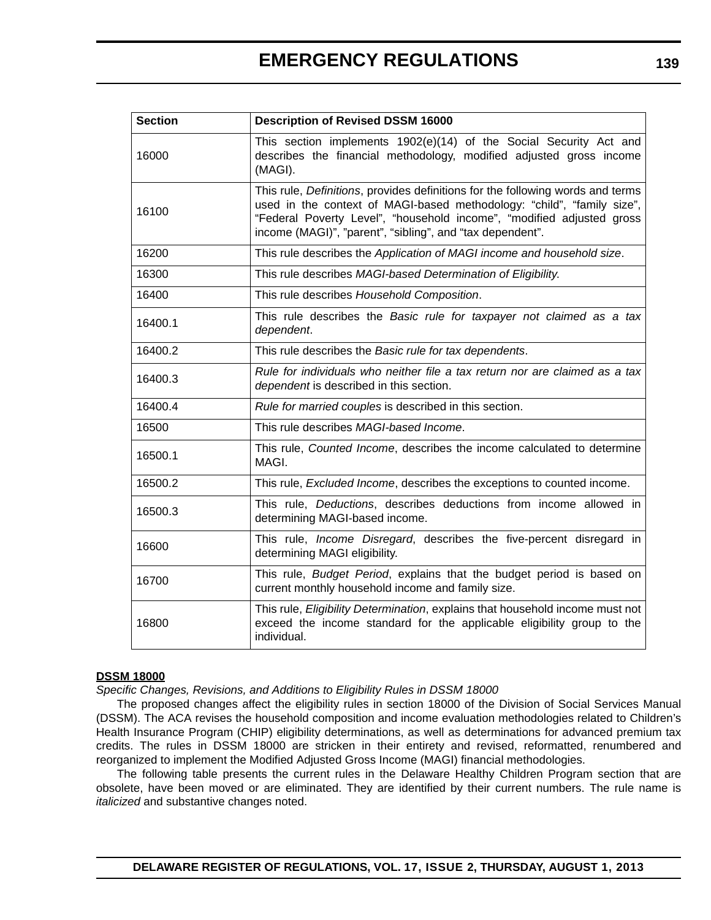| <b>Section</b> | <b>Description of Revised DSSM 16000</b>                                                                                                                                                                                                                                                       |
|----------------|------------------------------------------------------------------------------------------------------------------------------------------------------------------------------------------------------------------------------------------------------------------------------------------------|
| 16000          | This section implements 1902(e)(14) of the Social Security Act and<br>describes the financial methodology, modified adjusted gross income<br>(MAGI).                                                                                                                                           |
| 16100          | This rule, Definitions, provides definitions for the following words and terms<br>used in the context of MAGI-based methodology: "child", "family size",<br>"Federal Poverty Level", "household income", "modified adjusted gross<br>income (MAGI)", "parent", "sibling", and "tax dependent". |
| 16200          | This rule describes the Application of MAGI income and household size.                                                                                                                                                                                                                         |
| 16300          | This rule describes MAGI-based Determination of Eligibility.                                                                                                                                                                                                                                   |
| 16400          | This rule describes Household Composition.                                                                                                                                                                                                                                                     |
| 16400.1        | This rule describes the Basic rule for taxpayer not claimed as a tax<br>dependent.                                                                                                                                                                                                             |
| 16400.2        | This rule describes the Basic rule for tax dependents.                                                                                                                                                                                                                                         |
| 16400.3        | Rule for individuals who neither file a tax return nor are claimed as a tax<br>dependent is described in this section.                                                                                                                                                                         |
| 16400.4        | Rule for married couples is described in this section.                                                                                                                                                                                                                                         |
| 16500          | This rule describes MAGI-based Income.                                                                                                                                                                                                                                                         |
| 16500.1        | This rule, Counted Income, describes the income calculated to determine<br>MAGI.                                                                                                                                                                                                               |
| 16500.2        | This rule, Excluded Income, describes the exceptions to counted income.                                                                                                                                                                                                                        |
| 16500.3        | This rule, Deductions, describes deductions from income allowed in<br>determining MAGI-based income.                                                                                                                                                                                           |
| 16600          | This rule, <i>Income Disregard</i> , describes the five-percent disregard in<br>determining MAGI eligibility.                                                                                                                                                                                  |
| 16700          | This rule, Budget Period, explains that the budget period is based on<br>current monthly household income and family size.                                                                                                                                                                     |
| 16800          | This rule, Eligibility Determination, explains that household income must not<br>exceed the income standard for the applicable eligibility group to the<br>individual.                                                                                                                         |

#### **DSSM 18000**

*Specific Changes, Revisions, and Additions to Eligibility Rules in DSSM 18000*

The proposed changes affect the eligibility rules in section 18000 of the Division of Social Services Manual (DSSM). The ACA revises the household composition and income evaluation methodologies related to Children's Health Insurance Program (CHIP) eligibility determinations, as well as determinations for advanced premium tax credits. The rules in DSSM 18000 are stricken in their entirety and revised, reformatted, renumbered and reorganized to implement the Modified Adjusted Gross Income (MAGI) financial methodologies.

The following table presents the current rules in the Delaware Healthy Children Program section that are obsolete, have been moved or are eliminated. They are identified by their current numbers. The rule name is *italicized* and substantive changes noted.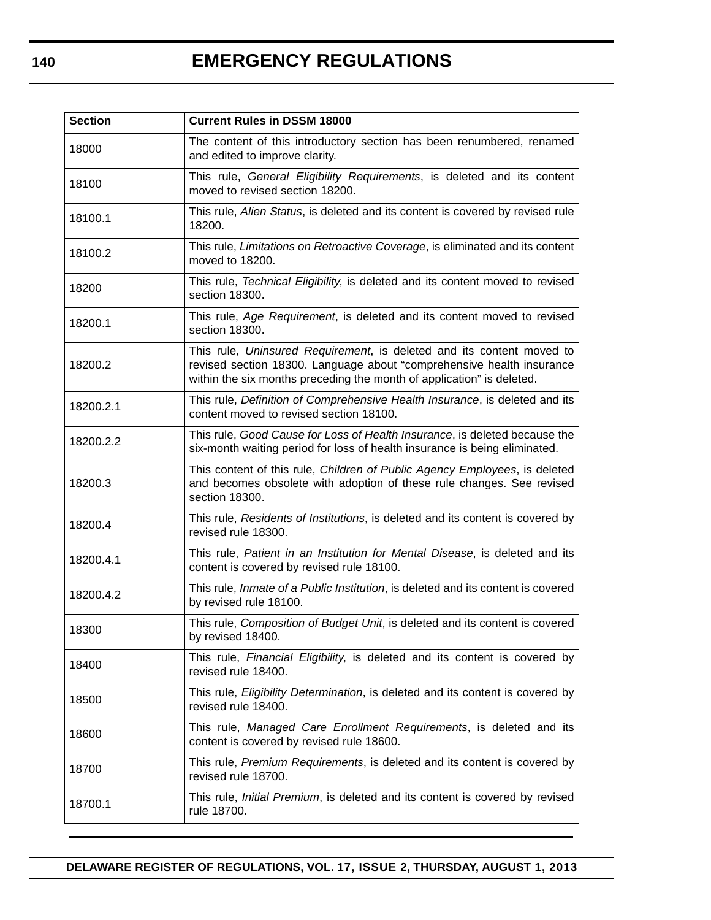| <b>Section</b> | <b>Current Rules in DSSM 18000</b>                                                                                                                                                                                      |
|----------------|-------------------------------------------------------------------------------------------------------------------------------------------------------------------------------------------------------------------------|
| 18000          | The content of this introductory section has been renumbered, renamed<br>and edited to improve clarity.                                                                                                                 |
| 18100          | This rule, General Eligibility Requirements, is deleted and its content<br>moved to revised section 18200.                                                                                                              |
| 18100.1        | This rule, Alien Status, is deleted and its content is covered by revised rule<br>18200.                                                                                                                                |
| 18100.2        | This rule, Limitations on Retroactive Coverage, is eliminated and its content<br>moved to 18200.                                                                                                                        |
| 18200          | This rule, Technical Eligibility, is deleted and its content moved to revised<br>section 18300.                                                                                                                         |
| 18200.1        | This rule, Age Requirement, is deleted and its content moved to revised<br>section 18300.                                                                                                                               |
| 18200.2        | This rule, Uninsured Requirement, is deleted and its content moved to<br>revised section 18300. Language about "comprehensive health insurance<br>within the six months preceding the month of application" is deleted. |
| 18200.2.1      | This rule, Definition of Comprehensive Health Insurance, is deleted and its<br>content moved to revised section 18100.                                                                                                  |
| 18200.2.2      | This rule, Good Cause for Loss of Health Insurance, is deleted because the<br>six-month waiting period for loss of health insurance is being eliminated.                                                                |
| 18200.3        | This content of this rule, Children of Public Agency Employees, is deleted<br>and becomes obsolete with adoption of these rule changes. See revised<br>section 18300.                                                   |
| 18200.4        | This rule, Residents of Institutions, is deleted and its content is covered by<br>revised rule 18300.                                                                                                                   |
| 18200.4.1      | This rule, Patient in an Institution for Mental Disease, is deleted and its<br>content is covered by revised rule 18100.                                                                                                |
| 18200.4.2      | This rule, Inmate of a Public Institution, is deleted and its content is covered<br>by revised rule 18100.                                                                                                              |
| 18300          | This rule, Composition of Budget Unit, is deleted and its content is covered<br>by revised 18400.                                                                                                                       |
| 18400          | This rule, Financial Eligibility, is deleted and its content is covered by<br>revised rule 18400.                                                                                                                       |
| 18500          | This rule, Eligibility Determination, is deleted and its content is covered by<br>revised rule 18400.                                                                                                                   |
| 18600          | This rule, Managed Care Enrollment Requirements, is deleted and its<br>content is covered by revised rule 18600.                                                                                                        |
| 18700          | This rule, Premium Requirements, is deleted and its content is covered by<br>revised rule 18700.                                                                                                                        |
| 18700.1        | This rule, Initial Premium, is deleted and its content is covered by revised<br>rule 18700.                                                                                                                             |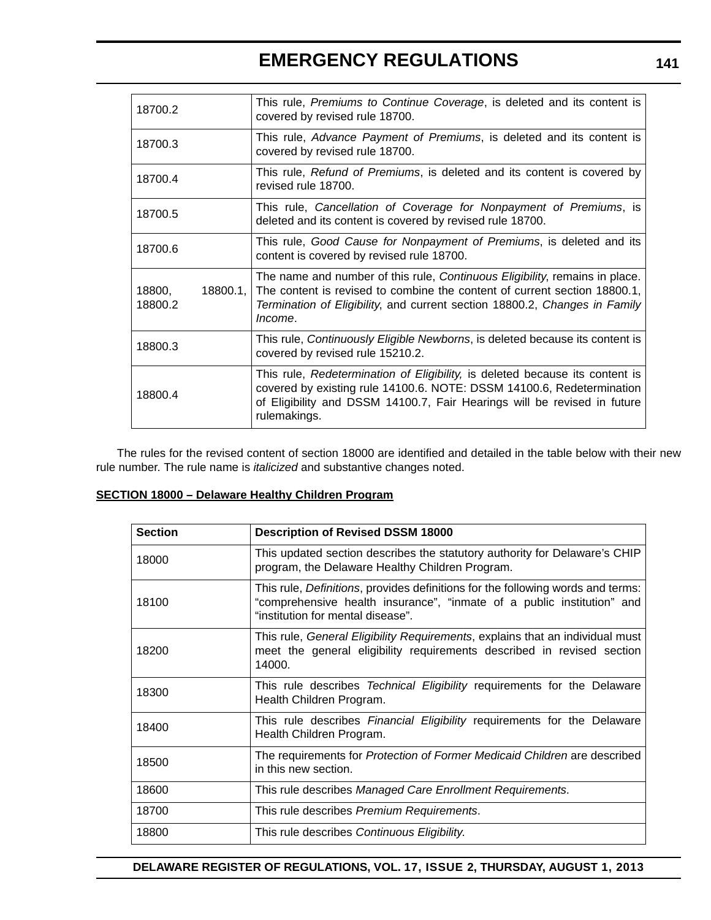| 18700.2                       | This rule, Premiums to Continue Coverage, is deleted and its content is<br>covered by revised rule 18700.                                                                                                                                         |
|-------------------------------|---------------------------------------------------------------------------------------------------------------------------------------------------------------------------------------------------------------------------------------------------|
| 18700.3                       | This rule, Advance Payment of Premiums, is deleted and its content is<br>covered by revised rule 18700.                                                                                                                                           |
| 18700.4                       | This rule, Refund of Premiums, is deleted and its content is covered by<br>revised rule 18700.                                                                                                                                                    |
| 18700.5                       | This rule, Cancellation of Coverage for Nonpayment of Premiums, is<br>deleted and its content is covered by revised rule 18700.                                                                                                                   |
| 18700.6                       | This rule, Good Cause for Nonpayment of Premiums, is deleted and its<br>content is covered by revised rule 18700.                                                                                                                                 |
| 18800,<br>18800.1,<br>18800.2 | The name and number of this rule, Continuous Eligibility, remains in place.<br>The content is revised to combine the content of current section 18800.1,<br>Termination of Eligibility, and current section 18800.2, Changes in Family<br>Income. |
| 18800.3                       | This rule, Continuously Eligible Newborns, is deleted because its content is<br>covered by revised rule 15210.2.                                                                                                                                  |
| 18800.4                       | This rule, Redetermination of Eligibility, is deleted because its content is<br>covered by existing rule 14100.6. NOTE: DSSM 14100.6, Redetermination<br>of Eligibility and DSSM 14100.7, Fair Hearings will be revised in future<br>rulemakings. |

The rules for the revised content of section 18000 are identified and detailed in the table below with their new rule number. The rule name is *italicized* and substantive changes noted.

#### **SECTION 18000 – Delaware Healthy Children Program**

| <b>Section</b> | <b>Description of Revised DSSM 18000</b>                                                                                                                                                               |
|----------------|--------------------------------------------------------------------------------------------------------------------------------------------------------------------------------------------------------|
| 18000          | This updated section describes the statutory authority for Delaware's CHIP<br>program, the Delaware Healthy Children Program.                                                                          |
| 18100          | This rule, <i>Definitions</i> , provides definitions for the following words and terms:<br>"comprehensive health insurance", "inmate of a public institution" and<br>"institution for mental disease". |
| 18200          | This rule, General Eligibility Requirements, explains that an individual must<br>meet the general eligibility requirements described in revised section<br>14000.                                      |
| 18300          | This rule describes Technical Eligibility requirements for the Delaware<br>Health Children Program.                                                                                                    |
| 18400          | This rule describes <i>Financial Eligibility</i> requirements for the Delaware<br>Health Children Program.                                                                                             |
| 18500          | The requirements for Protection of Former Medicaid Children are described<br>in this new section.                                                                                                      |
| 18600          | This rule describes Managed Care Enrollment Requirements.                                                                                                                                              |
| 18700          | This rule describes Premium Requirements.                                                                                                                                                              |
| 18800          | This rule describes Continuous Eligibility.                                                                                                                                                            |

**141**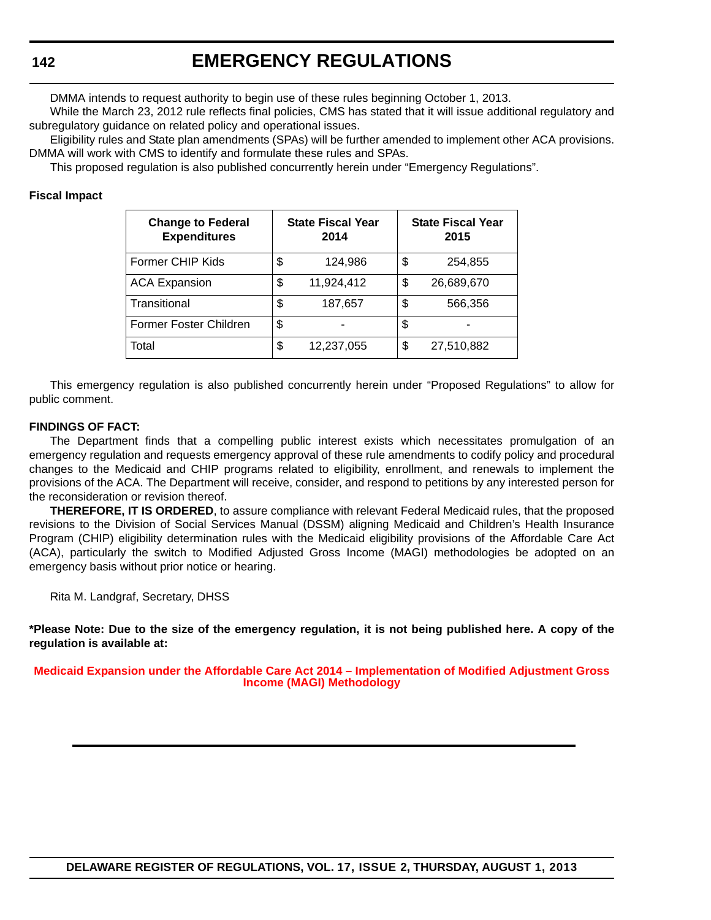DMMA intends to request authority to begin use of these rules beginning October 1, 2013.

While the March 23, 2012 rule reflects final policies, CMS has stated that it will issue additional regulatory and subregulatory guidance on related policy and operational issues.

Eligibility rules and State plan amendments (SPAs) will be further amended to implement other ACA provisions. DMMA will work with CMS to identify and formulate these rules and SPAs.

This proposed regulation is also published concurrently herein under "Emergency Regulations".

#### **Fiscal Impact**

| <b>Change to Federal</b><br><b>Expenditures</b> |    | <b>State Fiscal Year</b><br>2014 |    | <b>State Fiscal Year</b><br>2015 |
|-------------------------------------------------|----|----------------------------------|----|----------------------------------|
| Former CHIP Kids                                | S  | 124,986                          | \$ | 254,855                          |
| <b>ACA Expansion</b>                            | \$ | 11,924,412                       | \$ | 26,689,670                       |
| Transitional                                    | \$ | 187,657                          | \$ | 566,356                          |
| Former Foster Children                          | \$ |                                  | S  |                                  |
| Total                                           | \$ | 12,237,055                       | \$ | 27,510,882                       |

This emergency regulation is also published concurrently herein under "Proposed Regulations" to allow for public comment.

#### **FINDINGS OF FACT:**

The Department finds that a compelling public interest exists which necessitates promulgation of an emergency regulation and requests emergency approval of these rule amendments to codify policy and procedural changes to the Medicaid and CHIP programs related to eligibility, enrollment, and renewals to implement the provisions of the ACA. The Department will receive, consider, and respond to petitions by any interested person for the reconsideration or revision thereof.

**THEREFORE, IT IS ORDERED**, to assure compliance with relevant Federal Medicaid rules, that the proposed revisions to the Division of Social Services Manual (DSSM) aligning Medicaid and Children's Health Insurance Program (CHIP) eligibility determination rules with the Medicaid eligibility provisions of the Affordable Care Act (ACA), particularly the switch to Modified Adjusted Gross Income (MAGI) methodologies be adopted on an emergency basis without prior notice or hearing.

Rita M. Landgraf, Secretary, DHSS

**\*Please Note: Due to the size of the emergency regulation, it is not being published here. A copy of the regulation is available at:**

**[Medicaid Expansion under the Affordable Care Act 2014 – Implementation of Modified Adjustment Gross](http://regulations.delaware.gov/register/august2013/emergency/17 DE Reg 126 08-01-13.htm)  Income (MAGI) Methodology**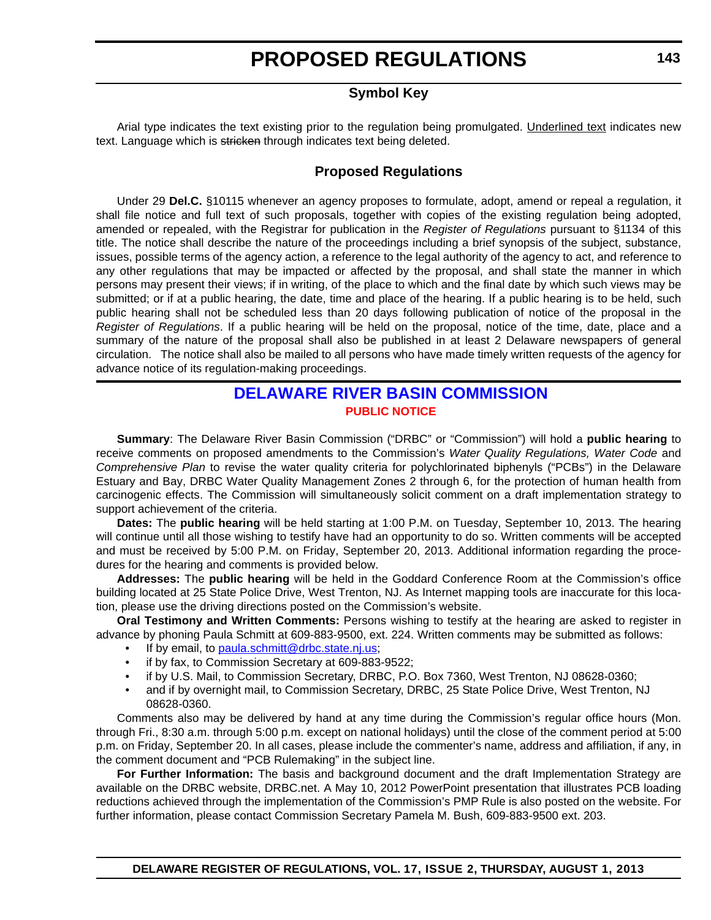### **Symbol Key**

<span id="page-24-0"></span>Arial type indicates the text existing prior to the regulation being promulgated. Underlined text indicates new text. Language which is stricken through indicates text being deleted.

#### **Proposed Regulations**

Under 29 **Del.C.** §10115 whenever an agency proposes to formulate, adopt, amend or repeal a regulation, it shall file notice and full text of such proposals, together with copies of the existing regulation being adopted, amended or repealed, with the Registrar for publication in the *Register of Regulations* pursuant to §1134 of this title. The notice shall describe the nature of the proceedings including a brief synopsis of the subject, substance, issues, possible terms of the agency action, a reference to the legal authority of the agency to act, and reference to any other regulations that may be impacted or affected by the proposal, and shall state the manner in which persons may present their views; if in writing, of the place to which and the final date by which such views may be submitted; or if at a public hearing, the date, time and place of the hearing. If a public hearing is to be held, such public hearing shall not be scheduled less than 20 days following publication of notice of the proposal in the *Register of Regulations*. If a public hearing will be held on the proposal, notice of the time, date, place and a summary of the nature of the proposal shall also be published in at least 2 Delaware newspapers of general circulation. The notice shall also be mailed to all persons who have made timely written requests of the agency for advance notice of its regulation-making proceedings.

### **DELAWARE RIVER BASIN COMMISSION [PUBLIC NOTICE](#page-3-0)**

**Summary**: The Delaware River Basin Commission ("DRBC" or "Commission") will hold a **public hearing** to receive comments on proposed amendments to the Commission's *Water Quality Regulations, Water Code* and *Comprehensive Plan* to revise the water quality criteria for polychlorinated biphenyls ("PCBs") in the Delaware Estuary and Bay, DRBC Water Quality Management Zones 2 through 6, for the protection of human health from carcinogenic effects. The Commission will simultaneously solicit comment on a draft implementation strategy to support achievement of the criteria.

**Dates:** The **public hearing** will be held starting at 1:00 P.M. on Tuesday, September 10, 2013. The hearing will continue until all those wishing to testify have had an opportunity to do so. Written comments will be accepted and must be received by 5:00 P.M. on Friday, September 20, 2013. Additional information regarding the procedures for the hearing and comments is provided below.

**Addresses:** The **public hearing** will be held in the Goddard Conference Room at the Commission's office building located at 25 State Police Drive, West Trenton, NJ. As Internet mapping tools are inaccurate for this location, please use the driving directions posted on the Commission's website.

**Oral Testimony and Written Comments:** Persons wishing to testify at the hearing are asked to register in advance by phoning Paula Schmitt at 609-883-9500, ext. 224. Written comments may be submitted as follows:

- If by email, to [paula.schmitt@drbc.state.nj.us;](mailto:paula.schmitt@drbc.state.nj.us)
- if by fax, to Commission Secretary at 609-883-9522;
- if by U.S. Mail, to Commission Secretary, DRBC, P.O. Box 7360, West Trenton, NJ 08628-0360;
- and if by overnight mail, to Commission Secretary, DRBC, 25 State Police Drive, West Trenton, NJ 08628-0360.

Comments also may be delivered by hand at any time during the Commission's regular office hours (Mon. through Fri., 8:30 a.m. through 5:00 p.m. except on national holidays) until the close of the comment period at 5:00 p.m. on Friday, September 20. In all cases, please include the commenter's name, address and affiliation, if any, in the comment document and "PCB Rulemaking" in the subject line.

**For Further Information:** The basis and background document and the draft Implementation Strategy are available on the DRBC website, DRBC.net. A May 10, 2012 PowerPoint presentation that illustrates PCB loading reductions achieved through the implementation of the Commission's PMP Rule is also posted on the website. For further information, please contact Commission Secretary Pamela M. Bush, 609-883-9500 ext. 203.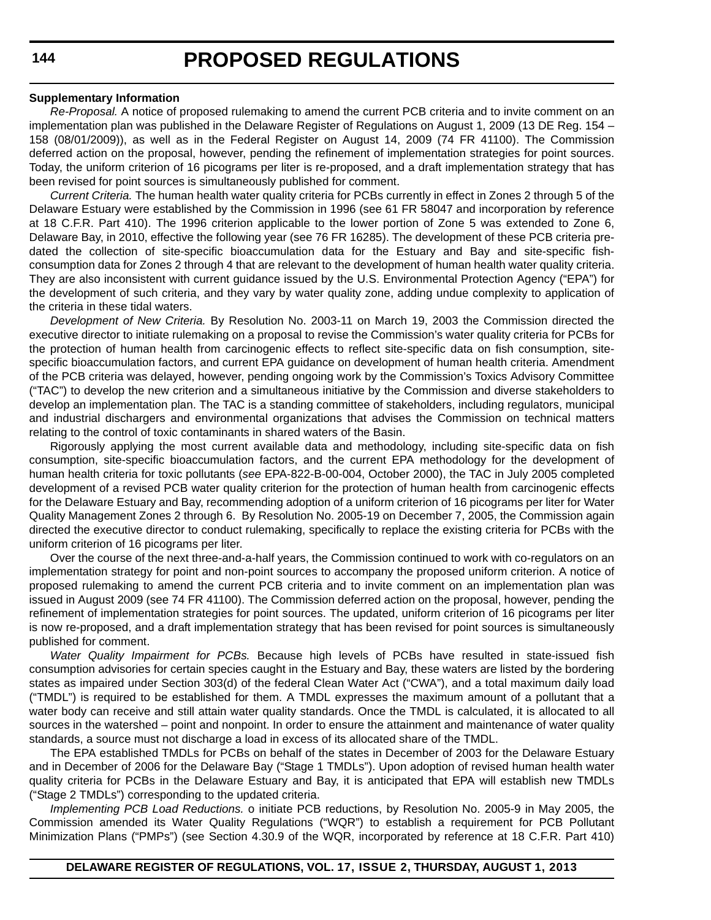#### **Supplementary Information**

*Re-Proposal.* A notice of proposed rulemaking to amend the current PCB criteria and to invite comment on an implementation plan was published in the Delaware Register of Regulations on August 1, 2009 (13 DE Reg. 154 – 158 (08/01/2009)), as well as in the Federal Register on August 14, 2009 (74 FR 41100). The Commission deferred action on the proposal, however, pending the refinement of implementation strategies for point sources. Today, the uniform criterion of 16 picograms per liter is re-proposed, and a draft implementation strategy that has been revised for point sources is simultaneously published for comment.

*Current Criteria.* The human health water quality criteria for PCBs currently in effect in Zones 2 through 5 of the Delaware Estuary were established by the Commission in 1996 (see 61 FR 58047 and incorporation by reference at 18 C.F.R. Part 410). The 1996 criterion applicable to the lower portion of Zone 5 was extended to Zone 6, Delaware Bay, in 2010, effective the following year (see 76 FR 16285). The development of these PCB criteria predated the collection of site-specific bioaccumulation data for the Estuary and Bay and site-specific fishconsumption data for Zones 2 through 4 that are relevant to the development of human health water quality criteria. They are also inconsistent with current guidance issued by the U.S. Environmental Protection Agency ("EPA") for the development of such criteria, and they vary by water quality zone, adding undue complexity to application of the criteria in these tidal waters.

*Development of New Criteria.* By Resolution No. 2003-11 on March 19, 2003 the Commission directed the executive director to initiate rulemaking on a proposal to revise the Commission's water quality criteria for PCBs for the protection of human health from carcinogenic effects to reflect site-specific data on fish consumption, sitespecific bioaccumulation factors, and current EPA guidance on development of human health criteria. Amendment of the PCB criteria was delayed, however, pending ongoing work by the Commission's Toxics Advisory Committee ("TAC") to develop the new criterion and a simultaneous initiative by the Commission and diverse stakeholders to develop an implementation plan. The TAC is a standing committee of stakeholders, including regulators, municipal and industrial dischargers and environmental organizations that advises the Commission on technical matters relating to the control of toxic contaminants in shared waters of the Basin.

Rigorously applying the most current available data and methodology, including site-specific data on fish consumption, site-specific bioaccumulation factors, and the current EPA methodology for the development of human health criteria for toxic pollutants (*see* EPA-822-B-00-004, October 2000), the TAC in July 2005 completed development of a revised PCB water quality criterion for the protection of human health from carcinogenic effects for the Delaware Estuary and Bay, recommending adoption of a uniform criterion of 16 picograms per liter for Water Quality Management Zones 2 through 6. By Resolution No. 2005-19 on December 7, 2005, the Commission again directed the executive director to conduct rulemaking, specifically to replace the existing criteria for PCBs with the uniform criterion of 16 picograms per liter.

Over the course of the next three-and-a-half years, the Commission continued to work with co-regulators on an implementation strategy for point and non-point sources to accompany the proposed uniform criterion. A notice of proposed rulemaking to amend the current PCB criteria and to invite comment on an implementation plan was issued in August 2009 (see 74 FR 41100). The Commission deferred action on the proposal, however, pending the refinement of implementation strategies for point sources. The updated, uniform criterion of 16 picograms per liter is now re-proposed, and a draft implementation strategy that has been revised for point sources is simultaneously published for comment.

*Water Quality Impairment for PCBs.* Because high levels of PCBs have resulted in state-issued fish consumption advisories for certain species caught in the Estuary and Bay, these waters are listed by the bordering states as impaired under Section 303(d) of the federal Clean Water Act ("CWA"), and a total maximum daily load ("TMDL") is required to be established for them. A TMDL expresses the maximum amount of a pollutant that a water body can receive and still attain water quality standards. Once the TMDL is calculated, it is allocated to all sources in the watershed – point and nonpoint. In order to ensure the attainment and maintenance of water quality standards, a source must not discharge a load in excess of its allocated share of the TMDL.

The EPA established TMDLs for PCBs on behalf of the states in December of 2003 for the Delaware Estuary and in December of 2006 for the Delaware Bay ("Stage 1 TMDLs"). Upon adoption of revised human health water quality criteria for PCBs in the Delaware Estuary and Bay, it is anticipated that EPA will establish new TMDLs ("Stage 2 TMDLs") corresponding to the updated criteria.

*Implementing PCB Load Reductions.* o initiate PCB reductions, by Resolution No. 2005-9 in May 2005, the Commission amended its Water Quality Regulations ("WQR") to establish a requirement for PCB Pollutant Minimization Plans ("PMPs") (see Section 4.30.9 of the WQR, incorporated by reference at 18 C.F.R. Part 410)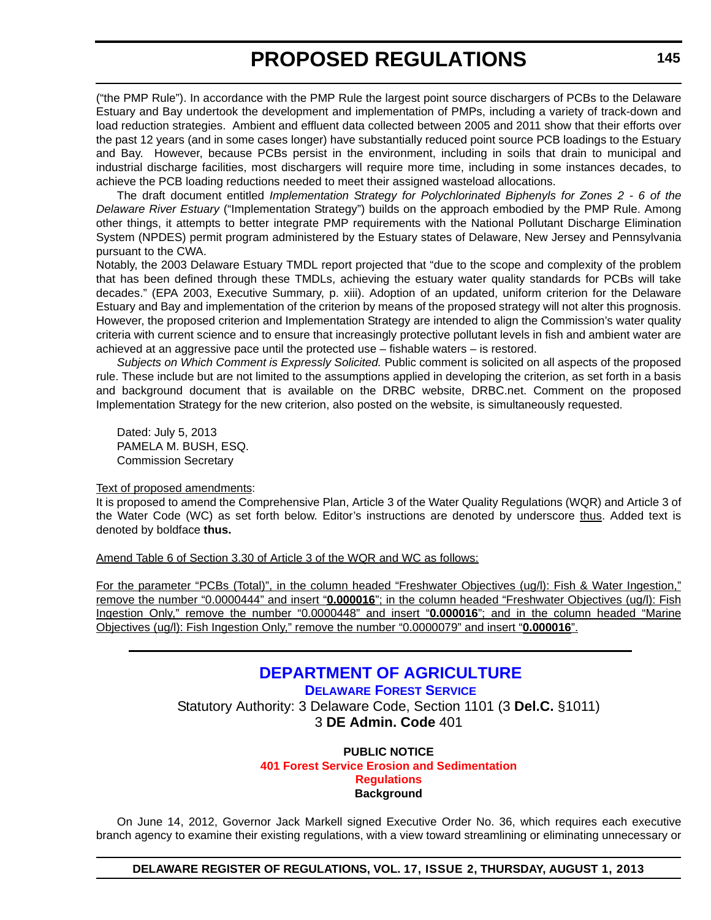<span id="page-26-0"></span>("the PMP Rule"). In accordance with the PMP Rule the largest point source dischargers of PCBs to the Delaware Estuary and Bay undertook the development and implementation of PMPs, including a variety of track-down and load reduction strategies. Ambient and effluent data collected between 2005 and 2011 show that their efforts over the past 12 years (and in some cases longer) have substantially reduced point source PCB loadings to the Estuary and Bay. However, because PCBs persist in the environment, including in soils that drain to municipal and industrial discharge facilities, most dischargers will require more time, including in some instances decades, to achieve the PCB loading reductions needed to meet their assigned wasteload allocations.

The draft document entitled *Implementation Strategy for Polychlorinated Biphenyls for Zones 2 - 6 of the Delaware River Estuary* ("Implementation Strategy") builds on the approach embodied by the PMP Rule. Among other things, it attempts to better integrate PMP requirements with the National Pollutant Discharge Elimination System (NPDES) permit program administered by the Estuary states of Delaware, New Jersey and Pennsylvania pursuant to the CWA.

Notably, the 2003 Delaware Estuary TMDL report projected that "due to the scope and complexity of the problem that has been defined through these TMDLs, achieving the estuary water quality standards for PCBs will take decades." (EPA 2003, Executive Summary, p. xiii). Adoption of an updated, uniform criterion for the Delaware Estuary and Bay and implementation of the criterion by means of the proposed strategy will not alter this prognosis. However, the proposed criterion and Implementation Strategy are intended to align the Commission's water quality criteria with current science and to ensure that increasingly protective pollutant levels in fish and ambient water are achieved at an aggressive pace until the protected use – fishable waters – is restored.

*Subjects on Which Comment is Expressly Solicited.* Public comment is solicited on all aspects of the proposed rule. These include but are not limited to the assumptions applied in developing the criterion, as set forth in a basis and background document that is available on the DRBC website, DRBC.net. Comment on the proposed Implementation Strategy for the new criterion, also posted on the website, is simultaneously requested.

Dated: July 5, 2013 PAMELA M. BUSH, ESQ. Commission Secretary

#### Text of proposed amendments:

It is proposed to amend the Comprehensive Plan, Article 3 of the Water Quality Regulations (WQR) and Article 3 of the Water Code (WC) as set forth below. Editor's instructions are denoted by underscore thus. Added text is denoted by boldface **thus.** 

Amend Table 6 of Section 3.30 of Article 3 of the WQR and WC as follows:

For the parameter "PCBs (Total)", in the column headed "Freshwater Objectives (ug/l): Fish & Water Ingestion," remove the number "0.0000444" and insert "**0.000016**"; in the column headed "Freshwater Objectives (ug/l): Fish Ingestion Only," remove the number "0.0000448" and insert "**0.000016**"; and in the column headed "Marine Objectives (ug/l): Fish Ingestion Only," remove the number "0.0000079" and insert "**0.000016**".

### **DEPARTMENT OF AGRICULTURE**

**DELAWARE FOREST SERVICE** Statutory Authority: 3 Delaware Code, Section 1101 (3 **Del.C.** §1011) 3 **DE Admin. Code** 401

#### **PUBLIC NOTICE [401 Forest Service Erosion and Sedimentation](#page-3-0)  Regulations Background**

On June 14, 2012, Governor Jack Markell signed Executive Order No. 36, which requires each executive branch agency to examine their existing regulations, with a view toward streamlining or eliminating unnecessary or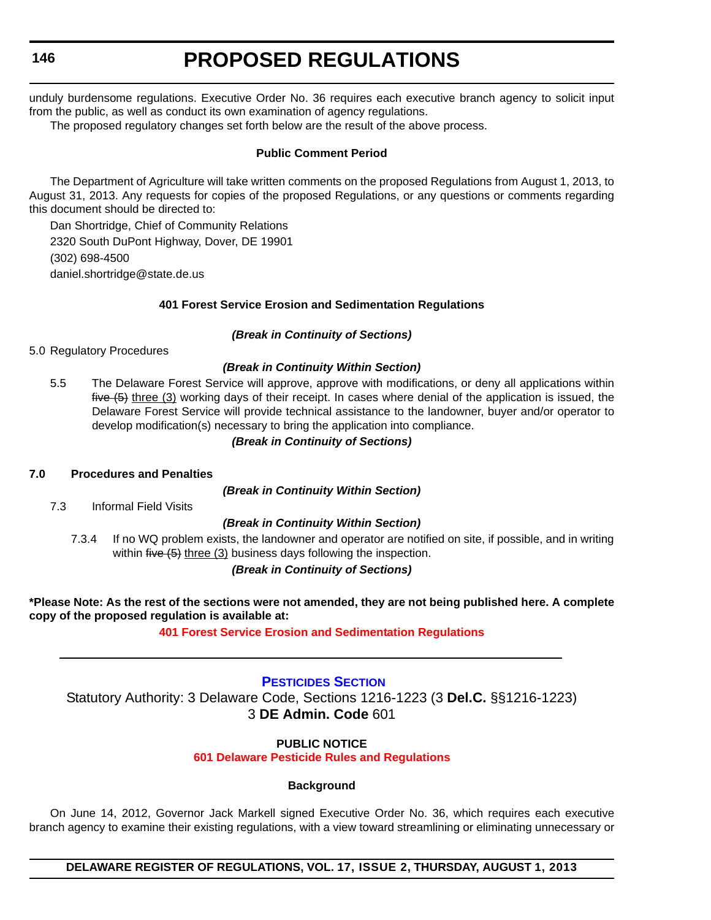<span id="page-27-0"></span>unduly burdensome regulations. Executive Order No. 36 requires each executive branch agency to solicit input from the public, as well as conduct its own examination of agency regulations.

The proposed regulatory changes set forth below are the result of the above process.

#### **Public Comment Period**

The Department of Agriculture will take written comments on the proposed Regulations from August 1, 2013, to August 31, 2013. Any requests for copies of the proposed Regulations, or any questions or comments regarding this document should be directed to:

Dan Shortridge, Chief of Community Relations 2320 South DuPont Highway, Dover, DE 19901 (302) 698-4500 daniel.shortridge@state.de.us

#### **401 Forest Service Erosion and Sedimentation Regulations**

#### *(Break in Continuity of Sections)*

5.0 Regulatory Procedures

#### *(Break in Continuity Within Section)*

5.5 The Delaware Forest Service will approve, approve with modifications, or deny all applications within  $five$  (5) three (3) working days of their receipt. In cases where denial of the application is issued, the Delaware Forest Service will provide technical assistance to the landowner, buyer and/or operator to develop modification(s) necessary to bring the application into compliance.

#### *(Break in Continuity of Sections)*

#### **7.0 Procedures and Penalties**

*(Break in Continuity Within Section)*

7.3 Informal Field Visits

#### *(Break in Continuity Within Section)*

7.3.4 If no WQ problem exists, the landowner and operator are notified on site, if possible, and in writing within  $five (5)$  three  $(3)$  business days following the inspection.

#### *(Break in Continuity of Sections)*

**\*Please Note: As the rest of the sections were not amended, they are not being published here. A complete copy of the proposed regulation is available at:**

**[401 Forest Service Erosion and Sedimentation Regulations](http://regulations.delaware.gov/register/august2013/proposed/17 DE Reg 145 08-01-13.htm)**

#### **PESTICIDES SECTION**

Statutory Authority: 3 Delaware Code, Sections 1216-1223 (3 **Del.C.** §§1216-1223) 3 **DE Admin. Code** 601

#### **PUBLIC NOTICE**

#### **[601 Delaware Pesticide Rules and Regulations](#page-3-0)**

#### **Background**

On June 14, 2012, Governor Jack Markell signed Executive Order No. 36, which requires each executive branch agency to examine their existing regulations, with a view toward streamlining or eliminating unnecessary or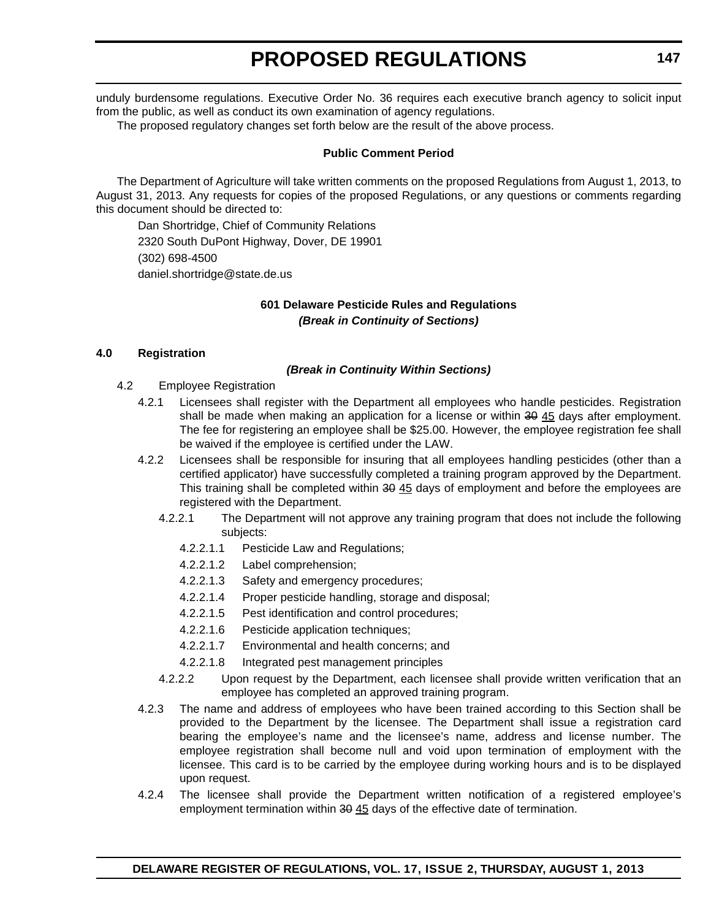unduly burdensome regulations. Executive Order No. 36 requires each executive branch agency to solicit input from the public, as well as conduct its own examination of agency regulations.

The proposed regulatory changes set forth below are the result of the above process.

#### **Public Comment Period**

The Department of Agriculture will take written comments on the proposed Regulations from August 1, 2013, to August 31, 2013. Any requests for copies of the proposed Regulations, or any questions or comments regarding this document should be directed to:

Dan Shortridge, Chief of Community Relations 2320 South DuPont Highway, Dover, DE 19901 (302) 698-4500 daniel.shortridge@state.de.us

#### **601 Delaware Pesticide Rules and Regulations** *(Break in Continuity of Sections)*

#### **4.0 Registration**

#### *(Break in Continuity Within Sections)*

- 4.2 Employee Registration
	- 4.2.1 Licensees shall register with the Department all employees who handle pesticides. Registration shall be made when making an application for a license or within 30 45 days after employment. The fee for registering an employee shall be \$25.00. However, the employee registration fee shall be waived if the employee is certified under the LAW.
	- 4.2.2 Licensees shall be responsible for insuring that all employees handling pesticides (other than a certified applicator) have successfully completed a training program approved by the Department. This training shall be completed within 30 45 days of employment and before the employees are registered with the Department.
		- 4.2.2.1 The Department will not approve any training program that does not include the following subjects:
			- 4.2.2.1.1 Pesticide Law and Regulations;
			- 4.2.2.1.2 Label comprehension;
			- 4.2.2.1.3 Safety and emergency procedures;
			- 4.2.2.1.4 Proper pesticide handling, storage and disposal;
			- 4.2.2.1.5 Pest identification and control procedures;
			- 4.2.2.1.6 Pesticide application techniques;
			- 4.2.2.1.7 Environmental and health concerns; and
			- 4.2.2.1.8 Integrated pest management principles
		- 4.2.2.2 Upon request by the Department, each licensee shall provide written verification that an employee has completed an approved training program.
	- 4.2.3 The name and address of employees who have been trained according to this Section shall be provided to the Department by the licensee. The Department shall issue a registration card bearing the employee's name and the licensee's name, address and license number. The employee registration shall become null and void upon termination of employment with the licensee. This card is to be carried by the employee during working hours and is to be displayed upon request.
	- 4.2.4 The licensee shall provide the Department written notification of a registered employee's employment termination within 30 45 days of the effective date of termination.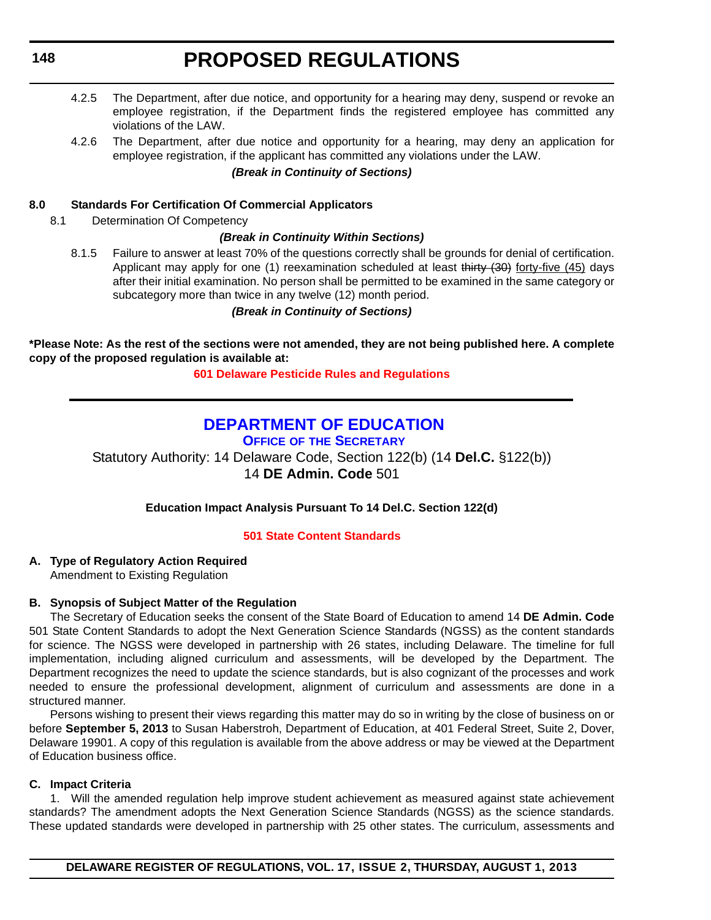- <span id="page-29-0"></span>4.2.5 The Department, after due notice, and opportunity for a hearing may deny, suspend or revoke an employee registration, if the Department finds the registered employee has committed any violations of the LAW.
- 4.2.6 The Department, after due notice and opportunity for a hearing, may deny an application for employee registration, if the applicant has committed any violations under the LAW. *(Break in Continuity of Sections)*

#### **8.0 Standards For Certification Of Commercial Applicators**

8.1 Determination Of Competency

#### *(Break in Continuity Within Sections)*

8.1.5 Failure to answer at least 70% of the questions correctly shall be grounds for denial of certification. Applicant may apply for one (1) reexamination scheduled at least thirty (30) forty-five (45) days after their initial examination. No person shall be permitted to be examined in the same category or subcategory more than twice in any twelve (12) month period.

#### *(Break in Continuity of Sections)*

**\*Please Note: As the rest of the sections were not amended, they are not being published here. A complete copy of the proposed regulation is available at:**

**[601 Delaware Pesticide Rules and Regulations](http://regulations.delaware.gov/register/august2013/proposed/17 DE Reg 146 08-01-13.htm)**

### **DEPARTMENT OF EDUCATION**

**OFFICE OF THE SECRETARY**

Statutory Authority: 14 Delaware Code, Section 122(b) (14 **Del.C.** §122(b)) 14 **DE Admin. Code** 501

**Education Impact Analysis Pursuant To 14 Del.C. Section 122(d)**

### **[501 State Content](#page-3-0) Standards**

### **A. Type of Regulatory Action Required**

Amendment to Existing Regulation

### **B. Synopsis of Subject Matter of the Regulation**

The Secretary of Education seeks the consent of the State Board of Education to amend 14 **DE Admin. Code** 501 State Content Standards to adopt the Next Generation Science Standards (NGSS) as the content standards for science. The NGSS were developed in partnership with 26 states, including Delaware. The timeline for full implementation, including aligned curriculum and assessments, will be developed by the Department. The Department recognizes the need to update the science standards, but is also cognizant of the processes and work needed to ensure the professional development, alignment of curriculum and assessments are done in a structured manner.

Persons wishing to present their views regarding this matter may do so in writing by the close of business on or before **September 5, 2013** to Susan Haberstroh, Department of Education, at 401 Federal Street, Suite 2, Dover, Delaware 19901. A copy of this regulation is available from the above address or may be viewed at the Department of Education business office.

### **C. Impact Criteria**

1. Will the amended regulation help improve student achievement as measured against state achievement standards? The amendment adopts the Next Generation Science Standards (NGSS) as the science standards. These updated standards were developed in partnership with 25 other states. The curriculum, assessments and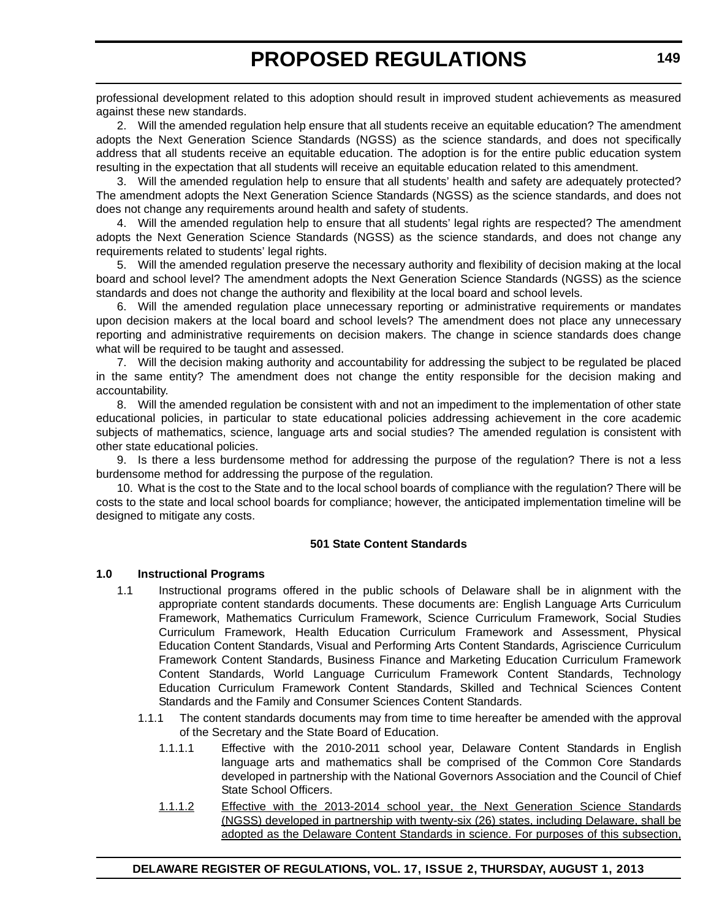professional development related to this adoption should result in improved student achievements as measured against these new standards.

2. Will the amended regulation help ensure that all students receive an equitable education? The amendment adopts the Next Generation Science Standards (NGSS) as the science standards, and does not specifically address that all students receive an equitable education. The adoption is for the entire public education system resulting in the expectation that all students will receive an equitable education related to this amendment.

3. Will the amended regulation help to ensure that all students' health and safety are adequately protected? The amendment adopts the Next Generation Science Standards (NGSS) as the science standards, and does not does not change any requirements around health and safety of students.

4. Will the amended regulation help to ensure that all students' legal rights are respected? The amendment adopts the Next Generation Science Standards (NGSS) as the science standards, and does not change any requirements related to students' legal rights.

5. Will the amended regulation preserve the necessary authority and flexibility of decision making at the local board and school level? The amendment adopts the Next Generation Science Standards (NGSS) as the science standards and does not change the authority and flexibility at the local board and school levels.

6. Will the amended regulation place unnecessary reporting or administrative requirements or mandates upon decision makers at the local board and school levels? The amendment does not place any unnecessary reporting and administrative requirements on decision makers. The change in science standards does change what will be required to be taught and assessed.

7. Will the decision making authority and accountability for addressing the subject to be regulated be placed in the same entity? The amendment does not change the entity responsible for the decision making and accountability.

8. Will the amended regulation be consistent with and not an impediment to the implementation of other state educational policies, in particular to state educational policies addressing achievement in the core academic subjects of mathematics, science, language arts and social studies? The amended regulation is consistent with other state educational policies.

9. Is there a less burdensome method for addressing the purpose of the regulation? There is not a less burdensome method for addressing the purpose of the regulation.

10. What is the cost to the State and to the local school boards of compliance with the regulation? There will be costs to the state and local school boards for compliance; however, the anticipated implementation timeline will be designed to mitigate any costs.

#### **501 State Content Standards**

#### **1.0 Instructional Programs**

- 1.1 Instructional programs offered in the public schools of Delaware shall be in alignment with the appropriate content standards documents. These documents are: English Language Arts Curriculum Framework, Mathematics Curriculum Framework, Science Curriculum Framework, Social Studies Curriculum Framework, Health Education Curriculum Framework and Assessment, Physical Education Content Standards, Visual and Performing Arts Content Standards, Agriscience Curriculum Framework Content Standards, Business Finance and Marketing Education Curriculum Framework Content Standards, World Language Curriculum Framework Content Standards, Technology Education Curriculum Framework Content Standards, Skilled and Technical Sciences Content Standards and the Family and Consumer Sciences Content Standards.
	- 1.1.1 The content standards documents may from time to time hereafter be amended with the approval of the Secretary and the State Board of Education.
		- 1.1.1.1 Effective with the 2010-2011 school year, Delaware Content Standards in English language arts and mathematics shall be comprised of the Common Core Standards developed in partnership with the National Governors Association and the Council of Chief State School Officers.
		- 1.1.1.2 Effective with the 2013-2014 school year, the Next Generation Science Standards (NGSS) developed in partnership with twenty-six (26) states, including Delaware, shall be adopted as the Delaware Content Standards in science. For purposes of this subsection,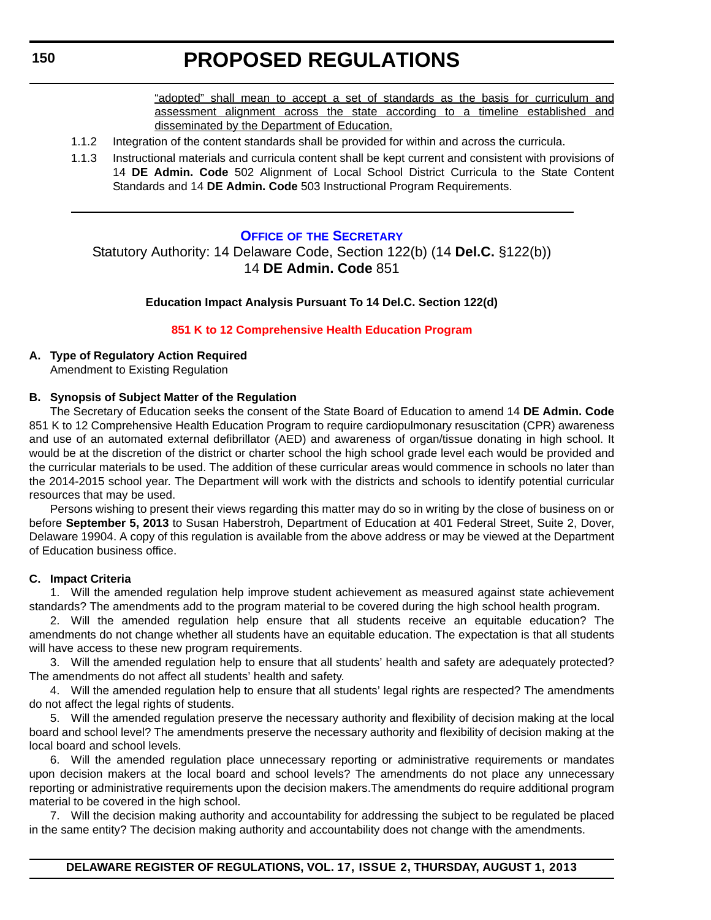"adopted" shall mean to accept a set of standards as the basis for curriculum and assessment alignment across the state according to a timeline established and disseminated by the Department of Education.

- <span id="page-31-0"></span>1.1.2 Integration of the content standards shall be provided for within and across the curricula.
- 1.1.3 Instructional materials and curricula content shall be kept current and consistent with provisions of 14 **DE Admin. Code** 502 Alignment of Local School District Curricula to the State Content Standards and 14 **DE Admin. Code** 503 Instructional Program Requirements.

#### **OFFICE OF THE SECRETARY**

Statutory Authority: 14 Delaware Code, Section 122(b) (14 **Del.C.** §122(b)) 14 **DE Admin. Code** 851

#### **Education Impact Analysis Pursuant To 14 Del.C. Section 122(d)**

#### **851 K [to 12 Comprehensive Health Education Program](#page-3-0)**

#### **A. Type of Regulatory Action Required**

Amendment to Existing Regulation

#### **B. Synopsis of Subject Matter of the Regulation**

The Secretary of Education seeks the consent of the State Board of Education to amend 14 **DE Admin. Code** 851 K to 12 Comprehensive Health Education Program to require cardiopulmonary resuscitation (CPR) awareness and use of an automated external defibrillator (AED) and awareness of organ/tissue donating in high school. It would be at the discretion of the district or charter school the high school grade level each would be provided and the curricular materials to be used. The addition of these curricular areas would commence in schools no later than the 2014-2015 school year. The Department will work with the districts and schools to identify potential curricular resources that may be used.

Persons wishing to present their views regarding this matter may do so in writing by the close of business on or before **September 5, 2013** to Susan Haberstroh, Department of Education at 401 Federal Street, Suite 2, Dover, Delaware 19904. A copy of this regulation is available from the above address or may be viewed at the Department of Education business office.

#### **C. Impact Criteria**

1. Will the amended regulation help improve student achievement as measured against state achievement standards? The amendments add to the program material to be covered during the high school health program.

2. Will the amended regulation help ensure that all students receive an equitable education? The amendments do not change whether all students have an equitable education. The expectation is that all students will have access to these new program requirements.

3. Will the amended regulation help to ensure that all students' health and safety are adequately protected? The amendments do not affect all students' health and safety.

4. Will the amended regulation help to ensure that all students' legal rights are respected? The amendments do not affect the legal rights of students.

5. Will the amended regulation preserve the necessary authority and flexibility of decision making at the local board and school level? The amendments preserve the necessary authority and flexibility of decision making at the local board and school levels.

6. Will the amended regulation place unnecessary reporting or administrative requirements or mandates upon decision makers at the local board and school levels? The amendments do not place any unnecessary reporting or administrative requirements upon the decision makers.The amendments do require additional program material to be covered in the high school.

7. Will the decision making authority and accountability for addressing the subject to be regulated be placed in the same entity? The decision making authority and accountability does not change with the amendments.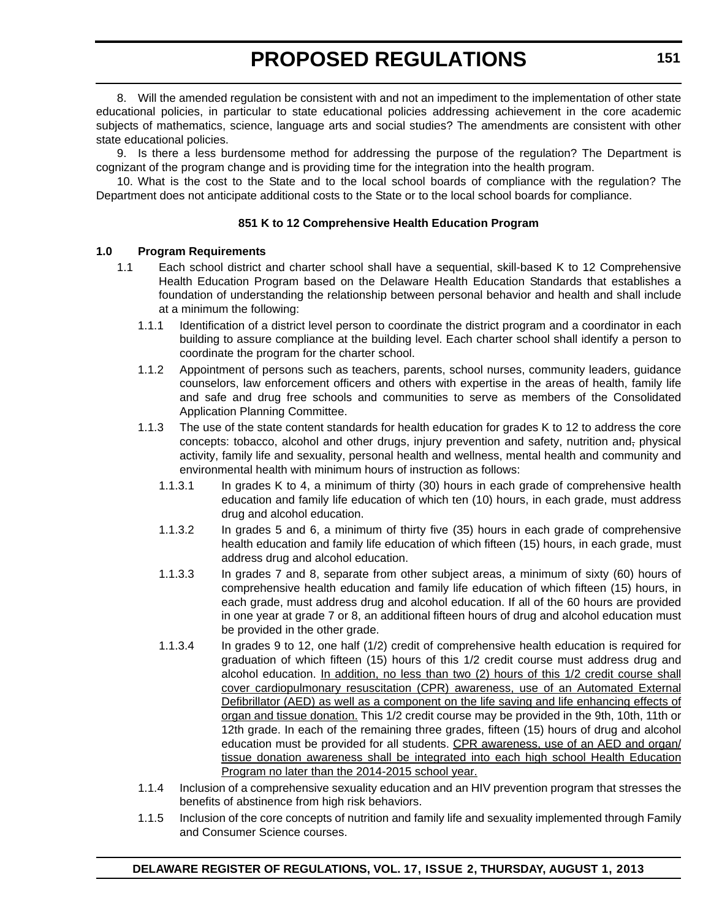8. Will the amended regulation be consistent with and not an impediment to the implementation of other state educational policies, in particular to state educational policies addressing achievement in the core academic subjects of mathematics, science, language arts and social studies? The amendments are consistent with other state educational policies.

9. Is there a less burdensome method for addressing the purpose of the regulation? The Department is cognizant of the program change and is providing time for the integration into the health program.

10. What is the cost to the State and to the local school boards of compliance with the regulation? The Department does not anticipate additional costs to the State or to the local school boards for compliance.

#### **851 K to 12 Comprehensive Health Education Program**

#### **1.0 Program Requirements**

- 1.1 Each school district and charter school shall have a sequential, skill-based K to 12 Comprehensive Health Education Program based on the Delaware Health Education Standards that establishes a foundation of understanding the relationship between personal behavior and health and shall include at a minimum the following:
	- 1.1.1 Identification of a district level person to coordinate the district program and a coordinator in each building to assure compliance at the building level. Each charter school shall identify a person to coordinate the program for the charter school.
	- 1.1.2 Appointment of persons such as teachers, parents, school nurses, community leaders, guidance counselors, law enforcement officers and others with expertise in the areas of health, family life and safe and drug free schools and communities to serve as members of the Consolidated Application Planning Committee.
	- 1.1.3 The use of the state content standards for health education for grades K to 12 to address the core concepts: tobacco, alcohol and other drugs, injury prevention and safety, nutrition and, physical activity, family life and sexuality, personal health and wellness, mental health and community and environmental health with minimum hours of instruction as follows:
		- 1.1.3.1 In grades K to 4, a minimum of thirty (30) hours in each grade of comprehensive health education and family life education of which ten (10) hours, in each grade, must address drug and alcohol education.
		- 1.1.3.2 In grades 5 and 6, a minimum of thirty five (35) hours in each grade of comprehensive health education and family life education of which fifteen (15) hours, in each grade, must address drug and alcohol education.
		- 1.1.3.3 In grades 7 and 8, separate from other subject areas, a minimum of sixty (60) hours of comprehensive health education and family life education of which fifteen (15) hours, in each grade, must address drug and alcohol education. If all of the 60 hours are provided in one year at grade 7 or 8, an additional fifteen hours of drug and alcohol education must be provided in the other grade.
		- 1.1.3.4 In grades 9 to 12, one half (1/2) credit of comprehensive health education is required for graduation of which fifteen (15) hours of this 1/2 credit course must address drug and alcohol education. In addition, no less than two (2) hours of this 1/2 credit course shall cover cardiopulmonary resuscitation (CPR) awareness, use of an Automated External Defibrillator (AED) as well as a component on the life saving and life enhancing effects of organ and tissue donation. This 1/2 credit course may be provided in the 9th, 10th, 11th or 12th grade. In each of the remaining three grades, fifteen (15) hours of drug and alcohol education must be provided for all students. CPR awareness, use of an AED and organ/ tissue donation awareness shall be integrated into each high school Health Education Program no later than the 2014-2015 school year.
	- 1.1.4 Inclusion of a comprehensive sexuality education and an HIV prevention program that stresses the benefits of abstinence from high risk behaviors.
	- 1.1.5 Inclusion of the core concepts of nutrition and family life and sexuality implemented through Family and Consumer Science courses.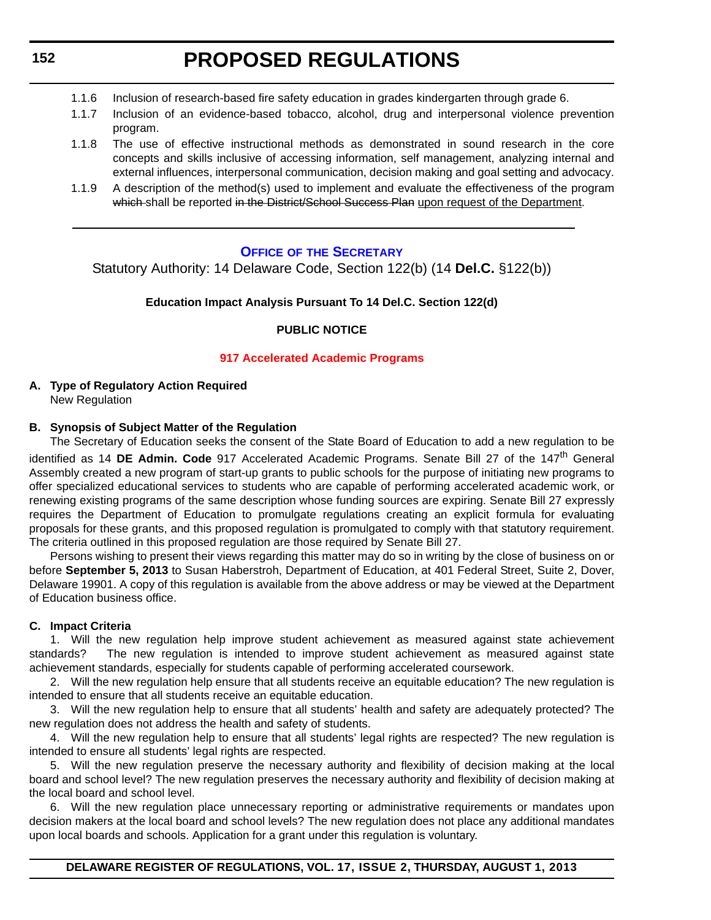- <span id="page-33-0"></span>1.1.6 Inclusion of research-based fire safety education in grades kindergarten through grade 6.
- 1.1.7 Inclusion of an evidence-based tobacco, alcohol, drug and interpersonal violence prevention program.
- 1.1.8 The use of effective instructional methods as demonstrated in sound research in the core concepts and skills inclusive of accessing information, self management, analyzing internal and external influences, interpersonal communication, decision making and goal setting and advocacy.
- 1.1.9 A description of the method(s) used to implement and evaluate the effectiveness of the program which shall be reported in the District/School Success Plan upon request of the Department.

#### **OFFICE OF THE SECRETARY**

Statutory Authority: 14 Delaware Code, Section 122(b) (14 **Del.C.** §122(b))

#### **Education Impact Analysis Pursuant To 14 Del.C. Section 122(d)**

#### **PUBLIC NOTICE**

#### **[917 Accelerated Academic Programs](#page-3-0)**

### **A. Type of Regulatory Action Required**

New Regulation

#### **B. Synopsis of Subject Matter of the Regulation**

The Secretary of Education seeks the consent of the State Board of Education to add a new regulation to be identified as 14 DE Admin. Code 917 Accelerated Academic Programs. Senate Bill 27 of the 147<sup>th</sup> General Assembly created a new program of start-up grants to public schools for the purpose of initiating new programs to offer specialized educational services to students who are capable of performing accelerated academic work, or renewing existing programs of the same description whose funding sources are expiring. Senate Bill 27 expressly requires the Department of Education to promulgate regulations creating an explicit formula for evaluating proposals for these grants, and this proposed regulation is promulgated to comply with that statutory requirement. The criteria outlined in this proposed regulation are those required by Senate Bill 27.

Persons wishing to present their views regarding this matter may do so in writing by the close of business on or before **September 5, 2013** to Susan Haberstroh, Department of Education, at 401 Federal Street, Suite 2, Dover, Delaware 19901. A copy of this regulation is available from the above address or may be viewed at the Department of Education business office.

#### **C. Impact Criteria**

1. Will the new regulation help improve student achievement as measured against state achievement standards? The new regulation is intended to improve student achievement as measured against state achievement standards, especially for students capable of performing accelerated coursework.

2. Will the new regulation help ensure that all students receive an equitable education? The new regulation is intended to ensure that all students receive an equitable education.

3. Will the new regulation help to ensure that all students' health and safety are adequately protected? The new regulation does not address the health and safety of students.

4. Will the new regulation help to ensure that all students' legal rights are respected? The new regulation is intended to ensure all students' legal rights are respected.

5. Will the new regulation preserve the necessary authority and flexibility of decision making at the local board and school level? The new regulation preserves the necessary authority and flexibility of decision making at the local board and school level.

6. Will the new regulation place unnecessary reporting or administrative requirements or mandates upon decision makers at the local board and school levels? The new regulation does not place any additional mandates upon local boards and schools. Application for a grant under this regulation is voluntary.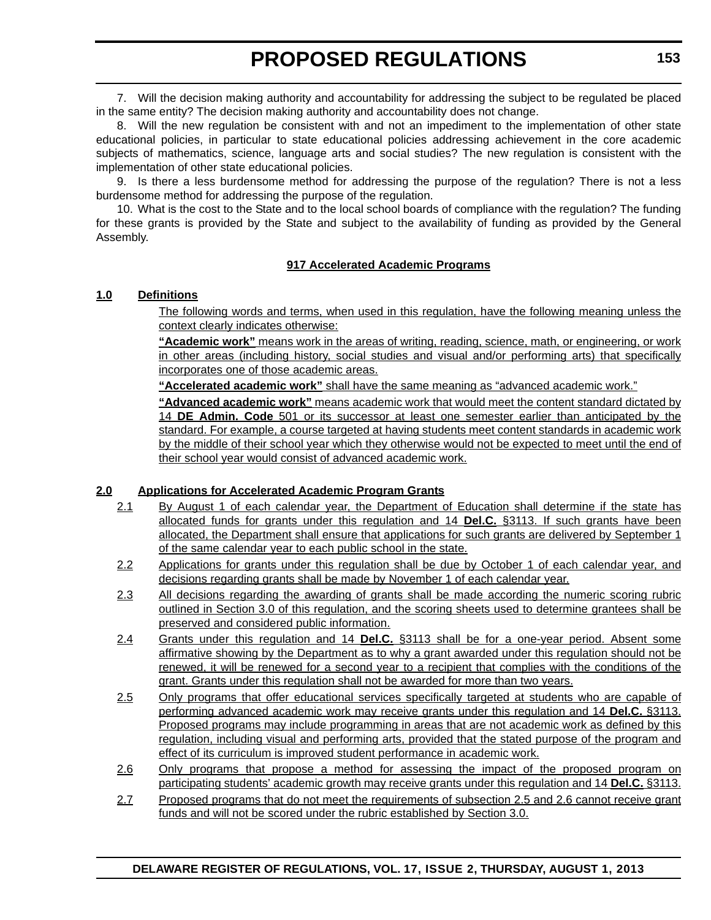7. Will the decision making authority and accountability for addressing the subject to be regulated be placed in the same entity? The decision making authority and accountability does not change.

8. Will the new regulation be consistent with and not an impediment to the implementation of other state educational policies, in particular to state educational policies addressing achievement in the core academic subjects of mathematics, science, language arts and social studies? The new regulation is consistent with the implementation of other state educational policies.

9. Is there a less burdensome method for addressing the purpose of the regulation? There is not a less burdensome method for addressing the purpose of the regulation.

10. What is the cost to the State and to the local school boards of compliance with the regulation? The funding for these grants is provided by the State and subject to the availability of funding as provided by the General Assembly.

#### **917 Accelerated Academic Programs**

#### **1.0 Definitions**

The following words and terms, when used in this regulation, have the following meaning unless the context clearly indicates otherwise:

**"Academic work"** means work in the areas of writing, reading, science, math, or engineering, or work in other areas (including history, social studies and visual and/or performing arts) that specifically incorporates one of those academic areas.

**"Accelerated academic work"** shall have the same meaning as "advanced academic work."

**"Advanced academic work"** means academic work that would meet the content standard dictated by 14 **DE Admin. Code** 501 or its successor at least one semester earlier than anticipated by the standard. For example, a course targeted at having students meet content standards in academic work by the middle of their school year which they otherwise would not be expected to meet until the end of their school year would consist of advanced academic work.

#### **2.0 Applications for Accelerated Academic Program Grants**

- 2.1 By August 1 of each calendar year, the Department of Education shall determine if the state has allocated funds for grants under this regulation and 14 **Del.C.** §3113. If such grants have been allocated, the Department shall ensure that applications for such grants are delivered by September 1 of the same calendar year to each public school in the state.
- 2.2 Applications for grants under this regulation shall be due by October 1 of each calendar year, and decisions regarding grants shall be made by November 1 of each calendar year.
- 2.3 All decisions regarding the awarding of grants shall be made according the numeric scoring rubric outlined in Section 3.0 of this regulation, and the scoring sheets used to determine grantees shall be preserved and considered public information.
- 2.4 Grants under this regulation and 14 **Del.C.** §3113 shall be for a one-year period. Absent some affirmative showing by the Department as to why a grant awarded under this regulation should not be renewed, it will be renewed for a second year to a recipient that complies with the conditions of the grant. Grants under this regulation shall not be awarded for more than two years.
- 2.5 Only programs that offer educational services specifically targeted at students who are capable of performing advanced academic work may receive grants under this regulation and 14 **Del.C.** §3113. Proposed programs may include programming in areas that are not academic work as defined by this regulation, including visual and performing arts, provided that the stated purpose of the program and effect of its curriculum is improved student performance in academic work.
- 2.6 Only programs that propose a method for assessing the impact of the proposed program on participating students' academic growth may receive grants under this regulation and 14 **Del.C.** §3113.
- 2.7 Proposed programs that do not meet the requirements of subsection 2.5 and 2.6 cannot receive grant funds and will not be scored under the rubric established by Section 3.0.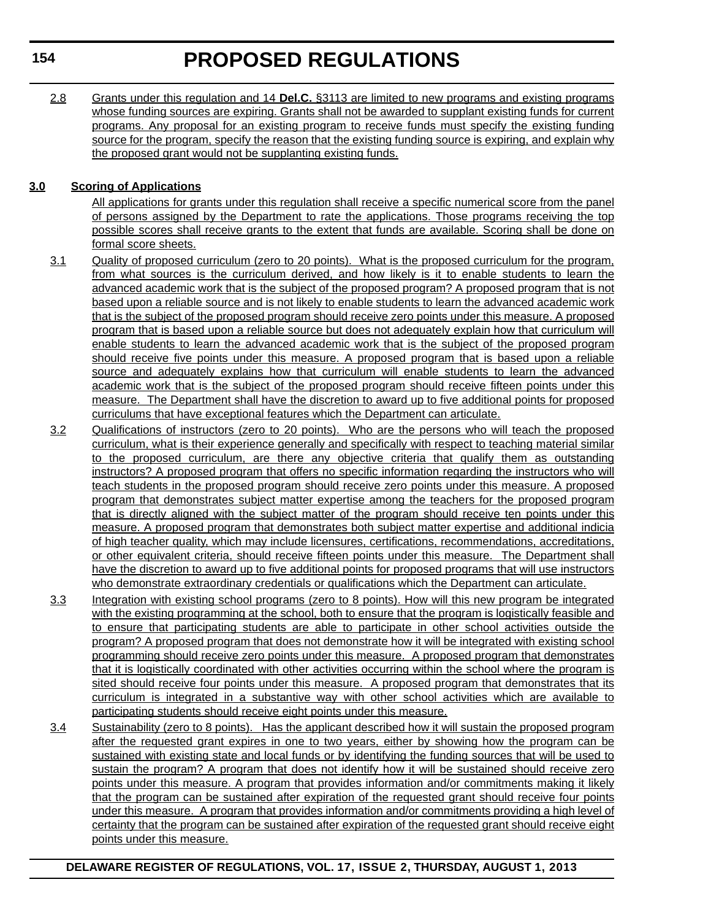2.8 Grants under this regulation and 14 **Del.C.** §3113 are limited to new programs and existing programs whose funding sources are expiring. Grants shall not be awarded to supplant existing funds for current programs. Any proposal for an existing program to receive funds must specify the existing funding source for the program, specify the reason that the existing funding source is expiring, and explain why the proposed grant would not be supplanting existing funds.

#### **3.0 Scoring of Applications**

All applications for grants under this regulation shall receive a specific numerical score from the panel of persons assigned by the Department to rate the applications. Those programs receiving the top possible scores shall receive grants to the extent that funds are available. Scoring shall be done on formal score sheets.

- 3.1 Quality of proposed curriculum (zero to 20 points). What is the proposed curriculum for the program, from what sources is the curriculum derived, and how likely is it to enable students to learn the advanced academic work that is the subject of the proposed program? A proposed program that is not based upon a reliable source and is not likely to enable students to learn the advanced academic work that is the subject of the proposed program should receive zero points under this measure. A proposed program that is based upon a reliable source but does not adequately explain how that curriculum will enable students to learn the advanced academic work that is the subject of the proposed program should receive five points under this measure. A proposed program that is based upon a reliable source and adequately explains how that curriculum will enable students to learn the advanced academic work that is the subject of the proposed program should receive fifteen points under this measure. The Department shall have the discretion to award up to five additional points for proposed curriculums that have exceptional features which the Department can articulate.
- 3.2 Qualifications of instructors (zero to 20 points). Who are the persons who will teach the proposed curriculum, what is their experience generally and specifically with respect to teaching material similar to the proposed curriculum, are there any objective criteria that qualify them as outstanding instructors? A proposed program that offers no specific information regarding the instructors who will teach students in the proposed program should receive zero points under this measure. A proposed program that demonstrates subject matter expertise among the teachers for the proposed program that is directly aligned with the subject matter of the program should receive ten points under this measure. A proposed program that demonstrates both subject matter expertise and additional indicia of high teacher quality, which may include licensures, certifications, recommendations, accreditations, or other equivalent criteria, should receive fifteen points under this measure. The Department shall have the discretion to award up to five additional points for proposed programs that will use instructors who demonstrate extraordinary credentials or qualifications which the Department can articulate.
- 3.3 Integration with existing school programs (zero to 8 points). How will this new program be integrated with the existing programming at the school, both to ensure that the program is logistically feasible and to ensure that participating students are able to participate in other school activities outside the program? A proposed program that does not demonstrate how it will be integrated with existing school programming should receive zero points under this measure. A proposed program that demonstrates that it is logistically coordinated with other activities occurring within the school where the program is sited should receive four points under this measure. A proposed program that demonstrates that its curriculum is integrated in a substantive way with other school activities which are available to participating students should receive eight points under this measure.
- 3.4 Sustainability (zero to 8 points). Has the applicant described how it will sustain the proposed program after the requested grant expires in one to two years, either by showing how the program can be sustained with existing state and local funds or by identifying the funding sources that will be used to sustain the program? A program that does not identify how it will be sustained should receive zero points under this measure. A program that provides information and/or commitments making it likely that the program can be sustained after expiration of the requested grant should receive four points under this measure. A program that provides information and/or commitments providing a high level of certainty that the program can be sustained after expiration of the requested grant should receive eight points under this measure.

**154**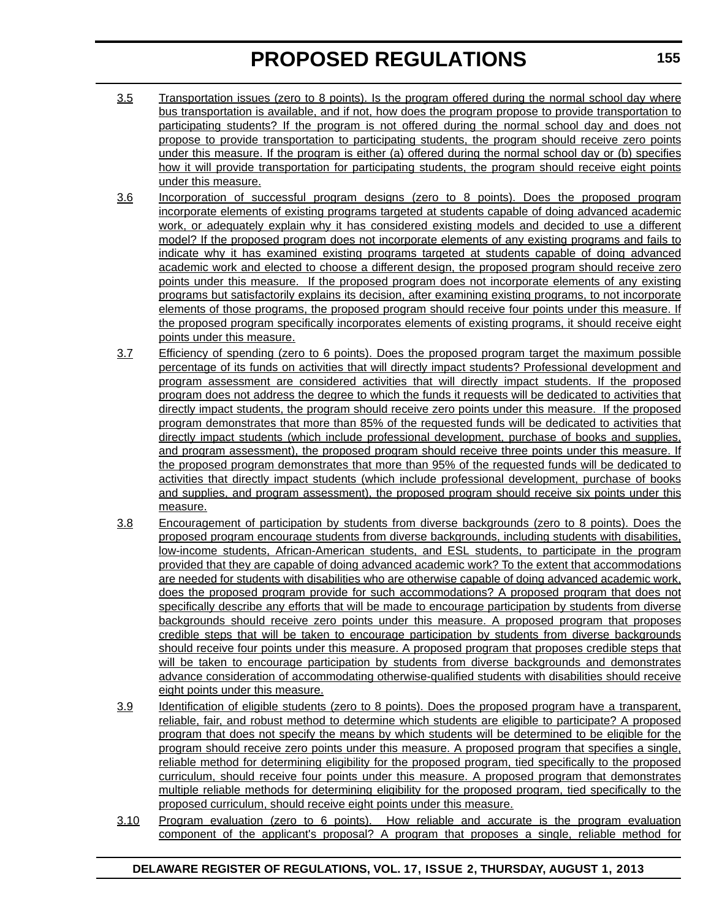- 3.5 Transportation issues (zero to 8 points). Is the program offered during the normal school day where bus transportation is available, and if not, how does the program propose to provide transportation to participating students? If the program is not offered during the normal school day and does not propose to provide transportation to participating students, the program should receive zero points under this measure. If the program is either (a) offered during the normal school day or (b) specifies how it will provide transportation for participating students, the program should receive eight points under this measure.
- 3.6 Incorporation of successful program designs (zero to 8 points). Does the proposed program incorporate elements of existing programs targeted at students capable of doing advanced academic work, or adequately explain why it has considered existing models and decided to use a different model? If the proposed program does not incorporate elements of any existing programs and fails to indicate why it has examined existing programs targeted at students capable of doing advanced academic work and elected to choose a different design, the proposed program should receive zero points under this measure. If the proposed program does not incorporate elements of any existing programs but satisfactorily explains its decision, after examining existing programs, to not incorporate elements of those programs, the proposed program should receive four points under this measure. If the proposed program specifically incorporates elements of existing programs, it should receive eight points under this measure.
- 3.7 Efficiency of spending (zero to 6 points). Does the proposed program target the maximum possible percentage of its funds on activities that will directly impact students? Professional development and program assessment are considered activities that will directly impact students. If the proposed program does not address the degree to which the funds it requests will be dedicated to activities that directly impact students, the program should receive zero points under this measure. If the proposed program demonstrates that more than 85% of the requested funds will be dedicated to activities that directly impact students (which include professional development, purchase of books and supplies, and program assessment), the proposed program should receive three points under this measure. If the proposed program demonstrates that more than 95% of the requested funds will be dedicated to activities that directly impact students (which include professional development, purchase of books and supplies, and program assessment), the proposed program should receive six points under this measure.
- 3.8 Encouragement of participation by students from diverse backgrounds (zero to 8 points). Does the proposed program encourage students from diverse backgrounds, including students with disabilities, low-income students, African-American students, and ESL students, to participate in the program provided that they are capable of doing advanced academic work? To the extent that accommodations are needed for students with disabilities who are otherwise capable of doing advanced academic work, does the proposed program provide for such accommodations? A proposed program that does not specifically describe any efforts that will be made to encourage participation by students from diverse backgrounds should receive zero points under this measure. A proposed program that proposes credible steps that will be taken to encourage participation by students from diverse backgrounds should receive four points under this measure. A proposed program that proposes credible steps that will be taken to encourage participation by students from diverse backgrounds and demonstrates advance consideration of accommodating otherwise-qualified students with disabilities should receive eight points under this measure.
- 3.9 Identification of eligible students (zero to 8 points). Does the proposed program have a transparent, reliable, fair, and robust method to determine which students are eligible to participate? A proposed program that does not specify the means by which students will be determined to be eligible for the program should receive zero points under this measure. A proposed program that specifies a single, reliable method for determining eligibility for the proposed program, tied specifically to the proposed curriculum, should receive four points under this measure. A proposed program that demonstrates multiple reliable methods for determining eligibility for the proposed program, tied specifically to the proposed curriculum, should receive eight points under this measure.
- 3.10 Program evaluation (zero to 6 points). How reliable and accurate is the program evaluation component of the applicant's proposal? A program that proposes a single, reliable method for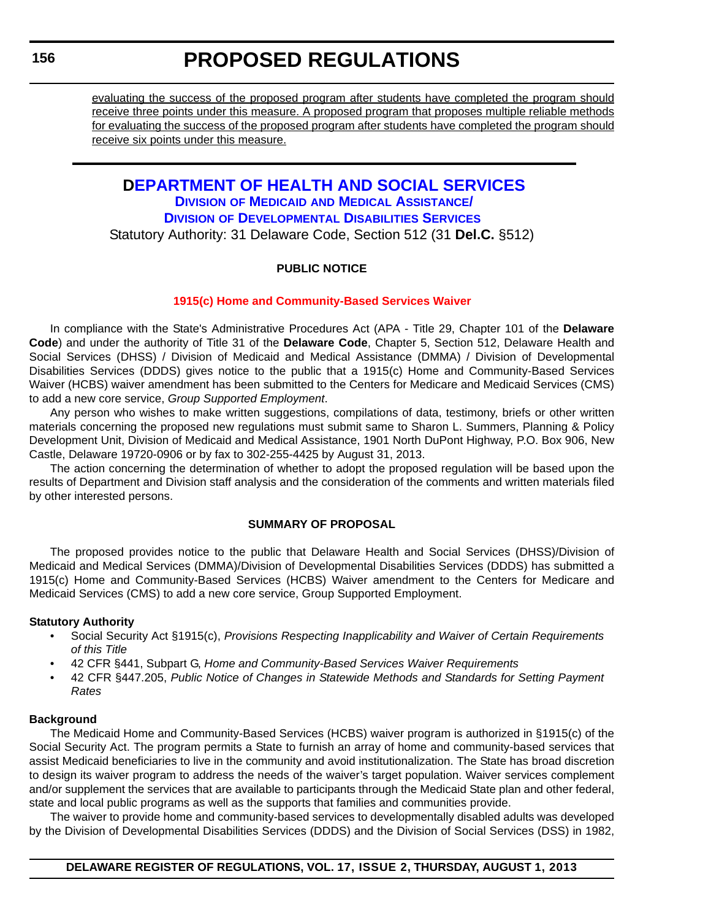evaluating the success of the proposed program after students have completed the program should receive three points under this measure. A proposed program that proposes multiple reliable methods for evaluating the success of the proposed program after students have completed the program should receive six points under this measure.

# **DEPARTMENT OF HEALTH AND SOCIAL SERVICES DIVISION OF MEDICAID AND MEDICAL ASSISTANCE/ DIVISION OF DEVELOPMENTAL DISABILITIES SERVICES** Statutory Authority: 31 Delaware Code, Section 512 (31 **Del.C.** §512)

# **PUBLIC NOTICE**

# **[1915\(c\) Home and Community-Based Services Waiver](#page-3-0)**

In compliance with the State's Administrative Procedures Act (APA - Title 29, Chapter 101 of the **Delaware Code**) and under the authority of Title 31 of the **Delaware Code**, Chapter 5, Section 512, Delaware Health and Social Services (DHSS) / Division of Medicaid and Medical Assistance (DMMA) / Division of Developmental Disabilities Services (DDDS) gives notice to the public that a 1915(c) Home and Community-Based Services Waiver (HCBS) waiver amendment has been submitted to the Centers for Medicare and Medicaid Services (CMS) to add a new core service, *Group Supported Employment*.

Any person who wishes to make written suggestions, compilations of data, testimony, briefs or other written materials concerning the proposed new regulations must submit same to Sharon L. Summers, Planning & Policy Development Unit, Division of Medicaid and Medical Assistance, 1901 North DuPont Highway, P.O. Box 906, New Castle, Delaware 19720-0906 or by fax to 302-255-4425 by August 31, 2013.

The action concerning the determination of whether to adopt the proposed regulation will be based upon the results of Department and Division staff analysis and the consideration of the comments and written materials filed by other interested persons.

# **SUMMARY OF PROPOSAL**

The proposed provides notice to the public that Delaware Health and Social Services (DHSS)/Division of Medicaid and Medical Services (DMMA)/Division of Developmental Disabilities Services (DDDS) has submitted a 1915(c) Home and Community-Based Services (HCBS) Waiver amendment to the Centers for Medicare and Medicaid Services (CMS) to add a new core service, Group Supported Employment.

# **Statutory Authority**

- Social Security Act §1915(c), *Provisions Respecting Inapplicability and Waiver of Certain Requirements of this Title*
- 42 CFR §441, Subpart G, *Home and Community-Based Services Waiver Requirements*
- 42 CFR §447.205, *Public Notice of Changes in Statewide Methods and Standards for Setting Payment Rates*

#### **Background**

The Medicaid Home and Community-Based Services (HCBS) waiver program is authorized in §1915(c) of the Social Security Act. The program permits a State to furnish an array of home and community-based services that assist Medicaid beneficiaries to live in the community and avoid institutionalization. The State has broad discretion to design its waiver program to address the needs of the waiver's target population. Waiver services complement and/or supplement the services that are available to participants through the Medicaid State plan and other federal, state and local public programs as well as the supports that families and communities provide.

The waiver to provide home and community-based services to developmentally disabled adults was developed by the Division of Developmental Disabilities Services (DDDS) and the Division of Social Services (DSS) in 1982,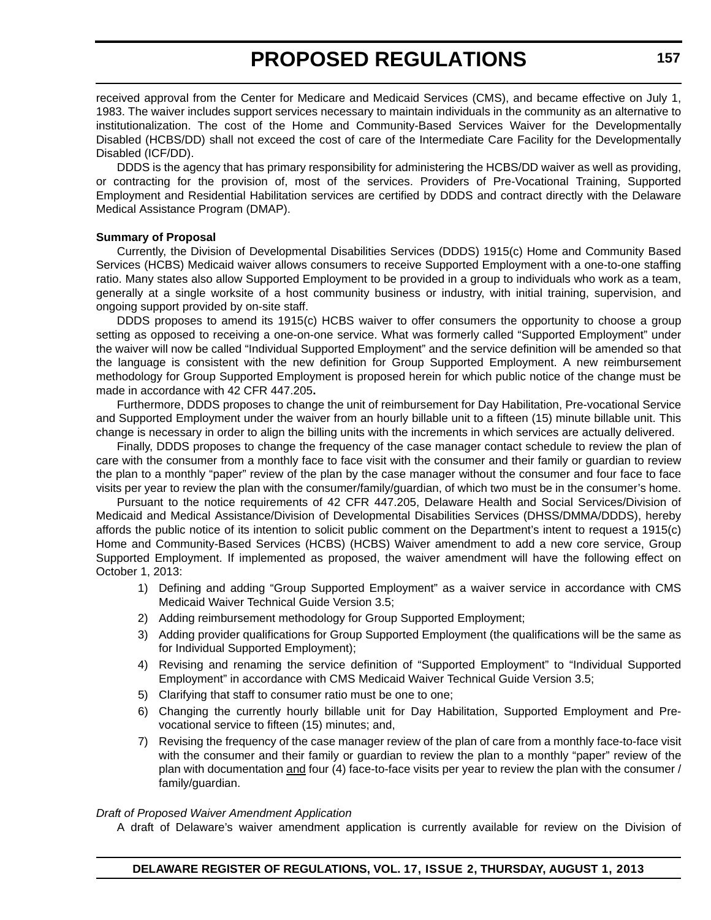received approval from the Center for Medicare and Medicaid Services (CMS), and became effective on July 1, 1983. The waiver includes support services necessary to maintain individuals in the community as an alternative to institutionalization. The cost of the Home and Community-Based Services Waiver for the Developmentally Disabled (HCBS/DD) shall not exceed the cost of care of the Intermediate Care Facility for the Developmentally Disabled (ICF/DD).

DDDS is the agency that has primary responsibility for administering the HCBS/DD waiver as well as providing, or contracting for the provision of, most of the services. Providers of Pre-Vocational Training, Supported Employment and Residential Habilitation services are certified by DDDS and contract directly with the Delaware Medical Assistance Program (DMAP).

#### **Summary of Proposal**

Currently, the Division of Developmental Disabilities Services (DDDS) 1915(c) Home and Community Based Services (HCBS) Medicaid waiver allows consumers to receive Supported Employment with a one-to-one staffing ratio. Many states also allow Supported Employment to be provided in a group to individuals who work as a team, generally at a single worksite of a host community business or industry, with initial training, supervision, and ongoing support provided by on-site staff.

DDDS proposes to amend its 1915(c) HCBS waiver to offer consumers the opportunity to choose a group setting as opposed to receiving a one-on-one service. What was formerly called "Supported Employment" under the waiver will now be called "Individual Supported Employment" and the service definition will be amended so that the language is consistent with the new definition for Group Supported Employment. A new reimbursement methodology for Group Supported Employment is proposed herein for which public notice of the change must be made in accordance with 42 CFR 447.205**.**

Furthermore, DDDS proposes to change the unit of reimbursement for Day Habilitation, Pre-vocational Service and Supported Employment under the waiver from an hourly billable unit to a fifteen (15) minute billable unit. This change is necessary in order to align the billing units with the increments in which services are actually delivered.

Finally, DDDS proposes to change the frequency of the case manager contact schedule to review the plan of care with the consumer from a monthly face to face visit with the consumer and their family or guardian to review the plan to a monthly "paper" review of the plan by the case manager without the consumer and four face to face visits per year to review the plan with the consumer/family/guardian, of which two must be in the consumer's home.

Pursuant to the notice requirements of 42 CFR 447.205, Delaware Health and Social Services/Division of Medicaid and Medical Assistance/Division of Developmental Disabilities Services (DHSS/DMMA/DDDS), hereby affords the public notice of its intention to solicit public comment on the Department's intent to request a 1915(c) Home and Community-Based Services (HCBS) (HCBS) Waiver amendment to add a new core service, Group Supported Employment. If implemented as proposed, the waiver amendment will have the following effect on October 1, 2013:

- 1) Defining and adding "Group Supported Employment" as a waiver service in accordance with CMS Medicaid Waiver Technical Guide Version 3.5;
- 2) Adding reimbursement methodology for Group Supported Employment;
- 3) Adding provider qualifications for Group Supported Employment (the qualifications will be the same as for Individual Supported Employment);
- 4) Revising and renaming the service definition of "Supported Employment" to "Individual Supported Employment" in accordance with CMS Medicaid Waiver Technical Guide Version 3.5;
- 5) Clarifying that staff to consumer ratio must be one to one;
- 6) Changing the currently hourly billable unit for Day Habilitation, Supported Employment and Prevocational service to fifteen (15) minutes; and,
- 7) Revising the frequency of the case manager review of the plan of care from a monthly face-to-face visit with the consumer and their family or guardian to review the plan to a monthly "paper" review of the plan with documentation and four (4) face-to-face visits per year to review the plan with the consumer / family/guardian.

#### *Draft of Proposed Waiver Amendment Application*

A draft of Delaware's waiver amendment application is currently available for review on the Division of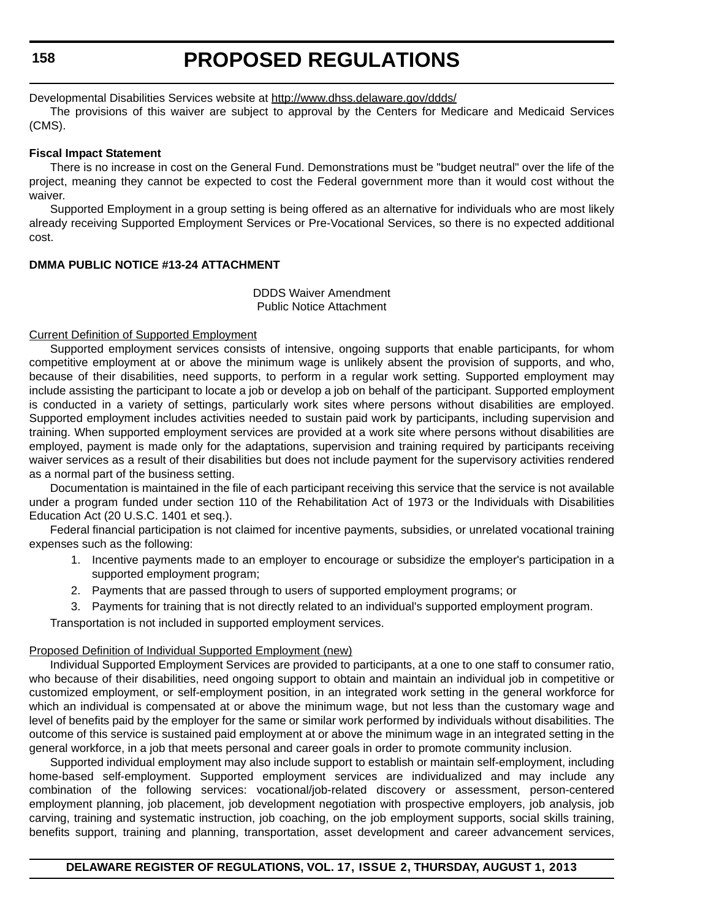**158**

# **PROPOSED REGULATIONS**

Developmental Disabilities Services website at http://www.dhss.delaware.gov/ddds/

The provisions of this waiver are subject to approval by the Centers for Medicare and Medicaid Services (CMS).

# **Fiscal Impact Statement**

There is no increase in cost on the General Fund. Demonstrations must be "budget neutral" over the life of the project, meaning they cannot be expected to cost the Federal government more than it would cost without the waiver.

Supported Employment in a group setting is being offered as an alternative for individuals who are most likely already receiving Supported Employment Services or Pre-Vocational Services, so there is no expected additional cost.

# **DMMA PUBLIC NOTICE #13-24 ATTACHMENT**

DDDS Waiver Amendment Public Notice Attachment

# Current Definition of Supported Employment

Supported employment services consists of intensive, ongoing supports that enable participants, for whom competitive employment at or above the minimum wage is unlikely absent the provision of supports, and who, because of their disabilities, need supports, to perform in a regular work setting. Supported employment may include assisting the participant to locate a job or develop a job on behalf of the participant. Supported employment is conducted in a variety of settings, particularly work sites where persons without disabilities are employed. Supported employment includes activities needed to sustain paid work by participants, including supervision and training. When supported employment services are provided at a work site where persons without disabilities are employed, payment is made only for the adaptations, supervision and training required by participants receiving waiver services as a result of their disabilities but does not include payment for the supervisory activities rendered as a normal part of the business setting.

Documentation is maintained in the file of each participant receiving this service that the service is not available under a program funded under section 110 of the Rehabilitation Act of 1973 or the Individuals with Disabilities Education Act (20 U.S.C. 1401 et seq.).

Federal financial participation is not claimed for incentive payments, subsidies, or unrelated vocational training expenses such as the following:

- 1. Incentive payments made to an employer to encourage or subsidize the employer's participation in a supported employment program;
- 2. Payments that are passed through to users of supported employment programs; or
- 3. Payments for training that is not directly related to an individual's supported employment program.

Transportation is not included in supported employment services.

# Proposed Definition of Individual Supported Employment (new)

Individual Supported Employment Services are provided to participants, at a one to one staff to consumer ratio, who because of their disabilities, need ongoing support to obtain and maintain an individual job in competitive or customized employment, or self-employment position, in an integrated work setting in the general workforce for which an individual is compensated at or above the minimum wage, but not less than the customary wage and level of benefits paid by the employer for the same or similar work performed by individuals without disabilities. The outcome of this service is sustained paid employment at or above the minimum wage in an integrated setting in the general workforce, in a job that meets personal and career goals in order to promote community inclusion.

Supported individual employment may also include support to establish or maintain self-employment, including home-based self-employment. Supported employment services are individualized and may include any combination of the following services: vocational/job-related discovery or assessment, person-centered employment planning, job placement, job development negotiation with prospective employers, job analysis, job carving, training and systematic instruction, job coaching, on the job employment supports, social skills training, benefits support, training and planning, transportation, asset development and career advancement services,

### **DELAWARE REGISTER OF REGULATIONS, VOL. 17, ISSUE 2, THURSDAY, AUGUST 1, 2013**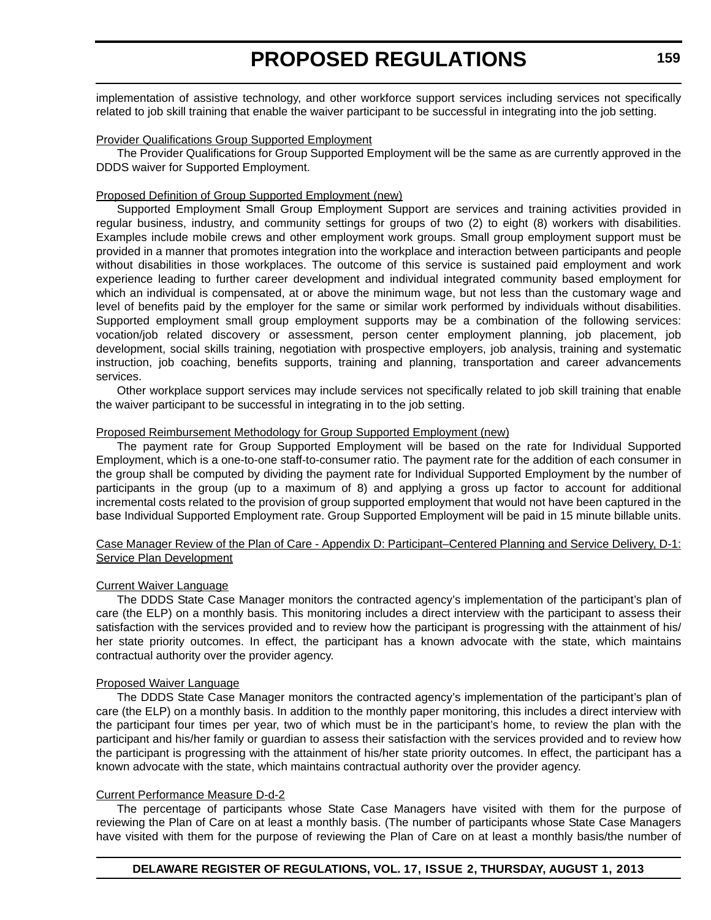implementation of assistive technology, and other workforce support services including services not specifically related to job skill training that enable the waiver participant to be successful in integrating into the job setting.

#### Provider Qualifications Group Supported Employment

The Provider Qualifications for Group Supported Employment will be the same as are currently approved in the DDDS waiver for Supported Employment.

#### Proposed Definition of Group Supported Employment (new)

Supported Employment Small Group Employment Support are services and training activities provided in regular business, industry, and community settings for groups of two (2) to eight (8) workers with disabilities. Examples include mobile crews and other employment work groups. Small group employment support must be provided in a manner that promotes integration into the workplace and interaction between participants and people without disabilities in those workplaces. The outcome of this service is sustained paid employment and work experience leading to further career development and individual integrated community based employment for which an individual is compensated, at or above the minimum wage, but not less than the customary wage and level of benefits paid by the employer for the same or similar work performed by individuals without disabilities. Supported employment small group employment supports may be a combination of the following services: vocation/job related discovery or assessment, person center employment planning, job placement, job development, social skills training, negotiation with prospective employers, job analysis, training and systematic instruction, job coaching, benefits supports, training and planning, transportation and career advancements services.

Other workplace support services may include services not specifically related to job skill training that enable the waiver participant to be successful in integrating in to the job setting.

#### Proposed Reimbursement Methodology for Group Supported Employment (new)

The payment rate for Group Supported Employment will be based on the rate for Individual Supported Employment, which is a one-to-one staff-to-consumer ratio. The payment rate for the addition of each consumer in the group shall be computed by dividing the payment rate for Individual Supported Employment by the number of participants in the group (up to a maximum of 8) and applying a gross up factor to account for additional incremental costs related to the provision of group supported employment that would not have been captured in the base Individual Supported Employment rate. Group Supported Employment will be paid in 15 minute billable units.

### Case Manager Review of the Plan of Care - Appendix D: Participant–Centered Planning and Service Delivery, D-1: Service Plan Development

#### Current Waiver Language

The DDDS State Case Manager monitors the contracted agency's implementation of the participant's plan of care (the ELP) on a monthly basis. This monitoring includes a direct interview with the participant to assess their satisfaction with the services provided and to review how the participant is progressing with the attainment of his/ her state priority outcomes. In effect, the participant has a known advocate with the state, which maintains contractual authority over the provider agency.

#### Proposed Waiver Language

The DDDS State Case Manager monitors the contracted agency's implementation of the participant's plan of care (the ELP) on a monthly basis. In addition to the monthly paper monitoring, this includes a direct interview with the participant four times per year, two of which must be in the participant's home, to review the plan with the participant and his/her family or guardian to assess their satisfaction with the services provided and to review how the participant is progressing with the attainment of his/her state priority outcomes. In effect, the participant has a known advocate with the state, which maintains contractual authority over the provider agency.

#### Current Performance Measure D-d-2

The percentage of participants whose State Case Managers have visited with them for the purpose of reviewing the Plan of Care on at least a monthly basis. (The number of participants whose State Case Managers have visited with them for the purpose of reviewing the Plan of Care on at least a monthly basis/the number of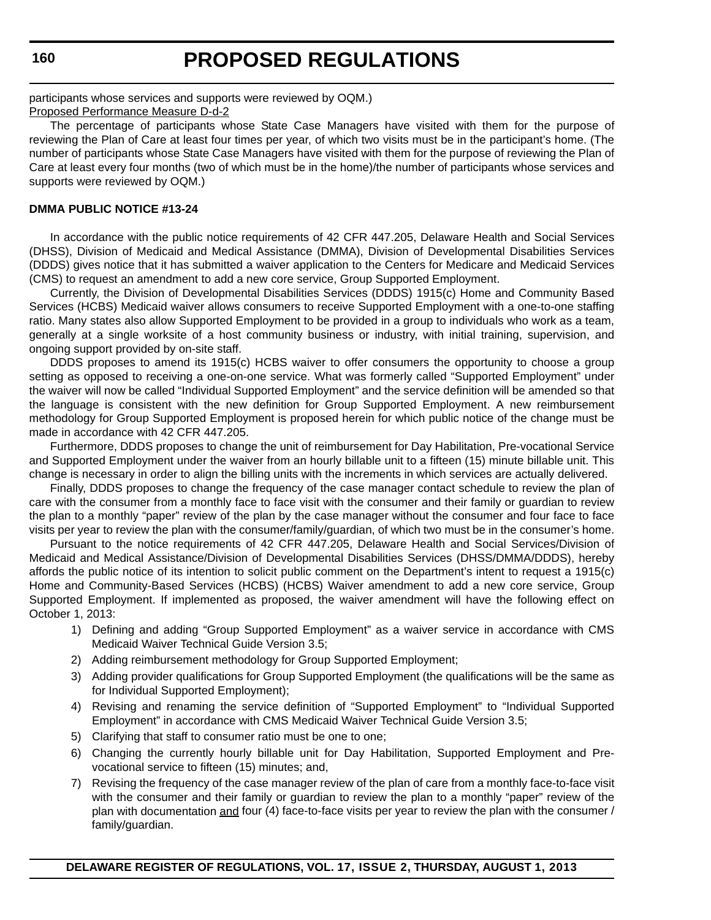participants whose services and supports were reviewed by OQM.) Proposed Performance Measure D-d-2

The percentage of participants whose State Case Managers have visited with them for the purpose of reviewing the Plan of Care at least four times per year, of which two visits must be in the participant's home. (The number of participants whose State Case Managers have visited with them for the purpose of reviewing the Plan of Care at least every four months (two of which must be in the home)/the number of participants whose services and supports were reviewed by OQM.)

#### **DMMA PUBLIC NOTICE #13-24**

In accordance with the public notice requirements of 42 CFR 447.205, Delaware Health and Social Services (DHSS), Division of Medicaid and Medical Assistance (DMMA), Division of Developmental Disabilities Services (DDDS) gives notice that it has submitted a waiver application to the Centers for Medicare and Medicaid Services (CMS) to request an amendment to add a new core service, Group Supported Employment.

Currently, the Division of Developmental Disabilities Services (DDDS) 1915(c) Home and Community Based Services (HCBS) Medicaid waiver allows consumers to receive Supported Employment with a one-to-one staffing ratio. Many states also allow Supported Employment to be provided in a group to individuals who work as a team, generally at a single worksite of a host community business or industry, with initial training, supervision, and ongoing support provided by on-site staff.

DDDS proposes to amend its 1915(c) HCBS waiver to offer consumers the opportunity to choose a group setting as opposed to receiving a one-on-one service. What was formerly called "Supported Employment" under the waiver will now be called "Individual Supported Employment" and the service definition will be amended so that the language is consistent with the new definition for Group Supported Employment. A new reimbursement methodology for Group Supported Employment is proposed herein for which public notice of the change must be made in accordance with 42 CFR 447.205.

Furthermore, DDDS proposes to change the unit of reimbursement for Day Habilitation, Pre-vocational Service and Supported Employment under the waiver from an hourly billable unit to a fifteen (15) minute billable unit. This change is necessary in order to align the billing units with the increments in which services are actually delivered.

Finally, DDDS proposes to change the frequency of the case manager contact schedule to review the plan of care with the consumer from a monthly face to face visit with the consumer and their family or guardian to review the plan to a monthly "paper" review of the plan by the case manager without the consumer and four face to face visits per year to review the plan with the consumer/family/guardian, of which two must be in the consumer's home.

Pursuant to the notice requirements of 42 CFR 447.205, Delaware Health and Social Services/Division of Medicaid and Medical Assistance/Division of Developmental Disabilities Services (DHSS/DMMA/DDDS), hereby affords the public notice of its intention to solicit public comment on the Department's intent to request a 1915(c) Home and Community-Based Services (HCBS) (HCBS) Waiver amendment to add a new core service, Group Supported Employment. If implemented as proposed, the waiver amendment will have the following effect on October 1, 2013:

- 1) Defining and adding "Group Supported Employment" as a waiver service in accordance with CMS Medicaid Waiver Technical Guide Version 3.5;
- 2) Adding reimbursement methodology for Group Supported Employment;
- 3) Adding provider qualifications for Group Supported Employment (the qualifications will be the same as for Individual Supported Employment);
- 4) Revising and renaming the service definition of "Supported Employment" to "Individual Supported Employment" in accordance with CMS Medicaid Waiver Technical Guide Version 3.5;
- 5) Clarifying that staff to consumer ratio must be one to one;
- 6) Changing the currently hourly billable unit for Day Habilitation, Supported Employment and Prevocational service to fifteen (15) minutes; and,
- 7) Revising the frequency of the case manager review of the plan of care from a monthly face-to-face visit with the consumer and their family or guardian to review the plan to a monthly "paper" review of the plan with documentation and four (4) face-to-face visits per year to review the plan with the consumer / family/guardian.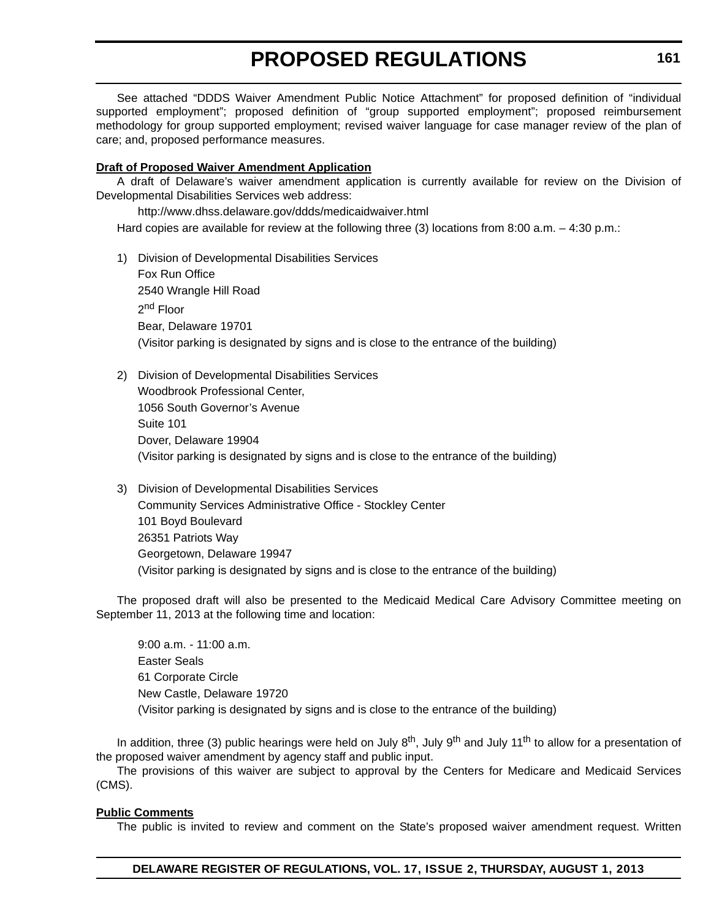See attached "DDDS Waiver Amendment Public Notice Attachment" for proposed definition of "individual supported employment"; proposed definition of "group supported employment"; proposed reimbursement methodology for group supported employment; revised waiver language for case manager review of the plan of care; and, proposed performance measures.

### **Draft of Proposed Waiver Amendment Application**

A draft of Delaware's waiver amendment application is currently available for review on the Division of Developmental Disabilities Services web address:

http://www.dhss.delaware.gov/ddds/medicaidwaiver.html Hard copies are available for review at the following three (3) locations from 8:00 a.m. – 4:30 p.m.:

- 1) Division of Developmental Disabilities Services Fox Run Office 2540 Wrangle Hill Road 2nd Floor Bear, Delaware 19701 (Visitor parking is designated by signs and is close to the entrance of the building)
- 2) Division of Developmental Disabilities Services Woodbrook Professional Center, 1056 South Governor's Avenue Suite 101 Dover, Delaware 19904 (Visitor parking is designated by signs and is close to the entrance of the building)
- 3) Division of Developmental Disabilities Services Community Services Administrative Office - Stockley Center 101 Boyd Boulevard 26351 Patriots Way Georgetown, Delaware 19947 (Visitor parking is designated by signs and is close to the entrance of the building)

The proposed draft will also be presented to the Medicaid Medical Care Advisory Committee meeting on September 11, 2013 at the following time and location:

9:00 a.m. - 11:00 a.m. Easter Seals 61 Corporate Circle New Castle, Delaware 19720 (Visitor parking is designated by signs and is close to the entrance of the building)

In addition, three (3) public hearings were held on July  $8^{th}$ , July  $9^{th}$  and July 11<sup>th</sup> to allow for a presentation of the proposed waiver amendment by agency staff and public input.

The provisions of this waiver are subject to approval by the Centers for Medicare and Medicaid Services (CMS).

#### **Public Comments**

The public is invited to review and comment on the State's proposed waiver amendment request. Written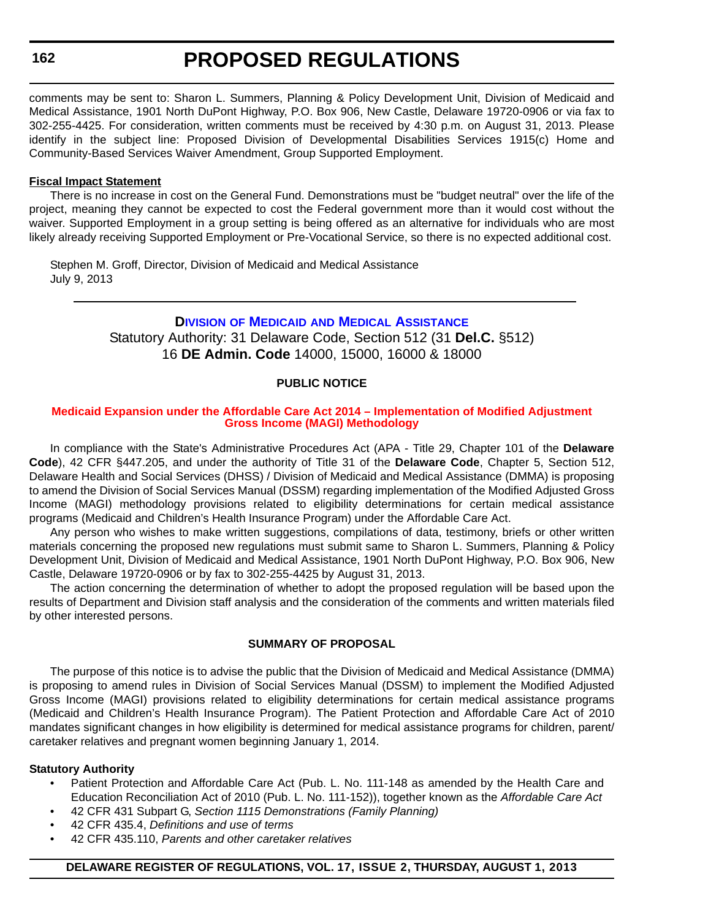# **162**

# **PROPOSED REGULATIONS**

comments may be sent to: Sharon L. Summers, Planning & Policy Development Unit, Division of Medicaid and Medical Assistance, 1901 North DuPont Highway, P.O. Box 906, New Castle, Delaware 19720-0906 or via fax to 302-255-4425. For consideration, written comments must be received by 4:30 p.m. on August 31, 2013. Please identify in the subject line: Proposed Division of Developmental Disabilities Services 1915(c) Home and Community-Based Services Waiver Amendment, Group Supported Employment.

#### **Fiscal Impact Statement**

There is no increase in cost on the General Fund. Demonstrations must be "budget neutral" over the life of the project, meaning they cannot be expected to cost the Federal government more than it would cost without the waiver. Supported Employment in a group setting is being offered as an alternative for individuals who are most likely already receiving Supported Employment or Pre-Vocational Service, so there is no expected additional cost.

Stephen M. Groff, Director, Division of Medicaid and Medical Assistance July 9, 2013

# **DIVISION OF MEDICAID AND MEDICAL ASSISTANCE**

Statutory Authority: 31 Delaware Code, Section 512 (31 **Del.C.** §512) 16 **DE Admin. Code** 14000, 15000, 16000 & 18000

#### **PUBLIC NOTICE**

#### **[Medicaid Expansion under the Affordable Care Act 2014](#page-3-0) – Implementation of Modified Adjustment Gross Income (MAGI) Methodology**

In compliance with the State's Administrative Procedures Act (APA - Title 29, Chapter 101 of the **Delaware Code**), 42 CFR §447.205, and under the authority of Title 31 of the **Delaware Code**, Chapter 5, Section 512, Delaware Health and Social Services (DHSS) / Division of Medicaid and Medical Assistance (DMMA) is proposing to amend the Division of Social Services Manual (DSSM) regarding implementation of the Modified Adjusted Gross Income (MAGI) methodology provisions related to eligibility determinations for certain medical assistance programs (Medicaid and Children's Health Insurance Program) under the Affordable Care Act.

Any person who wishes to make written suggestions, compilations of data, testimony, briefs or other written materials concerning the proposed new regulations must submit same to Sharon L. Summers, Planning & Policy Development Unit, Division of Medicaid and Medical Assistance, 1901 North DuPont Highway, P.O. Box 906, New Castle, Delaware 19720-0906 or by fax to 302-255-4425 by August 31, 2013.

The action concerning the determination of whether to adopt the proposed regulation will be based upon the results of Department and Division staff analysis and the consideration of the comments and written materials filed by other interested persons.

#### **SUMMARY OF PROPOSAL**

The purpose of this notice is to advise the public that the Division of Medicaid and Medical Assistance (DMMA) is proposing to amend rules in Division of Social Services Manual (DSSM) to implement the Modified Adjusted Gross Income (MAGI) provisions related to eligibility determinations for certain medical assistance programs (Medicaid and Children's Health Insurance Program). The Patient Protection and Affordable Care Act of 2010 mandates significant changes in how eligibility is determined for medical assistance programs for children, parent/ caretaker relatives and pregnant women beginning January 1, 2014.

#### **Statutory Authority**

- Patient Protection and Affordable Care Act (Pub. L. No. 111-148 as amended by the Health Care and Education Reconciliation Act of 2010 (Pub. L. No. 111-152)), together known as the *Affordable Care Act*
- 42 CFR 431 Subpart G, *Section 1115 Demonstrations (Family Planning)*
- 42 CFR 435.4, *Definitions and use of terms*
- 42 CFR 435.110, *Parents and other caretaker relatives*

# **DELAWARE REGISTER OF REGULATIONS, VOL. 17, ISSUE 2, THURSDAY, AUGUST 1, 2013**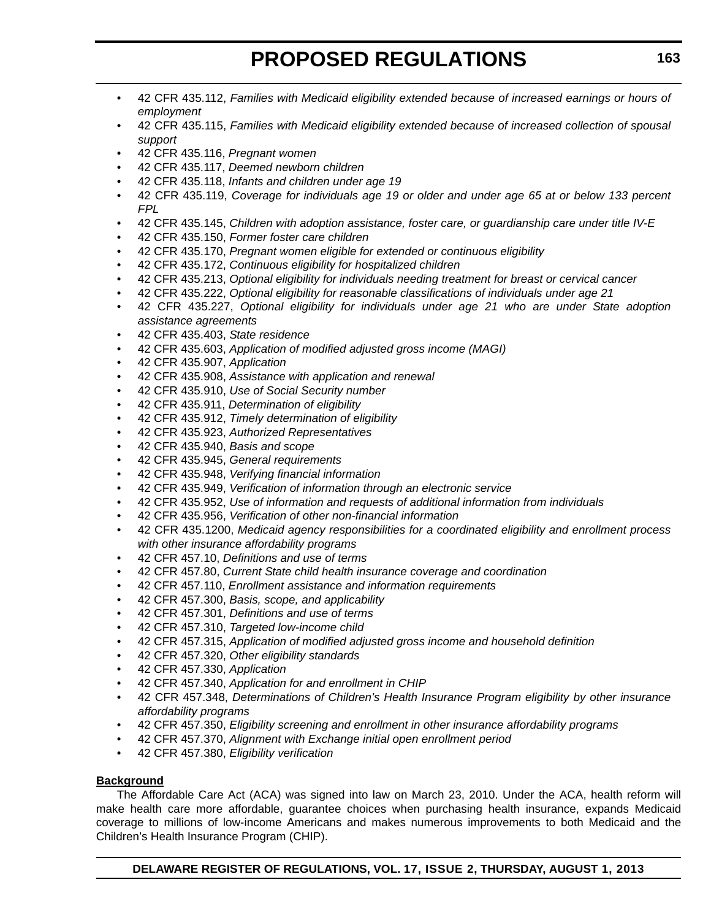- 42 CFR 435.112, *Families with Medicaid eligibility extended because of increased earnings or hours of employment*
- 42 CFR 435.115, *Families with Medicaid eligibility extended because of increased collection of spousal support*
- 42 CFR 435.116, *Pregnant women*
- 42 CFR 435.117, *Deemed newborn children*
- 42 CFR 435.118, *Infants and children under age 19*
- 42 CFR 435.119, *Coverage for individuals age 19 or older and under age 65 at or below 133 percent FPL*
- 42 CFR 435.145, *Children with adoption assistance, foster care, or guardianship care under title IV-E*
- 42 CFR 435.150, *Former foster care children*
- 42 CFR 435.170, *Pregnant women eligible for extended or continuous eligibility*
- 42 CFR 435.172, *Continuous eligibility for hospitalized children*
- 42 CFR 435.213, *Optional eligibility for individuals needing treatment for breast or cervical cancer*
- 42 CFR 435.222, *Optional eligibility for reasonable classifications of individuals under age 21*
- 42 CFR 435.227, *Optional eligibility for individuals under age 21 who are under State adoption assistance agreements*
- 42 CFR 435.403, *State residence*
- 42 CFR 435.603, *Application of modified adjusted gross income (MAGI)*
- 42 CFR 435.907, *Application*
- 42 CFR 435.908, *Assistance with application and renewal*
- 42 CFR 435.910, *Use of Social Security number*
- 42 CFR 435.911, *Determination of eligibility*
- 42 CFR 435.912, *Timely determination of eligibility*
- 42 CFR 435.923, *Authorized Representatives*
- 42 CFR 435.940, *Basis and scope*
- 42 CFR 435.945, *General requirements*
- 42 CFR 435.948, *Verifying financial information*
- 42 CFR 435.949, *Verification of information through an electronic service*
- 42 CFR 435.952, *Use of information and requests of additional information from individuals*
- 42 CFR 435.956, *Verification of other non-financial information*
- 42 CFR 435.1200, *Medicaid agency responsibilities for a coordinated eligibility and enrollment process with other insurance affordability programs*
- 42 CFR 457.10, *Definitions and use of terms*
- 42 CFR 457.80, *Current State child health insurance coverage and coordination*
- 42 CFR 457.110, *Enrollment assistance and information requirements*
- 42 CFR 457.300, *Basis, scope, and applicability*
- 42 CFR 457.301, *Definitions and use of terms*
- 42 CFR 457.310, *Targeted low-income child*
- 42 CFR 457.315, *Application of modified adjusted gross income and household definition*
- 42 CFR 457.320, *Other eligibility standards*
- 42 CFR 457.330, *Application*
- 42 CFR 457.340, *Application for and enrollment in CHIP*
- 42 CFR 457.348, *Determinations of Children's Health Insurance Program eligibility by other insurance affordability programs*
- 42 CFR 457.350, *Eligibility screening and enrollment in other insurance affordability programs*
- 42 CFR 457.370, *Alignment with Exchange initial open enrollment period*
- 42 CFR 457.380, *Eligibility verification*

#### **Background**

The Affordable Care Act (ACA) was signed into law on March 23, 2010. Under the ACA, health reform will make health care more affordable, guarantee choices when purchasing health insurance, expands Medicaid coverage to millions of low-income Americans and makes numerous improvements to both Medicaid and the Children's Health Insurance Program (CHIP).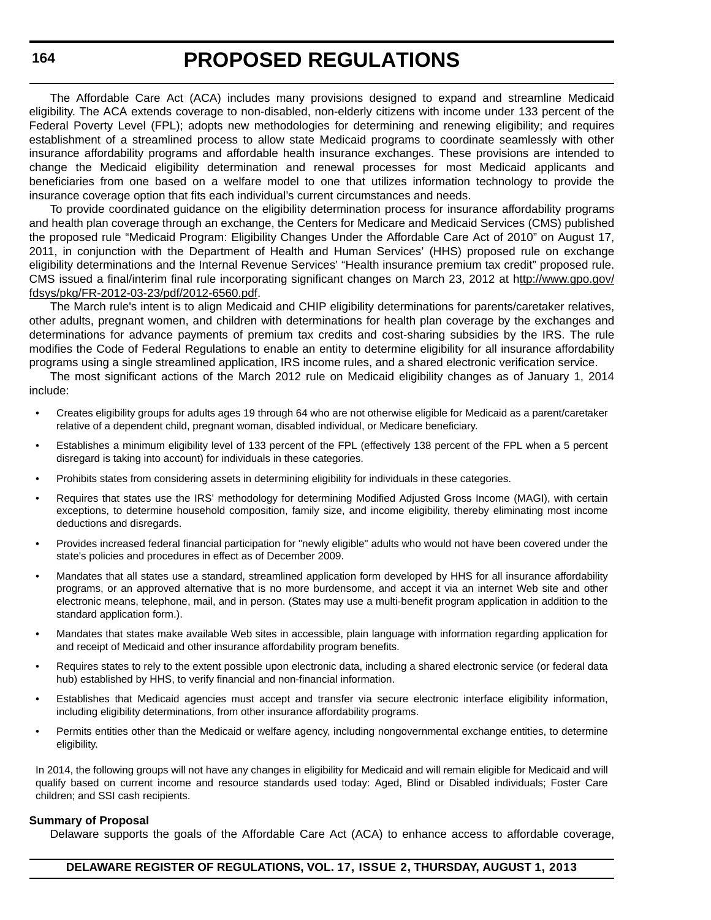The Affordable Care Act (ACA) includes many provisions designed to expand and streamline Medicaid eligibility. The ACA extends coverage to non-disabled, non-elderly citizens with income under 133 percent of the Federal Poverty Level (FPL); adopts new methodologies for determining and renewing eligibility; and requires establishment of a streamlined process to allow state Medicaid programs to coordinate seamlessly with other insurance affordability programs and affordable health insurance exchanges. These provisions are intended to change the Medicaid eligibility determination and renewal processes for most Medicaid applicants and beneficiaries from one based on a welfare model to one that utilizes information technology to provide the insurance coverage option that fits each individual's current circumstances and needs.

To provide coordinated guidance on the eligibility determination process for insurance affordability programs and health plan coverage through an exchange, the Centers for Medicare and Medicaid Services (CMS) published the proposed rule "Medicaid Program: Eligibility Changes Under the Affordable Care Act of 2010" on August 17, 2011, in conjunction with the Department of Health and Human Services' (HHS) proposed rule on exchange eligibility determinations and the Internal Revenue Services' "Health insurance premium tax credit" proposed rule. CMS issued a final/interim final rule incorporating significant changes on March 23, 2012 at h[ttp://www.gpo.gov/](http://www.gpo.gov/fdsys/pkg/FR-2012-03-23/pdf/2012-6560.pdf) [fdsys/pkg/FR-2012-03-23/pdf/2012-6560.pdf.](http://www.gpo.gov/fdsys/pkg/FR-2012-03-23/pdf/2012-6560.pdf)

The March rule's intent is to align Medicaid and CHIP eligibility determinations for parents/caretaker relatives, other adults, pregnant women, and children with determinations for health plan coverage by the exchanges and determinations for advance payments of premium tax credits and cost-sharing subsidies by the IRS. The rule modifies the Code of Federal Regulations to enable an entity to determine eligibility for all insurance affordability programs using a single streamlined application, IRS income rules, and a shared electronic verification service.

The most significant actions of the March 2012 rule on Medicaid eligibility changes as of January 1, 2014 include:

- Creates eligibility groups for adults ages 19 through 64 who are not otherwise eligible for Medicaid as a parent/caretaker relative of a dependent child, pregnant woman, disabled individual, or Medicare beneficiary.
- Establishes a minimum eligibility level of 133 percent of the FPL (effectively 138 percent of the FPL when a 5 percent disregard is taking into account) for individuals in these categories.
- Prohibits states from considering assets in determining eligibility for individuals in these categories.
- Requires that states use the IRS' methodology for determining Modified Adjusted Gross Income (MAGI), with certain exceptions, to determine household composition, family size, and income eligibility, thereby eliminating most income deductions and disregards.
- Provides increased federal financial participation for "newly eligible" adults who would not have been covered under the state's policies and procedures in effect as of December 2009.
- Mandates that all states use a standard, streamlined application form developed by HHS for all insurance affordability programs, or an approved alternative that is no more burdensome, and accept it via an internet Web site and other electronic means, telephone, mail, and in person. (States may use a multi-benefit program application in addition to the standard application form.).
- Mandates that states make available Web sites in accessible, plain language with information regarding application for and receipt of Medicaid and other insurance affordability program benefits.
- Requires states to rely to the extent possible upon electronic data, including a shared electronic service (or federal data hub) established by HHS, to verify financial and non-financial information.
- Establishes that Medicaid agencies must accept and transfer via secure electronic interface eligibility information, including eligibility determinations, from other insurance affordability programs.
- Permits entities other than the Medicaid or welfare agency, including nongovernmental exchange entities, to determine eligibility.

In 2014, the following groups will not have any changes in eligibility for Medicaid and will remain eligible for Medicaid and will qualify based on current income and resource standards used today: Aged, Blind or Disabled individuals; Foster Care children; and SSI cash recipients.

#### **Summary of Proposal**

Delaware supports the goals of the Affordable Care Act (ACA) to enhance access to affordable coverage,

#### **DELAWARE REGISTER OF REGULATIONS, VOL. 17, ISSUE 2, THURSDAY, AUGUST 1, 2013**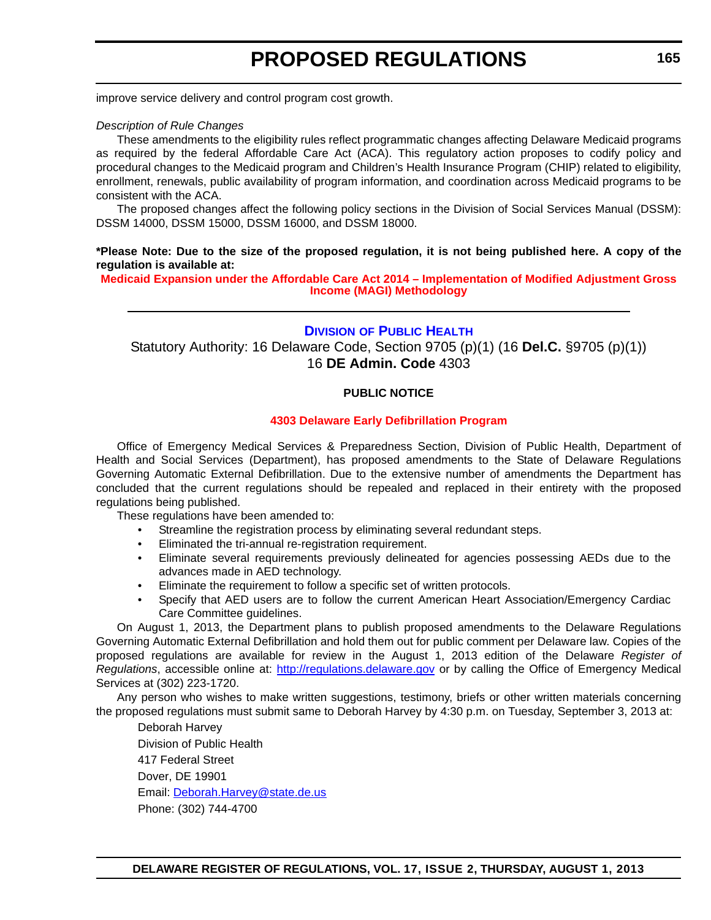improve service delivery and control program cost growth.

#### *Description of Rule Changes*

These amendments to the eligibility rules reflect programmatic changes affecting Delaware Medicaid programs as required by the federal Affordable Care Act (ACA). This regulatory action proposes to codify policy and procedural changes to the Medicaid program and Children's Health Insurance Program (CHIP) related to eligibility, enrollment, renewals, public availability of program information, and coordination across Medicaid programs to be consistent with the ACA.

The proposed changes affect the following policy sections in the Division of Social Services Manual (DSSM): DSSM 14000, DSSM 15000, DSSM 16000, and DSSM 18000.

### **\*Please Note: Due to the size of the proposed regulation, it is not being published here. A copy of the regulation is available at:**

**[Medicaid Expansion under the Affordable Care Act 2014 – Implementation of Modified Adjustment Gross](http://regulations.delaware.gov/register/august2013/proposed/17 DE Reg 162 08-01-13.htm) [Income \(MAGI\) Methodology](http://regulations.delaware.gov/register/august2013/proposed/17 DE Reg 162 08-01-13.htm)**

# **DIVISION OF PUBLIC HEALTH**

Statutory Authority: 16 Delaware Code, Section 9705 (p)(1) (16 **Del.C.** §9705 (p)(1)) 16 **DE Admin. Code** 4303

### **PUBLIC NOTICE**

#### **4303 Delaware [Early Defibrillation Program](#page-3-0)**

Office of Emergency Medical Services & Preparedness Section, Division of Public Health, Department of Health and Social Services (Department), has proposed amendments to the State of Delaware Regulations Governing Automatic External Defibrillation. Due to the extensive number of amendments the Department has concluded that the current regulations should be repealed and replaced in their entirety with the proposed regulations being published.

These regulations have been amended to:

- Streamline the registration process by eliminating several redundant steps.
- Eliminated the tri-annual re-registration requirement.
- Eliminate several requirements previously delineated for agencies possessing AEDs due to the advances made in AED technology.
- Eliminate the requirement to follow a specific set of written protocols.
- Specify that AED users are to follow the current American Heart Association/Emergency Cardiac Care Committee guidelines.

On August 1, 2013, the Department plans to publish proposed amendments to the Delaware Regulations Governing Automatic External Defibrillation and hold them out for public comment per Delaware law. Copies of the proposed regulations are available for review in the August 1, 2013 edition of the Delaware *Register of Regulations*, accessible online at: http://regulations.delaware.gov or by calling the Office of Emergency Medical Services at (302) 223-1720.

Any person who wishes to make written suggestions, testimony, briefs or other written materials concerning the proposed regulations must submit same to Deborah Harvey by 4:30 p.m. on Tuesday, September 3, 2013 at:

Deborah Harvey Division of Public Health 417 Federal Street Dover, DE 19901 Email: Deborah.Harvey@state.de.us Phone: (302) 744-4700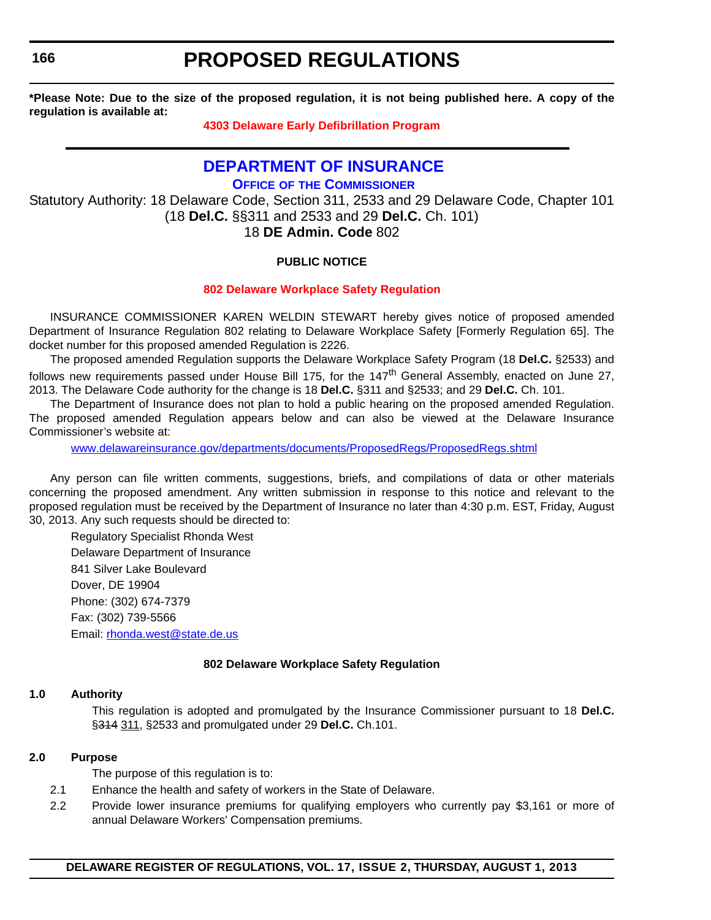**166**

# **PROPOSED REGULATIONS**

**\*Please Note: Due to the size of the proposed regulation, it is not being published here. A copy of the regulation is available at:**

### **[4303 Delaware Early Defibrillation Program](http://regulations.delaware.gov/register/august2013/proposed/17 DE Reg 165 08-01-13.htm)**

# **DEPARTMENT OF INSURANCE**

**OFFICE OF THE COMMISSIONER**

Statutory Authority: 18 Delaware Code, Section 311, 2533 and 29 Delaware Code, Chapter 101 (18 **Del.C.** §§311 and 2533 and 29 **Del.C.** Ch. 101) 18 **DE Admin. Code** 802

# **PUBLIC NOTICE**

# **[802 Delaware Workplace Safety Regulation](#page-3-0)**

INSURANCE COMMISSIONER KAREN WELDIN STEWART hereby gives notice of proposed amended Department of Insurance Regulation 802 relating to Delaware Workplace Safety [Formerly Regulation 65]. The docket number for this proposed amended Regulation is 2226.

 The proposed amended Regulation supports the Delaware Workplace Safety Program (18 **Del.C.** §2533) and follows new requirements passed under House Bill 175, for the 147<sup>th</sup> General Assembly, enacted on June 27, 2013. The Delaware Code authority for the change is 18 **Del.C.** §311 and §2533; and 29 **Del.C.** Ch. 101.

The Department of Insurance does not plan to hold a public hearing on the proposed amended Regulation. The proposed amended Regulation appears below and can also be viewed at the Delaware Insurance Commissioner's website at:

[www.delawareinsurance.gov/departments/documents/ProposedRegs/ProposedRegs.shtml](http://www.delawareinsurance.gov/departments/documents/ProposedRegs/ProposedRegs.shtml)

Any person can file written comments, suggestions, briefs, and compilations of data or other materials concerning the proposed amendment. Any written submission in response to this notice and relevant to the proposed regulation must be received by the Department of Insurance no later than 4:30 p.m. EST, Friday, August 30, 2013. Any such requests should be directed to:

Regulatory Specialist Rhonda West Delaware Department of Insurance 841 Silver Lake Boulevard Dover, DE 19904 Phone: (302) 674-7379 Fax: (302) 739-5566 Email: [rhonda.west@state.de.us](mailto:rhonda.west@state.de.us)

# **802 Delaware Workplace Safety Regulation**

#### **1.0 Authority**

This regulation is adopted and promulgated by the Insurance Commissioner pursuant to 18 **Del.C.** §314 311, §2533 and promulgated under 29 **Del.C.** Ch.101.

# **2.0 Purpose**

The purpose of this regulation is to:

- 2.1 Enhance the health and safety of workers in the State of Delaware.
- 2.2 Provide lower insurance premiums for qualifying employers who currently pay \$3,161 or more of annual Delaware Workers' Compensation premiums.

# **DELAWARE REGISTER OF REGULATIONS, VOL. 17, ISSUE 2, THURSDAY, AUGUST 1, 2013**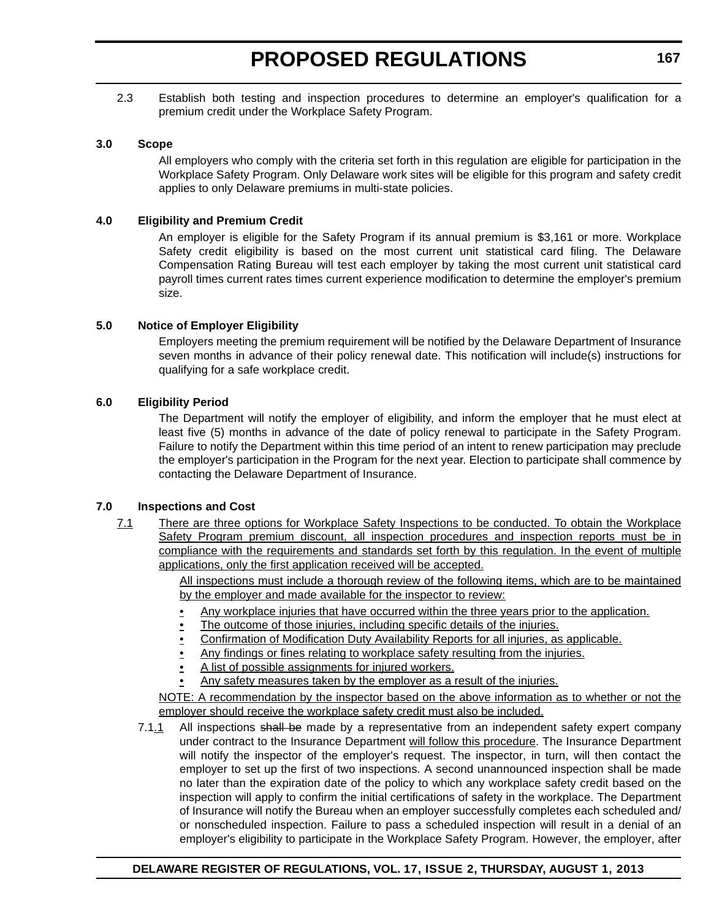2.3 Establish both testing and inspection procedures to determine an employer's qualification for a premium credit under the Workplace Safety Program.

### **3.0 Scope**

All employers who comply with the criteria set forth in this regulation are eligible for participation in the Workplace Safety Program. Only Delaware work sites will be eligible for this program and safety credit applies to only Delaware premiums in multi-state policies.

### **4.0 Eligibility and Premium Credit**

An employer is eligible for the Safety Program if its annual premium is \$3,161 or more. Workplace Safety credit eligibility is based on the most current unit statistical card filing. The Delaware Compensation Rating Bureau will test each employer by taking the most current unit statistical card payroll times current rates times current experience modification to determine the employer's premium size.

### **5.0 Notice of Employer Eligibility**

Employers meeting the premium requirement will be notified by the Delaware Department of Insurance seven months in advance of their policy renewal date. This notification will include(s) instructions for qualifying for a safe workplace credit.

### **6.0 Eligibility Period**

The Department will notify the employer of eligibility, and inform the employer that he must elect at least five (5) months in advance of the date of policy renewal to participate in the Safety Program. Failure to notify the Department within this time period of an intent to renew participation may preclude the employer's participation in the Program for the next year. Election to participate shall commence by contacting the Delaware Department of Insurance.

#### **7.0 Inspections and Cost**

7.1 There are three options for Workplace Safety Inspections to be conducted. To obtain the Workplace Safety Program premium discount, all inspection procedures and inspection reports must be in compliance with the requirements and standards set forth by this regulation. In the event of multiple applications, only the first application received will be accepted.

> All inspections must include a thorough review of the following items, which are to be maintained by the employer and made available for the inspector to review:

- Any workplace injuries that have occurred within the three years prior to the application.
- The outcome of those injuries, including specific details of the injuries.
- Confirmation of Modification Duty Availability Reports for all injuries, as applicable.
- Any findings or fines relating to workplace safety resulting from the injuries.
- A list of possible assignments for injured workers.
- Any safety measures taken by the employer as a result of the injuries.

NOTE: A recommendation by the inspector based on the above information as to whether or not the employer should receive the workplace safety credit must also be included.

7.1.1 All inspections shall be made by a representative from an independent safety expert company under contract to the Insurance Department will follow this procedure. The Insurance Department will notify the inspector of the employer's request. The inspector, in turn, will then contact the employer to set up the first of two inspections. A second unannounced inspection shall be made no later than the expiration date of the policy to which any workplace safety credit based on the inspection will apply to confirm the initial certifications of safety in the workplace. The Department of Insurance will notify the Bureau when an employer successfully completes each scheduled and/ or nonscheduled inspection. Failure to pass a scheduled inspection will result in a denial of an employer's eligibility to participate in the Workplace Safety Program. However, the employer, after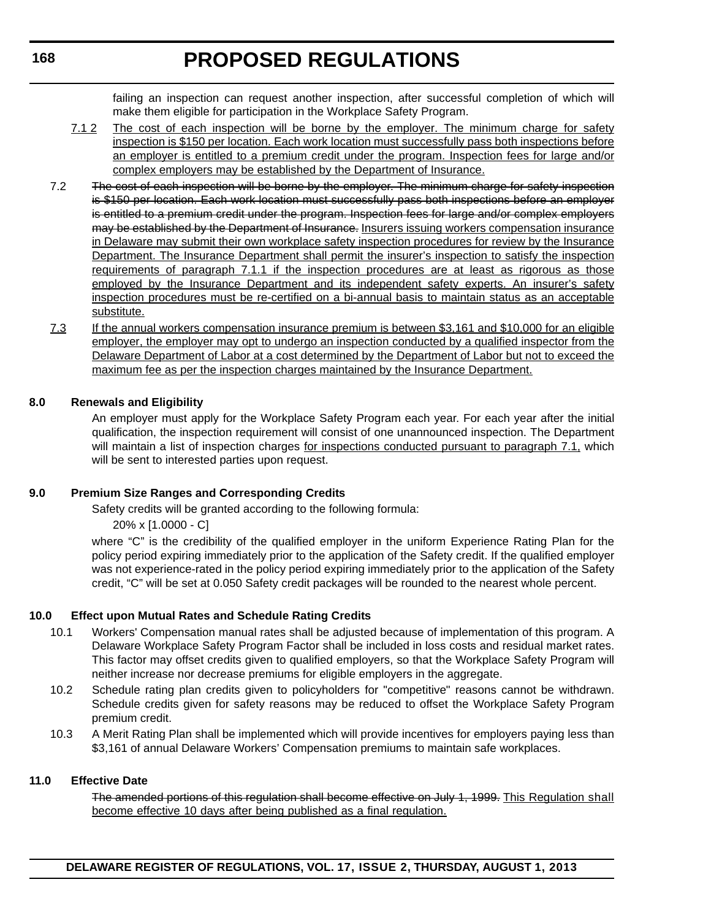failing an inspection can request another inspection, after successful completion of which will make them eligible for participation in the Workplace Safety Program.

- 7.1.2 The cost of each inspection will be borne by the employer. The minimum charge for safety inspection is \$150 per location. Each work location must successfully pass both inspections before an employer is entitled to a premium credit under the program. Inspection fees for large and/or complex employers may be established by the Department of Insurance.
- 7.2 The cost of each inspection will be borne by the employer. The minimum charge for safety inspection is \$150 per location. Each work location must successfully pass both inspections before an employer is entitled to a premium credit under the program. Inspection fees for large and/or complex employers may be established by the Department of Insurance. Insurers issuing workers compensation insurance in Delaware may submit their own workplace safety inspection procedures for review by the Insurance Department. The Insurance Department shall permit the insurer's inspection to satisfy the inspection requirements of paragraph 7.1.1 if the inspection procedures are at least as rigorous as those employed by the Insurance Department and its independent safety experts. An insurer's safety inspection procedures must be re-certified on a bi-annual basis to maintain status as an acceptable substitute.
- 7.3 If the annual workers compensation insurance premium is between \$3,161 and \$10,000 for an eligible employer, the employer may opt to undergo an inspection conducted by a qualified inspector from the Delaware Department of Labor at a cost determined by the Department of Labor but not to exceed the maximum fee as per the inspection charges maintained by the Insurance Department.

# **8.0 Renewals and Eligibility**

An employer must apply for the Workplace Safety Program each year. For each year after the initial qualification, the inspection requirement will consist of one unannounced inspection. The Department will maintain a list of inspection charges for inspections conducted pursuant to paragraph 7.1, which will be sent to interested parties upon request.

# **9.0 Premium Size Ranges and Corresponding Credits**

Safety credits will be granted according to the following formula:

20% x [1.0000 - C]

where "C" is the credibility of the qualified employer in the uniform Experience Rating Plan for the policy period expiring immediately prior to the application of the Safety credit. If the qualified employer was not experience-rated in the policy period expiring immediately prior to the application of the Safety credit, "C" will be set at 0.050 Safety credit packages will be rounded to the nearest whole percent.

# **10.0 Effect upon Mutual Rates and Schedule Rating Credits**

- 10.1 Workers' Compensation manual rates shall be adjusted because of implementation of this program. A Delaware Workplace Safety Program Factor shall be included in loss costs and residual market rates. This factor may offset credits given to qualified employers, so that the Workplace Safety Program will neither increase nor decrease premiums for eligible employers in the aggregate.
- 10.2 Schedule rating plan credits given to policyholders for "competitive" reasons cannot be withdrawn. Schedule credits given for safety reasons may be reduced to offset the Workplace Safety Program premium credit.
- 10.3 A Merit Rating Plan shall be implemented which will provide incentives for employers paying less than \$3,161 of annual Delaware Workers' Compensation premiums to maintain safe workplaces.

# **11.0 Effective Date**

The amended portions of this regulation shall become effective on July 1, 1999. This Regulation shall become effective 10 days after being published as a final regulation.

**DELAWARE REGISTER OF REGULATIONS, VOL. 17, ISSUE 2, THURSDAY, AUGUST 1, 2013**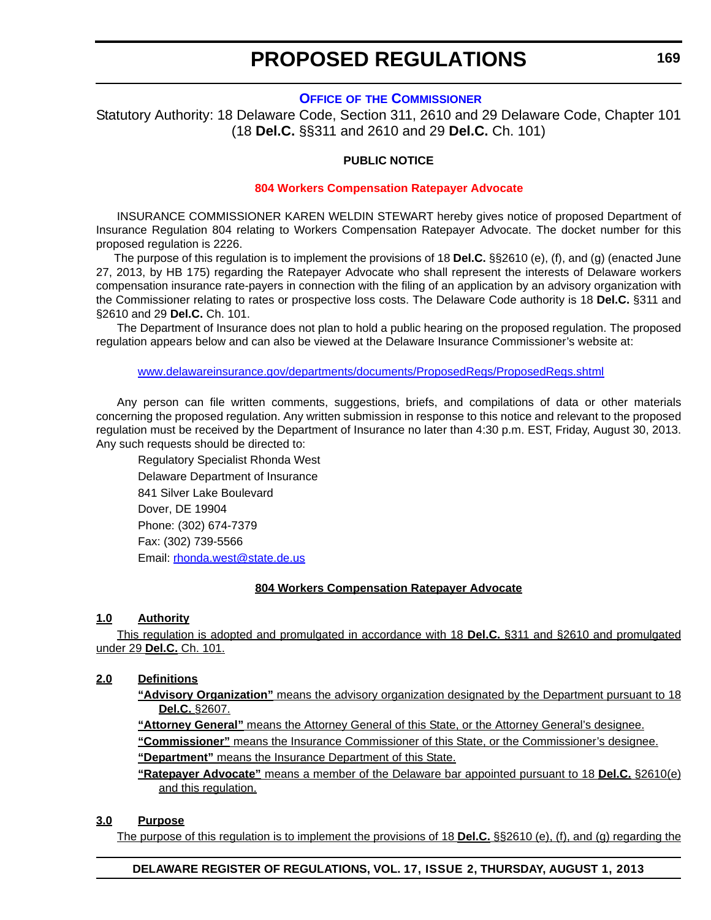### **OFFICE OF THE COMMISSIONER**

Statutory Authority: 18 Delaware Code, Section 311, 2610 and 29 Delaware Code, Chapter 101 (18 **Del.C.** §§311 and 2610 and 29 **Del.C.** Ch. 101)

### **PUBLIC NOTICE**

#### **[804 Workers Compensation Ratepayer Advocate](#page-3-0)**

INSURANCE COMMISSIONER KAREN WELDIN STEWART hereby gives notice of proposed Department of Insurance Regulation 804 relating to Workers Compensation Ratepayer Advocate. The docket number for this proposed regulation is 2226.

 The purpose of this regulation is to implement the provisions of 18 **Del.C.** §§2610 (e), (f), and (g) (enacted June 27, 2013, by HB 175) regarding the Ratepayer Advocate who shall represent the interests of Delaware workers compensation insurance rate-payers in connection with the filing of an application by an advisory organization with the Commissioner relating to rates or prospective loss costs. The Delaware Code authority is 18 **Del.C.** §311 and §2610 and 29 **Del.C.** Ch. 101.

The Department of Insurance does not plan to hold a public hearing on the proposed regulation. The proposed regulation appears below and can also be viewed at the Delaware Insurance Commissioner's website at:

#### [www.delawareinsurance.gov/departments/documents/ProposedRegs/ProposedRegs.shtml](http://www.delawareinsurance.gov/departments/documents/ProposedRegs/ProposedRegs.shtml)

Any person can file written comments, suggestions, briefs, and compilations of data or other materials concerning the proposed regulation. Any written submission in response to this notice and relevant to the proposed regulation must be received by the Department of Insurance no later than 4:30 p.m. EST, Friday, August 30, 2013. Any such requests should be directed to:

Regulatory Specialist Rhonda West Delaware Department of Insurance 841 Silver Lake Boulevard Dover, DE 19904 Phone: (302) 674-7379 Fax: (302) 739-5566 Email: rhonda.west@state.de.us

#### **804 Workers Compensation Ratepayer Advocate**

#### **1.0 Authority**

This regulation is adopted and promulgated in accordance with 18 **Del.C.** §311 and §2610 and promulgated under 29 **Del.C.** Ch. 101.

# **2.0 Definitions**

**"Advisory Organization"** means the advisory organization designated by the Department pursuant to 18 **Del.C.** §2607.

**"Attorney General"** means the Attorney General of this State, or the Attorney General's designee. **"Commissioner"** means the Insurance Commissioner of this State, or the Commissioner's designee. **"Department"** means the Insurance Department of this State.

**"Ratepayer Advocate"** means a member of the Delaware bar appointed pursuant to 18 **Del.C.** §2610(e) and this regulation.

### **3.0 Purpose**

The purpose of this regulation is to implement the provisions of 18 **Del.C.** §§2610 (e), (f), and (g) regarding the

#### **DELAWARE REGISTER OF REGULATIONS, VOL. 17, ISSUE 2, THURSDAY, AUGUST 1, 2013**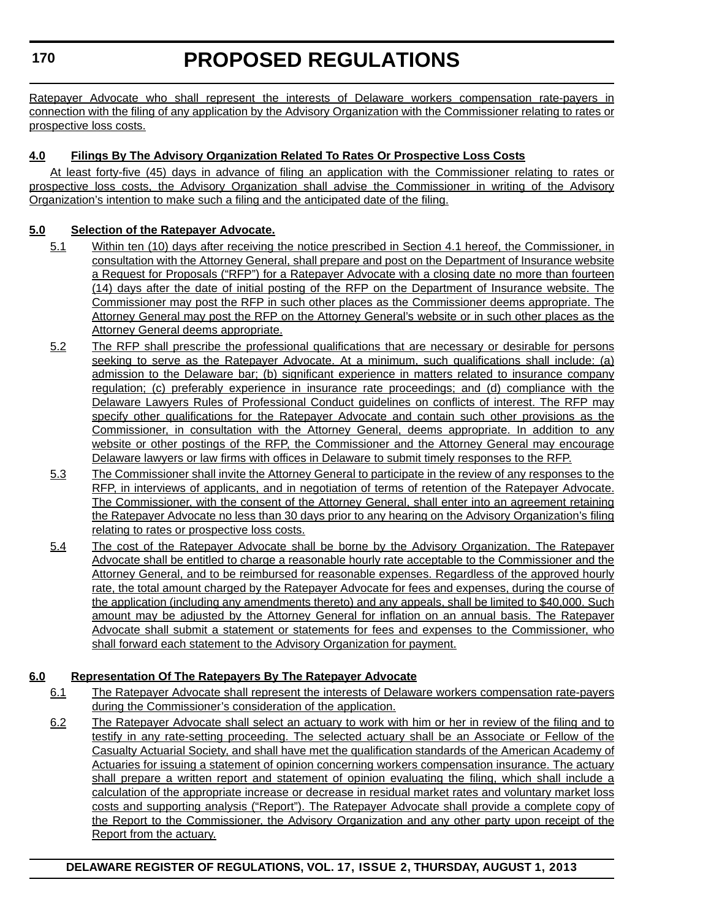Ratepayer Advocate who shall represent the interests of Delaware workers compensation rate-payers in connection with the filing of any application by the Advisory Organization with the Commissioner relating to rates or prospective loss costs.

# **4.0 Filings By The Advisory Organization Related To Rates Or Prospective Loss Costs**

At least forty-five (45) days in advance of filing an application with the Commissioner relating to rates or prospective loss costs, the Advisory Organization shall advise the Commissioner in writing of the Advisory Organization's intention to make such a filing and the anticipated date of the filing.

# **5.0 Selection of the Ratepayer Advocate.**

- 5.1 Within ten (10) days after receiving the notice prescribed in Section 4.1 hereof, the Commissioner, in consultation with the Attorney General, shall prepare and post on the Department of Insurance website a Request for Proposals ("RFP") for a Ratepayer Advocate with a closing date no more than fourteen (14) days after the date of initial posting of the RFP on the Department of Insurance website. The Commissioner may post the RFP in such other places as the Commissioner deems appropriate. The Attorney General may post the RFP on the Attorney General's website or in such other places as the Attorney General deems appropriate.
- 5.2 The RFP shall prescribe the professional qualifications that are necessary or desirable for persons seeking to serve as the Ratepayer Advocate. At a minimum, such qualifications shall include: (a) admission to the Delaware bar; (b) significant experience in matters related to insurance company regulation; (c) preferably experience in insurance rate proceedings; and (d) compliance with the Delaware Lawyers Rules of Professional Conduct guidelines on conflicts of interest. The RFP may specify other qualifications for the Ratepayer Advocate and contain such other provisions as the Commissioner, in consultation with the Attorney General, deems appropriate. In addition to any website or other postings of the RFP, the Commissioner and the Attorney General may encourage Delaware lawyers or law firms with offices in Delaware to submit timely responses to the RFP.
- 5.3 The Commissioner shall invite the Attorney General to participate in the review of any responses to the RFP, in interviews of applicants, and in negotiation of terms of retention of the Ratepayer Advocate. The Commissioner, with the consent of the Attorney General, shall enter into an agreement retaining the Ratepayer Advocate no less than 30 days prior to any hearing on the Advisory Organization's filing relating to rates or prospective loss costs.
- 5.4 The cost of the Ratepayer Advocate shall be borne by the Advisory Organization. The Ratepayer Advocate shall be entitled to charge a reasonable hourly rate acceptable to the Commissioner and the Attorney General, and to be reimbursed for reasonable expenses. Regardless of the approved hourly rate, the total amount charged by the Ratepayer Advocate for fees and expenses, during the course of the application (including any amendments thereto) and any appeals, shall be limited to \$40,000. Such amount may be adjusted by the Attorney General for inflation on an annual basis. The Ratepayer Advocate shall submit a statement or statements for fees and expenses to the Commissioner, who shall forward each statement to the Advisory Organization for payment.

# **6.0 Representation Of The Ratepayers By The Ratepayer Advocate**

- 6.1 The Ratepayer Advocate shall represent the interests of Delaware workers compensation rate-payers during the Commissioner's consideration of the application.
- 6.2 The Ratepayer Advocate shall select an actuary to work with him or her in review of the filing and to testify in any rate-setting proceeding. The selected actuary shall be an Associate or Fellow of the Casualty Actuarial Society, and shall have met the qualification standards of the American Academy of Actuaries for issuing a statement of opinion concerning workers compensation insurance. The actuary shall prepare a written report and statement of opinion evaluating the filing, which shall include a calculation of the appropriate increase or decrease in residual market rates and voluntary market loss costs and supporting analysis ("Report"). The Ratepayer Advocate shall provide a complete copy of the Report to the Commissioner, the Advisory Organization and any other party upon receipt of the Report from the actuary.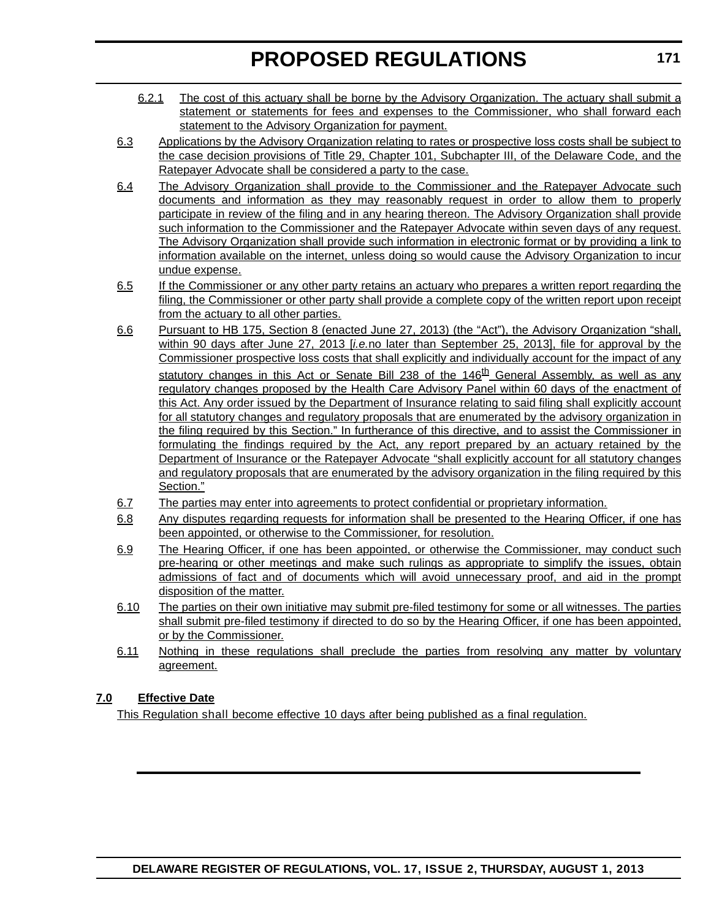- 6.2.1 The cost of this actuary shall be borne by the Advisory Organization. The actuary shall submit a statement or statements for fees and expenses to the Commissioner, who shall forward each statement to the Advisory Organization for payment.
- 6.3 Applications by the Advisory Organization relating to rates or prospective loss costs shall be subject to the case decision provisions of Title 29, Chapter 101, Subchapter III, of the Delaware Code, and the Ratepayer Advocate shall be considered a party to the case.
- 6.4 The Advisory Organization shall provide to the Commissioner and the Ratepayer Advocate such documents and information as they may reasonably request in order to allow them to properly participate in review of the filing and in any hearing thereon. The Advisory Organization shall provide such information to the Commissioner and the Ratepayer Advocate within seven days of any request. The Advisory Organization shall provide such information in electronic format or by providing a link to information available on the internet, unless doing so would cause the Advisory Organization to incur undue expense.
- 6.5 If the Commissioner or any other party retains an actuary who prepares a written report regarding the filing, the Commissioner or other party shall provide a complete copy of the written report upon receipt from the actuary to all other parties.
- 6.6 Pursuant to HB 175, Section 8 (enacted June 27, 2013) (the "Act"), the Advisory Organization "shall, within 90 days after June 27, 2013 [*i.e.*no later than September 25, 2013], file for approval by the Commissioner prospective loss costs that shall explicitly and individually account for the impact of any statutory changes in this Act or Senate Bill 238 of the  $146<sup>th</sup>$  General Assembly, as well as any regulatory changes proposed by the Health Care Advisory Panel within 60 days of the enactment of this Act. Any order issued by the Department of Insurance relating to said filing shall explicitly account for all statutory changes and regulatory proposals that are enumerated by the advisory organization in the filing required by this Section." In furtherance of this directive, and to assist the Commissioner in formulating the findings required by the Act, any report prepared by an actuary retained by the Department of Insurance or the Ratepayer Advocate "shall explicitly account for all statutory changes and regulatory proposals that are enumerated by the advisory organization in the filing required by this Section."
- 6.7 The parties may enter into agreements to protect confidential or proprietary information.
- 6.8 Any disputes regarding requests for information shall be presented to the Hearing Officer, if one has been appointed, or otherwise to the Commissioner, for resolution.
- 6.9 The Hearing Officer, if one has been appointed, or otherwise the Commissioner, may conduct such pre-hearing or other meetings and make such rulings as appropriate to simplify the issues, obtain admissions of fact and of documents which will avoid unnecessary proof, and aid in the prompt disposition of the matter.
- 6.10 The parties on their own initiative may submit pre-filed testimony for some or all witnesses. The parties shall submit pre-filed testimony if directed to do so by the Hearing Officer, if one has been appointed, or by the Commissioner.
- 6.11 Nothing in these regulations shall preclude the parties from resolving any matter by voluntary agreement.

# **7.0 Effective Date**

This Regulation shall become effective 10 days after being published as a final regulation.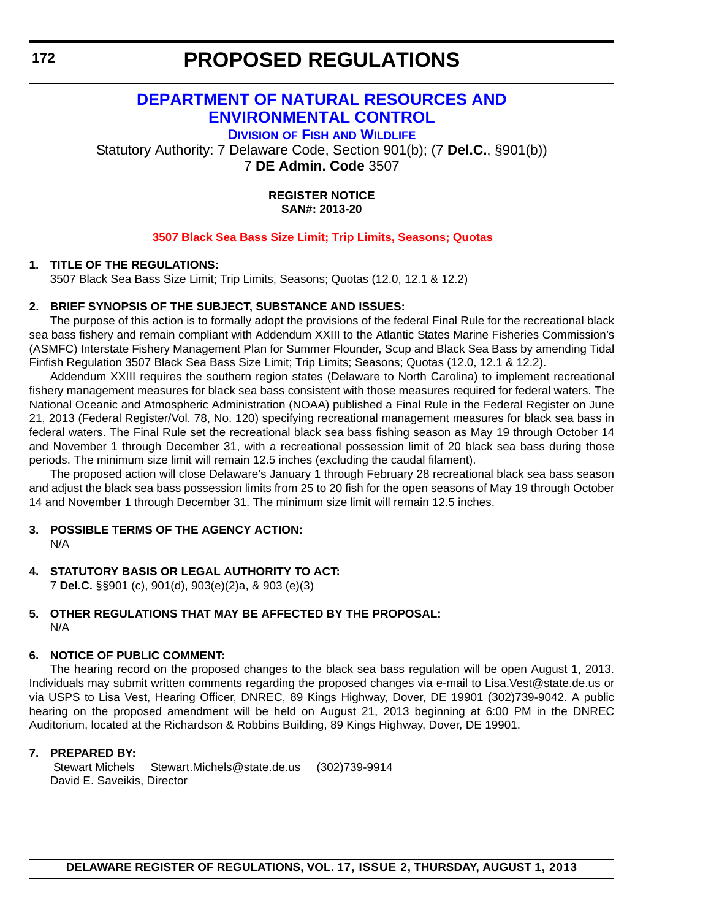# **DEPARTMENT OF NATURAL RESOURCES AND ENVIRONMENTAL CONTROL**

**DIVISION OF FISH AND WILDLIFE**

Statutory Authority: 7 Delaware Code, Section 901(b); (7 **Del.C.**, §901(b)) 7 **DE Admin. Code** 3507

> **REGISTER NOTICE SAN#: 2013-20**

# **3507 Black Sea Bass Size Limit; [Trip Limits, Seasons; Quotas](#page-3-0)**

# **1. TITLE OF THE REGULATIONS:**

3507 Black Sea Bass Size Limit; Trip Limits, Seasons; Quotas (12.0, 12.1 & 12.2)

# **2. BRIEF SYNOPSIS OF THE SUBJECT, SUBSTANCE AND ISSUES:**

The purpose of this action is to formally adopt the provisions of the federal Final Rule for the recreational black sea bass fishery and remain compliant with Addendum XXIII to the Atlantic States Marine Fisheries Commission's (ASMFC) Interstate Fishery Management Plan for Summer Flounder, Scup and Black Sea Bass by amending Tidal Finfish Regulation 3507 Black Sea Bass Size Limit; Trip Limits; Seasons; Quotas (12.0, 12.1 & 12.2).

Addendum XXIII requires the southern region states (Delaware to North Carolina) to implement recreational fishery management measures for black sea bass consistent with those measures required for federal waters. The National Oceanic and Atmospheric Administration (NOAA) published a Final Rule in the Federal Register on June 21, 2013 (Federal Register/Vol. 78, No. 120) specifying recreational management measures for black sea bass in federal waters. The Final Rule set the recreational black sea bass fishing season as May 19 through October 14 and November 1 through December 31, with a recreational possession limit of 20 black sea bass during those periods. The minimum size limit will remain 12.5 inches (excluding the caudal filament).

The proposed action will close Delaware's January 1 through February 28 recreational black sea bass season and adjust the black sea bass possession limits from 25 to 20 fish for the open seasons of May 19 through October 14 and November 1 through December 31. The minimum size limit will remain 12.5 inches.

### **3. POSSIBLE TERMS OF THE AGENCY ACTION:** N/A

**4. STATUTORY BASIS OR LEGAL AUTHORITY TO ACT:** 7 **Del.C.** §§901 (c), 901(d), 903(e)(2)a, & 903 (e)(3)

### **5. OTHER REGULATIONS THAT MAY BE AFFECTED BY THE PROPOSAL:** N/A

# **6. NOTICE OF PUBLIC COMMENT:**

The hearing record on the proposed changes to the black sea bass regulation will be open August 1, 2013. Individuals may submit written comments regarding the proposed changes via e-mail to Lisa.Vest@state.de.us or via USPS to Lisa Vest, Hearing Officer, DNREC, 89 Kings Highway, Dover, DE 19901 (302)739-9042. A public hearing on the proposed amendment will be held on August 21, 2013 beginning at 6:00 PM in the DNREC Auditorium, located at the Richardson & Robbins Building, 89 Kings Highway, Dover, DE 19901.

#### **7. PREPARED BY:**

Stewart Michels Stewart.Michels@state.de.us (302)739-9914 David E. Saveikis, Director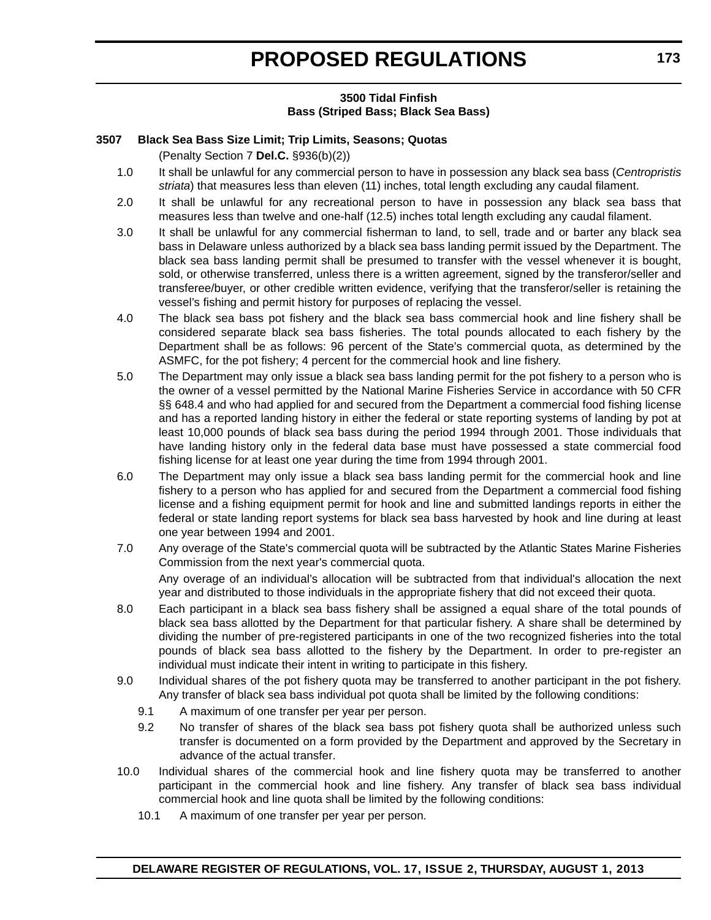### **3500 Tidal Finfish Bass (Striped Bass; Black Sea Bass)**

### **3507 Black Sea Bass Size Limit; Trip Limits, Seasons; Quotas**

(Penalty Section 7 **Del.C.** §936(b)(2))

- 1.0 It shall be unlawful for any commercial person to have in possession any black sea bass (*Centropristis striata*) that measures less than eleven (11) inches, total length excluding any caudal filament.
- 2.0 It shall be unlawful for any recreational person to have in possession any black sea bass that measures less than twelve and one-half (12.5) inches total length excluding any caudal filament.
- 3.0 It shall be unlawful for any commercial fisherman to land, to sell, trade and or barter any black sea bass in Delaware unless authorized by a black sea bass landing permit issued by the Department. The black sea bass landing permit shall be presumed to transfer with the vessel whenever it is bought, sold, or otherwise transferred, unless there is a written agreement, signed by the transferor/seller and transferee/buyer, or other credible written evidence, verifying that the transferor/seller is retaining the vessel's fishing and permit history for purposes of replacing the vessel.
- 4.0 The black sea bass pot fishery and the black sea bass commercial hook and line fishery shall be considered separate black sea bass fisheries. The total pounds allocated to each fishery by the Department shall be as follows: 96 percent of the State's commercial quota, as determined by the ASMFC, for the pot fishery; 4 percent for the commercial hook and line fishery.
- 5.0 The Department may only issue a black sea bass landing permit for the pot fishery to a person who is the owner of a vessel permitted by the National Marine Fisheries Service in accordance with 50 CFR §§ 648.4 and who had applied for and secured from the Department a commercial food fishing license and has a reported landing history in either the federal or state reporting systems of landing by pot at least 10,000 pounds of black sea bass during the period 1994 through 2001. Those individuals that have landing history only in the federal data base must have possessed a state commercial food fishing license for at least one year during the time from 1994 through 2001.
- 6.0 The Department may only issue a black sea bass landing permit for the commercial hook and line fishery to a person who has applied for and secured from the Department a commercial food fishing license and a fishing equipment permit for hook and line and submitted landings reports in either the federal or state landing report systems for black sea bass harvested by hook and line during at least one year between 1994 and 2001.
- 7.0 Any overage of the State's commercial quota will be subtracted by the Atlantic States Marine Fisheries Commission from the next year's commercial quota. Any overage of an individual's allocation will be subtracted from that individual's allocation the next year and distributed to those individuals in the appropriate fishery that did not exceed their quota.
- 8.0 Each participant in a black sea bass fishery shall be assigned a equal share of the total pounds of black sea bass allotted by the Department for that particular fishery. A share shall be determined by dividing the number of pre-registered participants in one of the two recognized fisheries into the total pounds of black sea bass allotted to the fishery by the Department. In order to pre-register an individual must indicate their intent in writing to participate in this fishery.
- 9.0 Individual shares of the pot fishery quota may be transferred to another participant in the pot fishery. Any transfer of black sea bass individual pot quota shall be limited by the following conditions:
	- 9.1 A maximum of one transfer per year per person.
	- 9.2 No transfer of shares of the black sea bass pot fishery quota shall be authorized unless such transfer is documented on a form provided by the Department and approved by the Secretary in advance of the actual transfer.
- 10.0 Individual shares of the commercial hook and line fishery quota may be transferred to another participant in the commercial hook and line fishery. Any transfer of black sea bass individual commercial hook and line quota shall be limited by the following conditions:
	- 10.1 A maximum of one transfer per year per person.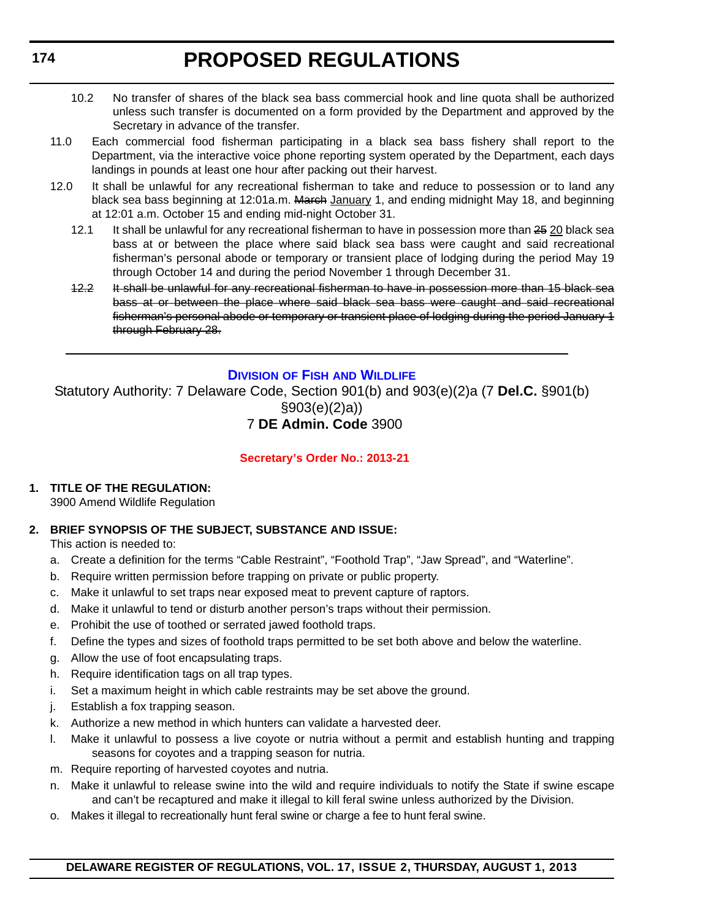- 10.2 No transfer of shares of the black sea bass commercial hook and line quota shall be authorized unless such transfer is documented on a form provided by the Department and approved by the Secretary in advance of the transfer.
- 11.0 Each commercial food fisherman participating in a black sea bass fishery shall report to the Department, via the interactive voice phone reporting system operated by the Department, each days landings in pounds at least one hour after packing out their harvest.
- 12.0 It shall be unlawful for any recreational fisherman to take and reduce to possession or to land any black sea bass beginning at 12:01a.m. March January 1, and ending midnight May 18, and beginning at 12:01 a.m. October 15 and ending mid-night October 31.
	- 12.1 It shall be unlawful for any recreational fisherman to have in possession more than 25 20 black sea bass at or between the place where said black sea bass were caught and said recreational fisherman's personal abode or temporary or transient place of lodging during the period May 19 through October 14 and during the period November 1 through December 31.
	- 12.2 It shall be unlawful for any recreational fisherman to have in possession more than 15 black sea bass at or between the place where said black sea bass were caught and said recreational fisherman's personal abode or temporary or transient place of lodging during the period January 1 through February 28.

# **DIVISION OF FISH AND WILDLIFE**

Statutory Authority: 7 Delaware Code, Section 901(b) and 903(e)(2)a (7 **Del.C.** §901(b) §903(e)(2)a)) 7 **DE Admin. Code** 3900

# **[Secretary's Order No.: 2013-21](#page-3-0)**

# **1. TITLE OF THE REGULATION:**

3900 Amend Wildlife Regulation

# **2. BRIEF SYNOPSIS OF THE SUBJECT, SUBSTANCE AND ISSUE:**

This action is needed to:

- a. Create a definition for the terms "Cable Restraint", "Foothold Trap", "Jaw Spread", and "Waterline".
- b. Require written permission before trapping on private or public property.
- c. Make it unlawful to set traps near exposed meat to prevent capture of raptors.
- d. Make it unlawful to tend or disturb another person's traps without their permission.
- e. Prohibit the use of toothed or serrated jawed foothold traps.
- f. Define the types and sizes of foothold traps permitted to be set both above and below the waterline.
- g. Allow the use of foot encapsulating traps.
- h. Require identification tags on all trap types.
- i. Set a maximum height in which cable restraints may be set above the ground.
- j. Establish a fox trapping season.
- k. Authorize a new method in which hunters can validate a harvested deer.
- l. Make it unlawful to possess a live coyote or nutria without a permit and establish hunting and trapping seasons for coyotes and a trapping season for nutria.
- m. Require reporting of harvested coyotes and nutria.
- n. Make it unlawful to release swine into the wild and require individuals to notify the State if swine escape and can't be recaptured and make it illegal to kill feral swine unless authorized by the Division.
- o. Makes it illegal to recreationally hunt feral swine or charge a fee to hunt feral swine.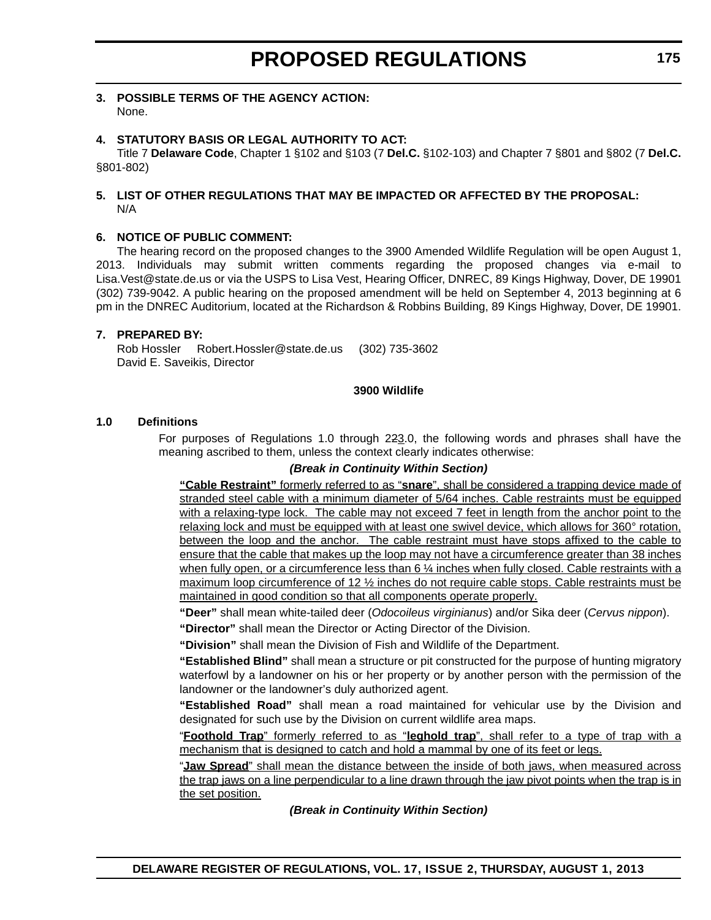#### **3. POSSIBLE TERMS OF THE AGENCY ACTION:** None.

### **4. STATUTORY BASIS OR LEGAL AUTHORITY TO ACT:**

Title 7 **Delaware Code**, Chapter 1 §102 and §103 (7 **Del.C.** §102-103) and Chapter 7 §801 and §802 (7 **Del.C.** §801-802)

#### **5. LIST OF OTHER REGULATIONS THAT MAY BE IMPACTED OR AFFECTED BY THE PROPOSAL:** N/A

#### **6. NOTICE OF PUBLIC COMMENT:**

The hearing record on the proposed changes to the 3900 Amended Wildlife Regulation will be open August 1, 2013. Individuals may submit written comments regarding the proposed changes via e-mail to Lisa.Vest@state.de.us or via the USPS to Lisa Vest, Hearing Officer, DNREC, 89 Kings Highway, Dover, DE 19901 (302) 739-9042. A public hearing on the proposed amendment will be held on September 4, 2013 beginning at 6 pm in the DNREC Auditorium, located at the Richardson & Robbins Building, 89 Kings Highway, Dover, DE 19901.

### **7. PREPARED BY:**

Rob Hossler Robert.Hossler@state.de.us (302) 735-3602 David E. Saveikis, Director

#### **3900 Wildlife**

# **1.0 Definitions**

For purposes of Regulations 1.0 through 223.0, the following words and phrases shall have the meaning ascribed to them, unless the context clearly indicates otherwise:

#### *(Break in Continuity Within Section)*

**"Cable Restraint"** formerly referred to as "**snare**", shall be considered a trapping device made of stranded steel cable with a minimum diameter of 5/64 inches. Cable restraints must be equipped with a relaxing-type lock. The cable may not exceed 7 feet in length from the anchor point to the relaxing lock and must be equipped with at least one swivel device, which allows for 360° rotation, between the loop and the anchor. The cable restraint must have stops affixed to the cable to ensure that the cable that makes up the loop may not have a circumference greater than 38 inches when fully open, or a circumference less than 6 % inches when fully closed. Cable restraints with a maximum loop circumference of 12  $\frac{1}{2}$  inches do not require cable stops. Cable restraints must be maintained in good condition so that all components operate properly.

**"Deer"** shall mean white-tailed deer (*Odocoileus virginianus*) and/or Sika deer (*Cervus nippon*).

**"Director"** shall mean the Director or Acting Director of the Division.

**"Division"** shall mean the Division of Fish and Wildlife of the Department.

**"Established Blind"** shall mean a structure or pit constructed for the purpose of hunting migratory waterfowl by a landowner on his or her property or by another person with the permission of the landowner or the landowner's duly authorized agent.

**"Established Road"** shall mean a road maintained for vehicular use by the Division and designated for such use by the Division on current wildlife area maps.

"**Foothold Trap**" formerly referred to as "**leghold trap**", shall refer to a type of trap with a mechanism that is designed to catch and hold a mammal by one of its feet or legs.

"**Jaw Spread**" shall mean the distance between the inside of both jaws, when measured across the trap jaws on a line perpendicular to a line drawn through the jaw pivot points when the trap is in the set position.

*(Break in Continuity Within Section)*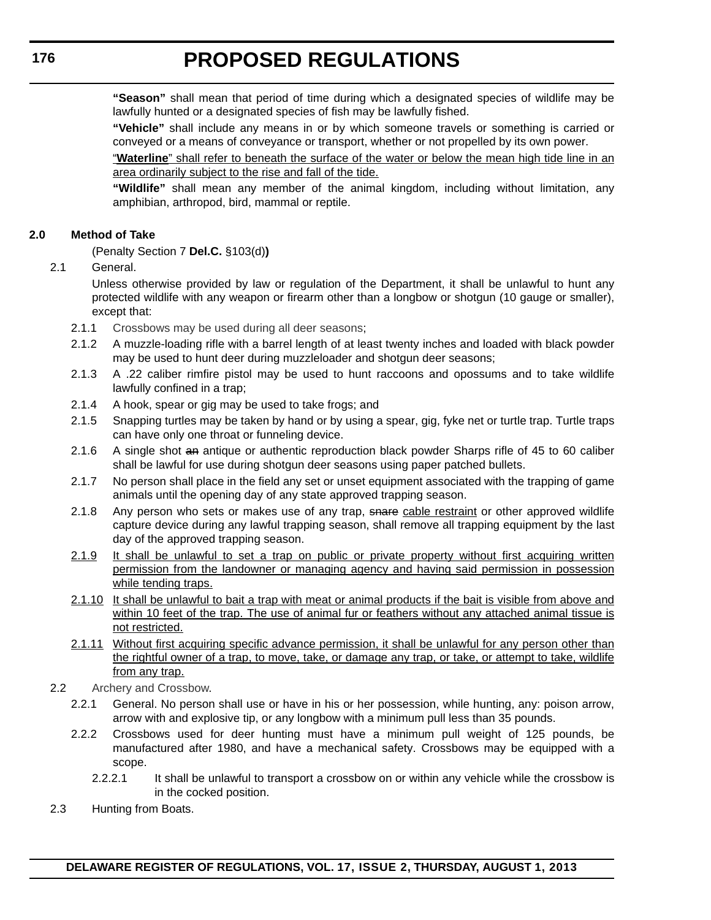**"Season"** shall mean that period of time during which a designated species of wildlife may be lawfully hunted or a designated species of fish may be lawfully fished.

**"Vehicle"** shall include any means in or by which someone travels or something is carried or conveyed or a means of conveyance or transport, whether or not propelled by its own power.

"**Waterline**" shall refer to beneath the surface of the water or below the mean high tide line in an area ordinarily subject to the rise and fall of the tide.

**"Wildlife"** shall mean any member of the animal kingdom, including without limitation, any amphibian, arthropod, bird, mammal or reptile.

# **2.0 Method of Take**

(Penalty Section 7 **Del.C.** §103(d)**)**

# 2.1 General.

Unless otherwise provided by law or regulation of the Department, it shall be unlawful to hunt any protected wildlife with any weapon or firearm other than a longbow or shotgun (10 gauge or smaller), except that:

- 2.1.1 Crossbows may be used during all deer seasons;
- 2.1.2 A muzzle-loading rifle with a barrel length of at least twenty inches and loaded with black powder may be used to hunt deer during muzzleloader and shotgun deer seasons;
- 2.1.3 A .22 caliber rimfire pistol may be used to hunt raccoons and opossums and to take wildlife lawfully confined in a trap;
- 2.1.4 A hook, spear or gig may be used to take frogs; and
- 2.1.5 Snapping turtles may be taken by hand or by using a spear, gig, fyke net or turtle trap. Turtle traps can have only one throat or funneling device.
- 2.1.6 A single shot an antique or authentic reproduction black powder Sharps rifle of 45 to 60 caliber shall be lawful for use during shotgun deer seasons using paper patched bullets.
- 2.1.7 No person shall place in the field any set or unset equipment associated with the trapping of game animals until the opening day of any state approved trapping season.
- 2.1.8 Any person who sets or makes use of any trap, snare cable restraint or other approved wildlife capture device during any lawful trapping season, shall remove all trapping equipment by the last day of the approved trapping season.
- 2.1.9 It shall be unlawful to set a trap on public or private property without first acquiring written permission from the landowner or managing agency and having said permission in possession while tending traps.
- 2.1.10 It shall be unlawful to bait a trap with meat or animal products if the bait is visible from above and within 10 feet of the trap. The use of animal fur or feathers without any attached animal tissue is not restricted.
- 2.1.11 Without first acquiring specific advance permission, it shall be unlawful for any person other than the rightful owner of a trap, to move, take, or damage any trap, or take, or attempt to take, wildlife from any trap.
- 2.2 Archery and Crossbow.
	- 2.2.1 General. No person shall use or have in his or her possession, while hunting, any: poison arrow, arrow with and explosive tip, or any longbow with a minimum pull less than 35 pounds.
	- 2.2.2 Crossbows used for deer hunting must have a minimum pull weight of 125 pounds, be manufactured after 1980, and have a mechanical safety. Crossbows may be equipped with a scope.
		- 2.2.2.1 It shall be unlawful to transport a crossbow on or within any vehicle while the crossbow is in the cocked position.
- 2.3 Hunting from Boats.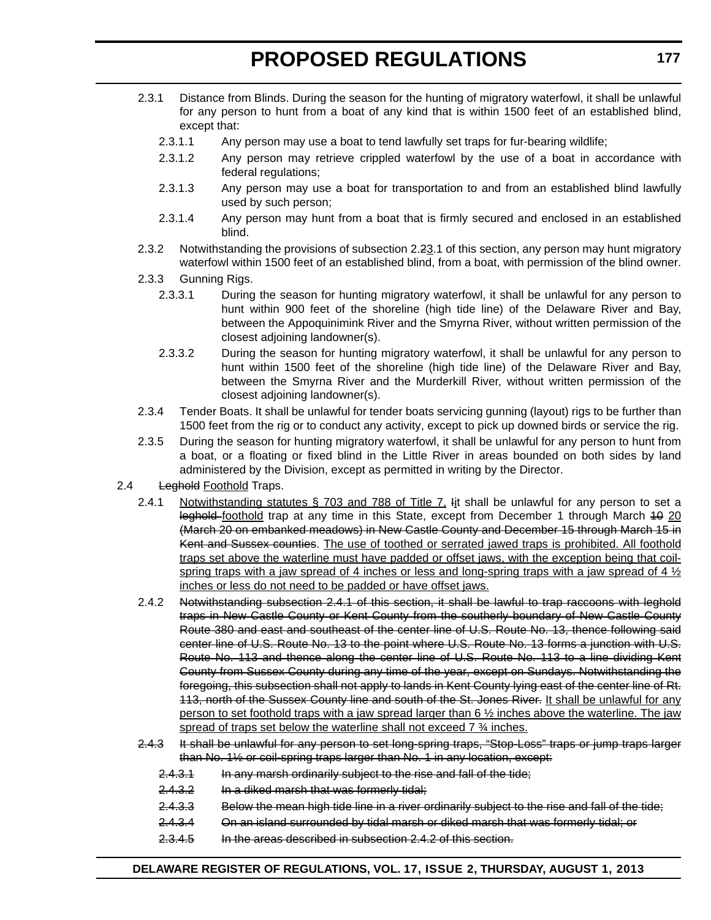- 2.3.1 Distance from Blinds. During the season for the hunting of migratory waterfowl, it shall be unlawful for any person to hunt from a boat of any kind that is within 1500 feet of an established blind, except that:
	- 2.3.1.1 Any person may use a boat to tend lawfully set traps for fur-bearing wildlife;
	- 2.3.1.2 Any person may retrieve crippled waterfowl by the use of a boat in accordance with federal regulations;
	- 2.3.1.3 Any person may use a boat for transportation to and from an established blind lawfully used by such person;
	- 2.3.1.4 Any person may hunt from a boat that is firmly secured and enclosed in an established blind.
- 2.3.2 Notwithstanding the provisions of subsection 2.23.1 of this section, any person may hunt migratory waterfowl within 1500 feet of an established blind, from a boat, with permission of the blind owner.
- 2.3.3 Gunning Rigs.
	- 2.3.3.1 During the season for hunting migratory waterfowl, it shall be unlawful for any person to hunt within 900 feet of the shoreline (high tide line) of the Delaware River and Bay, between the Appoquinimink River and the Smyrna River, without written permission of the closest adjoining landowner(s).
	- 2.3.3.2 During the season for hunting migratory waterfowl, it shall be unlawful for any person to hunt within 1500 feet of the shoreline (high tide line) of the Delaware River and Bay, between the Smyrna River and the Murderkill River, without written permission of the closest adjoining landowner(s).
- 2.3.4 Tender Boats. It shall be unlawful for tender boats servicing gunning (layout) rigs to be further than 1500 feet from the rig or to conduct any activity, except to pick up downed birds or service the rig.
- 2.3.5 During the season for hunting migratory waterfowl, it shall be unlawful for any person to hunt from a boat, or a floating or fixed blind in the Little River in areas bounded on both sides by land administered by the Division, except as permitted in writing by the Director.
- 2.4 Leghold Foothold Traps.
	- 2.4.1 Notwithstanding statutes § 703 and 788 of Title 7, Iit shall be unlawful for any person to set a leghold foothold trap at any time in this State, except from December 1 through March 40 20 (March 20 on embanked meadows) in New Castle County and December 15 through March 15 in Kent and Sussex counties. The use of toothed or serrated jawed traps is prohibited. All foothold traps set above the waterline must have padded or offset jaws, with the exception being that coilspring traps with a jaw spread of 4 inches or less and long-spring traps with a jaw spread of 4  $\frac{1}{2}$ inches or less do not need to be padded or have offset jaws.
	- 2.4.2 Notwithstanding subsection 2.4.1 of this section, it shall be lawful to trap raccoons with leghold traps in New Castle County or Kent County from the southerly boundary of New Castle County Route 380 and east and southeast of the center line of U.S. Route No. 13, thence following said center line of U.S. Route No. 13 to the point where U.S. Route No. 13 forms a junction with U.S. Route No. 113 and thence along the center line of U.S. Route No. 113 to a line dividing Kent County from Sussex County during any time of the year, except on Sundays. Notwithstanding the foregoing, this subsection shall not apply to lands in Kent County lying east of the center line of Rt. 113, north of the Sussex County line and south of the St. Jones River. It shall be unlawful for any person to set foothold traps with a jaw spread larger than  $6\frac{1}{2}$  inches above the waterline. The jaw spread of traps set below the waterline shall not exceed 7  $\frac{3}{4}$  inches.
	- 2.4.3 It shall be unlawful for any person to set long-spring traps, "Stop-Loss" traps or jump traps larger than No. 1½ or coil-spring traps larger than No. 1 in any location, except:
		- 2.4.3.1 In any marsh ordinarily subject to the rise and fall of the tide;
		- 2.4.3.2 In a diked marsh that was formerly tidal;
		- 2.4.3.3 Below the mean high tide line in a river ordinarily subject to the rise and fall of the tide;
		- 2.4.3.4 On an island surrounded by tidal marsh or diked marsh that was formerly tidal; or
		- 2.3.4.5 In the areas described in subsection 2.4.2 of this section.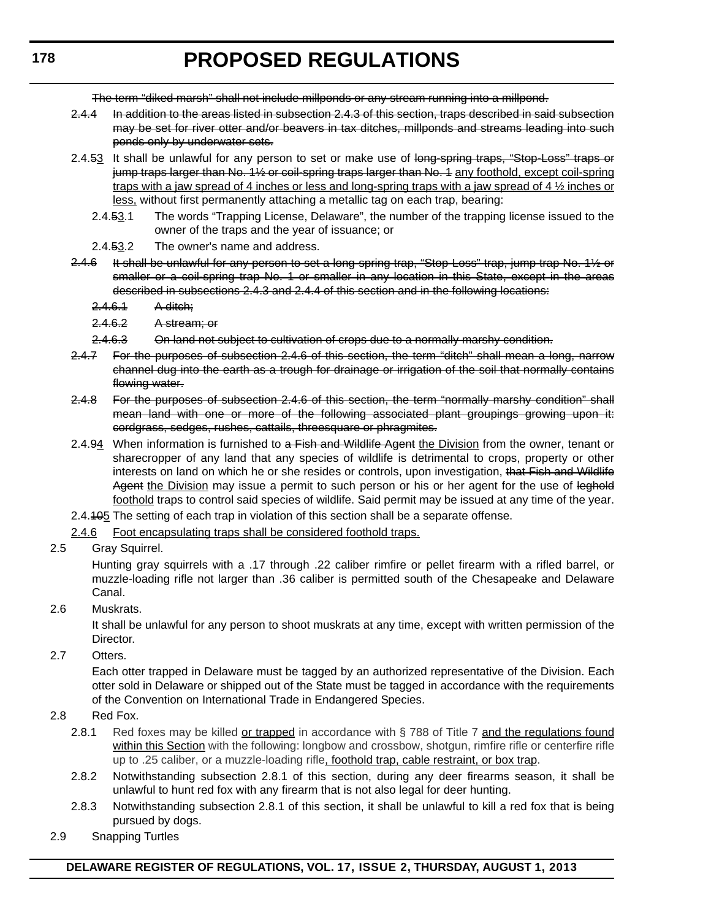The term "diked marsh" shall not include millponds or any stream running into a millpond.

- 2.4.4 In addition to the areas listed in subsection 2.4.3 of this section, traps described in said subsection may be set for river otter and/or beavers in tax ditches, millponds and streams leading into such ponds only by underwater sets.
- 2.4.53 It shall be unlawful for any person to set or make use of long-spring traps, "Stop-Loss" traps or jump traps larger than No. 1½ or coil-spring traps larger than No. 1 any foothold, except coil-spring traps with a jaw spread of 4 inches or less and long-spring traps with a jaw spread of 4 ½ inches or less, without first permanently attaching a metallic tag on each trap, bearing:
	- 2.4.53.1 The words "Trapping License, Delaware", the number of the trapping license issued to the owner of the traps and the year of issuance; or
	- 2.4.53.2 The owner's name and address.
- 2.4.6 It shall be unlawful for any person to set a long-spring trap, "Stop-Loss" trap, jump trap No. 1½ or smaller or a coil-spring trap No. 1 or smaller in any location in this State, except in the areas described in subsections 2.4.3 and 2.4.4 of this section and in the following locations:
	- 2.4.6.1 A ditch;
	- 2.4.6.2 A stream; or
	- 2.4.6.3 On land not subject to cultivation of crops due to a normally marshy condition.
- 2.4.7 For the purposes of subsection 2.4.6 of this section, the term "ditch" shall mean a long, narrow channel dug into the earth as a trough for drainage or irrigation of the soil that normally contains flowing water.
- 2.4.8 For the purposes of subsection 2.4.6 of this section, the term "normally marshy condition" shall mean land with one or more of the following associated plant groupings growing upon it: cordgrass, sedges, rushes, cattails, threesquare or phragmites.
- 2.4.94 When information is furnished to a Fish and Wildlife Agent the Division from the owner, tenant or sharecropper of any land that any species of wildlife is detrimental to crops, property or other interests on land on which he or she resides or controls, upon investigation, that Fish and Wildlife Agent the Division may issue a permit to such person or his or her agent for the use of leghold foothold traps to control said species of wildlife. Said permit may be issued at any time of the year.
- 2.4.105 The setting of each trap in violation of this section shall be a separate offense.
- 2.4.6 Foot encapsulating traps shall be considered foothold traps.
- 2.5 Gray Squirrel.

Hunting gray squirrels with a .17 through .22 caliber rimfire or pellet firearm with a rifled barrel, or muzzle-loading rifle not larger than .36 caliber is permitted south of the Chesapeake and Delaware Canal.

2.6 Muskrats.

It shall be unlawful for any person to shoot muskrats at any time, except with written permission of the Director.

2.7 Otters.

Each otter trapped in Delaware must be tagged by an authorized representative of the Division. Each otter sold in Delaware or shipped out of the State must be tagged in accordance with the requirements of the Convention on International Trade in Endangered Species.

# 2.8 Red Fox.

- 2.8.1 Red foxes may be killed or trapped in accordance with § 788 of Title 7 and the regulations found within this Section with the following: longbow and crossbow, shotgun, rimfire rifle or centerfire rifle up to .25 caliber, or a muzzle-loading rifle, foothold trap, cable restraint, or box trap.
- 2.8.2 Notwithstanding subsection 2.8.1 of this section, during any deer firearms season, it shall be unlawful to hunt red fox with any firearm that is not also legal for deer hunting.
- 2.8.3 Notwithstanding subsection 2.8.1 of this section, it shall be unlawful to kill a red fox that is being pursued by dogs.
- 2.9 Snapping Turtles

# **DELAWARE REGISTER OF REGULATIONS, VOL. 17, ISSUE 2, THURSDAY, AUGUST 1, 2013**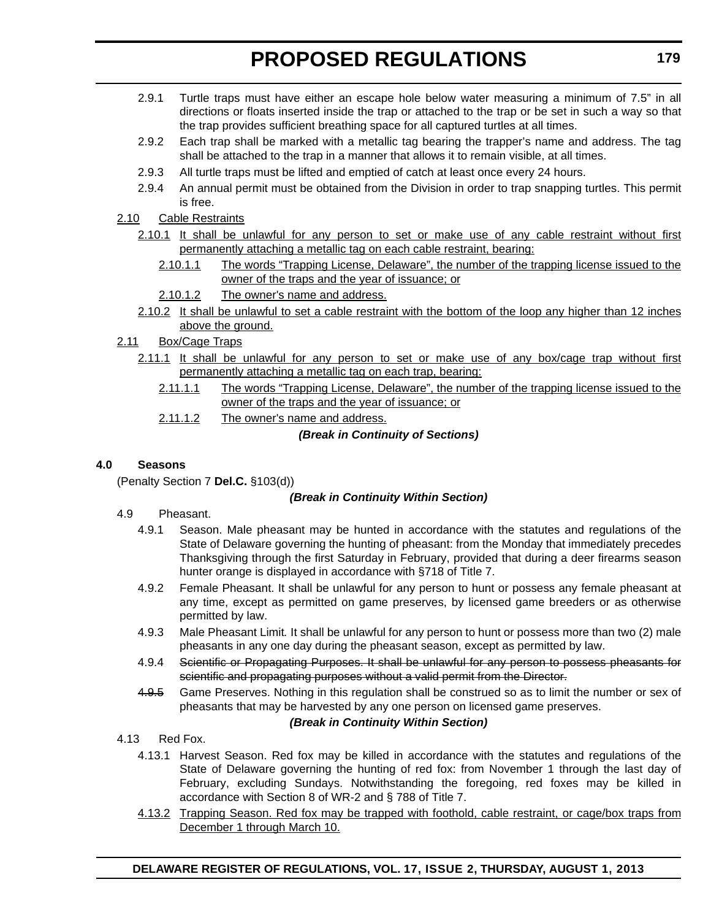- 2.9.1 Turtle traps must have either an escape hole below water measuring a minimum of 7.5" in all directions or floats inserted inside the trap or attached to the trap or be set in such a way so that the trap provides sufficient breathing space for all captured turtles at all times.
- 2.9.2 Each trap shall be marked with a metallic tag bearing the trapper's name and address. The tag shall be attached to the trap in a manner that allows it to remain visible, at all times.
- 2.9.3 All turtle traps must be lifted and emptied of catch at least once every 24 hours.
- 2.9.4 An annual permit must be obtained from the Division in order to trap snapping turtles. This permit is free.

# 2.10 Cable Restraints

- 2.10.1 It shall be unlawful for any person to set or make use of any cable restraint without first permanently attaching a metallic tag on each cable restraint, bearing:
	- 2.10.1.1 The words "Trapping License, Delaware", the number of the trapping license issued to the owner of the traps and the year of issuance; or
	- 2.10.1.2 The owner's name and address.
- 2.10.2 It shall be unlawful to set a cable restraint with the bottom of the loop any higher than 12 inches above the ground.

# 2.11 Box/Cage Traps

- 2.11.1 It shall be unlawful for any person to set or make use of any box/cage trap without first permanently attaching a metallic tag on each trap, bearing:
	- 2.11.1.1 The words "Trapping License, Delaware", the number of the trapping license issued to the owner of the traps and the year of issuance; or
	- 2.11.1.2 The owner's name and address.

# *(Break in Continuity of Sections)*

# **4.0 Seasons**

(Penalty Section 7 **Del.C.** §103(d))

# *(Break in Continuity Within Section)*

- 4.9 Pheasant.
	- 4.9.1 Season. Male pheasant may be hunted in accordance with the statutes and regulations of the State of Delaware governing the hunting of pheasant: from the Monday that immediately precedes Thanksgiving through the first Saturday in February, provided that during a deer firearms season hunter orange is displayed in accordance with §718 of Title 7.
	- 4.9.2 Female Pheasant. It shall be unlawful for any person to hunt or possess any female pheasant at any time, except as permitted on game preserves, by licensed game breeders or as otherwise permitted by law.
	- 4.9.3 Male Pheasant Limit*.* It shall be unlawful for any person to hunt or possess more than two (2) male pheasants in any one day during the pheasant season, except as permitted by law.
	- 4.9.4 Scientific or Propagating Purposes. It shall be unlawful for any person to possess pheasants for scientific and propagating purposes without a valid permit from the Director.
	- 4.9.5 Game Preserves. Nothing in this regulation shall be construed so as to limit the number or sex of pheasants that may be harvested by any one person on licensed game preserves.

# *(Break in Continuity Within Section)*

- 4.13 Red Fox.
	- 4.13.1 Harvest Season. Red fox may be killed in accordance with the statutes and regulations of the State of Delaware governing the hunting of red fox: from November 1 through the last day of February, excluding Sundays. Notwithstanding the foregoing, red foxes may be killed in accordance with Section 8 of WR-2 and § 788 of Title 7.
	- 4.13.2 Trapping Season. Red fox may be trapped with foothold, cable restraint, or cage/box traps from December 1 through March 10.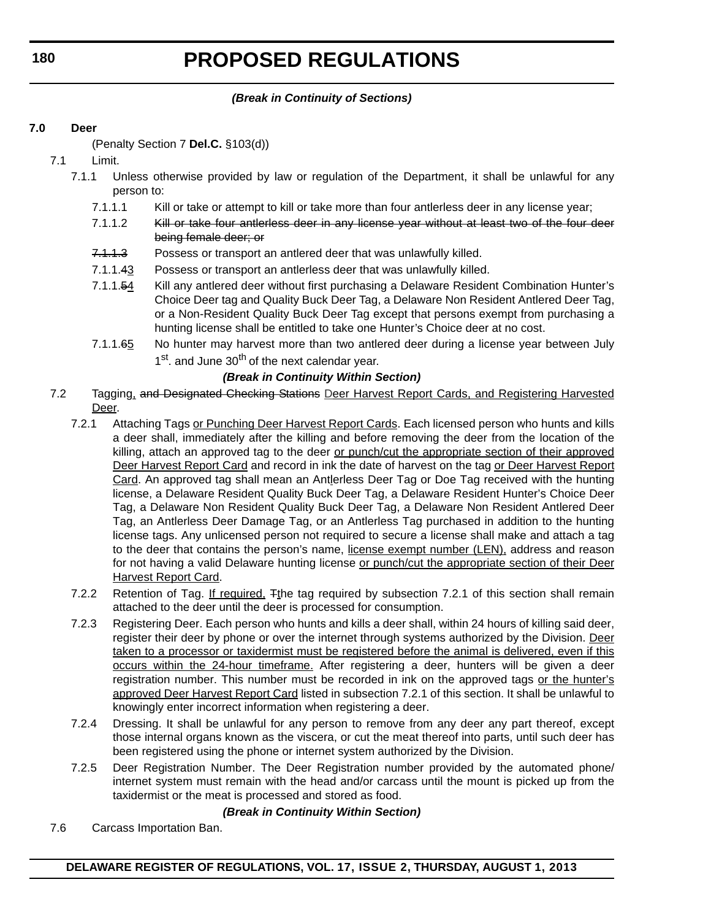# *(Break in Continuity of Sections)*

# **7.0 Deer**

(Penalty Section 7 **Del.C.** §103(d))

- 7.1 Limit.
	- 7.1.1 Unless otherwise provided by law or regulation of the Department, it shall be unlawful for any person to:
		- 7.1.1.1 Kill or take or attempt to kill or take more than four antlerless deer in any license year;
		- 7.1.1.2 Kill or take four antlerless deer in any license year without at least two of the four deer being female deer; or
		- 7.1.1.3 Possess or transport an antiered deer that was unlawfully killed.
		- 7.1.1.43 Possess or transport an antlerless deer that was unlawfully killed.
		- 7.1.1.54 Kill any antlered deer without first purchasing a Delaware Resident Combination Hunter's Choice Deer tag and Quality Buck Deer Tag, a Delaware Non Resident Antlered Deer Tag, or a Non-Resident Quality Buck Deer Tag except that persons exempt from purchasing a hunting license shall be entitled to take one Hunter's Choice deer at no cost.
		- 7.1.1.65 No hunter may harvest more than two antlered deer during a license year between July 1<sup>st</sup>. and June 30<sup>th</sup> of the next calendar year.

# *(Break in Continuity Within Section)*

- 7.2 Tagging, and Designated Checking Stations Deer Harvest Report Cards, and Registering Harvested Deer.
	- 7.2.1 Attaching Tags or Punching Deer Harvest Report Cards. Each licensed person who hunts and kills a deer shall, immediately after the killing and before removing the deer from the location of the killing, attach an approved tag to the deer or punch/cut the appropriate section of their approved Deer Harvest Report Card and record in ink the date of harvest on the tag or Deer Harvest Report Card. An approved tag shall mean an Antlerless Deer Tag or Doe Tag received with the hunting license, a Delaware Resident Quality Buck Deer Tag, a Delaware Resident Hunter's Choice Deer Tag, a Delaware Non Resident Quality Buck Deer Tag, a Delaware Non Resident Antlered Deer Tag, an Antlerless Deer Damage Tag, or an Antlerless Tag purchased in addition to the hunting license tags. Any unlicensed person not required to secure a license shall make and attach a tag to the deer that contains the person's name, license exempt number (LEN), address and reason for not having a valid Delaware hunting license or punch/cut the appropriate section of their Deer Harvest Report Card.
	- 7.2.2 Retention of Tag. If required, Tthe tag required by subsection 7.2.1 of this section shall remain attached to the deer until the deer is processed for consumption.
	- 7.2.3 Registering Deer. Each person who hunts and kills a deer shall, within 24 hours of killing said deer, register their deer by phone or over the internet through systems authorized by the Division. Deer taken to a processor or taxidermist must be registered before the animal is delivered, even if this occurs within the 24-hour timeframe. After registering a deer, hunters will be given a deer registration number. This number must be recorded in ink on the approved tags or the hunter's approved Deer Harvest Report Card listed in subsection 7.2.1 of this section. It shall be unlawful to knowingly enter incorrect information when registering a deer.
	- 7.2.4 Dressing. It shall be unlawful for any person to remove from any deer any part thereof, except those internal organs known as the viscera, or cut the meat thereof into parts, until such deer has been registered using the phone or internet system authorized by the Division.
	- 7.2.5 Deer Registration Number. The Deer Registration number provided by the automated phone/ internet system must remain with the head and/or carcass until the mount is picked up from the taxidermist or the meat is processed and stored as food.

# *(Break in Continuity Within Section)*

7.6 Carcass Importation Ban.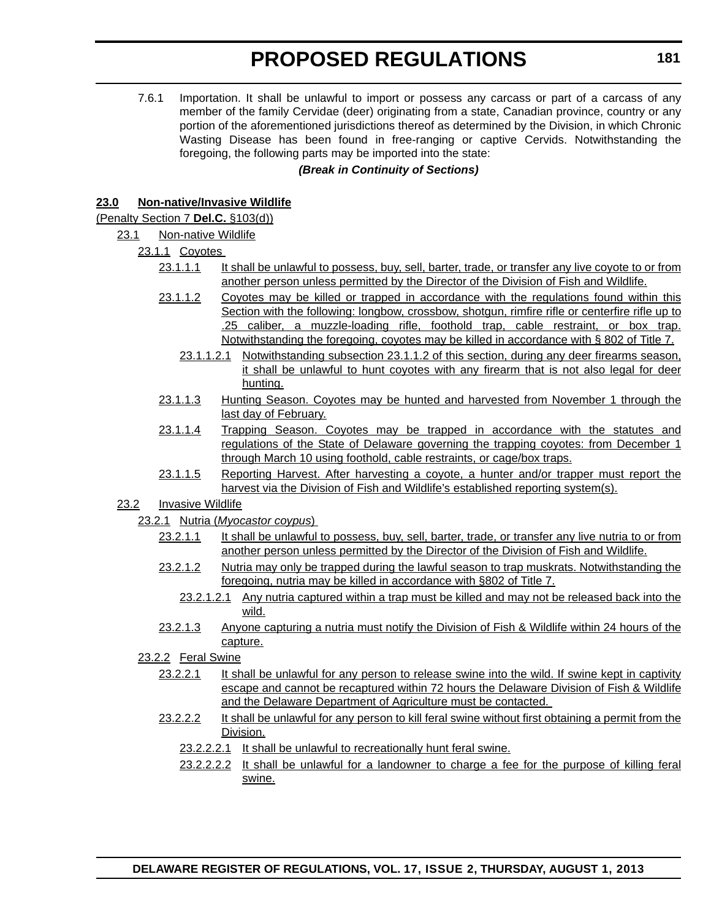7.6.1 Importation. It shall be unlawful to import or possess any carcass or part of a carcass of any member of the family Cervidae (deer) originating from a state, Canadian province, country or any portion of the aforementioned jurisdictions thereof as determined by the Division, in which Chronic Wasting Disease has been found in free-ranging or captive Cervids. Notwithstanding the foregoing, the following parts may be imported into the state:

*(Break in Continuity of Sections)*

# **23.0 Non-native/Invasive Wildlife**

# (Penalty Section 7 **Del.C.** §103(d))

23.1 Non-native Wildlife

# 23.1.1 Coyotes

- 23.1.1.1 It shall be unlawful to possess, buy, sell, barter, trade, or transfer any live coyote to or from another person unless permitted by the Director of the Division of Fish and Wildlife.
- 23.1.1.2 Coyotes may be killed or trapped in accordance with the regulations found within this Section with the following: longbow, crossbow, shotgun, rimfire rifle or centerfire rifle up to .25 caliber, a muzzle-loading rifle, foothold trap, cable restraint, or box trap. Notwithstanding the foregoing, coyotes may be killed in accordance with § 802 of Title 7.
	- 23.1.1.2.1 Notwithstanding subsection 23.1.1.2 of this section, during any deer firearms season, it shall be unlawful to hunt coyotes with any firearm that is not also legal for deer hunting.
- 23.1.1.3 Hunting Season. Coyotes may be hunted and harvested from November 1 through the last day of February.
- 23.1.1.4 Trapping Season. Coyotes may be trapped in accordance with the statutes and regulations of the State of Delaware governing the trapping coyotes: from December 1 through March 10 using foothold, cable restraints, or cage/box traps.
- 23.1.1.5 Reporting Harvest. After harvesting a coyote, a hunter and/or trapper must report the harvest via the Division of Fish and Wildlife's established reporting system(s).

# 23.2 **Invasive Wildlife**

- 23.2.1 Nutria (*Myocastor coypus*)
	- 23.2.1.1 It shall be unlawful to possess, buy, sell, barter, trade, or transfer any live nutria to or from another person unless permitted by the Director of the Division of Fish and Wildlife.
	- 23.2.1.2 Nutria may only be trapped during the lawful season to trap muskrats. Notwithstanding the foregoing, nutria may be killed in accordance with §802 of Title 7.
		- 23.2.1.2.1 Any nutria captured within a trap must be killed and may not be released back into the wild.
	- 23.2.1.3 Anyone capturing a nutria must notify the Division of Fish & Wildlife within 24 hours of the capture.

# 23.2.2 Feral Swine

- 23.2.2.1 It shall be unlawful for any person to release swine into the wild. If swine kept in captivity escape and cannot be recaptured within 72 hours the Delaware Division of Fish & Wildlife and the Delaware Department of Agriculture must be contacted.
- 23.2.2.2 It shall be unlawful for any person to kill feral swine without first obtaining a permit from the Division.
	- 23.2.2.2.1 It shall be unlawful to recreationally hunt feral swine.
	- 23.2.2.2.2 It shall be unlawful for a landowner to charge a fee for the purpose of killing feral swine.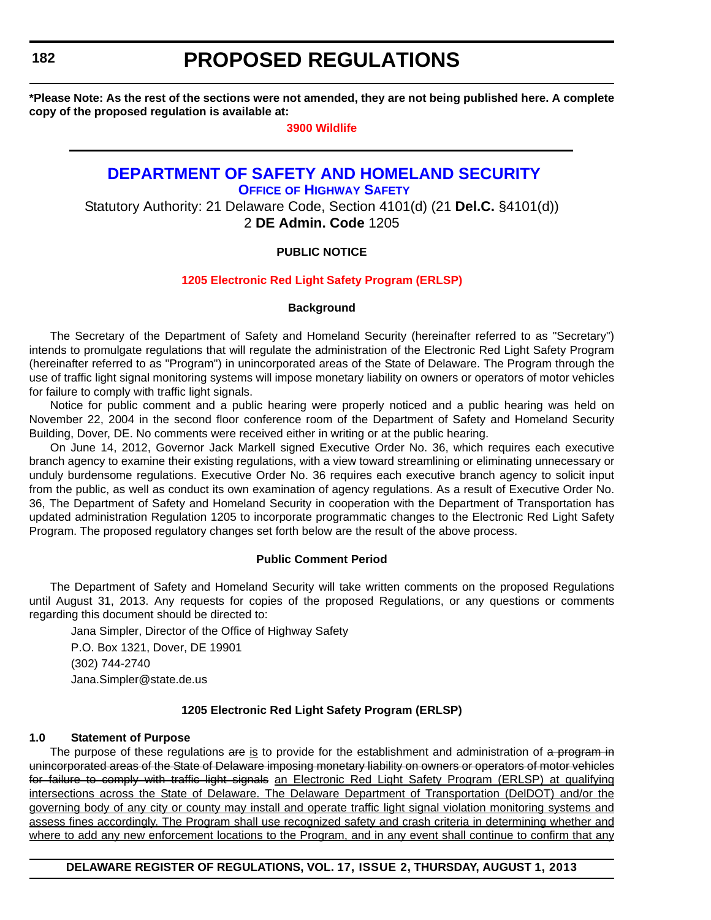**182**

# **PROPOSED REGULATIONS**

**\*Please Note: As the rest of the sections were not amended, they are not being published here. A complete copy of the proposed regulation is available at:**

**[3900 Wildlife](http://regulations.delaware.gov/register/august2013/proposed/17 DE Reg 174 08-01-13.htm)**

# **DEPARTMENT OF SAFETY AND HOMELAND SECURITY OFFICE OF HIGHWAY SAFETY**

Statutory Authority: 21 Delaware Code, Section 4101(d) (21 **Del.C.** §4101(d)) 2 **DE Admin. Code** 1205

# **PUBLIC NOTICE**

# **[1205 Electronic Red Light Safety](#page-3-0) Program (ERLSP)**

#### **Background**

The Secretary of the Department of Safety and Homeland Security (hereinafter referred to as "Secretary") intends to promulgate regulations that will regulate the administration of the Electronic Red Light Safety Program (hereinafter referred to as "Program") in unincorporated areas of the State of Delaware. The Program through the use of traffic light signal monitoring systems will impose monetary liability on owners or operators of motor vehicles for failure to comply with traffic light signals.

Notice for public comment and a public hearing were properly noticed and a public hearing was held on November 22, 2004 in the second floor conference room of the Department of Safety and Homeland Security Building, Dover, DE. No comments were received either in writing or at the public hearing.

On June 14, 2012, Governor Jack Markell signed Executive Order No. 36, which requires each executive branch agency to examine their existing regulations, with a view toward streamlining or eliminating unnecessary or unduly burdensome regulations. Executive Order No. 36 requires each executive branch agency to solicit input from the public, as well as conduct its own examination of agency regulations. As a result of Executive Order No. 36, The Department of Safety and Homeland Security in cooperation with the Department of Transportation has updated administration Regulation 1205 to incorporate programmatic changes to the Electronic Red Light Safety Program. The proposed regulatory changes set forth below are the result of the above process.

#### **Public Comment Period**

The Department of Safety and Homeland Security will take written comments on the proposed Regulations until August 31, 2013. Any requests for copies of the proposed Regulations, or any questions or comments regarding this document should be directed to:

Jana Simpler, Director of the Office of Highway Safety P.O. Box 1321, Dover, DE 19901 (302) 744-2740 Jana.Simpler@state.de.us

# **1205 Electronic Red Light Safety Program (ERLSP)**

#### **1.0 Statement of Purpose**

The purpose of these regulations are  $is$  to provide for the establishment and administration of a program in unincorporated areas of the State of Delaware imposing monetary liability on owners or operators of motor vehicles for failure to comply with traffic light signals an Electronic Red Light Safety Program (ERLSP) at qualifying intersections across the State of Delaware. The Delaware Department of Transportation (DelDOT) and/or the governing body of any city or county may install and operate traffic light signal violation monitoring systems and assess fines accordingly. The Program shall use recognized safety and crash criteria in determining whether and where to add any new enforcement locations to the Program, and in any event shall continue to confirm that any

# **DELAWARE REGISTER OF REGULATIONS, VOL. 17, ISSUE 2, THURSDAY, AUGUST 1, 2013**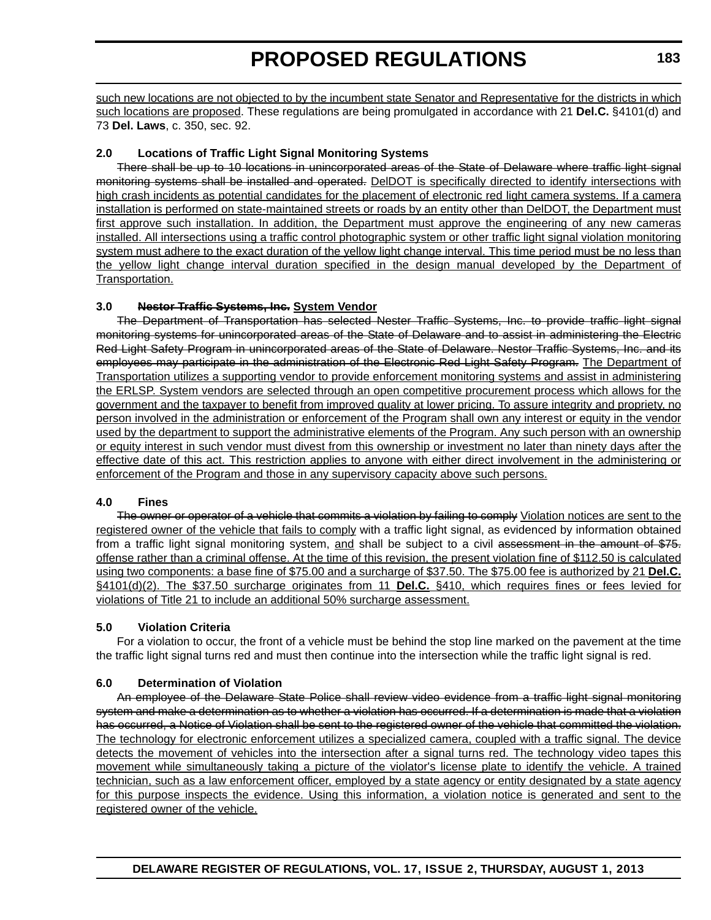such new locations are not objected to by the incumbent state Senator and Representative for the districts in which such locations are proposed. These regulations are being promulgated in accordance with 21 **Del.C.** §4101(d) and 73 **Del. Laws**, c. 350, sec. 92.

# **2.0 Locations of Traffic Light Signal Monitoring Systems**

There shall be up to 10 locations in unincorporated areas of the State of Delaware where traffic light signal monitoring systems shall be installed and operated. DelDOT is specifically directed to identify intersections with high crash incidents as potential candidates for the placement of electronic red light camera systems. If a camera installation is performed on state-maintained streets or roads by an entity other than DelDOT, the Department must first approve such installation. In addition, the Department must approve the engineering of any new cameras installed. All intersections using a traffic control photographic system or other traffic light signal violation monitoring system must adhere to the exact duration of the yellow light change interval. This time period must be no less than the yellow light change interval duration specified in the design manual developed by the Department of Transportation.

# **3.0 Nestor Traffic Systems, Inc. System Vendor**

The Department of Transportation has selected Nester Traffic Systems, Inc. to provide traffic light signal monitoring systems for unincorporated areas of the State of Delaware and to assist in administering the Electric Red Light Safety Program in unincorporated areas of the State of Delaware. Nestor Traffic Systems, Inc. and its employees may participate in the administration of the Electronic Red Light Safety Program. The Department of Transportation utilizes a supporting vendor to provide enforcement monitoring systems and assist in administering the ERLSP. System vendors are selected through an open competitive procurement process which allows for the government and the taxpayer to benefit from improved quality at lower pricing. To assure integrity and propriety, no person involved in the administration or enforcement of the Program shall own any interest or equity in the vendor used by the department to support the administrative elements of the Program. Any such person with an ownership or equity interest in such vendor must divest from this ownership or investment no later than ninety days after the effective date of this act. This restriction applies to anyone with either direct involvement in the administering or enforcement of the Program and those in any supervisory capacity above such persons.

#### **4.0 Fines**

The owner or operator of a vehicle that commits a violation by failing to comply Violation notices are sent to the registered owner of the vehicle that fails to comply with a traffic light signal, as evidenced by information obtained from a traffic light signal monitoring system, and shall be subject to a civil assessment in the amount of \$75. offense rather than a criminal offense. At the time of this revision, the present violation fine of \$112.50 is calculated using two components: a base fine of \$75.00 and a surcharge of \$37.50. The \$75.00 fee is authorized by 21 **Del.C.** §4101(d)(2). The \$37.50 surcharge originates from 11 **Del.C.** §410, which requires fines or fees levied for violations of Title 21 to include an additional 50% surcharge assessment.

# **5.0 Violation Criteria**

For a violation to occur, the front of a vehicle must be behind the stop line marked on the pavement at the time the traffic light signal turns red and must then continue into the intersection while the traffic light signal is red.

# **6.0 Determination of Violation**

An employee of the Delaware State Police shall review video evidence from a traffic light signal monitoring system and make a determination as to whether a violation has occurred. If a determination is made that a violation has occurred, a Notice of Violation shall be sent to the registered owner of the vehicle that committed the violation. The technology for electronic enforcement utilizes a specialized camera, coupled with a traffic signal. The device detects the movement of vehicles into the intersection after a signal turns red. The technology video tapes this movement while simultaneously taking a picture of the violator's license plate to identify the vehicle. A trained technician, such as a law enforcement officer, employed by a state agency or entity designated by a state agency for this purpose inspects the evidence. Using this information, a violation notice is generated and sent to the registered owner of the vehicle.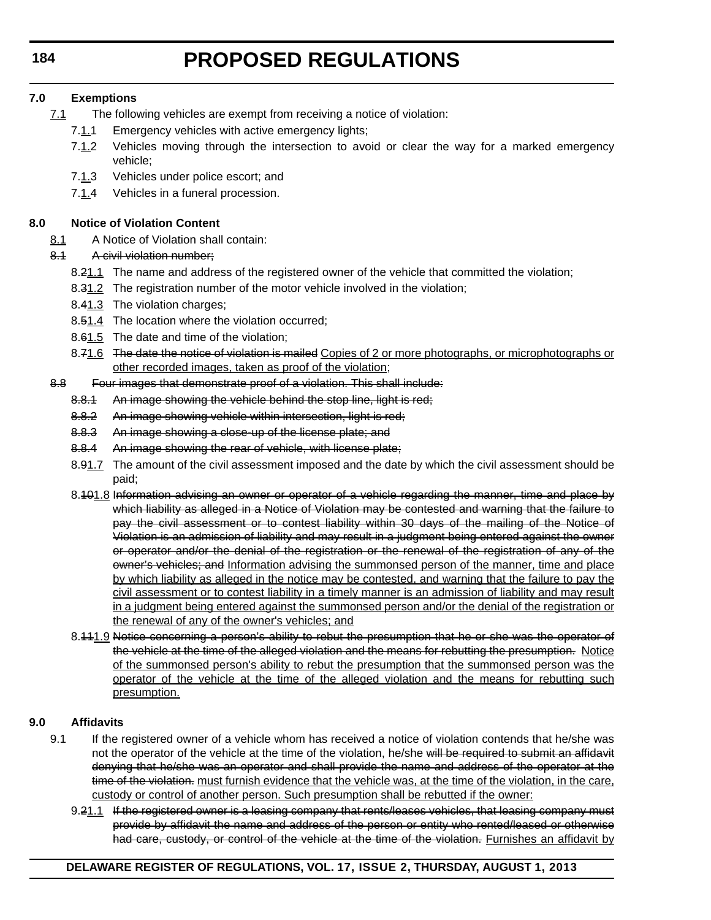# **7.0 Exemptions**

- 7.1 The following vehicles are exempt from receiving a notice of violation:
	- 7.1.1 Emergency vehicles with active emergency lights;
	- 7.1.2 Vehicles moving through the intersection to avoid or clear the way for a marked emergency vehicle;
	- 7.1.3 Vehicles under police escort; and
	- 7.1.4 Vehicles in a funeral procession.

# **8.0 Notice of Violation Content**

- 8.1 A Notice of Violation shall contain:
- 8.1 A civil violation number:
	- 8.21.1 The name and address of the registered owner of the vehicle that committed the violation;
	- 8.31.2 The registration number of the motor vehicle involved in the violation;
	- 8.41.3 The violation charges;
	- 8.51.4 The location where the violation occurred;
	- 8.61.5 The date and time of the violation;
	- 8.71.6 The date the notice of violation is mailed Copies of 2 or more photographs, or microphotographs or other recorded images, taken as proof of the violation;
- 8.8 Four images that demonstrate proof of a violation. This shall include:
	- 8.8.1 An image showing the vehicle behind the stop line, light is red;
	- 8.8.2 An image showing vehicle within intersection, light is red;
	- 8.8.3 An image showing a close-up of the license plate; and
	- 8.8.4 An image showing the rear of vehicle, with license plate;
	- 8.91.7 The amount of the civil assessment imposed and the date by which the civil assessment should be paid;
	- 8.101.8 Information advising an owner or operator of a vehicle regarding the manner, time and place by which liability as alleged in a Notice of Violation may be contested and warning that the failure to pay the civil assessment or to contest liability within 30 days of the mailing of the Notice of Violation is an admission of liability and may result in a judgment being entered against the owner or operator and/or the denial of the registration or the renewal of the registration of any of the owner's vehicles; and Information advising the summonsed person of the manner, time and place by which liability as alleged in the notice may be contested, and warning that the failure to pay the civil assessment or to contest liability in a timely manner is an admission of liability and may result in a judgment being entered against the summonsed person and/or the denial of the registration or the renewal of any of the owner's vehicles; and
	- 8.111.9 Notice concerning a person's ability to rebut the presumption that he or she was the operator of the vehicle at the time of the alleged violation and the means for rebutting the presumption. Notice of the summonsed person's ability to rebut the presumption that the summonsed person was the operator of the vehicle at the time of the alleged violation and the means for rebutting such presumption.

# **9.0 Affidavits**

- 9.1 If the registered owner of a vehicle whom has received a notice of violation contends that he/she was not the operator of the vehicle at the time of the violation, he/she will be required to submit an affidavit denying that he/she was an operator and shall provide the name and address of the operator at the time of the violation. must furnish evidence that the vehicle was, at the time of the violation, in the care, custody or control of another person. Such presumption shall be rebutted if the owner:
	- 9.21.1 If the registered owner is a leasing company that rents/leases vehicles, that leasing company must provide by affidavit the name and address of the person or entity who rented/leased or otherwise had care, custody, or control of the vehicle at the time of the violation. Furnishes an affidavit by

# **DELAWARE REGISTER OF REGULATIONS, VOL. 17, ISSUE 2, THURSDAY, AUGUST 1, 2013**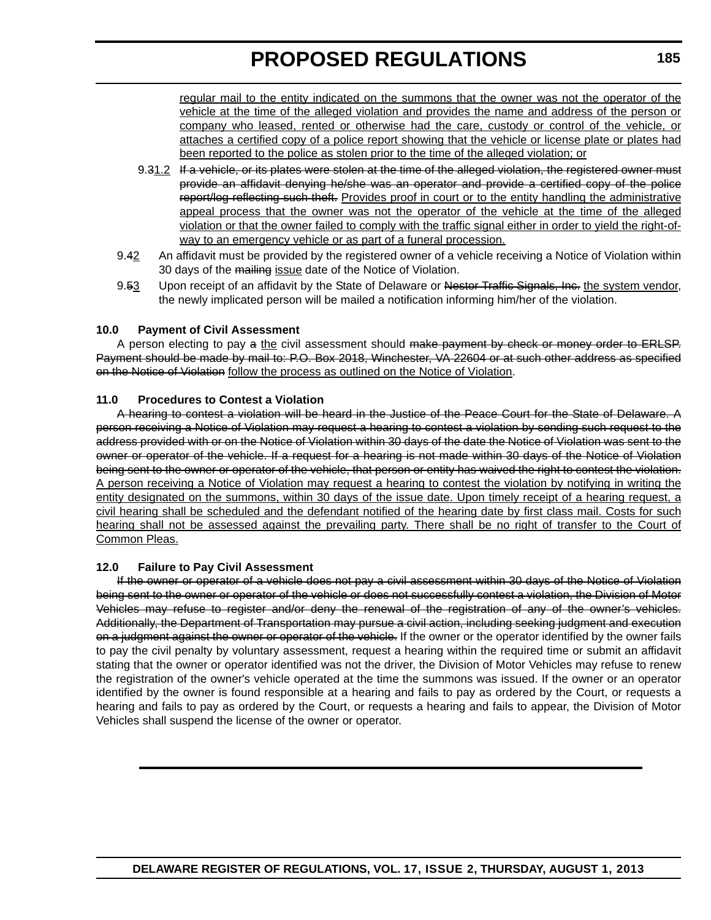regular mail to the entity indicated on the summons that the owner was not the operator of the vehicle at the time of the alleged violation and provides the name and address of the person or company who leased, rented or otherwise had the care, custody or control of the vehicle, or attaches a certified copy of a police report showing that the vehicle or license plate or plates had been reported to the police as stolen prior to the time of the alleged violation; or

- 9.31.2 If a vehicle, or its plates were stolen at the time of the alleged violation, the registered owner must provide an affidavit denying he/she was an operator and provide a certified copy of the police report/log reflecting such theft. Provides proof in court or to the entity handling the administrative appeal process that the owner was not the operator of the vehicle at the time of the alleged violation or that the owner failed to comply with the traffic signal either in order to yield the right-ofway to an emergency vehicle or as part of a funeral procession.
- 9.42 An affidavit must be provided by the registered owner of a vehicle receiving a Notice of Violation within 30 days of the mailing issue date of the Notice of Violation.
- 9.53 Upon receipt of an affidavit by the State of Delaware or Nestor Traffic Signals, Inc. the system vendor, the newly implicated person will be mailed a notification informing him/her of the violation.

# **10.0 Payment of Civil Assessment**

A person electing to pay a the civil assessment should make payment by check or money order to ERLSP. Payment should be made by mail to: P.O. Box 2018, Winchester, VA 22604 or at such other address as specified on the Notice of Violation follow the process as outlined on the Notice of Violation.

# **11.0 Procedures to Contest a Violation**

A hearing to contest a violation will be heard in the Justice of the Peace Court for the State of Delaware. A person receiving a Notice of Violation may request a hearing to contest a violation by sending such request to the address provided with or on the Notice of Violation within 30 days of the date the Notice of Violation was sent to the owner or operator of the vehicle. If a request for a hearing is not made within 30 days of the Notice of Violation being sent to the owner or operator of the vehicle, that person or entity has waived the right to contest the violation. A person receiving a Notice of Violation may request a hearing to contest the violation by notifying in writing the entity designated on the summons, within 30 days of the issue date. Upon timely receipt of a hearing request, a civil hearing shall be scheduled and the defendant notified of the hearing date by first class mail. Costs for such hearing shall not be assessed against the prevailing party. There shall be no right of transfer to the Court of Common Pleas.

# **12.0 Failure to Pay Civil Assessment**

If the owner or operator of a vehicle does not pay a civil assessment within 30 days of the Notice of Violation being sent to the owner or operator of the vehicle or does not successfully contest a violation, the Division of Motor Vehicles may refuse to register and/or deny the renewal of the registration of any of the owner's vehicles. Additionally, the Department of Transportation may pursue a civil action, including seeking judgment and execution on a judgment against the owner or operator of the vehicle. If the owner or the operator identified by the owner fails to pay the civil penalty by voluntary assessment, request a hearing within the required time or submit an affidavit stating that the owner or operator identified was not the driver, the Division of Motor Vehicles may refuse to renew the registration of the owner's vehicle operated at the time the summons was issued. If the owner or an operator identified by the owner is found responsible at a hearing and fails to pay as ordered by the Court, or requests a hearing and fails to pay as ordered by the Court, or requests a hearing and fails to appear, the Division of Motor Vehicles shall suspend the license of the owner or operator.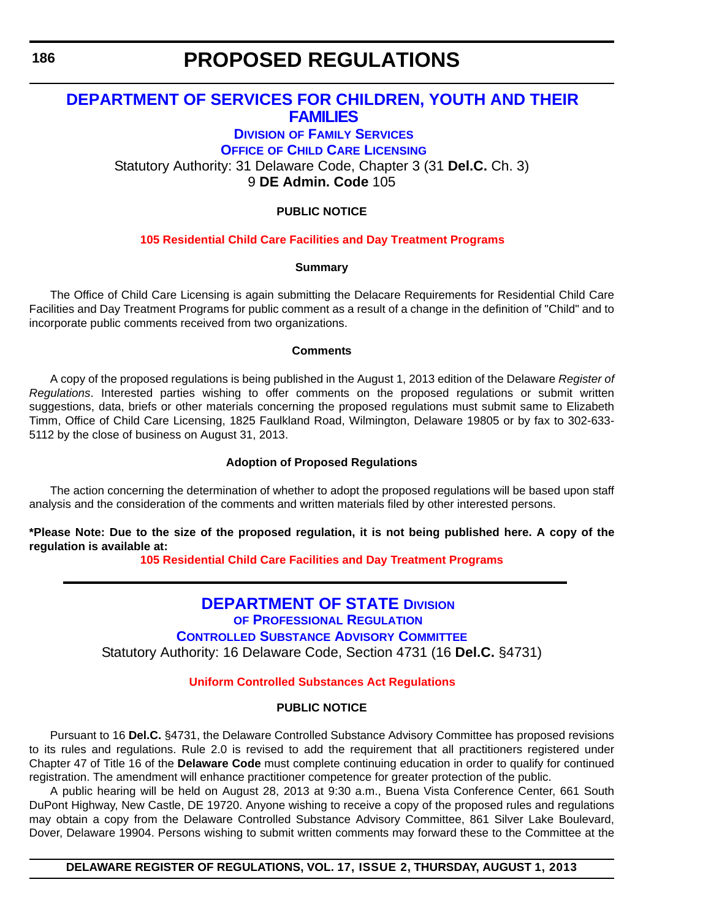**186**

# **PROPOSED REGULATIONS**

# **DEPARTMENT OF SERVICES FOR CHILDREN, YOUTH AND THEIR FAMILIES**

# **DIVISION OF FAMILY SERVICES OFFICE OF CHILD CARE LICENSING** Statutory Authority: 31 Delaware Code, Chapter 3 (31 **Del.C.** Ch. 3)

9 **DE Admin. Code** 105

# **PUBLIC NOTICE**

# **105 Residential Child Care Facilities [and Day Treatment Programs](#page-3-0)**

### **Summary**

The Office of Child Care Licensing is again submitting the Delacare Requirements for Residential Child Care Facilities and Day Treatment Programs for public comment as a result of a change in the definition of "Child" and to incorporate public comments received from two organizations.

### **Comments**

A copy of the proposed regulations is being published in the August 1, 2013 edition of the Delaware *Register of Regulations*. Interested parties wishing to offer comments on the proposed regulations or submit written suggestions, data, briefs or other materials concerning the proposed regulations must submit same to Elizabeth Timm, Office of Child Care Licensing, 1825 Faulkland Road, Wilmington, Delaware 19805 or by fax to 302-633- 5112 by the close of business on August 31, 2013.

### **Adoption of Proposed Regulations**

The action concerning the determination of whether to adopt the proposed regulations will be based upon staff analysis and the consideration of the comments and written materials filed by other interested persons.

**\*Please Note: Due to the size of the proposed regulation, it is not being published here. A copy of the regulation is available at:**

**[105 Residential Child Care Facilities and Day Treatment Programs](http://regulations.delaware.gov/register/august2013/proposed/17 DE Reg 186 08-01-13.htm)**

# **DEPARTMENT OF STATE DIVISION OF PROFESSIONAL REGULATION CONTROLLED SUBSTANCE ADVISORY COMMITTEE** Statutory Authority: 16 Delaware Code, Section 4731 (16 **Del.C.** §4731)

# **Uniform Controlled [Substances Act Regulations](#page-3-0)**

# **PUBLIC NOTICE**

Pursuant to 16 **Del.C.** §4731, the Delaware Controlled Substance Advisory Committee has proposed revisions to its rules and regulations. Rule 2.0 is revised to add the requirement that all practitioners registered under Chapter 47 of Title 16 of the **Delaware Code** must complete continuing education in order to qualify for continued registration. The amendment will enhance practitioner competence for greater protection of the public.

A public hearing will be held on August 28, 2013 at 9:30 a.m., Buena Vista Conference Center, 661 South DuPont Highway, New Castle, DE 19720. Anyone wishing to receive a copy of the proposed rules and regulations may obtain a copy from the Delaware Controlled Substance Advisory Committee, 861 Silver Lake Boulevard, Dover, Delaware 19904. Persons wishing to submit written comments may forward these to the Committee at the

**DELAWARE REGISTER OF REGULATIONS, VOL. 17, ISSUE 2, THURSDAY, AUGUST 1, 2013**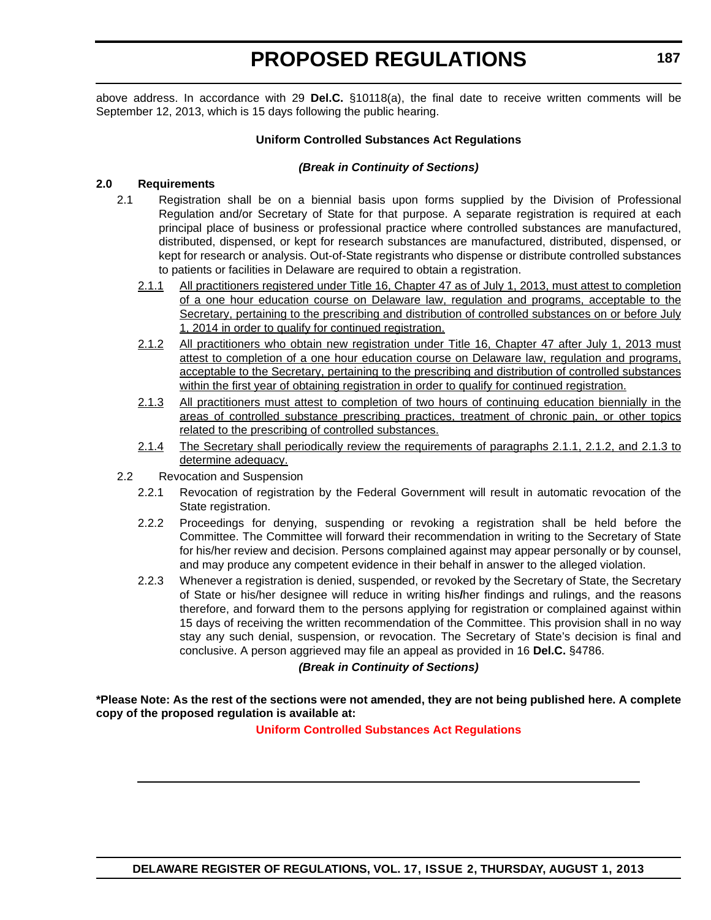above address. In accordance with 29 **Del.C.** §10118(a), the final date to receive written comments will be September 12, 2013, which is 15 days following the public hearing.

#### **Uniform Controlled Substances Act Regulations**

### *(Break in Continuity of Sections)*

### **2.0 Requirements**

- 2.1 Registration shall be on a biennial basis upon forms supplied by the Division of Professional Regulation and/or Secretary of State for that purpose. A separate registration is required at each principal place of business or professional practice where controlled substances are manufactured, distributed, dispensed, or kept for research substances are manufactured, distributed, dispensed, or kept for research or analysis. Out-of-State registrants who dispense or distribute controlled substances to patients or facilities in Delaware are required to obtain a registration.
	- 2.1.1 All practitioners registered under Title 16, Chapter 47 as of July 1, 2013, must attest to completion of a one hour education course on Delaware law, regulation and programs, acceptable to the Secretary, pertaining to the prescribing and distribution of controlled substances on or before July 1, 2014 in order to qualify for continued registration.
	- 2.1.2 All practitioners who obtain new registration under Title 16, Chapter 47 after July 1, 2013 must attest to completion of a one hour education course on Delaware law, regulation and programs, acceptable to the Secretary, pertaining to the prescribing and distribution of controlled substances within the first year of obtaining registration in order to qualify for continued registration.
	- 2.1.3 All practitioners must attest to completion of two hours of continuing education biennially in the areas of controlled substance prescribing practices, treatment of chronic pain, or other topics related to the prescribing of controlled substances.
	- 2.1.4 The Secretary shall periodically review the requirements of paragraphs 2.1.1, 2.1.2, and 2.1.3 to determine adequacy.
- 2.2 Revocation and Suspension
	- 2.2.1 Revocation of registration by the Federal Government will result in automatic revocation of the State registration.
	- 2.2.2 Proceedings for denying, suspending or revoking a registration shall be held before the Committee. The Committee will forward their recommendation in writing to the Secretary of State for his/her review and decision. Persons complained against may appear personally or by counsel, and may produce any competent evidence in their behalf in answer to the alleged violation.
	- 2.2.3 Whenever a registration is denied, suspended, or revoked by the Secretary of State, the Secretary of State or his/her designee will reduce in writing his**/**her findings and rulings, and the reasons therefore, and forward them to the persons applying for registration or complained against within 15 days of receiving the written recommendation of the Committee. This provision shall in no way stay any such denial, suspension, or revocation. The Secretary of State's decision is final and conclusive. A person aggrieved may file an appeal as provided in 16 **Del.C.** §4786.

# *(Break in Continuity of Sections)*

**\*Please Note: As the rest of the sections were not amended, they are not being published here. A complete copy of the proposed regulation is available at:**

**[Uniform Controlled Substances Act Regulations](http://regulations.delaware.gov/register/august2013/proposed/17 DE Reg 186a 08-01-13.htm)**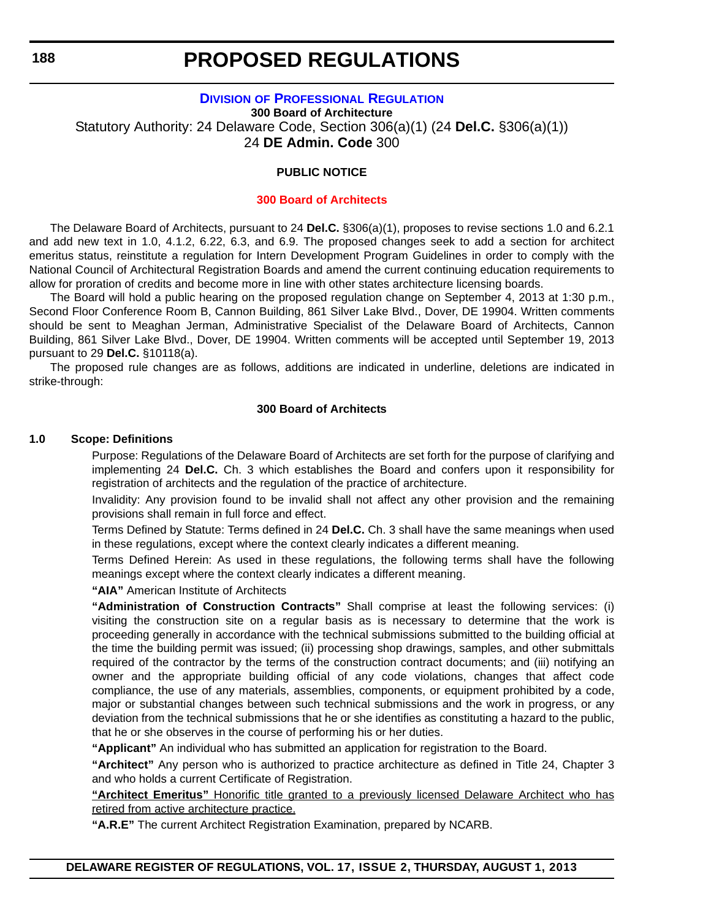# **DIVISION OF PROFESSIONAL REGULATION**

**300 Board of Architecture** Statutory Authority: 24 Delaware Code, Section 306(a)(1) (24 **Del.C.** §306(a)(1)) 24 **DE Admin. Code** 300

# **PUBLIC NOTICE**

#### **[300 Board of](#page-3-0) Architects**

The Delaware Board of Architects, pursuant to 24 **Del.C.** §306(a)(1), proposes to revise sections 1.0 and 6.2.1 and add new text in 1.0, 4.1.2, 6.22, 6.3, and 6.9. The proposed changes seek to add a section for architect emeritus status, reinstitute a regulation for Intern Development Program Guidelines in order to comply with the National Council of Architectural Registration Boards and amend the current continuing education requirements to allow for proration of credits and become more in line with other states architecture licensing boards.

The Board will hold a public hearing on the proposed regulation change on September 4, 2013 at 1:30 p.m., Second Floor Conference Room B, Cannon Building, 861 Silver Lake Blvd., Dover, DE 19904. Written comments should be sent to Meaghan Jerman, Administrative Specialist of the Delaware Board of Architects, Cannon Building, 861 Silver Lake Blvd., Dover, DE 19904. Written comments will be accepted until September 19, 2013 pursuant to 29 **Del.C.** §10118(a).

The proposed rule changes are as follows, additions are indicated in underline, deletions are indicated in strike-through:

### **300 Board of Architects**

#### **1.0 Scope: Definitions**

Purpose: Regulations of the Delaware Board of Architects are set forth for the purpose of clarifying and implementing 24 **Del.C.** Ch. 3 which establishes the Board and confers upon it responsibility for registration of architects and the regulation of the practice of architecture.

Invalidity: Any provision found to be invalid shall not affect any other provision and the remaining provisions shall remain in full force and effect.

Terms Defined by Statute: Terms defined in 24 **Del.C.** Ch. 3 shall have the same meanings when used in these regulations, except where the context clearly indicates a different meaning.

Terms Defined Herein: As used in these regulations, the following terms shall have the following meanings except where the context clearly indicates a different meaning.

### **"AIA"** American Institute of Architects

**"Administration of Construction Contracts"** Shall comprise at least the following services: (i) visiting the construction site on a regular basis as is necessary to determine that the work is proceeding generally in accordance with the technical submissions submitted to the building official at the time the building permit was issued; (ii) processing shop drawings, samples, and other submittals required of the contractor by the terms of the construction contract documents; and (iii) notifying an owner and the appropriate building official of any code violations, changes that affect code compliance, the use of any materials, assemblies, components, or equipment prohibited by a code, major or substantial changes between such technical submissions and the work in progress, or any deviation from the technical submissions that he or she identifies as constituting a hazard to the public, that he or she observes in the course of performing his or her duties.

**"Applicant"** An individual who has submitted an application for registration to the Board.

**"Architect"** Any person who is authorized to practice architecture as defined in Title 24, Chapter 3 and who holds a current Certificate of Registration.

**"Architect Emeritus"** Honorific title granted to a previously licensed Delaware Architect who has retired from active architecture practice.

**"A.R.E"** The current Architect Registration Examination, prepared by NCARB.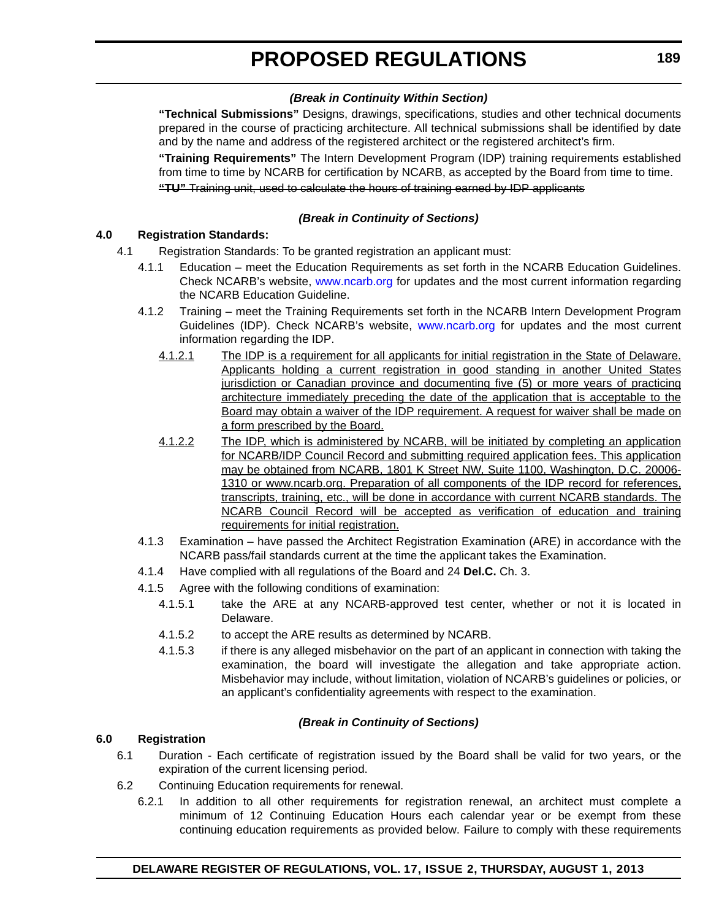# *(Break in Continuity Within Section)*

**"Technical Submissions"** Designs, drawings, specifications, studies and other technical documents prepared in the course of practicing architecture. All technical submissions shall be identified by date and by the name and address of the registered architect or the registered architect's firm.

**"Training Requirements"** The Intern Development Program (IDP) training requirements established from time to time by NCARB for certification by NCARB, as accepted by the Board from time to time.

### **"TU"** Training unit, used to calculate the hours of training earned by IDP applicants

### *(Break in Continuity of Sections)*

# **4.0 Registration Standards:**

- 4.1 Registration Standards: To be granted registration an applicant must:
	- 4.1.1 Education meet the Education Requirements as set forth in the NCARB Education Guidelines. Check NCARB's website, [www.ncarb.org](http://www.ncarb.org) for updates and the most current information regarding the NCARB Education Guideline.
	- 4.1.2 Training meet the Training Requirements set forth in the NCARB Intern Development Program Guidelines (IDP). Check NCARB's website, [www.ncarb.org](http://www.ncarb.org) for updates and the most current information regarding the IDP.
		- 4.1.2.1 The IDP is a requirement for all applicants for initial registration in the State of Delaware. Applicants holding a current registration in good standing in another United States jurisdiction or Canadian province and documenting five (5) or more years of practicing architecture immediately preceding the date of the application that is acceptable to the Board may obtain a waiver of the IDP requirement. A request for waiver shall be made on a form prescribed by the Board.
		- 4.1.2.2 The IDP, which is administered by NCARB, will be initiated by completing an application for NCARB/IDP Council Record and submitting required application fees. This application may be obtained from NCARB, 1801 K Street NW, Suite 1100, Washington, D.C. 20006- 1310 or [www.ncarb.org](http://www.ncarb.org). Preparation of all components of the IDP record for references, transcripts, training, etc., will be done in accordance with current NCARB standards. The NCARB Council Record will be accepted as verification of education and training requirements for initial registration.
	- 4.1.3 Examination have passed the Architect Registration Examination (ARE) in accordance with the NCARB pass/fail standards current at the time the applicant takes the Examination.
	- 4.1.4 Have complied with all regulations of the Board and 24 **Del.C.** Ch. 3.
	- 4.1.5 Agree with the following conditions of examination:
		- 4.1.5.1 take the ARE at any NCARB-approved test center, whether or not it is located in Delaware.
		- 4.1.5.2 to accept the ARE results as determined by NCARB.
		- 4.1.5.3 if there is any alleged misbehavior on the part of an applicant in connection with taking the examination, the board will investigate the allegation and take appropriate action. Misbehavior may include, without limitation, violation of NCARB's guidelines or policies, or an applicant's confidentiality agreements with respect to the examination.

# *(Break in Continuity of Sections)*

# **6.0 Registration**

- 6.1 Duration Each certificate of registration issued by the Board shall be valid for two years, or the expiration of the current licensing period.
- 6.2 Continuing Education requirements for renewal.
	- 6.2.1 In addition to all other requirements for registration renewal, an architect must complete a minimum of 12 Continuing Education Hours each calendar year or be exempt from these continuing education requirements as provided below. Failure to comply with these requirements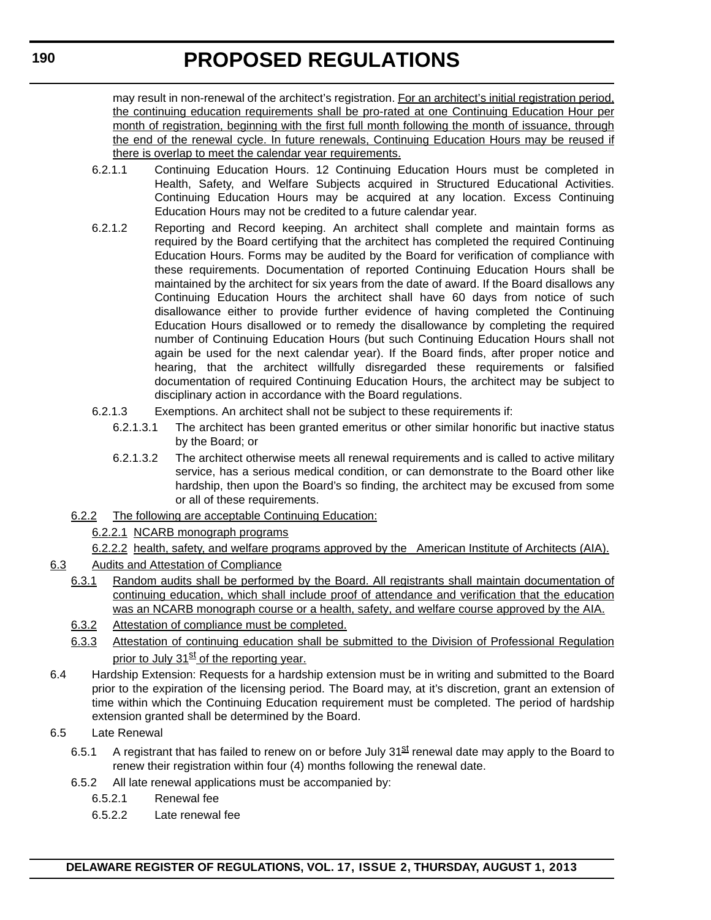may result in non-renewal of the architect's registration. For an architect's initial registration period, the continuing education requirements shall be pro-rated at one Continuing Education Hour per month of registration, beginning with the first full month following the month of issuance, through the end of the renewal cycle. In future renewals, Continuing Education Hours may be reused if there is overlap to meet the calendar year requirements.

- 6.2.1.1 Continuing Education Hours. 12 Continuing Education Hours must be completed in Health, Safety, and Welfare Subjects acquired in Structured Educational Activities. Continuing Education Hours may be acquired at any location. Excess Continuing Education Hours may not be credited to a future calendar year.
- 6.2.1.2 Reporting and Record keeping. An architect shall complete and maintain forms as required by the Board certifying that the architect has completed the required Continuing Education Hours. Forms may be audited by the Board for verification of compliance with these requirements. Documentation of reported Continuing Education Hours shall be maintained by the architect for six years from the date of award. If the Board disallows any Continuing Education Hours the architect shall have 60 days from notice of such disallowance either to provide further evidence of having completed the Continuing Education Hours disallowed or to remedy the disallowance by completing the required number of Continuing Education Hours (but such Continuing Education Hours shall not again be used for the next calendar year). If the Board finds, after proper notice and hearing, that the architect willfully disregarded these requirements or falsified documentation of required Continuing Education Hours, the architect may be subject to disciplinary action in accordance with the Board regulations.
- 6.2.1.3 Exemptions. An architect shall not be subject to these requirements if:
	- 6.2.1.3.1 The architect has been granted emeritus or other similar honorific but inactive status by the Board; or
	- 6.2.1.3.2 The architect otherwise meets all renewal requirements and is called to active military service, has a serious medical condition, or can demonstrate to the Board other like hardship, then upon the Board's so finding, the architect may be excused from some or all of these requirements.
- 6.2.2 The following are acceptable Continuing Education:
	- 6.2.2.1 NCARB monograph programs

```
6.2.2.2 health, safety, and welfare programs approved by the American Institute of Architects (AIA).
```
- 6.3 Audits and Attestation of Compliance
	- 6.3.1 Random audits shall be performed by the Board. All registrants shall maintain documentation of continuing education, which shall include proof of attendance and verification that the education was an NCARB monograph course or a health, safety, and welfare course approved by the AIA.
	- 6.3.2 Attestation of compliance must be completed.
	- 6.3.3 Attestation of continuing education shall be submitted to the Division of Professional Regulation prior to July 31<sup>st</sup> of the reporting year.
- 6.4 Hardship Extension: Requests for a hardship extension must be in writing and submitted to the Board prior to the expiration of the licensing period. The Board may, at it's discretion, grant an extension of time within which the Continuing Education requirement must be completed. The period of hardship extension granted shall be determined by the Board.
- 6.5 Late Renewal
	- 6.5.1 A registrant that has failed to renew on or before July 31 $^{81}$  renewal date may apply to the Board to renew their registration within four (4) months following the renewal date.
	- 6.5.2 All late renewal applications must be accompanied by:
		- 6.5.2.1 Renewal fee
		- 6.5.2.2 Late renewal fee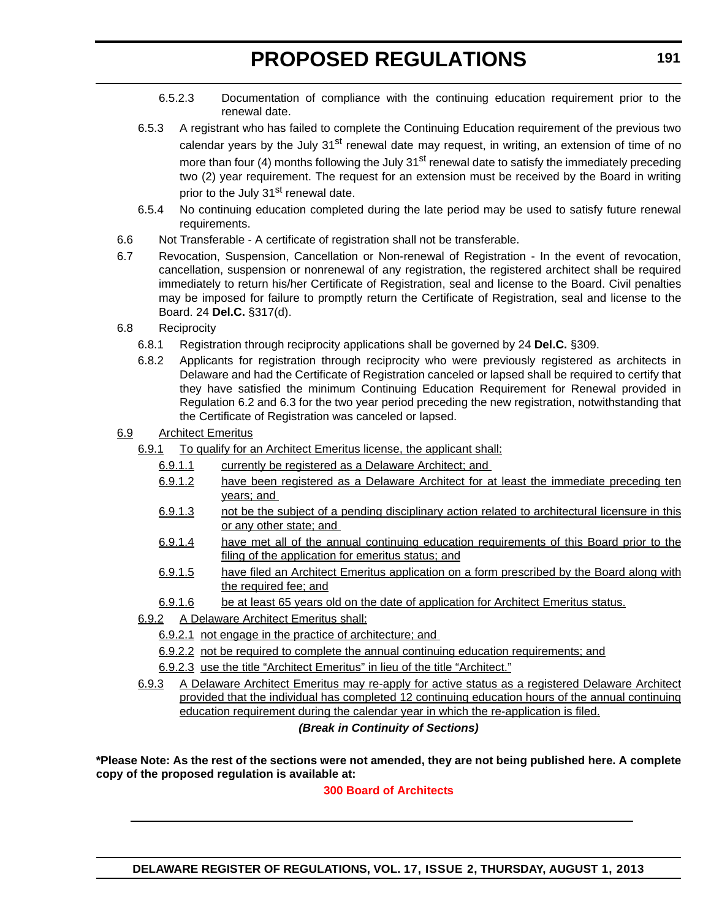- 6.5.2.3 Documentation of compliance with the continuing education requirement prior to the renewal date.
- 6.5.3 A registrant who has failed to complete the Continuing Education requirement of the previous two calendar years by the July  $31<sup>st</sup>$  renewal date may request, in writing, an extension of time of no more than four (4) months following the July 31<sup>st</sup> renewal date to satisfy the immediately preceding two (2) year requirement. The request for an extension must be received by the Board in writing prior to the July 31<sup>st</sup> renewal date.
- 6.5.4 No continuing education completed during the late period may be used to satisfy future renewal requirements.
- 6.6 Not Transferable A certificate of registration shall not be transferable.
- 6.7 Revocation, Suspension, Cancellation or Non-renewal of Registration In the event of revocation, cancellation, suspension or nonrenewal of any registration, the registered architect shall be required immediately to return his/her Certificate of Registration, seal and license to the Board. Civil penalties may be imposed for failure to promptly return the Certificate of Registration, seal and license to the Board. 24 **Del.C.** §317(d).
- 6.8 Reciprocity
	- 6.8.1 Registration through reciprocity applications shall be governed by 24 **Del.C.** §309.
	- 6.8.2 Applicants for registration through reciprocity who were previously registered as architects in Delaware and had the Certificate of Registration canceled or lapsed shall be required to certify that they have satisfied the minimum Continuing Education Requirement for Renewal provided in Regulation 6.2 and 6.3 for the two year period preceding the new registration, notwithstanding that the Certificate of Registration was canceled or lapsed.
- 6.9 Architect Emeritus
	- 6.9.1 To qualify for an Architect Emeritus license, the applicant shall:
		- 6.9.1.1 currently be registered as a Delaware Architect; and
		- 6.9.1.2 have been registered as a Delaware Architect for at least the immediate preceding ten years; and
		- 6.9.1.3 not be the subject of a pending disciplinary action related to architectural licensure in this or any other state; and
		- 6.9.1.4 have met all of the annual continuing education requirements of this Board prior to the filing of the application for emeritus status; and
		- 6.9.1.5 have filed an Architect Emeritus application on a form prescribed by the Board along with the required fee; and
		- 6.9.1.6 be at least 65 years old on the date of application for Architect Emeritus status.
	- 6.9.2 A Delaware Architect Emeritus shall:
		- 6.9.2.1 not engage in the practice of architecture; and
		- 6.9.2.2 not be required to complete the annual continuing education requirements; and
		- 6.9.2.3 use the title "Architect Emeritus" in lieu of the title "Architect."
	- 6.9.3 A Delaware Architect Emeritus may re-apply for active status as a registered Delaware Architect provided that the individual has completed 12 continuing education hours of the annual continuing education requirement during the calendar year in which the re-application is filed.

### *(Break in Continuity of Sections)*

**\*Please Note: As the rest of the sections were not amended, they are not being published here. A complete copy of the proposed regulation is available at:**

### **[300 Board of Architects](http://regulations.delaware.gov/register/august2013/proposed/17 DE Reg 188 08-01-13.htm)**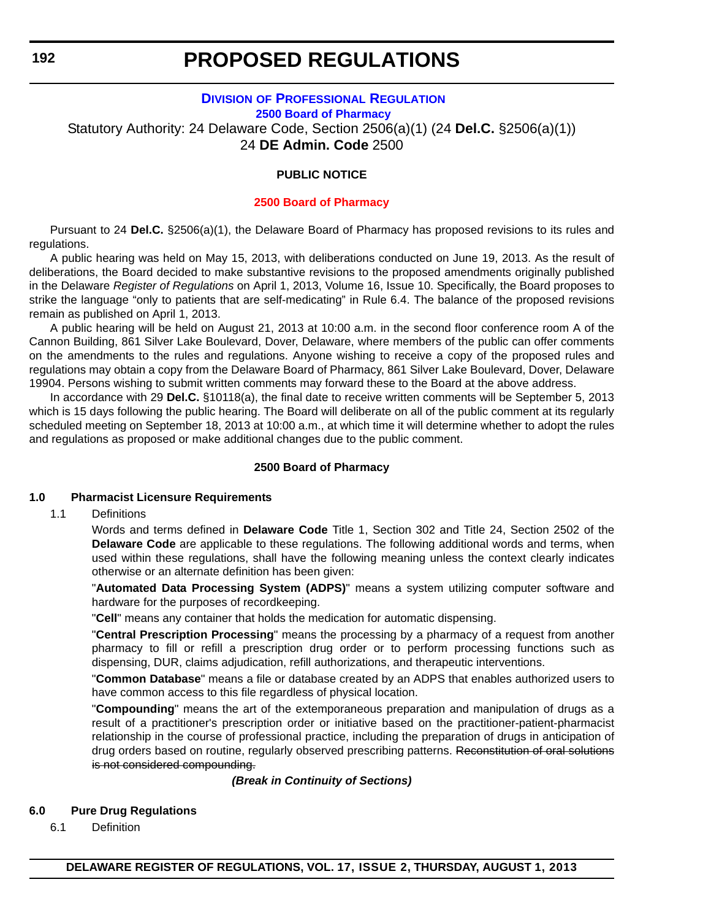### **DIVISION OF PROFESSIONAL REGULATION 2500 Board of Pharmacy** Statutory Authority: 24 Delaware Code, Section 2506(a)(1) (24 **Del.C.** §2506(a)(1)) 24 **DE Admin. Code** 2500

### **PUBLIC NOTICE**

#### **2500 Board [of Pharmacy](#page-3-0)**

Pursuant to 24 **Del.C.** §2506(a)(1), the Delaware Board of Pharmacy has proposed revisions to its rules and regulations.

A public hearing was held on May 15, 2013, with deliberations conducted on June 19, 2013. As the result of deliberations, the Board decided to make substantive revisions to the proposed amendments originally published in the Delaware *Register of Regulations* on April 1, 2013, Volume 16, Issue 10. Specifically, the Board proposes to strike the language "only to patients that are self-medicating" in Rule 6.4. The balance of the proposed revisions remain as published on April 1, 2013.

A public hearing will be held on August 21, 2013 at 10:00 a.m. in the second floor conference room A of the Cannon Building, 861 Silver Lake Boulevard, Dover, Delaware, where members of the public can offer comments on the amendments to the rules and regulations. Anyone wishing to receive a copy of the proposed rules and regulations may obtain a copy from the Delaware Board of Pharmacy, 861 Silver Lake Boulevard, Dover, Delaware 19904. Persons wishing to submit written comments may forward these to the Board at the above address.

In accordance with 29 **Del.C.** §10118(a), the final date to receive written comments will be September 5, 2013 which is 15 days following the public hearing. The Board will deliberate on all of the public comment at its regularly scheduled meeting on September 18, 2013 at 10:00 a.m., at which time it will determine whether to adopt the rules and regulations as proposed or make additional changes due to the public comment.

#### **2500 Board of Pharmacy**

#### **1.0 Pharmacist Licensure Requirements**

1.1 Definitions

Words and terms defined in **Delaware Code** Title 1, Section 302 and Title 24, Section 2502 of the **Delaware Code** are applicable to these regulations. The following additional words and terms, when used within these regulations, shall have the following meaning unless the context clearly indicates otherwise or an alternate definition has been given:

"**Automated Data Processing System (ADPS)**" means a system utilizing computer software and hardware for the purposes of recordkeeping.

"**Cell**" means any container that holds the medication for automatic dispensing.

"**Central Prescription Processing**" means the processing by a pharmacy of a request from another pharmacy to fill or refill a prescription drug order or to perform processing functions such as dispensing, DUR, claims adjudication, refill authorizations, and therapeutic interventions.

"**Common Database**" means a file or database created by an ADPS that enables authorized users to have common access to this file regardless of physical location.

"**Compounding**" means the art of the extemporaneous preparation and manipulation of drugs as a result of a practitioner's prescription order or initiative based on the practitioner-patient-pharmacist relationship in the course of professional practice, including the preparation of drugs in anticipation of drug orders based on routine, regularly observed prescribing patterns. Reconstitution of oral solutions is not considered compounding.

*(Break in Continuity of Sections)*

### **6.0 Pure Drug Regulations**

6.1 Definition

**DELAWARE REGISTER OF REGULATIONS, VOL. 17, ISSUE 2, THURSDAY, AUGUST 1, 2013**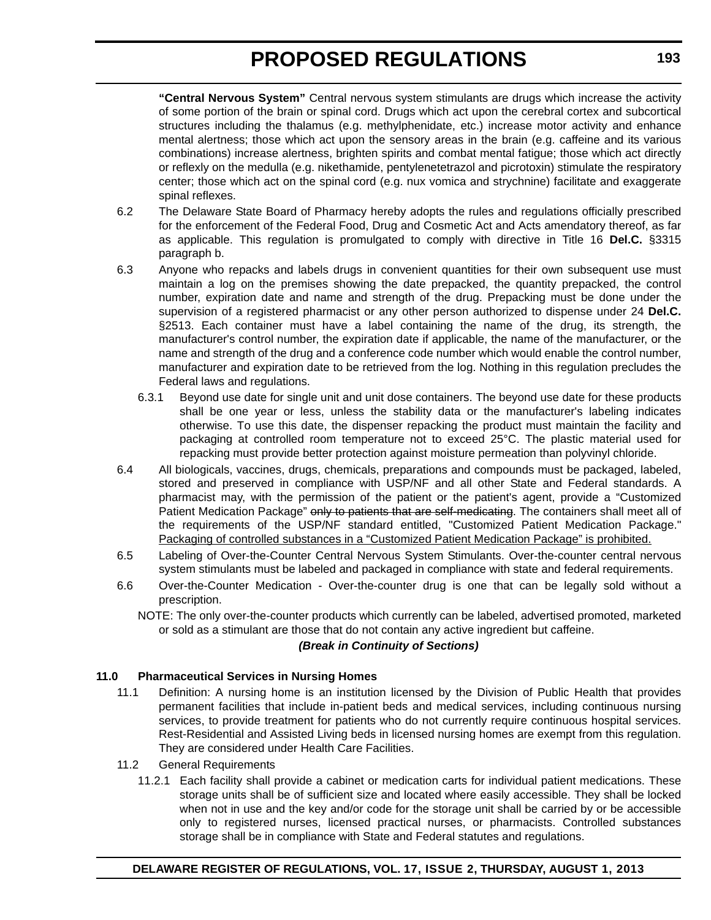**"Central Nervous System"** Central nervous system stimulants are drugs which increase the activity of some portion of the brain or spinal cord. Drugs which act upon the cerebral cortex and subcortical structures including the thalamus (e.g. methylphenidate, etc.) increase motor activity and enhance mental alertness; those which act upon the sensory areas in the brain (e.g. caffeine and its various combinations) increase alertness, brighten spirits and combat mental fatigue; those which act directly or reflexly on the medulla (e.g. nikethamide, pentylenetetrazol and picrotoxin) stimulate the respiratory center; those which act on the spinal cord (e.g. nux vomica and strychnine) facilitate and exaggerate spinal reflexes.

- 6.2 The Delaware State Board of Pharmacy hereby adopts the rules and regulations officially prescribed for the enforcement of the Federal Food, Drug and Cosmetic Act and Acts amendatory thereof, as far as applicable. This regulation is promulgated to comply with directive in Title 16 **Del.C.** §3315 paragraph b.
- 6.3 Anyone who repacks and labels drugs in convenient quantities for their own subsequent use must maintain a log on the premises showing the date prepacked, the quantity prepacked, the control number, expiration date and name and strength of the drug. Prepacking must be done under the supervision of a registered pharmacist or any other person authorized to dispense under 24 **Del.C.** §2513. Each container must have a label containing the name of the drug, its strength, the manufacturer's control number, the expiration date if applicable, the name of the manufacturer, or the name and strength of the drug and a conference code number which would enable the control number, manufacturer and expiration date to be retrieved from the log. Nothing in this regulation precludes the Federal laws and regulations.
	- 6.3.1 Beyond use date for single unit and unit dose containers. The beyond use date for these products shall be one year or less, unless the stability data or the manufacturer's labeling indicates otherwise. To use this date, the dispenser repacking the product must maintain the facility and packaging at controlled room temperature not to exceed 25°C. The plastic material used for repacking must provide better protection against moisture permeation than polyvinyl chloride.
- 6.4 All biologicals, vaccines, drugs, chemicals, preparations and compounds must be packaged, labeled, stored and preserved in compliance with USP/NF and all other State and Federal standards. A pharmacist may, with the permission of the patient or the patient's agent, provide a "Customized Patient Medication Package" only to patients that are self-medicating. The containers shall meet all of the requirements of the USP/NF standard entitled, "Customized Patient Medication Package." Packaging of controlled substances in a "Customized Patient Medication Package" is prohibited.
- 6.5 Labeling of Over-the-Counter Central Nervous System Stimulants. Over-the-counter central nervous system stimulants must be labeled and packaged in compliance with state and federal requirements.
- 6.6 Over-the-Counter Medication Over-the-counter drug is one that can be legally sold without a prescription.
	- NOTE: The only over-the-counter products which currently can be labeled, advertised promoted, marketed or sold as a stimulant are those that do not contain any active ingredient but caffeine.

### *(Break in Continuity of Sections)*

### **11.0 Pharmaceutical Services in Nursing Homes**

- 11.1 Definition: A nursing home is an institution licensed by the Division of Public Health that provides permanent facilities that include in-patient beds and medical services, including continuous nursing services, to provide treatment for patients who do not currently require continuous hospital services. Rest-Residential and Assisted Living beds in licensed nursing homes are exempt from this regulation. They are considered under Health Care Facilities.
- 11.2 General Requirements
	- 11.2.1 Each facility shall provide a cabinet or medication carts for individual patient medications. These storage units shall be of sufficient size and located where easily accessible. They shall be locked when not in use and the key and/or code for the storage unit shall be carried by or be accessible only to registered nurses, licensed practical nurses, or pharmacists. Controlled substances storage shall be in compliance with State and Federal statutes and regulations.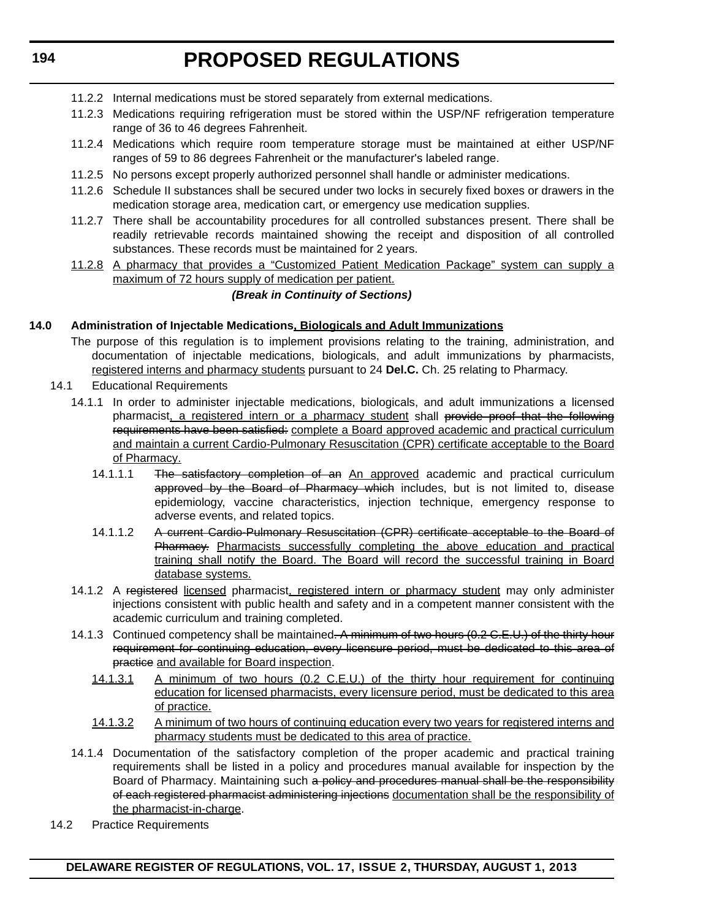- 11.2.2 Internal medications must be stored separately from external medications.
- 11.2.3 Medications requiring refrigeration must be stored within the USP/NF refrigeration temperature range of 36 to 46 degrees Fahrenheit.
- 11.2.4 Medications which require room temperature storage must be maintained at either USP/NF ranges of 59 to 86 degrees Fahrenheit or the manufacturer's labeled range.
- 11.2.5 No persons except properly authorized personnel shall handle or administer medications.
- 11.2.6 Schedule II substances shall be secured under two locks in securely fixed boxes or drawers in the medication storage area, medication cart, or emergency use medication supplies.
- 11.2.7 There shall be accountability procedures for all controlled substances present. There shall be readily retrievable records maintained showing the receipt and disposition of all controlled substances. These records must be maintained for 2 years.
- 11.2.8 A pharmacy that provides a "Customized Patient Medication Package" system can supply a maximum of 72 hours supply of medication per patient.

### *(Break in Continuity of Sections)*

### **14.0 Administration of Injectable Medications, Biologicals and Adult Immunizations**

- The purpose of this regulation is to implement provisions relating to the training, administration, and documentation of injectable medications, biologicals, and adult immunizations by pharmacists, registered interns and pharmacy students pursuant to 24 **Del.C.** Ch. 25 relating to Pharmacy.
- 14.1 Educational Requirements
	- 14.1.1 In order to administer injectable medications, biologicals, and adult immunizations a licensed pharmacist, a registered intern or a pharmacy student shall provide proof that the following requirements have been satisfied: complete a Board approved academic and practical curriculum and maintain a current Cardio-Pulmonary Resuscitation (CPR) certificate acceptable to the Board of Pharmacy.
		- 14.1.1.1 The satisfactory completion of an An approved academic and practical curriculum approved by the Board of Pharmacy which includes, but is not limited to, disease epidemiology, vaccine characteristics, injection technique, emergency response to adverse events, and related topics.
		- 14.1.1.2 A current Cardio-Pulmonary Resuscitation (CPR) certificate acceptable to the Board of Pharmacy. Pharmacists successfully completing the above education and practical training shall notify the Board. The Board will record the successful training in Board database systems.
	- 14.1.2 A registered licensed pharmacist, registered intern or pharmacy student may only administer injections consistent with public health and safety and in a competent manner consistent with the academic curriculum and training completed.
	- 14.1.3 Continued competency shall be maintained. A minimum of two hours (0.2 G.E.U.) of the thirty hour requirement for continuing education, every licensure period, must be dedicated to this area of practice and available for Board inspection.
		- 14.1.3.1 A minimum of two hours (0.2 C.E.U.) of the thirty hour requirement for continuing education for licensed pharmacists, every licensure period, must be dedicated to this area of practice.
		- 14.1.3.2 A minimum of two hours of continuing education every two years for registered interns and pharmacy students must be dedicated to this area of practice.
	- 14.1.4 Documentation of the satisfactory completion of the proper academic and practical training requirements shall be listed in a policy and procedures manual available for inspection by the Board of Pharmacy. Maintaining such a policy and procedures manual shall be the responsibility of each registered pharmacist administering injections documentation shall be the responsibility of the pharmacist-in-charge.
- 14.2 Practice Requirements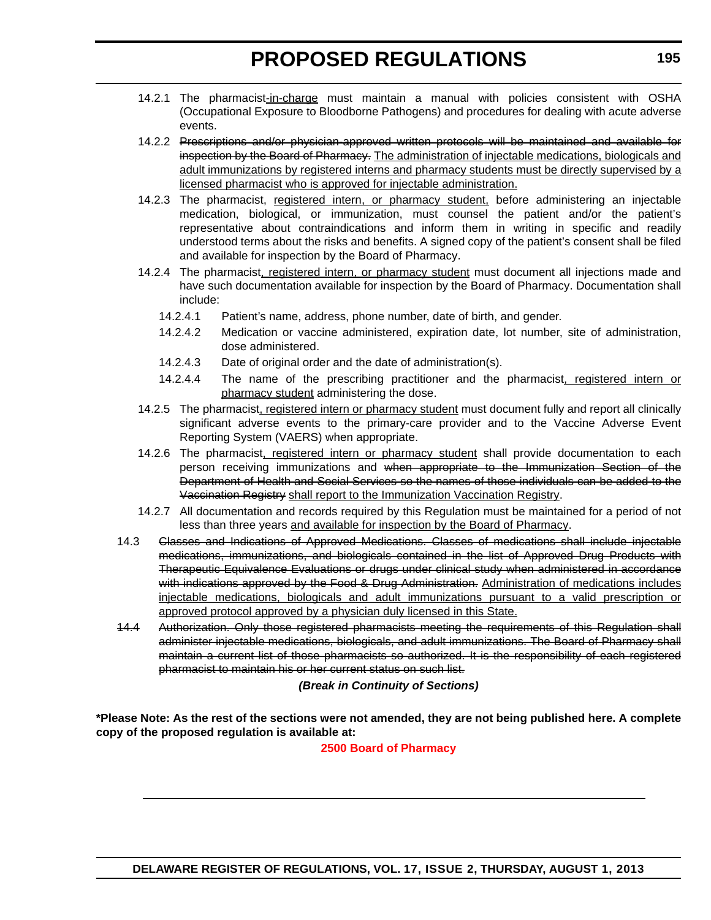- 14.2.1 The pharmacist-in-charge must maintain a manual with policies consistent with OSHA (Occupational Exposure to Bloodborne Pathogens) and procedures for dealing with acute adverse events.
- 14.2.2 Prescriptions and/or physician-approved written protocols will be maintained and available for inspection by the Board of Pharmacy. The administration of injectable medications, biologicals and adult immunizations by registered interns and pharmacy students must be directly supervised by a licensed pharmacist who is approved for injectable administration.
- 14.2.3 The pharmacist, registered intern, or pharmacy student, before administering an injectable medication, biological, or immunization, must counsel the patient and/or the patient's representative about contraindications and inform them in writing in specific and readily understood terms about the risks and benefits. A signed copy of the patient's consent shall be filed and available for inspection by the Board of Pharmacy.
- 14.2.4 The pharmacist, registered intern, or pharmacy student must document all injections made and have such documentation available for inspection by the Board of Pharmacy. Documentation shall include:
	- 14.2.4.1 Patient's name, address, phone number, date of birth, and gender.
	- 14.2.4.2 Medication or vaccine administered, expiration date, lot number, site of administration, dose administered.
	- 14.2.4.3 Date of original order and the date of administration(s).
	- 14.2.4.4 The name of the prescribing practitioner and the pharmacist, registered intern or pharmacy student administering the dose.
- 14.2.5 The pharmacist, registered intern or pharmacy student must document fully and report all clinically significant adverse events to the primary-care provider and to the Vaccine Adverse Event Reporting System (VAERS) when appropriate.
- 14.2.6 The pharmacist, registered intern or pharmacy student shall provide documentation to each person receiving immunizations and when appropriate to the Immunization Section of the Department of Health and Social Services so the names of those individuals can be added to the Vaccination Registry shall report to the Immunization Vaccination Registry.
- 14.2.7 All documentation and records required by this Regulation must be maintained for a period of not less than three years and available for inspection by the Board of Pharmacy.
- 14.3 Classes and Indications of Approved Medications. Classes of medications shall include injectable medications, immunizations, and biologicals contained in the list of Approved Drug Products with Therapeutic Equivalence Evaluations or drugs under clinical study when administered in accordance with indications approved by the Food & Drug Administration. Administration of medications includes injectable medications, biologicals and adult immunizations pursuant to a valid prescription or approved protocol approved by a physician duly licensed in this State.
- 14.4 Authorization. Only those registered pharmacists meeting the requirements of this Regulation shall administer injectable medications, biologicals, and adult immunizations. The Board of Pharmacy shall maintain a current list of those pharmacists so authorized. It is the responsibility of each registered pharmacist to maintain his or her current status on such list.

*(Break in Continuity of Sections)*

**\*Please Note: As the rest of the sections were not amended, they are not being published here. A complete copy of the proposed regulation is available at:**

### **[2500 Board of Pharmacy](http://regulations.delaware.gov/register/august2013/proposed/17 DE Reg 192 08-01-13.htm)**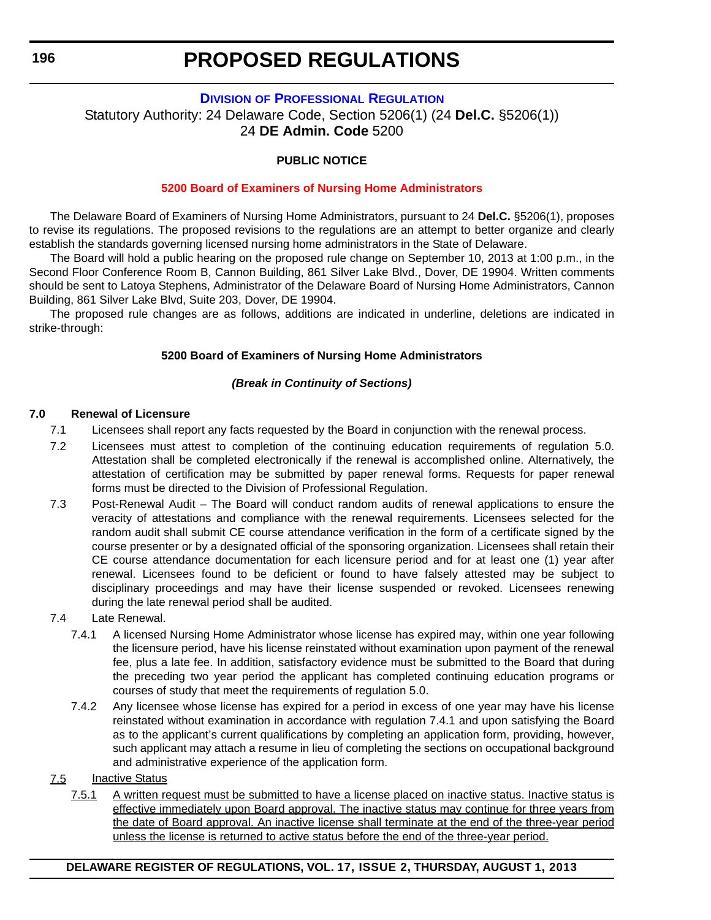### **DIVISION OF PROFESSIONAL REGULATION**

Statutory Authority: 24 Delaware Code, Section 5206(1) (24 **Del.C.** §5206(1)) 24 **DE Admin. Code** 5200

### **PUBLIC NOTICE**

### **5200 Board of Examiners of [Nursing Home Administrators](#page-3-0)**

The Delaware Board of Examiners of Nursing Home Administrators, pursuant to 24 **Del.C.** §5206(1), proposes to revise its regulations. The proposed revisions to the regulations are an attempt to better organize and clearly establish the standards governing licensed nursing home administrators in the State of Delaware.

The Board will hold a public hearing on the proposed rule change on September 10, 2013 at 1:00 p.m., in the Second Floor Conference Room B, Cannon Building, 861 Silver Lake Blvd., Dover, DE 19904. Written comments should be sent to Latoya Stephens, Administrator of the Delaware Board of Nursing Home Administrators, Cannon Building, 861 Silver Lake Blvd, Suite 203, Dover, DE 19904.

The proposed rule changes are as follows, additions are indicated in underline, deletions are indicated in strike-through:

#### **5200 Board of Examiners of Nursing Home Administrators**

### *(Break in Continuity of Sections)*

#### **7.0 Renewal of Licensure**

- 7.1 Licensees shall report any facts requested by the Board in conjunction with the renewal process.
- 7.2 Licensees must attest to completion of the continuing education requirements of regulation 5.0. Attestation shall be completed electronically if the renewal is accomplished online. Alternatively, the attestation of certification may be submitted by paper renewal forms. Requests for paper renewal forms must be directed to the Division of Professional Regulation.
- 7.3 Post-Renewal Audit The Board will conduct random audits of renewal applications to ensure the veracity of attestations and compliance with the renewal requirements. Licensees selected for the random audit shall submit CE course attendance verification in the form of a certificate signed by the course presenter or by a designated official of the sponsoring organization. Licensees shall retain their CE course attendance documentation for each licensure period and for at least one (1) year after renewal. Licensees found to be deficient or found to have falsely attested may be subject to disciplinary proceedings and may have their license suspended or revoked. Licensees renewing during the late renewal period shall be audited.

### 7.4 Late Renewal.

- 7.4.1 A licensed Nursing Home Administrator whose license has expired may, within one year following the licensure period, have his license reinstated without examination upon payment of the renewal fee, plus a late fee. In addition, satisfactory evidence must be submitted to the Board that during the preceding two year period the applicant has completed continuing education programs or courses of study that meet the requirements of regulation 5.0.
- 7.4.2 Any licensee whose license has expired for a period in excess of one year may have his license reinstated without examination in accordance with regulation 7.4.1 and upon satisfying the Board as to the applicant's current qualifications by completing an application form, providing, however, such applicant may attach a resume in lieu of completing the sections on occupational background and administrative experience of the application form.
- 7.5 Inactive Status
	- 7.5.1 A written request must be submitted to have a license placed on inactive status. Inactive status is effective immediately upon Board approval. The inactive status may continue for three years from the date of Board approval. An inactive license shall terminate at the end of the three-year period unless the license is returned to active status before the end of the three-year period.

### **DELAWARE REGISTER OF REGULATIONS, VOL. 17, ISSUE 2, THURSDAY, AUGUST 1, 2013**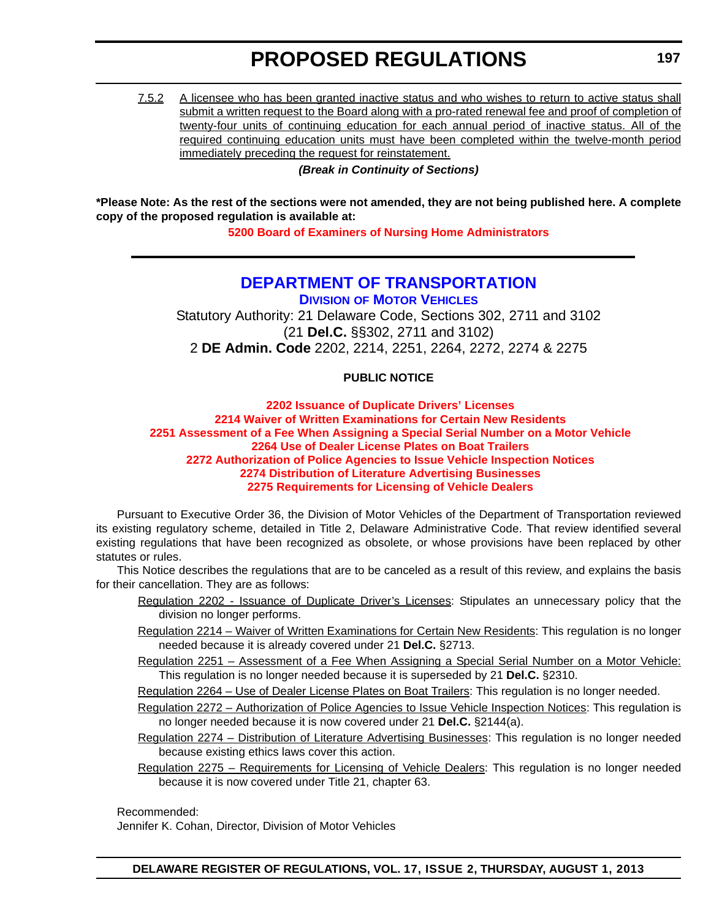7.5.2 A licensee who has been granted inactive status and who wishes to return to active status shall submit a written request to the Board along with a pro-rated renewal fee and proof of completion of twenty-four units of continuing education for each annual period of inactive status. All of the required continuing education units must have been completed within the twelve-month period immediately preceding the request for reinstatement.

*(Break in Continuity of Sections)*

**\*Please Note: As the rest of the sections were not amended, they are not being published here. A complete copy of the proposed regulation is available at:**

**<5200 Board of Examiners of Nursing Home Administrators>**

### **DEPARTMENT OF TRANSPORTATION**

**DIVISION OF MOTOR VEHICLES** Statutory Authority: 21 Delaware Code, Sections 302, 2711 and 3102 (21 **Del.C.** §§302, 2711 and 3102)

2 **DE Admin. Code** 2202, 2214, 2251, 2264, 2272, 2274 & 2275

### **PUBLIC NOTICE**

**2202 Issuance of Duplicate Drivers' Licenses 2214 Waiver of Written Examinations for Certain New Residents 2251 Assessment of [a Fee When Assigning a Special Serial Number](#page-3-0) on a Motor Vehicle 2264 Use of Dealer License Plates on Boat Trailers 2272 Authorization of Police Agencies to Issue Vehicle Inspection Notices 2274 Distribution of Literature Advertising Businesses 2275 Requirements for Licensing of Vehicle Dealers**

Pursuant to Executive Order 36, the Division of Motor Vehicles of the Department of Transportation reviewed its existing regulatory scheme, detailed in Title 2, Delaware Administrative Code. That review identified several existing regulations that have been recognized as obsolete, or whose provisions have been replaced by other statutes or rules.

This Notice describes the regulations that are to be canceled as a result of this review, and explains the basis for their cancellation. They are as follows:

- Regulation 2202 Issuance of Duplicate Driver's Licenses: Stipulates an unnecessary policy that the division no longer performs.
- Regulation 2214 Waiver of Written Examinations for Certain New Residents: This regulation is no longer needed because it is already covered under 21 **Del.C.** §2713.
- Regulation 2251 Assessment of a Fee When Assigning a Special Serial Number on a Motor Vehicle: This regulation is no longer needed because it is superseded by 21 **Del.C.** §2310.

Regulation 2264 – Use of Dealer License Plates on Boat Trailers: This regulation is no longer needed.

- Regulation 2272 Authorization of Police Agencies to Issue Vehicle Inspection Notices: This regulation is no longer needed because it is now covered under 21 **Del.C.** §2144(a).
- Regulation 2274 Distribution of Literature Advertising Businesses: This regulation is no longer needed because existing ethics laws cover this action.
- Regulation 2275 Requirements for Licensing of Vehicle Dealers: This regulation is no longer needed because it is now covered under Title 21, chapter 63.

Recommended:

Jennifer K. Cohan, Director, Division of Motor Vehicles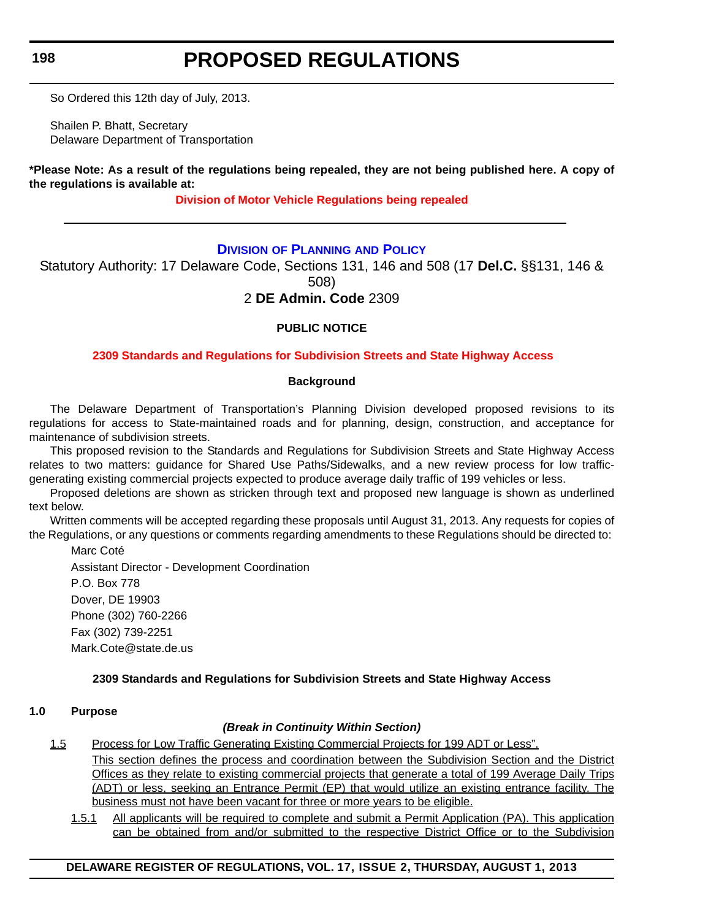**198**

### **PROPOSED REGULATIONS**

So Ordered this 12th day of July, 2013.

Shailen P. Bhatt, Secretary Delaware Department of Transportation

**\*Please Note: As a result of the regulations being repealed, they are not being published here. A copy of the regulations is available at:**

**[Division of Motor Vehicle Regulations being repealed](http://regulations.delaware.gov/register/august2013/proposed/17 DE Reg 197 08-01-13.htm)**

### **DIVISION OF PLANNING AND POLICY**

Statutory Authority: 17 Delaware Code, Sections 131, 146 and 508 (17 **Del.C.** §§131, 146 & 508)

### 2 **DE Admin. Code** 2309

### **PUBLIC NOTICE**

### **2309 Standards and Regulations for [Subdivision Streets](#page-3-0) and State Highway Access**

### **Background**

The Delaware Department of Transportation's Planning Division developed proposed revisions to its regulations for access to State-maintained roads and for planning, design, construction, and acceptance for maintenance of subdivision streets.

This proposed revision to the Standards and Regulations for Subdivision Streets and State Highway Access relates to two matters: guidance for Shared Use Paths/Sidewalks, and a new review process for low trafficgenerating existing commercial projects expected to produce average daily traffic of 199 vehicles or less.

Proposed deletions are shown as stricken through text and proposed new language is shown as underlined text below.

Written comments will be accepted regarding these proposals until August 31, 2013. Any requests for copies of the Regulations, or any questions or comments regarding amendments to these Regulations should be directed to:

Marc Coté

Assistant Director - Development Coordination P.O. Box 778 Dover, DE 19903 Phone (302) 760-2266 Fax (302) 739-2251 Mark.Cote@state.de.us

### **2309 Standards and Regulations for Subdivision Streets and State Highway Access**

#### **1.0 Purpose**

### *(Break in Continuity Within Section)*

- 1.5 Process for Low Traffic Generating Existing Commercial Projects for 199 ADT or Less". This section defines the process and coordination between the Subdivision Section and the District Offices as they relate to existing commercial projects that generate a total of 199 Average Daily Trips (ADT) or less, seeking an Entrance Permit (EP) that would utilize an existing entrance facility. The business must not have been vacant for three or more years to be eligible.
	- 1.5.1 All applicants will be required to complete and submit a Permit Application (PA). This application can be obtained from and/or submitted to the respective District Office or to the Subdivision

### **DELAWARE REGISTER OF REGULATIONS, VOL. 17, ISSUE 2, THURSDAY, AUGUST 1, 2013**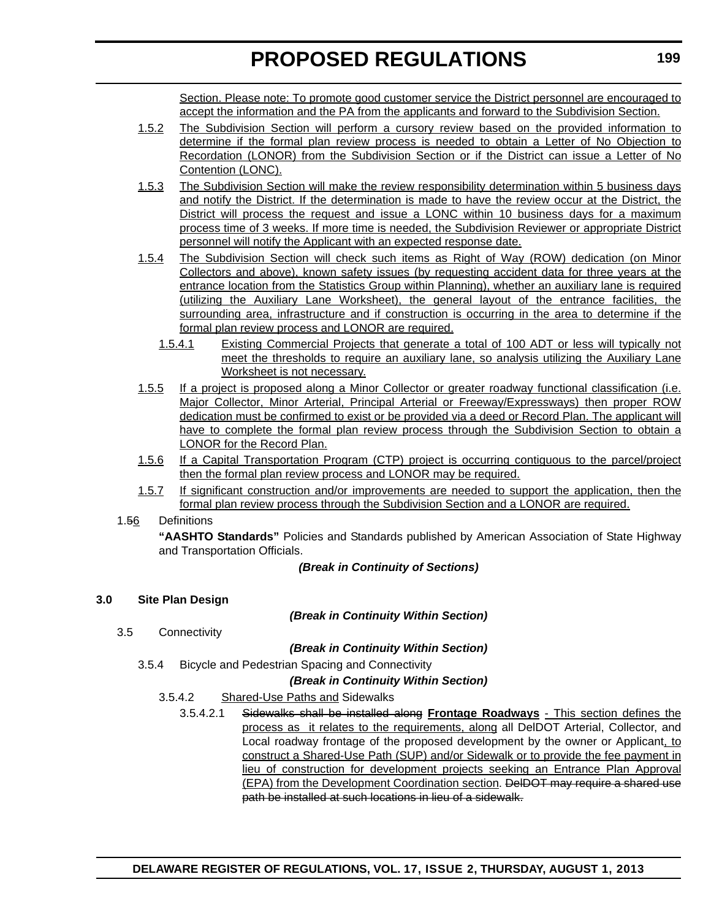Section. Please note: To promote good customer service the District personnel are encouraged to accept the information and the PA from the applicants and forward to the Subdivision Section.

- 1.5.2 The Subdivision Section will perform a cursory review based on the provided information to determine if the formal plan review process is needed to obtain a Letter of No Objection to Recordation (LONOR) from the Subdivision Section or if the District can issue a Letter of No Contention (LONC).
- 1.5.3 The Subdivision Section will make the review responsibility determination within 5 business days and notify the District. If the determination is made to have the review occur at the District, the District will process the request and issue a LONC within 10 business days for a maximum process time of 3 weeks. If more time is needed, the Subdivision Reviewer or appropriate District personnel will notify the Applicant with an expected response date.
- 1.5.4 The Subdivision Section will check such items as Right of Way (ROW) dedication (on Minor Collectors and above), known safety issues (by requesting accident data for three years at the entrance location from the Statistics Group within Planning), whether an auxiliary lane is required (utilizing the Auxiliary Lane Worksheet), the general layout of the entrance facilities, the surrounding area, infrastructure and if construction is occurring in the area to determine if the formal plan review process and LONOR are required.
	- 1.5.4.1 Existing Commercial Projects that generate a total of 100 ADT or less will typically not meet the thresholds to require an auxiliary lane, so analysis utilizing the Auxiliary Lane Worksheet is not necessary.
- 1.5.5 If a project is proposed along a Minor Collector or greater roadway functional classification (i.e. Major Collector, Minor Arterial, Principal Arterial or Freeway/Expressways) then proper ROW dedication must be confirmed to exist or be provided via a deed or Record Plan. The applicant will have to complete the formal plan review process through the Subdivision Section to obtain a LONOR for the Record Plan.
- 1.5.6 If a Capital Transportation Program (CTP) project is occurring contiguous to the parcel/project then the formal plan review process and LONOR may be required.
- 1.5.7 If significant construction and/or improvements are needed to support the application, then the formal plan review process through the Subdivision Section and a LONOR are required.

### 1.56 Definitions

**"AASHTO Standards"** Policies and Standards published by American Association of State Highway and Transportation Officials.

*(Break in Continuity of Sections)*

### **3.0 Site Plan Design**

*(Break in Continuity Within Section)*

3.5 Connectivity

*(Break in Continuity Within Section)*

3.5.4 Bicycle and Pedestrian Spacing and Connectivity

*(Break in Continuity Within Section)*

- 3.5.4.2 Shared-Use Paths and Sidewalks
	- 3.5.4.2.1 Sidewalks shall be installed along **Frontage Roadways** This section defines the process as it relates to the requirements, along all DelDOT Arterial, Collector, and Local roadway frontage of the proposed development by the owner or Applicant, to construct a Shared-Use Path (SUP) and/or Sidewalk or to provide the fee payment in lieu of construction for development projects seeking an Entrance Plan Approval (EPA) from the Development Coordination section. DelDOT may require a shared use path be installed at such locations in lieu of a sidewalk.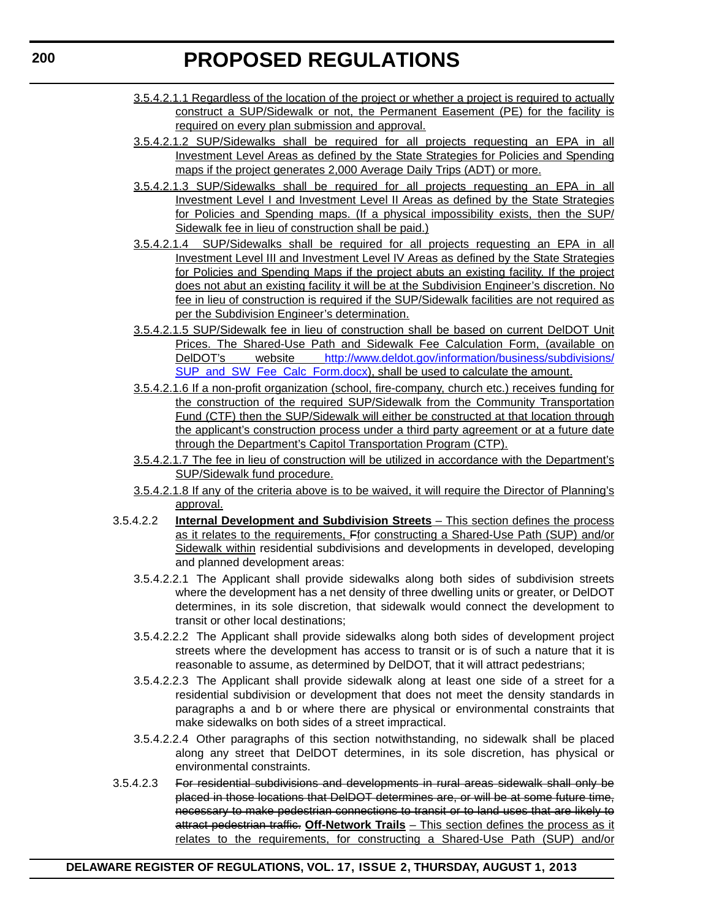- 3.5.4.2.1.1 Regardless of the location of the project or whether a project is required to actually construct a SUP/Sidewalk or not, the Permanent Easement (PE) for the facility is required on every plan submission and approval.
- 3.5.4.2.1.2 SUP/Sidewalks shall be required for all projects requesting an EPA in all Investment Level Areas as defined by the State Strategies for Policies and Spending maps if the project generates 2,000 Average Daily Trips (ADT) or more.
- 3.5.4.2.1.3 SUP/Sidewalks shall be required for all projects requesting an EPA in all Investment Level I and Investment Level II Areas as defined by the State Strategies for Policies and Spending maps. (If a physical impossibility exists, then the SUP/ Sidewalk fee in lieu of construction shall be paid.)
- 3.5.4.2.1.4 SUP/Sidewalks shall be required for all projects requesting an EPA in all Investment Level III and Investment Level IV Areas as defined by the State Strategies for Policies and Spending Maps if the project abuts an existing facility. If the project does not abut an existing facility it will be at the Subdivision Engineer's discretion. No fee in lieu of construction is required if the SUP/Sidewalk facilities are not required as per the Subdivision Engineer's determination.
- 3.5.4.2.1.5 SUP/Sidewalk fee in lieu of construction shall be based on current DelDOT Unit Prices. The Shared-Use Path and Sidewalk Fee Calculation Form, (available on DelDOT's website [http://www.deldot.gov/information/business/subdivisions/](http://www.deldot.gov/information/business/subdivisions/SUP_and_SW_Fee_Calc_Form.docx) [SUP\\_and\\_SW\\_Fee\\_Calc\\_Form.docx\)](http://www.deldot.gov/information/business/subdivisions/SUP_and_SW_Fee_Calc_Form.docx), shall be used to calculate the amount.
- 3.5.4.2.1.6 If a non-profit organization (school, fire-company, church etc.) receives funding for the construction of the required SUP/Sidewalk from the Community Transportation Fund (CTF) then the SUP/Sidewalk will either be constructed at that location through the applicant's construction process under a third party agreement or at a future date through the Department's Capitol Transportation Program (CTP).
- 3.5.4.2.1.7 The fee in lieu of construction will be utilized in accordance with the Department's SUP/Sidewalk fund procedure.
- 3.5.4.2.1.8 If any of the criteria above is to be waived, it will require the Director of Planning's approval.
- 3.5.4.2.2 **Internal Development and Subdivision Streets** This section defines the process as it relates to the requirements, Ffor constructing a Shared-Use Path (SUP) and/or Sidewalk within residential subdivisions and developments in developed, developing and planned development areas:
	- 3.5.4.2.2.1 The Applicant shall provide sidewalks along both sides of subdivision streets where the development has a net density of three dwelling units or greater, or DelDOT determines, in its sole discretion, that sidewalk would connect the development to transit or other local destinations;
	- 3.5.4.2.2.2 The Applicant shall provide sidewalks along both sides of development project streets where the development has access to transit or is of such a nature that it is reasonable to assume, as determined by DelDOT, that it will attract pedestrians;
	- 3.5.4.2.2.3 The Applicant shall provide sidewalk along at least one side of a street for a residential subdivision or development that does not meet the density standards in paragraphs a and b or where there are physical or environmental constraints that make sidewalks on both sides of a street impractical.
	- 3.5.4.2.2.4 Other paragraphs of this section notwithstanding, no sidewalk shall be placed along any street that DelDOT determines, in its sole discretion, has physical or environmental constraints.
- 3.5.4.2.3 For residential subdivisions and developments in rural areas sidewalk shall only be placed in those locations that DelDOT determines are, or will be at some future time, necessary to make pedestrian connections to transit or to land uses that are likely to attract pedestrian traffic. **Off-Network Trails** – This section defines the process as it relates to the requirements, for constructing a Shared-Use Path (SUP) and/or

### **DELAWARE REGISTER OF REGULATIONS, VOL. 17, ISSUE 2, THURSDAY, AUGUST 1, 2013**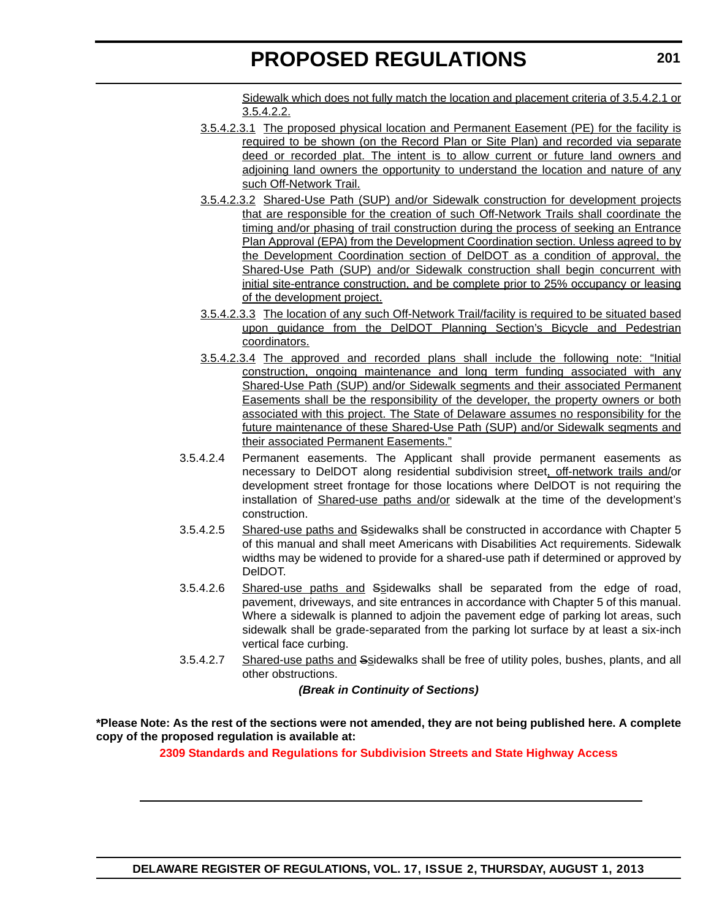Sidewalk which does not fully match the location and placement criteria of 3.5.4.2.1 or 3.5.4.2.2.

- 3.5.4.2.3.1 The proposed physical location and Permanent Easement (PE) for the facility is required to be shown (on the Record Plan or Site Plan) and recorded via separate deed or recorded plat. The intent is to allow current or future land owners and adjoining land owners the opportunity to understand the location and nature of any such Off-Network Trail.
- 3.5.4.2.3.2 Shared-Use Path (SUP) and/or Sidewalk construction for development projects that are responsible for the creation of such Off-Network Trails shall coordinate the timing and/or phasing of trail construction during the process of seeking an Entrance Plan Approval (EPA) from the Development Coordination section. Unless agreed to by the Development Coordination section of DelDOT as a condition of approval, the Shared-Use Path (SUP) and/or Sidewalk construction shall begin concurrent with initial site-entrance construction, and be complete prior to 25% occupancy or leasing of the development project.
- 3.5.4.2.3.3 The location of any such Off-Network Trail/facility is required to be situated based upon guidance from the DelDOT Planning Section's Bicycle and Pedestrian coordinators.
- 3.5.4.2.3.4 The approved and recorded plans shall include the following note: "Initial construction, ongoing maintenance and long term funding associated with any Shared-Use Path (SUP) and/or Sidewalk segments and their associated Permanent Easements shall be the responsibility of the developer, the property owners or both associated with this project. The State of Delaware assumes no responsibility for the future maintenance of these Shared-Use Path (SUP) and/or Sidewalk segments and their associated Permanent Easements."
- 3.5.4.2.4 Permanent easements. The Applicant shall provide permanent easements as necessary to DelDOT along residential subdivision street, off-network trails and/or development street frontage for those locations where DelDOT is not requiring the installation of Shared-use paths and/or sidewalk at the time of the development's construction.
- 3.5.4.2.5 Shared-use paths and Ssidewalks shall be constructed in accordance with Chapter 5 of this manual and shall meet Americans with Disabilities Act requirements. Sidewalk widths may be widened to provide for a shared-use path if determined or approved by DelDOT.
- 3.5.4.2.6 Shared-use paths and Ssidewalks shall be separated from the edge of road, pavement, driveways, and site entrances in accordance with Chapter 5 of this manual. Where a sidewalk is planned to adjoin the pavement edge of parking lot areas, such sidewalk shall be grade-separated from the parking lot surface by at least a six-inch vertical face curbing.
- 3.5.4.2.7 Shared-use paths and Ssidewalks shall be free of utility poles, bushes, plants, and all other obstructions.

*(Break in Continuity of Sections)*

**\*Please Note: As the rest of the sections were not amended, they are not being published here. A complete copy of the proposed regulation is available at:**

**[2309 Standards and Regulations for Subdivision Streets and State Highway Access](http://regulations.delaware.gov/register/august2013/proposed/17 DE Reg 198 08-01-13.htm)**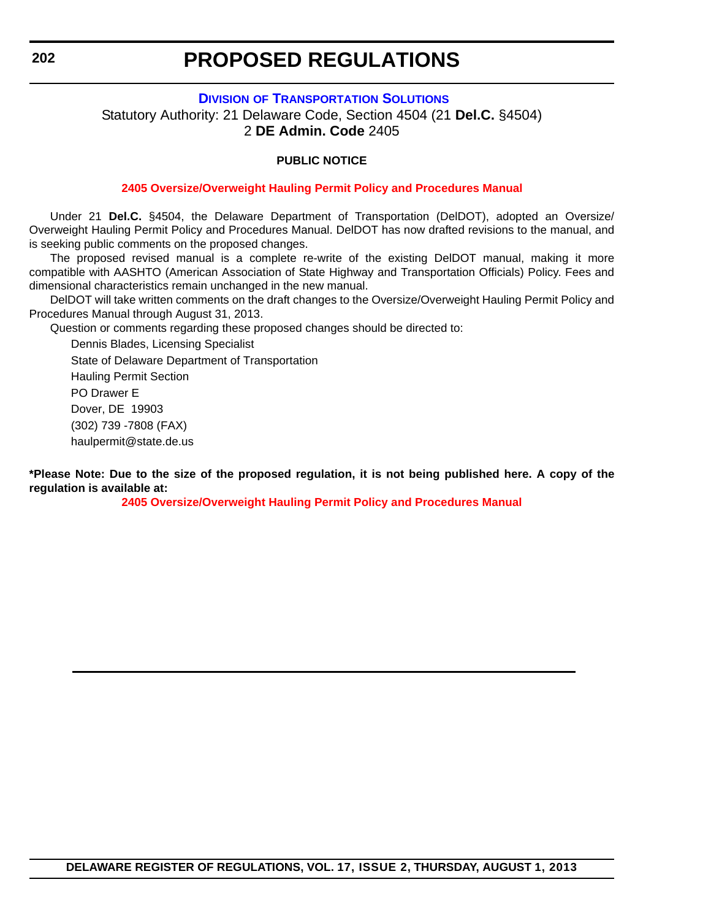#### **DIVISION OF TRANSPORTATION SOLUTIONS**

Statutory Authority: 21 Delaware Code, Section 4504 (21 **Del.C.** §4504) 2 **DE Admin. Code** 2405

#### **PUBLIC NOTICE**

#### **[2405 Oversize/Overweight Hauling Permit Policy](#page-3-0) and Procedures Manual**

Under 21 **Del.C.** §4504, the Delaware Department of Transportation (DelDOT), adopted an Oversize/ Overweight Hauling Permit Policy and Procedures Manual. DelDOT has now drafted revisions to the manual, and is seeking public comments on the proposed changes.

The proposed revised manual is a complete re-write of the existing DelDOT manual, making it more compatible with AASHTO (American Association of State Highway and Transportation Officials) Policy. Fees and dimensional characteristics remain unchanged in the new manual.

DelDOT will take written comments on the draft changes to the Oversize/Overweight Hauling Permit Policy and Procedures Manual through August 31, 2013.

Question or comments regarding these proposed changes should be directed to:

Dennis Blades, Licensing Specialist State of Delaware Department of Transportation Hauling Permit Section PO Drawer E Dover, DE 19903 (302) 739 -7808 (FAX) haulpermit@state.de.us

**\*Please Note: Due to the size of the proposed regulation, it is not being published here. A copy of the regulation is available at:**

**[2405 Oversize/Overweight Hauling Permit Policy and Procedures Manual](http://regulations.delaware.gov/register/august2013/proposed/17 DE Reg 202 08-01-13.htm)**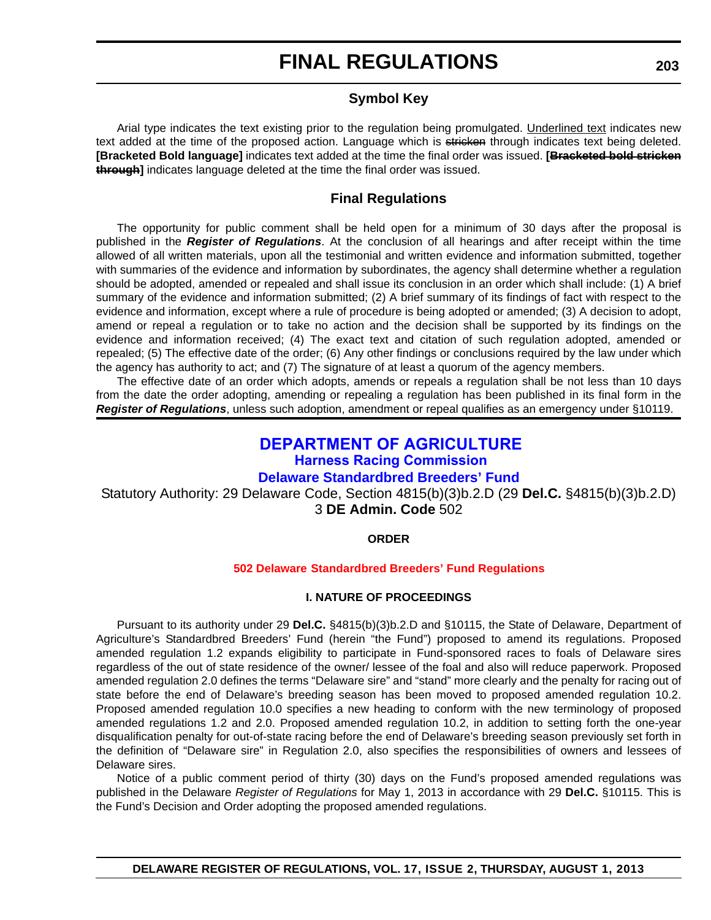### **Symbol Key**

Arial type indicates the text existing prior to the regulation being promulgated. Underlined text indicates new text added at the time of the proposed action. Language which is stricken through indicates text being deleted. **[Bracketed Bold language]** indicates text added at the time the final order was issued. **[Bracketed bold stricken through]** indicates language deleted at the time the final order was issued.

### **Final Regulations**

The opportunity for public comment shall be held open for a minimum of 30 days after the proposal is published in the *Register of Regulations*. At the conclusion of all hearings and after receipt within the time allowed of all written materials, upon all the testimonial and written evidence and information submitted, together with summaries of the evidence and information by subordinates, the agency shall determine whether a regulation should be adopted, amended or repealed and shall issue its conclusion in an order which shall include: (1) A brief summary of the evidence and information submitted; (2) A brief summary of its findings of fact with respect to the evidence and information, except where a rule of procedure is being adopted or amended; (3) A decision to adopt, amend or repeal a regulation or to take no action and the decision shall be supported by its findings on the evidence and information received; (4) The exact text and citation of such regulation adopted, amended or repealed; (5) The effective date of the order; (6) Any other findings or conclusions required by the law under which the agency has authority to act; and (7) The signature of at least a quorum of the agency members.

The effective date of an order which adopts, amends or repeals a regulation shall be not less than 10 days from the date the order adopting, amending or repealing a regulation has been published in its final form in the *Register of Regulations*, unless such adoption, amendment or repeal qualifies as an emergency under §10119.

### **DEPARTMENT OF AGRICULTURE Harness Racing Commission Delaware Standardbred Breeders' Fund**

Statutory Authority: 29 Delaware Code, Section 4815(b)(3)b.2.D (29 **Del.C.** §4815(b)(3)b.2.D) 3 **DE Admin. Code** 502

### **ORDER**

### **502 Delaware Standardbred [Breeders' Fund Regulations](#page-4-0)**

### **I. NATURE OF PROCEEDINGS**

Pursuant to its authority under 29 **Del.C.** §4815(b)(3)b.2.D and §10115, the State of Delaware, Department of Agriculture's Standardbred Breeders' Fund (herein "the Fund") proposed to amend its regulations. Proposed amended regulation 1.2 expands eligibility to participate in Fund-sponsored races to foals of Delaware sires regardless of the out of state residence of the owner/ lessee of the foal and also will reduce paperwork. Proposed amended regulation 2.0 defines the terms "Delaware sire" and "stand" more clearly and the penalty for racing out of state before the end of Delaware's breeding season has been moved to proposed amended regulation 10.2. Proposed amended regulation 10.0 specifies a new heading to conform with the new terminology of proposed amended regulations 1.2 and 2.0. Proposed amended regulation 10.2, in addition to setting forth the one-year disqualification penalty for out-of-state racing before the end of Delaware's breeding season previously set forth in the definition of "Delaware sire" in Regulation 2.0, also specifies the responsibilities of owners and lessees of Delaware sires.

Notice of a public comment period of thirty (30) days on the Fund's proposed amended regulations was published in the Delaware *Register of Regulations* for May 1, 2013 in accordance with 29 **Del.C.** §10115. This is the Fund's Decision and Order adopting the proposed amended regulations.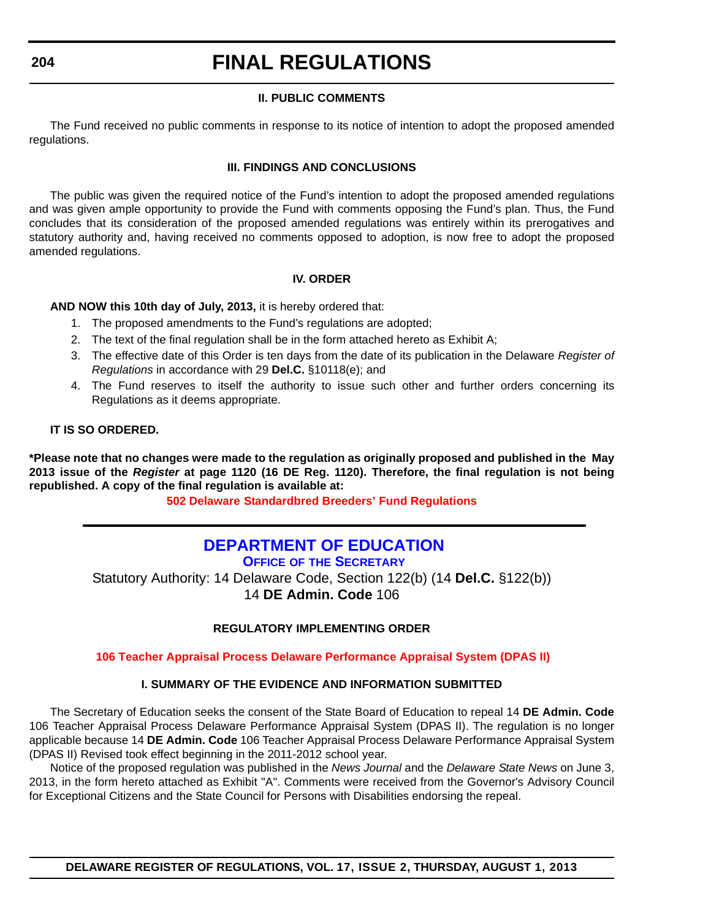### **204**

# **FINAL REGULATIONS**

### **II. PUBLIC COMMENTS**

The Fund received no public comments in response to its notice of intention to adopt the proposed amended regulations.

### **III. FINDINGS AND CONCLUSIONS**

The public was given the required notice of the Fund's intention to adopt the proposed amended regulations and was given ample opportunity to provide the Fund with comments opposing the Fund's plan. Thus, the Fund concludes that its consideration of the proposed amended regulations was entirely within its prerogatives and statutory authority and, having received no comments opposed to adoption, is now free to adopt the proposed amended regulations.

### **IV. ORDER**

### **AND NOW this 10th day of July, 2013,** it is hereby ordered that:

- 1. The proposed amendments to the Fund's regulations are adopted;
- 2. The text of the final regulation shall be in the form attached hereto as Exhibit A;
- 3. The effective date of this Order is ten days from the date of its publication in the Delaware *Register of Regulations* in accordance with 29 **Del.C.** §10118(e); and
- 4. The Fund reserves to itself the authority to issue such other and further orders concerning its Regulations as it deems appropriate.

### **IT IS SO ORDERED.**

**\*Please note that no changes were made to the regulation as originally proposed and published in the May 2013 issue of the** *Register* **at page 1120 (16 DE Reg. 1120). Therefore, the final regulation is not being republished. A copy of the final regulation is available at:**

**[502 Delaware](http://regulations.delaware.gov/register/august2013/final/17 DE Reg 203 08-01-13.htm) Standardbred Breeders' Fund Regulations**

### **DEPARTMENT OF EDUCATION**

**OFFICE OF THE SECRETARY**

Statutory Authority: 14 Delaware Code, Section 122(b) (14 **Del.C.** §122(b)) 14 **DE Admin. Code** 106

### **REGULATORY IMPLEMENTING ORDER**

### **[106 Teacher Appraisal Process Delaware](#page-4-0) Performance Appraisal System (DPAS II)**

### **I. SUMMARY OF THE EVIDENCE AND INFORMATION SUBMITTED**

The Secretary of Education seeks the consent of the State Board of Education to repeal 14 **DE Admin. Code** 106 Teacher Appraisal Process Delaware Performance Appraisal System (DPAS II). The regulation is no longer applicable because 14 **DE Admin. Code** 106 Teacher Appraisal Process Delaware Performance Appraisal System (DPAS II) Revised took effect beginning in the 2011-2012 school year.

Notice of the proposed regulation was published in the *News Journal* and the *Delaware State News* on June 3, 2013, in the form hereto attached as Exhibit "A". Comments were received from the Governor's Advisory Council for Exceptional Citizens and the State Council for Persons with Disabilities endorsing the repeal.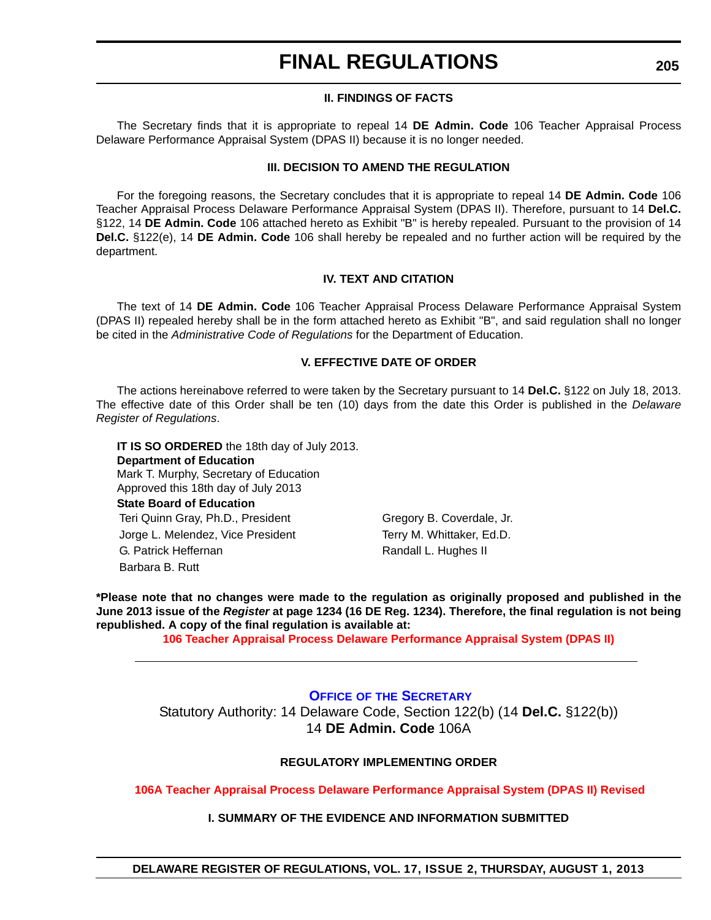### **II. FINDINGS OF FACTS**

The Secretary finds that it is appropriate to repeal 14 **DE Admin. Code** 106 Teacher Appraisal Process Delaware Performance Appraisal System (DPAS II) because it is no longer needed.

### **III. DECISION TO AMEND THE REGULATION**

For the foregoing reasons, the Secretary concludes that it is appropriate to repeal 14 **DE Admin. Code** 106 Teacher Appraisal Process Delaware Performance Appraisal System (DPAS II). Therefore, pursuant to 14 **Del.C.** §122, 14 **DE Admin. Code** 106 attached hereto as Exhibit "B" is hereby repealed. Pursuant to the provision of 14 **Del.C.** §122(e), 14 **DE Admin. Code** 106 shall hereby be repealed and no further action will be required by the department.

#### **IV. TEXT AND CITATION**

The text of 14 **DE Admin. Code** 106 Teacher Appraisal Process Delaware Performance Appraisal System (DPAS II) repealed hereby shall be in the form attached hereto as Exhibit "B", and said regulation shall no longer be cited in the *Administrative Code of Regulations* for the Department of Education.

### **V. EFFECTIVE DATE OF ORDER**

The actions hereinabove referred to were taken by the Secretary pursuant to 14 **Del.C.** §122 on July 18, 2013. The effective date of this Order shall be ten (10) days from the date this Order is published in the *Delaware Register of Regulations*.

**IT IS SO ORDERED** the 18th day of July 2013.

**Department of Education**

Mark T. Murphy, Secretary of Education Approved this 18th day of July 2013

#### **State Board of Education**

Teri Quinn Gray, Ph.D., President Gregory B. Coverdale, Jr. Jorge L. Melendez, Vice President Terry M. Whittaker, Ed.D. G. Patrick Heffernan **Randall L. Hughes II** Barbara B. Rutt

**\*Please note that no changes were made to the regulation as originally proposed and published in the June 2013 issue of the** *Register* **at page 1234 (16 DE Reg. 1234). Therefore, the final regulation is not being republished. A copy of the final regulation is available at:**

**[106 Teacher Appraisal Process Delaware Performance Appraisal System \(DPAS II\)](http://regulations.delaware.gov/register/august2013/final/17 DE Reg 204 08-01-13.htm)**

### **OFFICE OF THE SECRETARY**

Statutory Authority: 14 Delaware Code, Section 122(b) (14 **Del.C.** §122(b)) 14 **DE Admin. Code** 106A

### **REGULATORY IMPLEMENTING ORDER**

**[106A Teacher Appraisal Process Delaware Performance Appraisal System \(DPAS II\)](#page-4-0) Revised**

**I. SUMMARY OF THE EVIDENCE AND INFORMATION SUBMITTED**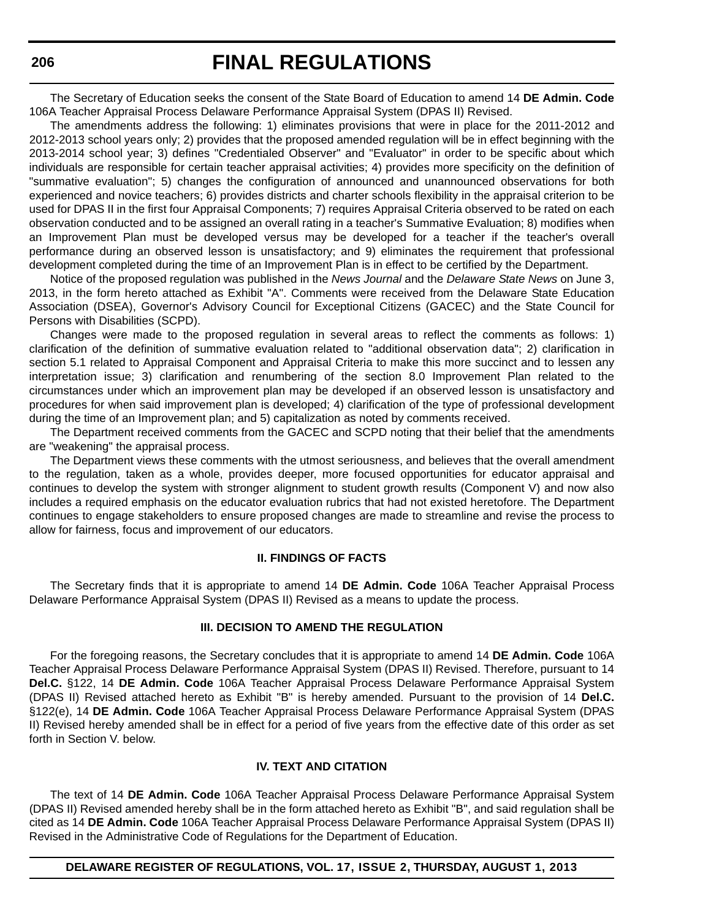The Secretary of Education seeks the consent of the State Board of Education to amend 14 **DE Admin. Code** 106A Teacher Appraisal Process Delaware Performance Appraisal System (DPAS II) Revised.

The amendments address the following: 1) eliminates provisions that were in place for the 2011-2012 and 2012-2013 school years only; 2) provides that the proposed amended regulation will be in effect beginning with the 2013-2014 school year; 3) defines "Credentialed Observer" and "Evaluator" in order to be specific about which individuals are responsible for certain teacher appraisal activities; 4) provides more specificity on the definition of "summative evaluation"; 5) changes the configuration of announced and unannounced observations for both experienced and novice teachers; 6) provides districts and charter schools flexibility in the appraisal criterion to be used for DPAS II in the first four Appraisal Components; 7) requires Appraisal Criteria observed to be rated on each observation conducted and to be assigned an overall rating in a teacher's Summative Evaluation; 8) modifies when an Improvement Plan must be developed versus may be developed for a teacher if the teacher's overall performance during an observed lesson is unsatisfactory; and 9) eliminates the requirement that professional development completed during the time of an Improvement Plan is in effect to be certified by the Department.

Notice of the proposed regulation was published in the *News Journal* and the *Delaware State News* on June 3, 2013, in the form hereto attached as Exhibit "A". Comments were received from the Delaware State Education Association (DSEA), Governor's Advisory Council for Exceptional Citizens (GACEC) and the State Council for Persons with Disabilities (SCPD).

 Changes were made to the proposed regulation in several areas to reflect the comments as follows: 1) clarification of the definition of summative evaluation related to "additional observation data"; 2) clarification in section 5.1 related to Appraisal Component and Appraisal Criteria to make this more succinct and to lessen any interpretation issue; 3) clarification and renumbering of the section 8.0 Improvement Plan related to the circumstances under which an improvement plan may be developed if an observed lesson is unsatisfactory and procedures for when said improvement plan is developed; 4) clarification of the type of professional development during the time of an Improvement plan; and 5) capitalization as noted by comments received.

The Department received comments from the GACEC and SCPD noting that their belief that the amendments are "weakening" the appraisal process.

The Department views these comments with the utmost seriousness, and believes that the overall amendment to the regulation, taken as a whole, provides deeper, more focused opportunities for educator appraisal and continues to develop the system with stronger alignment to student growth results (Component V) and now also includes a required emphasis on the educator evaluation rubrics that had not existed heretofore. The Department continues to engage stakeholders to ensure proposed changes are made to streamline and revise the process to allow for fairness, focus and improvement of our educators.

#### **II. FINDINGS OF FACTS**

The Secretary finds that it is appropriate to amend 14 **DE Admin. Code** 106A Teacher Appraisal Process Delaware Performance Appraisal System (DPAS II) Revised as a means to update the process.

### **III. DECISION TO AMEND THE REGULATION**

For the foregoing reasons, the Secretary concludes that it is appropriate to amend 14 **DE Admin. Code** 106A Teacher Appraisal Process Delaware Performance Appraisal System (DPAS II) Revised. Therefore, pursuant to 14 **Del.C.** §122, 14 **DE Admin. Code** 106A Teacher Appraisal Process Delaware Performance Appraisal System (DPAS II) Revised attached hereto as Exhibit "B" is hereby amended. Pursuant to the provision of 14 **Del.C.** §122(e), 14 **DE Admin. Code** 106A Teacher Appraisal Process Delaware Performance Appraisal System (DPAS II) Revised hereby amended shall be in effect for a period of five years from the effective date of this order as set forth in Section V. below.

### **IV. TEXT AND CITATION**

The text of 14 **DE Admin. Code** 106A Teacher Appraisal Process Delaware Performance Appraisal System (DPAS II) Revised amended hereby shall be in the form attached hereto as Exhibit "B", and said regulation shall be cited as 14 **DE Admin. Code** 106A Teacher Appraisal Process Delaware Performance Appraisal System (DPAS II) Revised in the Administrative Code of Regulations for the Department of Education.

#### **DELAWARE REGISTER OF REGULATIONS, VOL. 17, ISSUE 2, THURSDAY, AUGUST 1, 2013**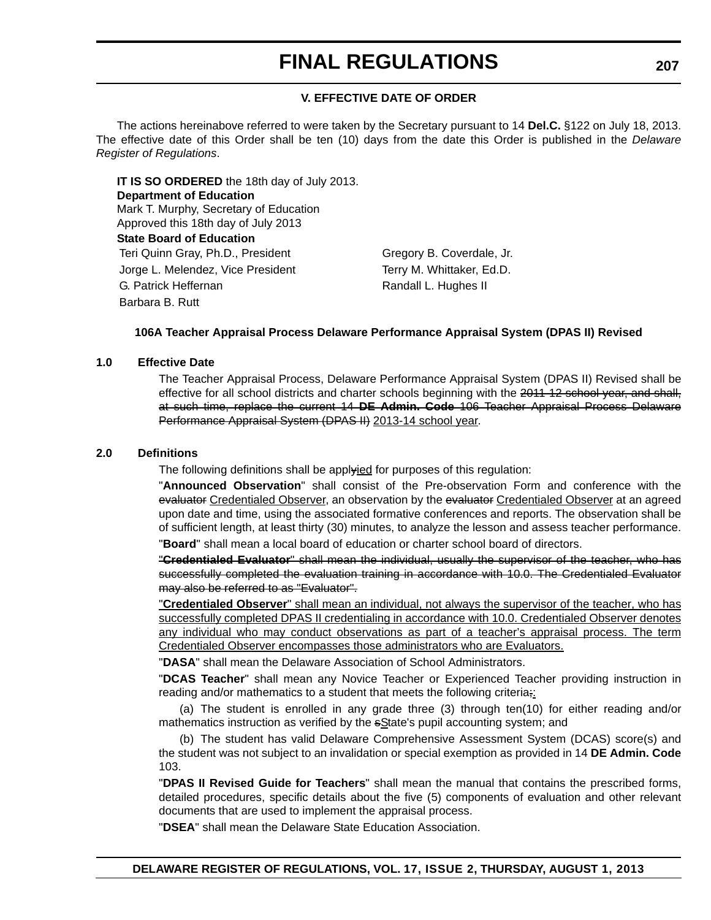### **V. EFFECTIVE DATE OF ORDER**

The actions hereinabove referred to were taken by the Secretary pursuant to 14 **Del.C.** §122 on July 18, 2013. The effective date of this Order shall be ten (10) days from the date this Order is published in the *Delaware Register of Regulations*.

**IT IS SO ORDERED** the 18th day of July 2013. **Department of Education** Mark T. Murphy, Secretary of Education Approved this 18th day of July 2013 **State Board of Education** Teri Quinn Gray, Ph.D., President Gregory B. Coverdale, Jr. Jorge L. Melendez, Vice President Terry M. Whittaker, Ed.D. G. Patrick Heffernan **Randall L. Hughes II** Barbara B. Rutt

### **106A Teacher Appraisal Process Delaware Performance Appraisal System (DPAS II) Revised**

### **1.0 Effective Date**

The Teacher Appraisal Process, Delaware Performance Appraisal System (DPAS II) Revised shall be effective for all school districts and charter schools beginning with the 2011-12 school year, and shall, at such time, replace the current 14 **DE Admin. Code** 106 Teacher Appraisal Process Delaware Performance Appraisal System (DPAS II) 2013-14 school year.

### **2.0 Definitions**

The following definitions shall be applyied for purposes of this regulation:

"**Announced Observation**" shall consist of the Pre-observation Form and conference with the evaluator Credentialed Observer, an observation by the evaluator Credentialed Observer at an agreed upon date and time, using the associated formative conferences and reports. The observation shall be of sufficient length, at least thirty (30) minutes, to analyze the lesson and assess teacher performance. "**Board**" shall mean a local board of education or charter school board of directors.

"**Credentialed Evaluator**" shall mean the individual, usually the supervisor of the teacher, who has successfully completed the evaluation training in accordance with 10.0. The Credentialed Evaluator may also be referred to as "Evaluator".

"**Credentialed Observer**" shall mean an individual, not always the supervisor of the teacher, who has successfully completed DPAS II credentialing in accordance with 10.0. Credentialed Observer denotes any individual who may conduct observations as part of a teacher's appraisal process. The term Credentialed Observer encompasses those administrators who are Evaluators.

"**DASA**" shall mean the Delaware Association of School Administrators.

"**DCAS Teacher**" shall mean any Novice Teacher or Experienced Teacher providing instruction in reading and/or mathematics to a student that meets the following criteria;

(a) The student is enrolled in any grade three (3) through ten(10) for either reading and/or mathematics instruction as verified by the solate's pupil accounting system; and

(b) The student has valid Delaware Comprehensive Assessment System (DCAS) score(s) and the student was not subject to an invalidation or special exemption as provided in 14 **DE Admin. Code** 103.

"**DPAS II Revised Guide for Teachers**" shall mean the manual that contains the prescribed forms, detailed procedures, specific details about the five (5) components of evaluation and other relevant documents that are used to implement the appraisal process.

"**DSEA**" shall mean the Delaware State Education Association.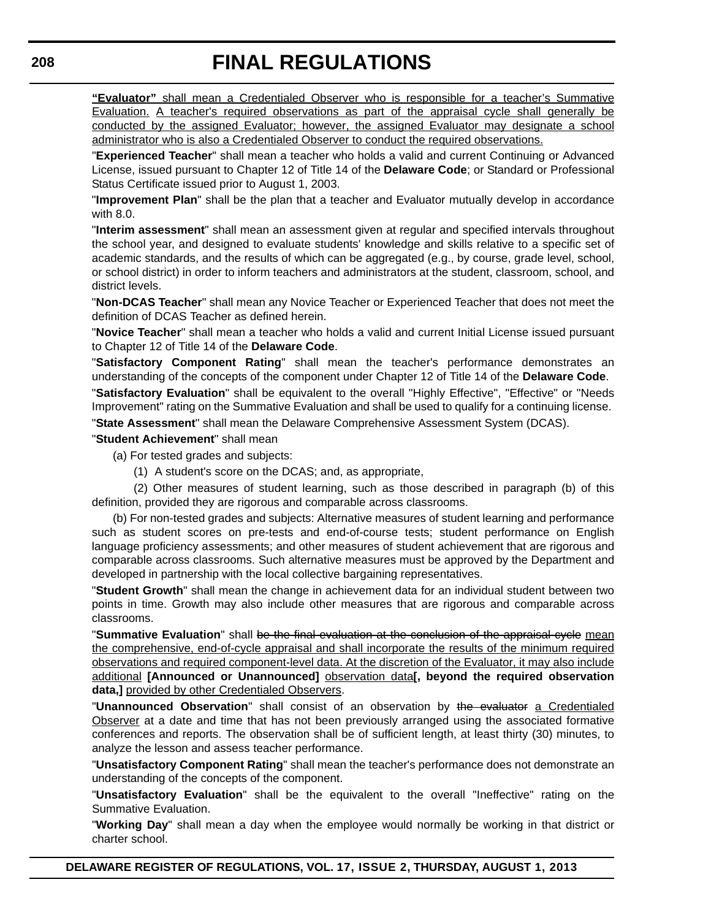**"Evaluator"** shall mean a Credentialed Observer who is responsible for a teacher's Summative Evaluation. A teacher's required observations as part of the appraisal cycle shall generally be conducted by the assigned Evaluator; however, the assigned Evaluator may designate a school administrator who is also a Credentialed Observer to conduct the required observations.

"**Experienced Teacher**" shall mean a teacher who holds a valid and current Continuing or Advanced License, issued pursuant to Chapter 12 of Title 14 of the **Delaware Code**; or Standard or Professional Status Certificate issued prior to August 1, 2003.

"**Improvement Plan**" shall be the plan that a teacher and Evaluator mutually develop in accordance with 8.0.

"**Interim assessment**" shall mean an assessment given at regular and specified intervals throughout the school year, and designed to evaluate students' knowledge and skills relative to a specific set of academic standards, and the results of which can be aggregated (e.g., by course, grade level, school, or school district) in order to inform teachers and administrators at the student, classroom, school, and district levels.

"**Non-DCAS Teacher**" shall mean any Novice Teacher or Experienced Teacher that does not meet the definition of DCAS Teacher as defined herein.

"**Novice Teacher**" shall mean a teacher who holds a valid and current Initial License issued pursuant to Chapter 12 of Title 14 of the **Delaware Code**.

"**Satisfactory Component Rating**" shall mean the teacher's performance demonstrates an understanding of the concepts of the component under Chapter 12 of Title 14 of the **Delaware Code**.

"**Satisfactory Evaluation**" shall be equivalent to the overall "Highly Effective", "Effective" or "Needs Improvement" rating on the Summative Evaluation and shall be used to qualify for a continuing license. "**State Assessment**" shall mean the Delaware Comprehensive Assessment System (DCAS).

"**Student Achievement**" shall mean

- (a) For tested grades and subjects:
	- (1) A student's score on the DCAS; and, as appropriate,

(2) Other measures of student learning, such as those described in paragraph (b) of this definition, provided they are rigorous and comparable across classrooms.

(b) For non-tested grades and subjects: Alternative measures of student learning and performance such as student scores on pre-tests and end-of-course tests; student performance on English language proficiency assessments; and other measures of student achievement that are rigorous and comparable across classrooms. Such alternative measures must be approved by the Department and developed in partnership with the local collective bargaining representatives.

"**Student Growth**" shall mean the change in achievement data for an individual student between two points in time. Growth may also include other measures that are rigorous and comparable across classrooms.

"**Summative Evaluation**" shall be the final evaluation at the conclusion of the appraisal cycle mean the comprehensive, end-of-cycle appraisal and shall incorporate the results of the minimum required observations and required component-level data. At the discretion of the Evaluator, it may also include additional **[Announced or Unannounced]** observation data**[, beyond the required observation data,]** provided by other Credentialed Observers.

"**Unannounced Observation**" shall consist of an observation by the evaluator a Credentialed Observer at a date and time that has not been previously arranged using the associated formative conferences and reports. The observation shall be of sufficient length, at least thirty (30) minutes, to analyze the lesson and assess teacher performance.

"**Unsatisfactory Component Rating**" shall mean the teacher's performance does not demonstrate an understanding of the concepts of the component.

"**Unsatisfactory Evaluation**" shall be the equivalent to the overall "Ineffective" rating on the Summative Evaluation.

"**Working Day**" shall mean a day when the employee would normally be working in that district or charter school.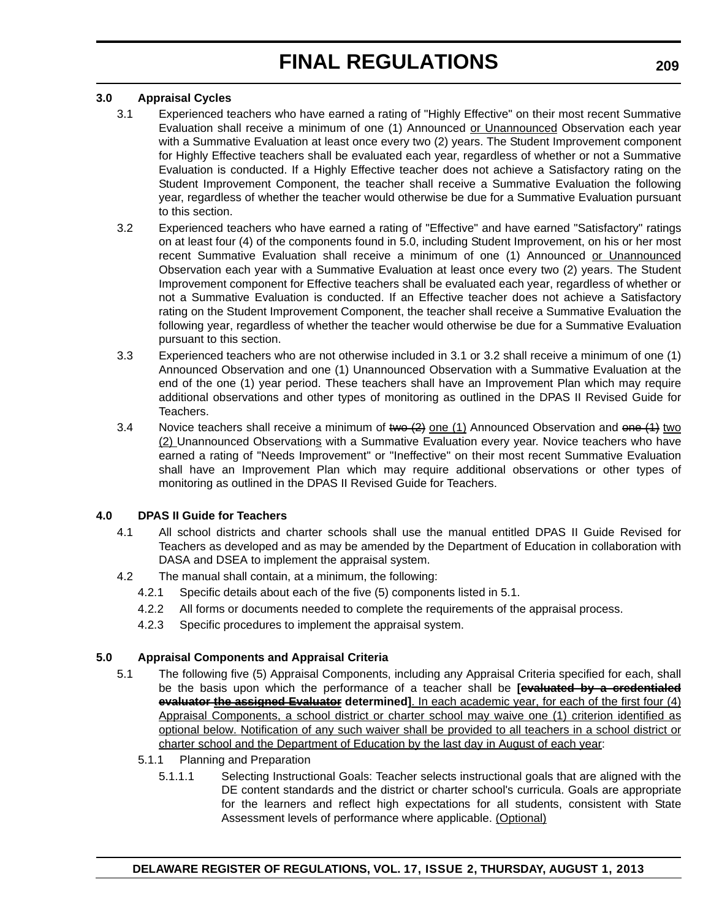### **3.0 Appraisal Cycles**

- 3.1 Experienced teachers who have earned a rating of "Highly Effective" on their most recent Summative Evaluation shall receive a minimum of one (1) Announced or Unannounced Observation each year with a Summative Evaluation at least once every two (2) years. The Student Improvement component for Highly Effective teachers shall be evaluated each year, regardless of whether or not a Summative Evaluation is conducted. If a Highly Effective teacher does not achieve a Satisfactory rating on the Student Improvement Component, the teacher shall receive a Summative Evaluation the following year, regardless of whether the teacher would otherwise be due for a Summative Evaluation pursuant to this section.
- 3.2 Experienced teachers who have earned a rating of "Effective" and have earned "Satisfactory" ratings on at least four (4) of the components found in 5.0, including Student Improvement, on his or her most recent Summative Evaluation shall receive a minimum of one (1) Announced or Unannounced Observation each year with a Summative Evaluation at least once every two (2) years. The Student Improvement component for Effective teachers shall be evaluated each year, regardless of whether or not a Summative Evaluation is conducted. If an Effective teacher does not achieve a Satisfactory rating on the Student Improvement Component, the teacher shall receive a Summative Evaluation the following year, regardless of whether the teacher would otherwise be due for a Summative Evaluation pursuant to this section.
- 3.3 Experienced teachers who are not otherwise included in 3.1 or 3.2 shall receive a minimum of one (1) Announced Observation and one (1) Unannounced Observation with a Summative Evaluation at the end of the one (1) year period. These teachers shall have an Improvement Plan which may require additional observations and other types of monitoring as outlined in the DPAS II Revised Guide for Teachers.
- 3.4 Novice teachers shall receive a minimum of  $two$   $(2)$  one  $(1)$  Announced Observation and one  $(1)$  two (2) Unannounced Observations with a Summative Evaluation every year. Novice teachers who have earned a rating of "Needs Improvement" or "Ineffective" on their most recent Summative Evaluation shall have an Improvement Plan which may require additional observations or other types of monitoring as outlined in the DPAS II Revised Guide for Teachers.

### **4.0 DPAS II Guide for Teachers**

- 4.1 All school districts and charter schools shall use the manual entitled DPAS II Guide Revised for Teachers as developed and as may be amended by the Department of Education in collaboration with DASA and DSEA to implement the appraisal system.
- 4.2 The manual shall contain, at a minimum, the following:
	- 4.2.1 Specific details about each of the five (5) components listed in 5.1.
	- 4.2.2 All forms or documents needed to complete the requirements of the appraisal process.
	- 4.2.3 Specific procedures to implement the appraisal system.

### **5.0 Appraisal Components and Appraisal Criteria**

- 5.1 The following five (5) Appraisal Components, including any Appraisal Criteria specified for each, shall be the basis upon which the performance of a teacher shall be **[evaluated by a credentialed evaluator the assigned Evaluator determined]**. In each academic year, for each of the first four (4) Appraisal Components, a school district or charter school may waive one (1) criterion identified as optional below. Notification of any such waiver shall be provided to all teachers in a school district or charter school and the Department of Education by the last day in August of each year:
	- 5.1.1 Planning and Preparation
		- 5.1.1.1 Selecting Instructional Goals: Teacher selects instructional goals that are aligned with the DE content standards and the district or charter school's curricula. Goals are appropriate for the learners and reflect high expectations for all students, consistent with State Assessment levels of performance where applicable. (Optional)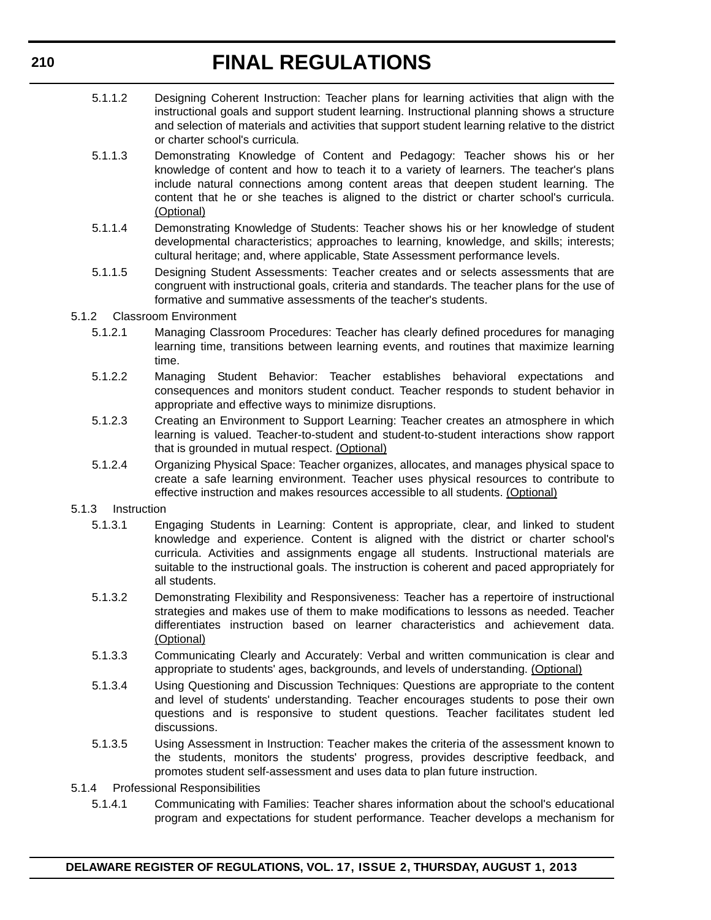- 5.1.1.2 Designing Coherent Instruction: Teacher plans for learning activities that align with the instructional goals and support student learning. Instructional planning shows a structure and selection of materials and activities that support student learning relative to the district or charter school's curricula.
- 5.1.1.3 Demonstrating Knowledge of Content and Pedagogy: Teacher shows his or her knowledge of content and how to teach it to a variety of learners. The teacher's plans include natural connections among content areas that deepen student learning. The content that he or she teaches is aligned to the district or charter school's curricula. (Optional)
- 5.1.1.4 Demonstrating Knowledge of Students: Teacher shows his or her knowledge of student developmental characteristics; approaches to learning, knowledge, and skills; interests; cultural heritage; and, where applicable, State Assessment performance levels.
- 5.1.1.5 Designing Student Assessments: Teacher creates and or selects assessments that are congruent with instructional goals, criteria and standards. The teacher plans for the use of formative and summative assessments of the teacher's students.
- 5.1.2 Classroom Environment
	- 5.1.2.1 Managing Classroom Procedures: Teacher has clearly defined procedures for managing learning time, transitions between learning events, and routines that maximize learning time.
	- 5.1.2.2 Managing Student Behavior: Teacher establishes behavioral expectations and consequences and monitors student conduct. Teacher responds to student behavior in appropriate and effective ways to minimize disruptions.
	- 5.1.2.3 Creating an Environment to Support Learning: Teacher creates an atmosphere in which learning is valued. Teacher-to-student and student-to-student interactions show rapport that is grounded in mutual respect. (Optional)
	- 5.1.2.4 Organizing Physical Space: Teacher organizes, allocates, and manages physical space to create a safe learning environment. Teacher uses physical resources to contribute to effective instruction and makes resources accessible to all students. (Optional)
- 5.1.3 Instruction
	- 5.1.3.1 Engaging Students in Learning: Content is appropriate, clear, and linked to student knowledge and experience. Content is aligned with the district or charter school's curricula. Activities and assignments engage all students. Instructional materials are suitable to the instructional goals. The instruction is coherent and paced appropriately for all students.
	- 5.1.3.2 Demonstrating Flexibility and Responsiveness: Teacher has a repertoire of instructional strategies and makes use of them to make modifications to lessons as needed. Teacher differentiates instruction based on learner characteristics and achievement data. (Optional)
	- 5.1.3.3 Communicating Clearly and Accurately: Verbal and written communication is clear and appropriate to students' ages, backgrounds, and levels of understanding. (Optional)
	- 5.1.3.4 Using Questioning and Discussion Techniques: Questions are appropriate to the content and level of students' understanding. Teacher encourages students to pose their own questions and is responsive to student questions. Teacher facilitates student led discussions.
	- 5.1.3.5 Using Assessment in Instruction: Teacher makes the criteria of the assessment known to the students, monitors the students' progress, provides descriptive feedback, and promotes student self-assessment and uses data to plan future instruction.
- 5.1.4 Professional Responsibilities
	- 5.1.4.1 Communicating with Families: Teacher shares information about the school's educational program and expectations for student performance. Teacher develops a mechanism for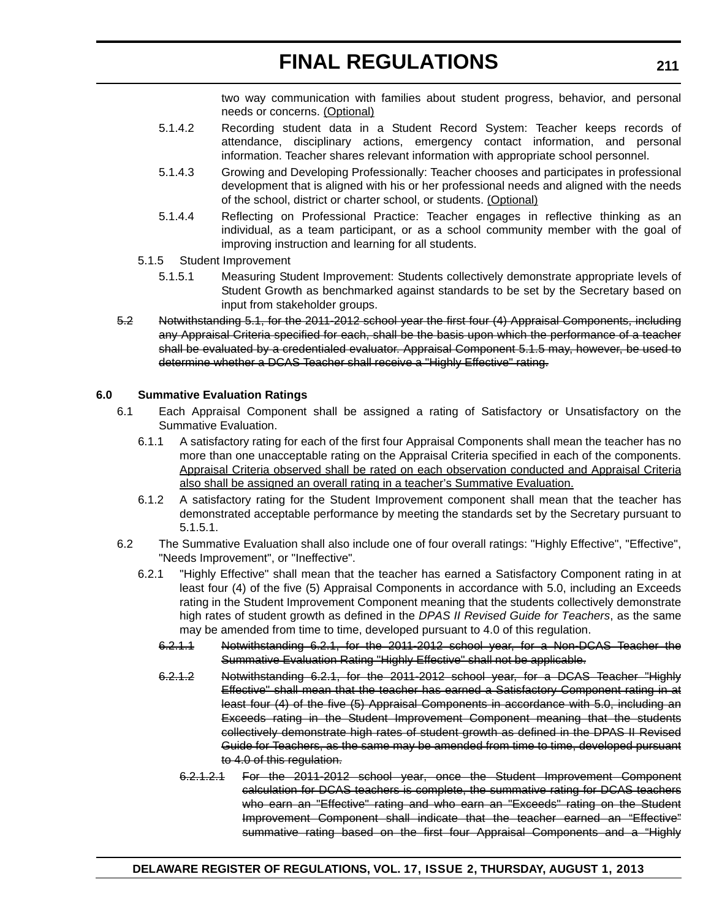two way communication with families about student progress, behavior, and personal needs or concerns. (Optional)

- 5.1.4.2 Recording student data in a Student Record System: Teacher keeps records of attendance, disciplinary actions, emergency contact information, and personal information. Teacher shares relevant information with appropriate school personnel.
- 5.1.4.3 Growing and Developing Professionally: Teacher chooses and participates in professional development that is aligned with his or her professional needs and aligned with the needs of the school, district or charter school, or students. (Optional)
- 5.1.4.4 Reflecting on Professional Practice: Teacher engages in reflective thinking as an individual, as a team participant, or as a school community member with the goal of improving instruction and learning for all students.
- 5.1.5 Student Improvement
	- 5.1.5.1 Measuring Student Improvement: Students collectively demonstrate appropriate levels of Student Growth as benchmarked against standards to be set by the Secretary based on input from stakeholder groups.
- 5.2 Notwithstanding 5.1, for the 2011-2012 school year the first four (4) Appraisal Components, including any Appraisal Criteria specified for each, shall be the basis upon which the performance of a teacher shall be evaluated by a credentialed evaluator. Appraisal Component 5.1.5 may, however, be used to determine whether a DCAS Teacher shall receive a "Highly Effective" rating.

### **6.0 Summative Evaluation Ratings**

- 6.1 Each Appraisal Component shall be assigned a rating of Satisfactory or Unsatisfactory on the Summative Evaluation.
	- 6.1.1 A satisfactory rating for each of the first four Appraisal Components shall mean the teacher has no more than one unacceptable rating on the Appraisal Criteria specified in each of the components. Appraisal Criteria observed shall be rated on each observation conducted and Appraisal Criteria also shall be assigned an overall rating in a teacher's Summative Evaluation.
	- 6.1.2 A satisfactory rating for the Student Improvement component shall mean that the teacher has demonstrated acceptable performance by meeting the standards set by the Secretary pursuant to 5.1.5.1.
- 6.2 The Summative Evaluation shall also include one of four overall ratings: "Highly Effective", "Effective", "Needs Improvement", or "Ineffective".
	- 6.2.1 "Highly Effective" shall mean that the teacher has earned a Satisfactory Component rating in at least four (4) of the five (5) Appraisal Components in accordance with 5.0, including an Exceeds rating in the Student Improvement Component meaning that the students collectively demonstrate high rates of student growth as defined in the *DPAS II Revised Guide for Teachers*, as the same may be amended from time to time, developed pursuant to 4.0 of this regulation.
		- 6.2.1.1 Notwithstanding 6.2.1, for the 2011-2012 school year, for a Non-DCAS Teacher the Summative Evaluation Rating "Highly Effective" shall not be applicable.
		- 6.2.1.2 Notwithstanding 6.2.1, for the 2011-2012 school year, for a DCAS Teacher "Highly Effective" shall mean that the teacher has earned a Satisfactory Component rating in at least four (4) of the five (5) Appraisal Components in accordance with 5.0, including an Exceeds rating in the Student Improvement Component meaning that the students collectively demonstrate high rates of student growth as defined in the DPAS II Revised Guide for Teachers, as the same may be amended from time to time, developed pursuant to 4.0 of this regulation.
			- 6.2.1.2.1 For the 2011-2012 school year, once the Student Improvement Component calculation for DCAS teachers is complete, the summative rating for DCAS teachers who earn an "Effective" rating and who earn an "Exceeds" rating on the Student Improvement Component shall indicate that the teacher earned an "Effective" summative rating based on the first four Appraisal Components and a "Highly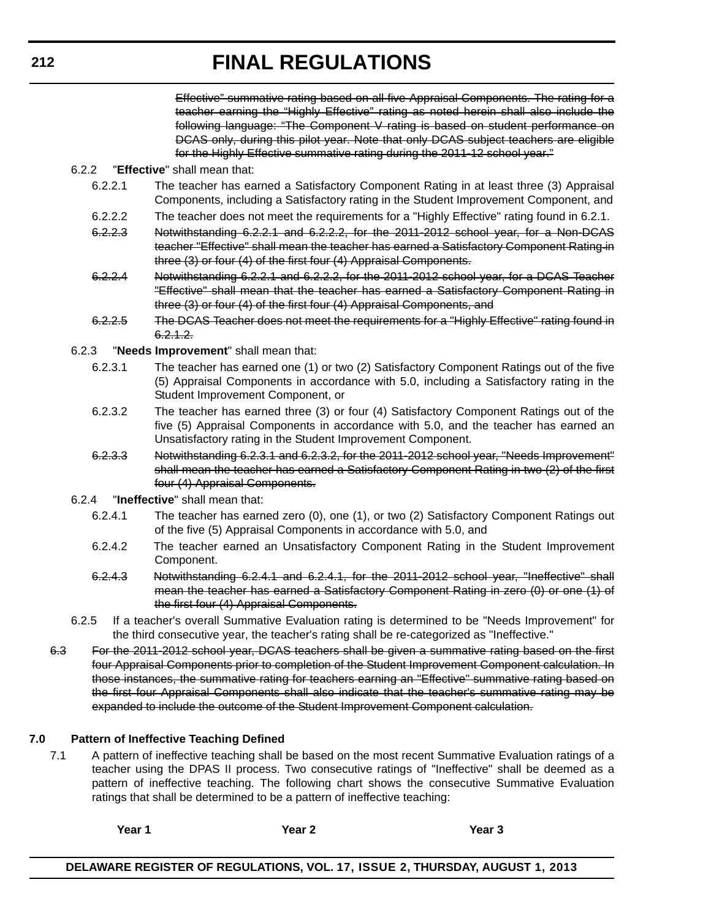Effective" summative rating based on all five Appraisal Components. The rating for a teacher earning the "Highly Effective" rating as noted herein shall also include the following language: "The Component V rating is based on student performance on DCAS only, during this pilot year. Note that only DCAS subject teachers are eligible for the Highly Effective summative rating during the 2011-12 school year."

### 6.2.2 "**Effective**" shall mean that:

- 6.2.2.1 The teacher has earned a Satisfactory Component Rating in at least three (3) Appraisal Components, including a Satisfactory rating in the Student Improvement Component, and
- 6.2.2.2 The teacher does not meet the requirements for a "Highly Effective" rating found in 6.2.1.
- 6.2.2.3 Notwithstanding 6.2.2.1 and 6.2.2.2, for the 2011-2012 school year, for a Non-DCAS teacher "Effective" shall mean the teacher has earned a Satisfactory Component Rating in three (3) or four (4) of the first four (4) Appraisal Components.
- 6.2.2.4 Notwithstanding 6.2.2.1 and 6.2.2.2, for the 2011-2012 school year, for a DCAS Teacher "Effective" shall mean that the teacher has earned a Satisfactory Component Rating in three (3) or four (4) of the first four (4) Appraisal Components, and
- 6.2.2.5 The DCAS Teacher does not meet the requirements for a "Highly Effective" rating found in 6.2.1.2.
- 6.2.3 "**Needs Improvement**" shall mean that:
	- 6.2.3.1 The teacher has earned one (1) or two (2) Satisfactory Component Ratings out of the five (5) Appraisal Components in accordance with 5.0, including a Satisfactory rating in the Student Improvement Component, or
	- 6.2.3.2 The teacher has earned three (3) or four (4) Satisfactory Component Ratings out of the five (5) Appraisal Components in accordance with 5.0, and the teacher has earned an Unsatisfactory rating in the Student Improvement Component.
	- 6.2.3.3 Notwithstanding 6.2.3.1 and 6.2.3.2, for the 2011-2012 school year, "Needs Improvement" shall mean the teacher has earned a Satisfactory Component Rating in two (2) of the first four (4) Appraisal Components.
- 6.2.4 "**Ineffective**" shall mean that:
	- 6.2.4.1 The teacher has earned zero (0), one (1), or two (2) Satisfactory Component Ratings out of the five (5) Appraisal Components in accordance with 5.0, and
	- 6.2.4.2 The teacher earned an Unsatisfactory Component Rating in the Student Improvement Component.
	- 6.2.4.3 Notwithstanding 6.2.4.1 and 6.2.4.1, for the 2011-2012 school year, "Ineffective" shall mean the teacher has earned a Satisfactory Component Rating in zero (0) or one (1) of the first four (4) Appraisal Components.
- 6.2.5 If a teacher's overall Summative Evaluation rating is determined to be "Needs Improvement" for the third consecutive year, the teacher's rating shall be re-categorized as "Ineffective."
- 6.3 For the 2011-2012 school year, DCAS teachers shall be given a summative rating based on the first four Appraisal Components prior to completion of the Student Improvement Component calculation. In those instances, the summative rating for teachers earning an "Effective" summative rating based on the first four Appraisal Components shall also indicate that the teacher's summative rating may be expanded to include the outcome of the Student Improvement Component calculation.

### **7.0 Pattern of Ineffective Teaching Defined**

7.1 A pattern of ineffective teaching shall be based on the most recent Summative Evaluation ratings of a teacher using the DPAS II process. Two consecutive ratings of "Ineffective" shall be deemed as a pattern of ineffective teaching. The following chart shows the consecutive Summative Evaluation ratings that shall be determined to be a pattern of ineffective teaching:

| Year 1<br>Year 2 | Year 3 |
|------------------|--------|
|------------------|--------|

**DELAWARE REGISTER OF REGULATIONS, VOL. 17, ISSUE 2, THURSDAY, AUGUST 1, 2013**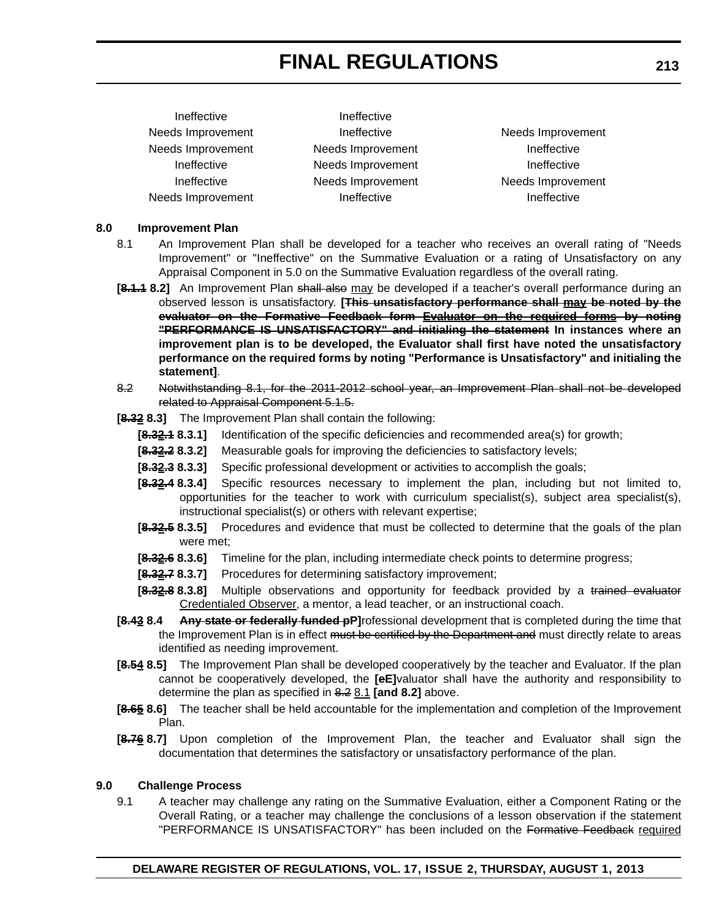| Ineffective       | Ineffective       |               |
|-------------------|-------------------|---------------|
| Needs Improvement | Ineffective       | Needs Improve |
| Needs Improvement | Needs Improvement | Ineffective   |
| Ineffective       | Needs Improvement | Ineffective   |
| Ineffective       | Needs Improvement | Needs Improve |
| Needs Improvement | Ineffective       | Ineffective   |
|                   |                   |               |

Needs Improvement Ineffective **Ineffective** Needs Improvement

### **8.0 Improvement Plan**

- 8.1 An Improvement Plan shall be developed for a teacher who receives an overall rating of "Needs Improvement" or "Ineffective" on the Summative Evaluation or a rating of Unsatisfactory on any Appraisal Component in 5.0 on the Summative Evaluation regardless of the overall rating.
- **[8.1.1 8.2]** An Improvement Plan shall also may be developed if a teacher's overall performance during an observed lesson is unsatisfactory. **[This unsatisfactory performance shall may be noted by the evaluator on the Formative Feedback form Evaluator on the required forms by noting "PERFORMANCE IS UNSATISFACTORY" and initialing the statement In instances where an improvement plan is to be developed, the Evaluator shall first have noted the unsatisfactory performance on the required forms by noting "Performance is Unsatisfactory" and initialing the statement]**.
- 8.2 Notwithstanding 8.1, for the 2011-2012 school year, an Improvement Plan shall not be developed related to Appraisal Component 5.1.5.
- **[8.32 8.3]** The Improvement Plan shall contain the following:
	- [8.32.4 8.3.1] Identification of the specific deficiencies and recommended area(s) for growth;
		- **[8.32.2 8.3.2]** Measurable goals for improving the deficiencies to satisfactory levels;
		- **[8.32.3 8.3.3]** Specific professional development or activities to accomplish the goals;
		- **[8.32.4 8.3.4]** Specific resources necessary to implement the plan, including but not limited to, opportunities for the teacher to work with curriculum specialist(s), subject area specialist(s), instructional specialist(s) or others with relevant expertise;
		- **[8.32.5 8.3.5]** Procedures and evidence that must be collected to determine that the goals of the plan were met;
		- **[8.32.6 8.3.6]** Timeline for the plan, including intermediate check points to determine progress;
		- [8.32.7 8.3.7] Procedures for determining satisfactory improvement;
		- **[8.32.8 8.3.8]** Multiple observations and opportunity for feedback provided by a trained evaluator Credentialed Observer, a mentor, a lead teacher, or an instructional coach.
- **[8.43 8.4 Any state or federally funded pP]**rofessional development that is completed during the time that the Improvement Plan is in effect must be certified by the Department and must directly relate to areas identified as needing improvement.
- **[8.54 8.5]** The Improvement Plan shall be developed cooperatively by the teacher and Evaluator. If the plan cannot be cooperatively developed, the **[eE]**valuator shall have the authority and responsibility to determine the plan as specified in 8.2 8.1 **[and 8.2]** above.
- **[8.65 8.6]** The teacher shall be held accountable for the implementation and completion of the Improvement Plan.
- **[8.76 8.7]** Upon completion of the Improvement Plan, the teacher and Evaluator shall sign the documentation that determines the satisfactory or unsatisfactory performance of the plan.

#### **9.0 Challenge Process**

9.1 A teacher may challenge any rating on the Summative Evaluation, either a Component Rating or the Overall Rating, or a teacher may challenge the conclusions of a lesson observation if the statement "PERFORMANCE IS UNSATISFACTORY" has been included on the Formative Feedback required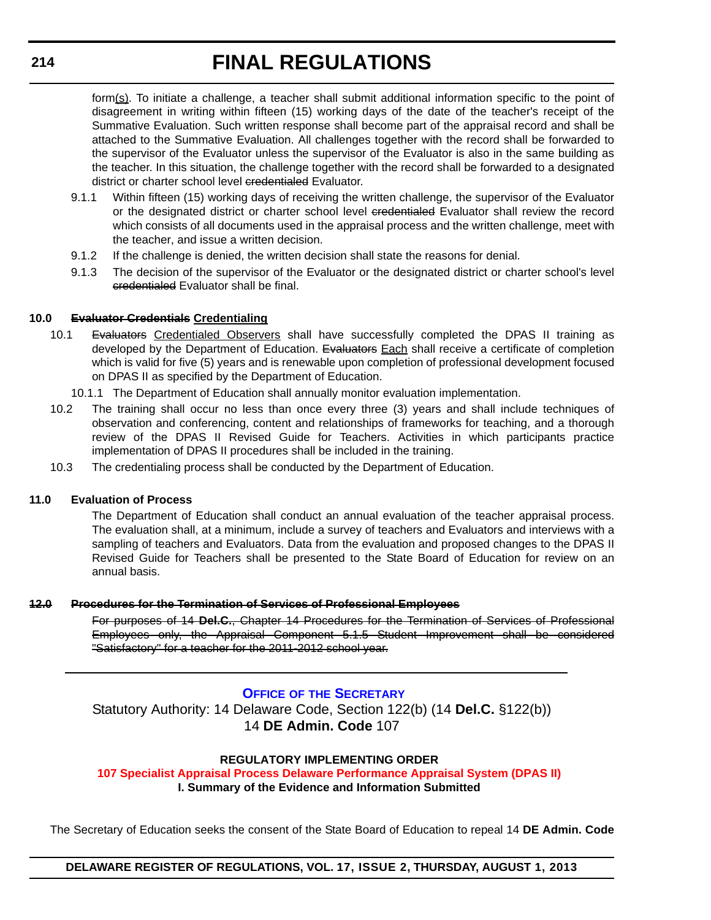form(s). To initiate a challenge, a teacher shall submit additional information specific to the point of disagreement in writing within fifteen (15) working days of the date of the teacher's receipt of the Summative Evaluation. Such written response shall become part of the appraisal record and shall be attached to the Summative Evaluation. All challenges together with the record shall be forwarded to the supervisor of the Evaluator unless the supervisor of the Evaluator is also in the same building as the teacher. In this situation, the challenge together with the record shall be forwarded to a designated district or charter school level credentialed Evaluator.

- 9.1.1 Within fifteen (15) working days of receiving the written challenge, the supervisor of the Evaluator or the designated district or charter school level eredentialed Evaluator shall review the record which consists of all documents used in the appraisal process and the written challenge, meet with the teacher, and issue a written decision.
- 9.1.2 If the challenge is denied, the written decision shall state the reasons for denial.
- 9.1.3 The decision of the supervisor of the Evaluator or the designated district or charter school's level credentialed Evaluator shall be final.

### **10.0 Evaluator Credentials Credentialing**

- 10.1 Evaluators Credentialed Observers shall have successfully completed the DPAS II training as developed by the Department of Education. Evaluators Each shall receive a certificate of completion which is valid for five (5) years and is renewable upon completion of professional development focused on DPAS II as specified by the Department of Education.
	- 10.1.1 The Department of Education shall annually monitor evaluation implementation.
- 10.2 The training shall occur no less than once every three (3) years and shall include techniques of observation and conferencing, content and relationships of frameworks for teaching, and a thorough review of the DPAS II Revised Guide for Teachers. Activities in which participants practice implementation of DPAS II procedures shall be included in the training.
- 10.3 The credentialing process shall be conducted by the Department of Education.

### **11.0 Evaluation of Process**

The Department of Education shall conduct an annual evaluation of the teacher appraisal process. The evaluation shall, at a minimum, include a survey of teachers and Evaluators and interviews with a sampling of teachers and Evaluators. Data from the evaluation and proposed changes to the DPAS II Revised Guide for Teachers shall be presented to the State Board of Education for review on an annual basis.

### **12.0 Procedures for the Termination of Services of Professional Employees**

For purposes of 14 **Del.C.**, Chapter 14 Procedures for the Termination of Services of Professional Employees only, the Appraisal Component 5.1.5 Student Improvement shall be considered "Satisfactory" for a teacher for the 2011-2012 school year.

### **OFFICE OF THE SECRETARY**

Statutory Authority: 14 Delaware Code, Section 122(b) (14 **Del.C.** §122(b)) 14 **DE Admin. Code** 107

### **REGULATORY IMPLEMENTING ORDER**

**[107 Specialist Appraisal Process Delaware Performance](#page-4-0) Appraisal System (DPAS II) I. Summary of the Evidence and Information Submitted**

The Secretary of Education seeks the consent of the State Board of Education to repeal 14 **DE Admin. Code**

**DELAWARE REGISTER OF REGULATIONS, VOL. 17, ISSUE 2, THURSDAY, AUGUST 1, 2013**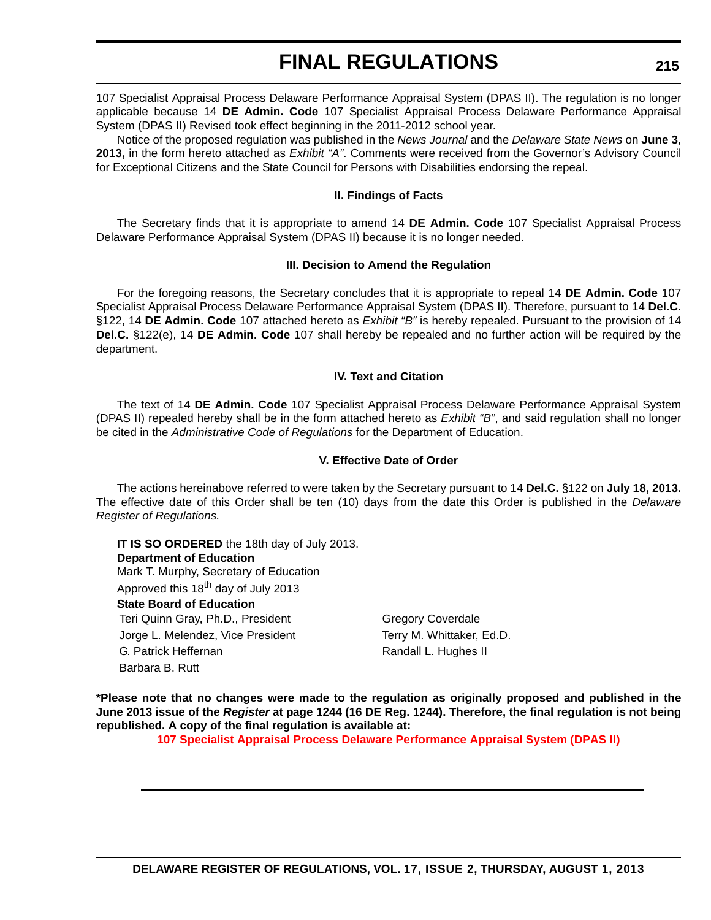107 Specialist Appraisal Process Delaware Performance Appraisal System (DPAS II). The regulation is no longer applicable because 14 **DE Admin. Code** 107 Specialist Appraisal Process Delaware Performance Appraisal System (DPAS II) Revised took effect beginning in the 2011-2012 school year.

Notice of the proposed regulation was published in the *News Journal* and the *Delaware State News* on **June 3, 2013,** in the form hereto attached as *Exhibit "A"*. Comments were received from the Governor's Advisory Council for Exceptional Citizens and the State Council for Persons with Disabilities endorsing the repeal.

### **II. Findings of Facts**

The Secretary finds that it is appropriate to amend 14 **DE Admin. Code** 107 Specialist Appraisal Process Delaware Performance Appraisal System (DPAS II) because it is no longer needed.

#### **III. Decision to Amend the Regulation**

For the foregoing reasons, the Secretary concludes that it is appropriate to repeal 14 **DE Admin. Code** 107 Specialist Appraisal Process Delaware Performance Appraisal System (DPAS II). Therefore, pursuant to 14 **Del.C.** §122, 14 **DE Admin. Code** 107 attached hereto as *Exhibit "B"* is hereby repealed. Pursuant to the provision of 14 **Del.C.** §122(e), 14 **DE Admin. Code** 107 shall hereby be repealed and no further action will be required by the department.

### **IV. Text and Citation**

The text of 14 **DE Admin. Code** 107 Specialist Appraisal Process Delaware Performance Appraisal System (DPAS II) repealed hereby shall be in the form attached hereto as *Exhibit "B"*, and said regulation shall no longer be cited in the *Administrative Code of Regulations* for the Department of Education.

### **V. Effective Date of Order**

The actions hereinabove referred to were taken by the Secretary pursuant to 14 **Del.C.** §122 on **July 18, 2013.** The effective date of this Order shall be ten (10) days from the date this Order is published in the *Delaware Register of Regulations.*

**IT IS SO ORDERED** the 18th day of July 2013. **Department of Education** Mark T. Murphy, Secretary of Education Approved this 18<sup>th</sup> day of July 2013 **State Board of Education** Teri Quinn Gray, Ph.D., President Gregory Coverdale Jorge L. Melendez, Vice President Terry M. Whittaker, Ed.D. G. Patrick Heffernan **Randall L. Hughes II** Barbara B. Rutt

**\*Please note that no changes were made to the regulation as originally proposed and published in the June 2013 issue of the** *Register* **at page 1244 (16 DE Reg. 1244). Therefore, the final regulation is not being republished. A copy of the final regulation is available at:**

**[107 Specialist Appraisal Process Delaware Performance Appraisal System \(DPAS II\)](http://regulations.delaware.gov/register/august2013/final/17 DE Reg 214 08-01-13.htm)**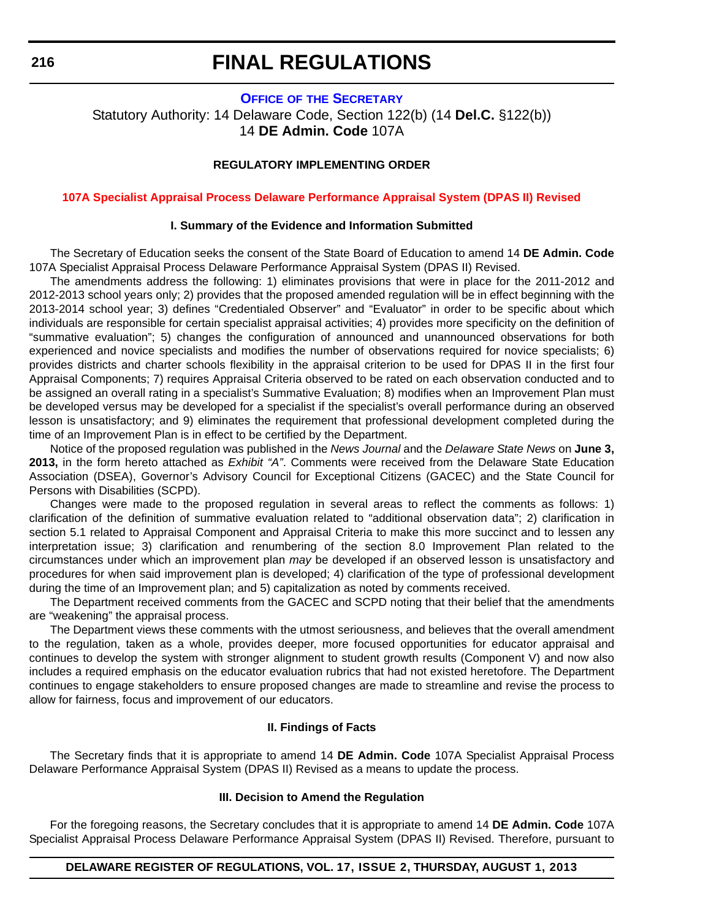#### **OFFICE OF THE SECRETARY**

Statutory Authority: 14 Delaware Code, Section 122(b) (14 **Del.C.** §122(b)) 14 **DE Admin. Code** 107A

### **REGULATORY IMPLEMENTING ORDER**

#### **[107A Specialist Appraisal Process Delaware Performance Appraisal System \(DPAS II\) Revised](#page-4-0)**

#### **I. Summary of the Evidence and Information Submitted**

The Secretary of Education seeks the consent of the State Board of Education to amend 14 **DE Admin. Code** 107A Specialist Appraisal Process Delaware Performance Appraisal System (DPAS II) Revised.

The amendments address the following: 1) eliminates provisions that were in place for the 2011-2012 and 2012-2013 school years only; 2) provides that the proposed amended regulation will be in effect beginning with the 2013-2014 school year; 3) defines "Credentialed Observer" and "Evaluator" in order to be specific about which individuals are responsible for certain specialist appraisal activities; 4) provides more specificity on the definition of "summative evaluation"; 5) changes the configuration of announced and unannounced observations for both experienced and novice specialists and modifies the number of observations required for novice specialists; 6) provides districts and charter schools flexibility in the appraisal criterion to be used for DPAS II in the first four Appraisal Components; 7) requires Appraisal Criteria observed to be rated on each observation conducted and to be assigned an overall rating in a specialist's Summative Evaluation; 8) modifies when an Improvement Plan must be developed versus may be developed for a specialist if the specialist's overall performance during an observed lesson is unsatisfactory; and 9) eliminates the requirement that professional development completed during the time of an Improvement Plan is in effect to be certified by the Department.

Notice of the proposed regulation was published in the *News Journal* and the *Delaware State News* on **June 3, 2013,** in the form hereto attached as *Exhibit "A"*. Comments were received from the Delaware State Education Association (DSEA), Governor's Advisory Council for Exceptional Citizens (GACEC) and the State Council for Persons with Disabilities (SCPD).

Changes were made to the proposed regulation in several areas to reflect the comments as follows: 1) clarification of the definition of summative evaluation related to "additional observation data"; 2) clarification in section 5.1 related to Appraisal Component and Appraisal Criteria to make this more succinct and to lessen any interpretation issue; 3) clarification and renumbering of the section 8.0 Improvement Plan related to the circumstances under which an improvement plan *may* be developed if an observed lesson is unsatisfactory and procedures for when said improvement plan is developed; 4) clarification of the type of professional development during the time of an Improvement plan; and 5) capitalization as noted by comments received.

The Department received comments from the GACEC and SCPD noting that their belief that the amendments are "weakening" the appraisal process.

The Department views these comments with the utmost seriousness, and believes that the overall amendment to the regulation, taken as a whole, provides deeper, more focused opportunities for educator appraisal and continues to develop the system with stronger alignment to student growth results (Component V) and now also includes a required emphasis on the educator evaluation rubrics that had not existed heretofore. The Department continues to engage stakeholders to ensure proposed changes are made to streamline and revise the process to allow for fairness, focus and improvement of our educators.

#### **II. Findings of Facts**

The Secretary finds that it is appropriate to amend 14 **DE Admin. Code** 107A Specialist Appraisal Process Delaware Performance Appraisal System (DPAS II) Revised as a means to update the process.

#### **III. Decision to Amend the Regulation**

For the foregoing reasons, the Secretary concludes that it is appropriate to amend 14 **DE Admin. Code** 107A Specialist Appraisal Process Delaware Performance Appraisal System (DPAS II) Revised. Therefore, pursuant to

#### **DELAWARE REGISTER OF REGULATIONS, VOL. 17, ISSUE 2, THURSDAY, AUGUST 1, 2013**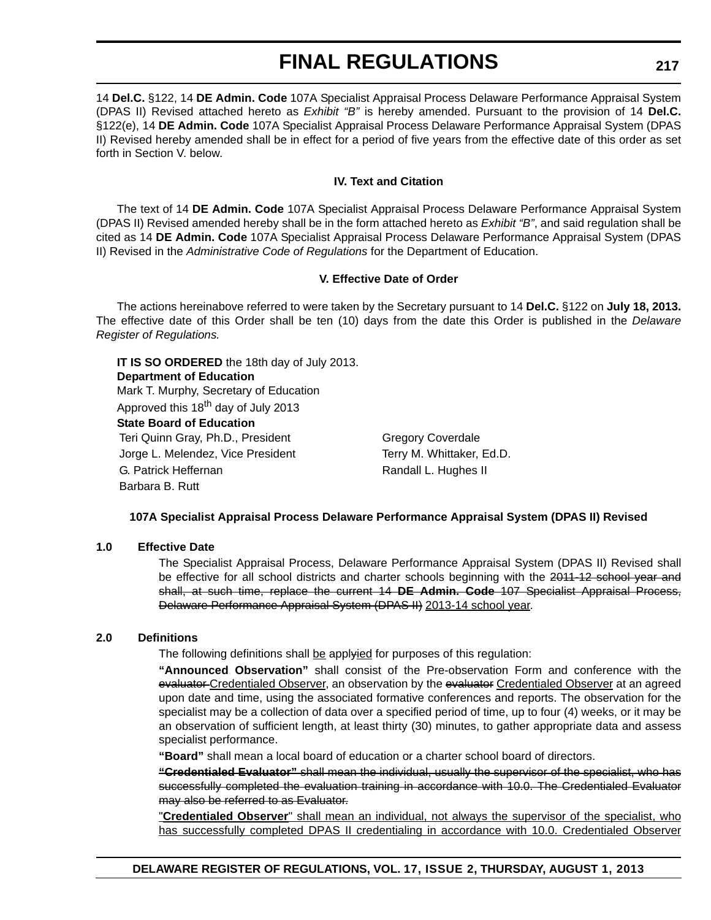14 **Del.C.** §122, 14 **DE Admin. Code** 107A Specialist Appraisal Process Delaware Performance Appraisal System (DPAS II) Revised attached hereto as *Exhibit "B"* is hereby amended. Pursuant to the provision of 14 **Del.C.** §122(e), 14 **DE Admin. Code** 107A Specialist Appraisal Process Delaware Performance Appraisal System (DPAS II) Revised hereby amended shall be in effect for a period of five years from the effective date of this order as set forth in Section V. below.

### **IV. Text and Citation**

The text of 14 **DE Admin. Code** 107A Specialist Appraisal Process Delaware Performance Appraisal System (DPAS II) Revised amended hereby shall be in the form attached hereto as *Exhibit "B"*, and said regulation shall be cited as 14 **DE Admin. Code** 107A Specialist Appraisal Process Delaware Performance Appraisal System (DPAS II) Revised in the *Administrative Code of Regulations* for the Department of Education.

### **V. Effective Date of Order**

The actions hereinabove referred to were taken by the Secretary pursuant to 14 **Del.C.** §122 on **July 18, 2013.** The effective date of this Order shall be ten (10) days from the date this Order is published in the *Delaware Register of Regulations.*

**IT IS SO ORDERED** the 18th day of July 2013. **Department of Education** Mark T. Murphy, Secretary of Education Approved this 18<sup>th</sup> day of July 2013 **State Board of Education** Teri Quinn Gray, Ph.D., President Gregory Coverdale Jorge L. Melendez, Vice President Terry M. Whittaker, Ed.D. G. Patrick Heffernan **Randall L. Hughes II** Barbara B. Rutt

### **107A Specialist Appraisal Process Delaware Performance Appraisal System (DPAS II) Revised**

#### **1.0 Effective Date**

The Specialist Appraisal Process, Delaware Performance Appraisal System (DPAS II) Revised shall be effective for all school districts and charter schools beginning with the 2011-12 school year and shall, at such time, replace the current 14 **DE Admin. Code** 107 Specialist Appraisal Process, Delaware Performance Appraisal System (DPAS II) 2013-14 school year.

#### **2.0 Definitions**

The following definitions shall be applyied for purposes of this regulation:

**"Announced Observation"** shall consist of the Pre-observation Form and conference with the evaluator Credentialed Observer, an observation by the evaluator Credentialed Observer at an agreed upon date and time, using the associated formative conferences and reports. The observation for the specialist may be a collection of data over a specified period of time, up to four (4) weeks, or it may be an observation of sufficient length, at least thirty (30) minutes, to gather appropriate data and assess specialist performance.

**"Board"** shall mean a local board of education or a charter school board of directors.

**"Credentialed Evaluator"** shall mean the individual, usually the supervisor of the specialist, who has successfully completed the evaluation training in accordance with 10.0. The Credentialed Evaluator may also be referred to as Evaluator.

"**Credentialed Observer**" shall mean an individual, not always the supervisor of the specialist, who has successfully completed DPAS II credentialing in accordance with 10.0. Credentialed Observer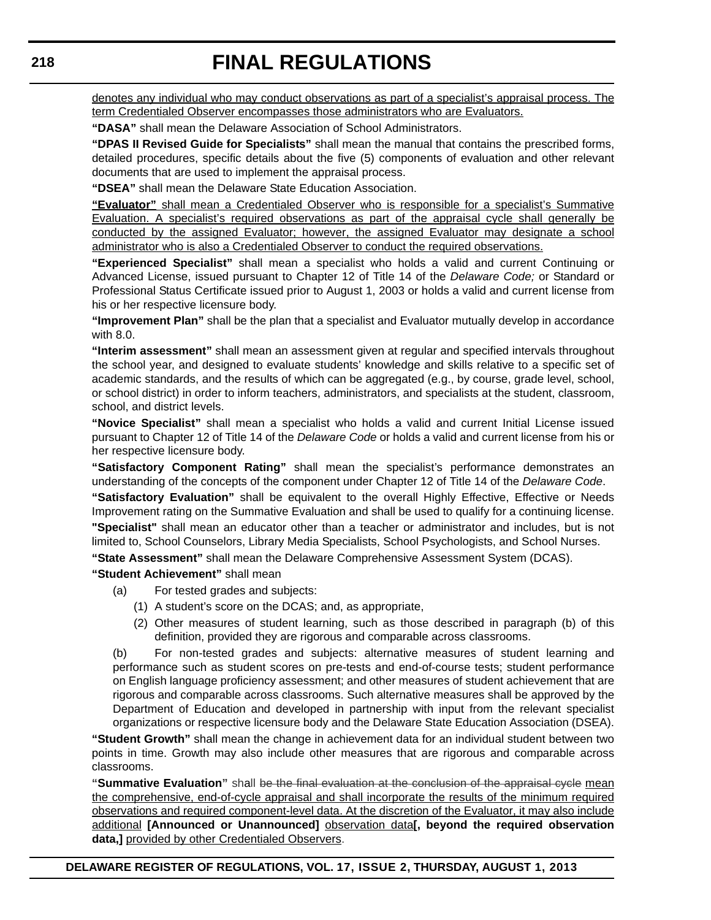denotes any individual who may conduct observations as part of a specialist's appraisal process. The term Credentialed Observer encompasses those administrators who are Evaluators.

**"DASA"** shall mean the Delaware Association of School Administrators.

**"DPAS II Revised Guide for Specialists"** shall mean the manual that contains the prescribed forms, detailed procedures, specific details about the five (5) components of evaluation and other relevant documents that are used to implement the appraisal process.

**"DSEA"** shall mean the Delaware State Education Association.

**"Evaluator"** shall mean a Credentialed Observer who is responsible for a specialist's Summative Evaluation. A specialist's required observations as part of the appraisal cycle shall generally be conducted by the assigned Evaluator; however, the assigned Evaluator may designate a school administrator who is also a Credentialed Observer to conduct the required observations.

**"Experienced Specialist"** shall mean a specialist who holds a valid and current Continuing or Advanced License, issued pursuant to Chapter 12 of Title 14 of the *Delaware Code;* or Standard or Professional Status Certificate issued prior to August 1, 2003 or holds a valid and current license from his or her respective licensure body.

**"Improvement Plan"** shall be the plan that a specialist and Evaluator mutually develop in accordance with 8.0.

**"Interim assessment"** shall mean an assessment given at regular and specified intervals throughout the school year, and designed to evaluate students' knowledge and skills relative to a specific set of academic standards, and the results of which can be aggregated (e.g., by course, grade level, school, or school district) in order to inform teachers, administrators, and specialists at the student, classroom, school, and district levels.

**"Novice Specialist"** shall mean a specialist who holds a valid and current Initial License issued pursuant to Chapter 12 of Title 14 of the *Delaware Code* or holds a valid and current license from his or her respective licensure body.

**"Satisfactory Component Rating"** shall mean the specialist's performance demonstrates an understanding of the concepts of the component under Chapter 12 of Title 14 of the *Delaware Code*.

**"Satisfactory Evaluation"** shall be equivalent to the overall Highly Effective, Effective or Needs Improvement rating on the Summative Evaluation and shall be used to qualify for a continuing license. **"Specialist"** shall mean an educator other than a teacher or administrator and includes, but is not limited to, School Counselors, Library Media Specialists, School Psychologists, and School Nurses.

**"State Assessment"** shall mean the Delaware Comprehensive Assessment System (DCAS).

### **"Student Achievement"** shall mean

- (a) For tested grades and subjects:
	- (1) A student's score on the DCAS; and, as appropriate,
	- (2) Other measures of student learning, such as those described in paragraph (b) of this definition, provided they are rigorous and comparable across classrooms.

(b) For non-tested grades and subjects: alternative measures of student learning and performance such as student scores on pre-tests and end-of-course tests; student performance on English language proficiency assessment; and other measures of student achievement that are rigorous and comparable across classrooms. Such alternative measures shall be approved by the Department of Education and developed in partnership with input from the relevant specialist organizations or respective licensure body and the Delaware State Education Association (DSEA).

**"Student Growth"** shall mean the change in achievement data for an individual student between two points in time. Growth may also include other measures that are rigorous and comparable across classrooms.

**"Summative Evaluation"** shall be the final evaluation at the conclusion of the appraisal cycle mean the comprehensive, end-of-cycle appraisal and shall incorporate the results of the minimum required observations and required component-level data. At the discretion of the Evaluator, it may also include additional **[Announced or Unannounced]** observation data**[, beyond the required observation data,]** provided by other Credentialed Observers.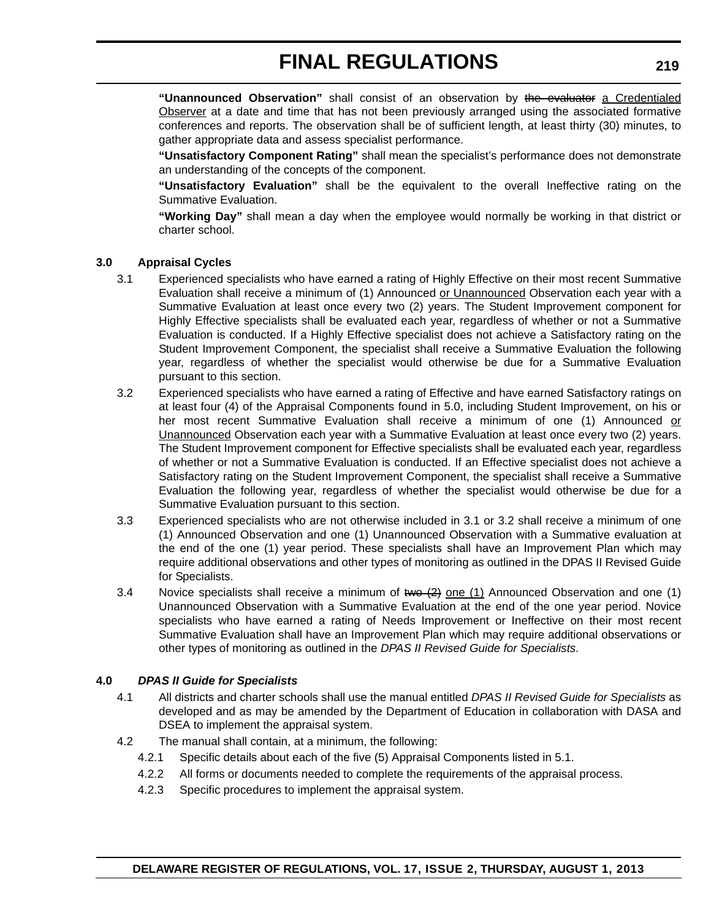**"Unannounced Observation"** shall consist of an observation by the evaluator a Credentialed Observer at a date and time that has not been previously arranged using the associated formative conferences and reports. The observation shall be of sufficient length, at least thirty (30) minutes, to gather appropriate data and assess specialist performance.

**"Unsatisfactory Component Rating"** shall mean the specialist's performance does not demonstrate an understanding of the concepts of the component.

**"Unsatisfactory Evaluation"** shall be the equivalent to the overall Ineffective rating on the Summative Evaluation.

**"Working Day"** shall mean a day when the employee would normally be working in that district or charter school.

### **3.0 Appraisal Cycles**

- 3.1 Experienced specialists who have earned a rating of Highly Effective on their most recent Summative Evaluation shall receive a minimum of (1) Announced or Unannounced Observation each year with a Summative Evaluation at least once every two (2) years. The Student Improvement component for Highly Effective specialists shall be evaluated each year, regardless of whether or not a Summative Evaluation is conducted. If a Highly Effective specialist does not achieve a Satisfactory rating on the Student Improvement Component, the specialist shall receive a Summative Evaluation the following year, regardless of whether the specialist would otherwise be due for a Summative Evaluation pursuant to this section.
- 3.2 Experienced specialists who have earned a rating of Effective and have earned Satisfactory ratings on at least four (4) of the Appraisal Components found in 5.0, including Student Improvement, on his or her most recent Summative Evaluation shall receive a minimum of one (1) Announced or Unannounced Observation each year with a Summative Evaluation at least once every two (2) years. The Student Improvement component for Effective specialists shall be evaluated each year, regardless of whether or not a Summative Evaluation is conducted. If an Effective specialist does not achieve a Satisfactory rating on the Student Improvement Component, the specialist shall receive a Summative Evaluation the following year, regardless of whether the specialist would otherwise be due for a Summative Evaluation pursuant to this section.
- 3.3 Experienced specialists who are not otherwise included in 3.1 or 3.2 shall receive a minimum of one (1) Announced Observation and one (1) Unannounced Observation with a Summative evaluation at the end of the one (1) year period. These specialists shall have an Improvement Plan which may require additional observations and other types of monitoring as outlined in the DPAS II Revised Guide for Specialists.
- 3.4 Novice specialists shall receive a minimum of  $two (2)$  one  $(1)$  Announced Observation and one  $(1)$ Unannounced Observation with a Summative Evaluation at the end of the one year period. Novice specialists who have earned a rating of Needs Improvement or Ineffective on their most recent Summative Evaluation shall have an Improvement Plan which may require additional observations or other types of monitoring as outlined in the *DPAS II Revised Guide for Specialists*.

#### **4.0** *DPAS II Guide for Specialists*

- 4.1 All districts and charter schools shall use the manual entitled *DPAS II Revised Guide for Specialists* as developed and as may be amended by the Department of Education in collaboration with DASA and DSEA to implement the appraisal system.
- 4.2 The manual shall contain, at a minimum, the following:
	- 4.2.1 Specific details about each of the five (5) Appraisal Components listed in 5.1.
	- 4.2.2 All forms or documents needed to complete the requirements of the appraisal process.
	- 4.2.3 Specific procedures to implement the appraisal system.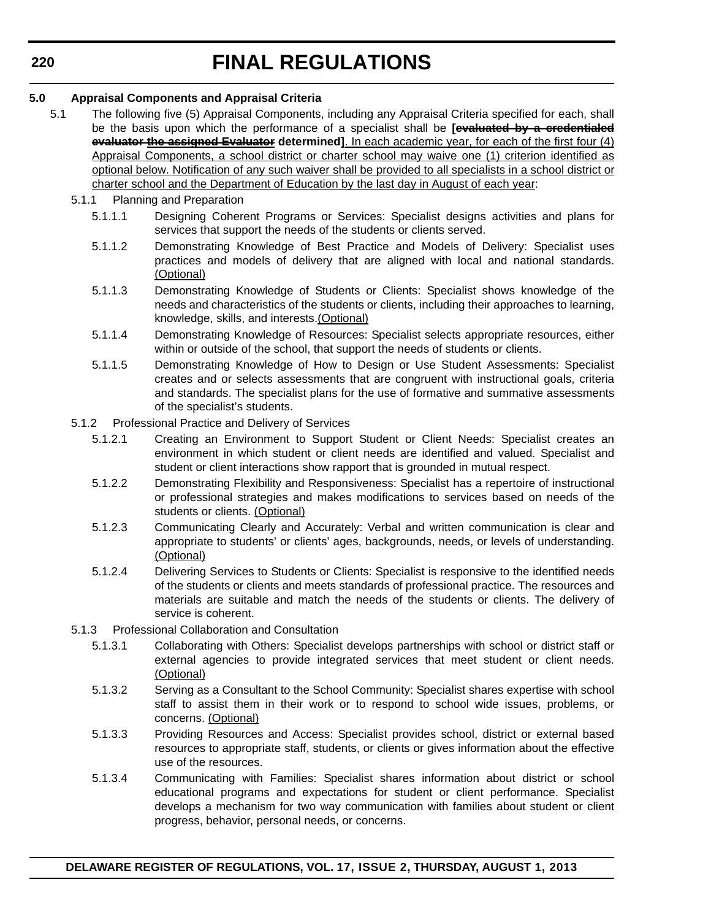### **5.0 Appraisal Components and Appraisal Criteria**

- 5.1 The following five (5) Appraisal Components, including any Appraisal Criteria specified for each, shall be the basis upon which the performance of a specialist shall be **[evaluated by a credentialed evaluator the assigned Evaluator determined]**. In each academic year, for each of the first four (4) Appraisal Components, a school district or charter school may waive one (1) criterion identified as optional below. Notification of any such waiver shall be provided to all specialists in a school district or charter school and the Department of Education by the last day in August of each year:
	- 5.1.1 Planning and Preparation
		- 5.1.1.1 Designing Coherent Programs or Services: Specialist designs activities and plans for services that support the needs of the students or clients served.
		- 5.1.1.2 Demonstrating Knowledge of Best Practice and Models of Delivery: Specialist uses practices and models of delivery that are aligned with local and national standards. (Optional)
		- 5.1.1.3 Demonstrating Knowledge of Students or Clients: Specialist shows knowledge of the needs and characteristics of the students or clients, including their approaches to learning, knowledge, skills, and interests.(Optional)
		- 5.1.1.4 Demonstrating Knowledge of Resources: Specialist selects appropriate resources, either within or outside of the school, that support the needs of students or clients.
		- 5.1.1.5 Demonstrating Knowledge of How to Design or Use Student Assessments: Specialist creates and or selects assessments that are congruent with instructional goals, criteria and standards. The specialist plans for the use of formative and summative assessments of the specialist's students.
	- 5.1.2 Professional Practice and Delivery of Services
		- 5.1.2.1 Creating an Environment to Support Student or Client Needs: Specialist creates an environment in which student or client needs are identified and valued. Specialist and student or client interactions show rapport that is grounded in mutual respect.
		- 5.1.2.2 Demonstrating Flexibility and Responsiveness: Specialist has a repertoire of instructional or professional strategies and makes modifications to services based on needs of the students or clients. (Optional)
		- 5.1.2.3 Communicating Clearly and Accurately: Verbal and written communication is clear and appropriate to students' or clients' ages, backgrounds, needs, or levels of understanding. (Optional)
		- 5.1.2.4 Delivering Services to Students or Clients: Specialist is responsive to the identified needs of the students or clients and meets standards of professional practice. The resources and materials are suitable and match the needs of the students or clients. The delivery of service is coherent.
	- 5.1.3 Professional Collaboration and Consultation
		- 5.1.3.1 Collaborating with Others: Specialist develops partnerships with school or district staff or external agencies to provide integrated services that meet student or client needs. (Optional)
		- 5.1.3.2 Serving as a Consultant to the School Community: Specialist shares expertise with school staff to assist them in their work or to respond to school wide issues, problems, or concerns. (Optional)
		- 5.1.3.3 Providing Resources and Access: Specialist provides school, district or external based resources to appropriate staff, students, or clients or gives information about the effective use of the resources.
		- 5.1.3.4 Communicating with Families: Specialist shares information about district or school educational programs and expectations for student or client performance. Specialist develops a mechanism for two way communication with families about student or client progress, behavior, personal needs, or concerns.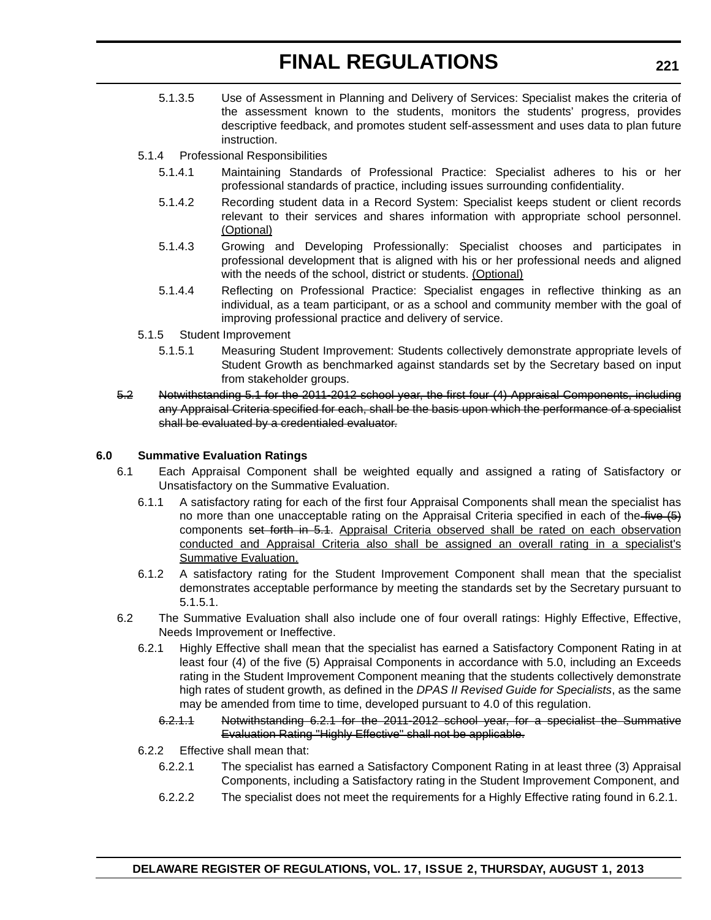- 5.1.3.5 Use of Assessment in Planning and Delivery of Services: Specialist makes the criteria of the assessment known to the students, monitors the students' progress, provides descriptive feedback, and promotes student self-assessment and uses data to plan future instruction.
- 5.1.4 Professional Responsibilities
	- 5.1.4.1 Maintaining Standards of Professional Practice: Specialist adheres to his or her professional standards of practice, including issues surrounding confidentiality.
	- 5.1.4.2 Recording student data in a Record System: Specialist keeps student or client records relevant to their services and shares information with appropriate school personnel. (Optional)
	- 5.1.4.3 Growing and Developing Professionally: Specialist chooses and participates in professional development that is aligned with his or her professional needs and aligned with the needs of the school, district or students. (Optional)
	- 5.1.4.4 Reflecting on Professional Practice: Specialist engages in reflective thinking as an individual, as a team participant, or as a school and community member with the goal of improving professional practice and delivery of service.
- 5.1.5 Student Improvement
	- 5.1.5.1 Measuring Student Improvement: Students collectively demonstrate appropriate levels of Student Growth as benchmarked against standards set by the Secretary based on input from stakeholder groups.
- 5.2 Notwithstanding 5.1 for the 2011-2012 school year, the first four (4) Appraisal Components, including any Appraisal Criteria specified for each, shall be the basis upon which the performance of a specialist shall be evaluated by a credentialed evaluator.

### **6.0 Summative Evaluation Ratings**

- 6.1 Each Appraisal Component shall be weighted equally and assigned a rating of Satisfactory or Unsatisfactory on the Summative Evaluation.
	- 6.1.1 A satisfactory rating for each of the first four Appraisal Components shall mean the specialist has no more than one unacceptable rating on the Appraisal Criteria specified in each of the five  $(5)$ components set forth in 5.4. Appraisal Criteria observed shall be rated on each observation conducted and Appraisal Criteria also shall be assigned an overall rating in a specialist's Summative Evaluation.
	- 6.1.2 A satisfactory rating for the Student Improvement Component shall mean that the specialist demonstrates acceptable performance by meeting the standards set by the Secretary pursuant to 5.1.5.1.
- 6.2 The Summative Evaluation shall also include one of four overall ratings: Highly Effective, Effective, Needs Improvement or Ineffective.
	- 6.2.1 Highly Effective shall mean that the specialist has earned a Satisfactory Component Rating in at least four (4) of the five (5) Appraisal Components in accordance with 5.0, including an Exceeds rating in the Student Improvement Component meaning that the students collectively demonstrate high rates of student growth, as defined in the *DPAS II Revised Guide for Specialists*, as the same may be amended from time to time, developed pursuant to 4.0 of this regulation.
		- 6.2.1.1 Notwithstanding 6.2.1 for the 2011-2012 school year, for a specialist the Summative Evaluation Rating "Highly Effective" shall not be applicable.
	- 6.2.2 Effective shall mean that:
		- 6.2.2.1 The specialist has earned a Satisfactory Component Rating in at least three (3) Appraisal Components, including a Satisfactory rating in the Student Improvement Component, and
		- 6.2.2.2 The specialist does not meet the requirements for a Highly Effective rating found in 6.2.1.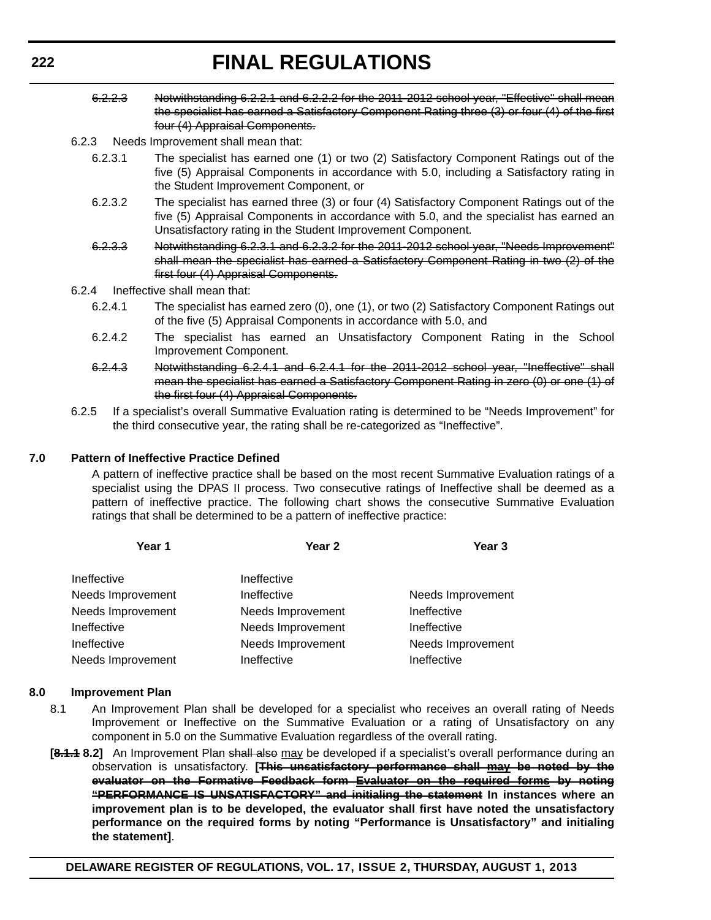- 6.2.2.3 Notwithstanding 6.2.2.1 and 6.2.2.2 for the 2011-2012 school year, "Effective" shall mean the specialist has earned a Satisfactory Component Rating three (3) or four (4) of the first four (4) Appraisal Components.
- 6.2.3 Needs Improvement shall mean that:
	- 6.2.3.1 The specialist has earned one (1) or two (2) Satisfactory Component Ratings out of the five (5) Appraisal Components in accordance with 5.0, including a Satisfactory rating in the Student Improvement Component, or
	- 6.2.3.2 The specialist has earned three (3) or four (4) Satisfactory Component Ratings out of the five (5) Appraisal Components in accordance with 5.0, and the specialist has earned an Unsatisfactory rating in the Student Improvement Component.
	- 6.2.3.3 Notwithstanding 6.2.3.1 and 6.2.3.2 for the 2011-2012 school year, "Needs Improvement" shall mean the specialist has earned a Satisfactory Component Rating in two (2) of the first four (4) Appraisal Components.
- 6.2.4 Ineffective shall mean that:
	- 6.2.4.1 The specialist has earned zero (0), one (1), or two (2) Satisfactory Component Ratings out of the five (5) Appraisal Components in accordance with 5.0, and
	- 6.2.4.2 The specialist has earned an Unsatisfactory Component Rating in the School Improvement Component.
	- 6.2.4.3 Notwithstanding 6.2.4.1 and 6.2.4.1 for the 2011-2012 school year, "Ineffective" shall mean the specialist has earned a Satisfactory Component Rating in zero (0) or one (1) of the first four (4) Appraisal Components.
- 6.2.5 If a specialist's overall Summative Evaluation rating is determined to be "Needs Improvement" for the third consecutive year, the rating shall be re-categorized as "Ineffective".

### **7.0 Pattern of Ineffective Practice Defined**

A pattern of ineffective practice shall be based on the most recent Summative Evaluation ratings of a specialist using the DPAS II process. Two consecutive ratings of Ineffective shall be deemed as a pattern of ineffective practice. The following chart shows the consecutive Summative Evaluation ratings that shall be determined to be a pattern of ineffective practice:

| Year 1            | Year <sub>2</sub> | Year <sub>3</sub> |
|-------------------|-------------------|-------------------|
| Ineffective       | Ineffective       |                   |
| Needs Improvement | Ineffective       | Needs Improvement |
| Needs Improvement | Needs Improvement | Ineffective       |
| Ineffective       | Needs Improvement | Ineffective       |
| Ineffective       | Needs Improvement | Needs Improvement |
| Needs Improvement | Ineffective       | Ineffective       |

#### **8.0 Improvement Plan**

- 8.1 An Improvement Plan shall be developed for a specialist who receives an overall rating of Needs Improvement or Ineffective on the Summative Evaluation or a rating of Unsatisfactory on any component in 5.0 on the Summative Evaluation regardless of the overall rating.
- **[8.1.1 8.2]** An Improvement Plan shall also may be developed if a specialist's overall performance during an observation is unsatisfactory. **[This unsatisfactory performance shall may be noted by the evaluator on the Formative Feedback form Evaluator on the required forms by noting "PERFORMANCE IS UNSATISFACTORY" and initialing the statement In instances where an improvement plan is to be developed, the evaluator shall first have noted the unsatisfactory performance on the required forms by noting "Performance is Unsatisfactory" and initialing the statement]**.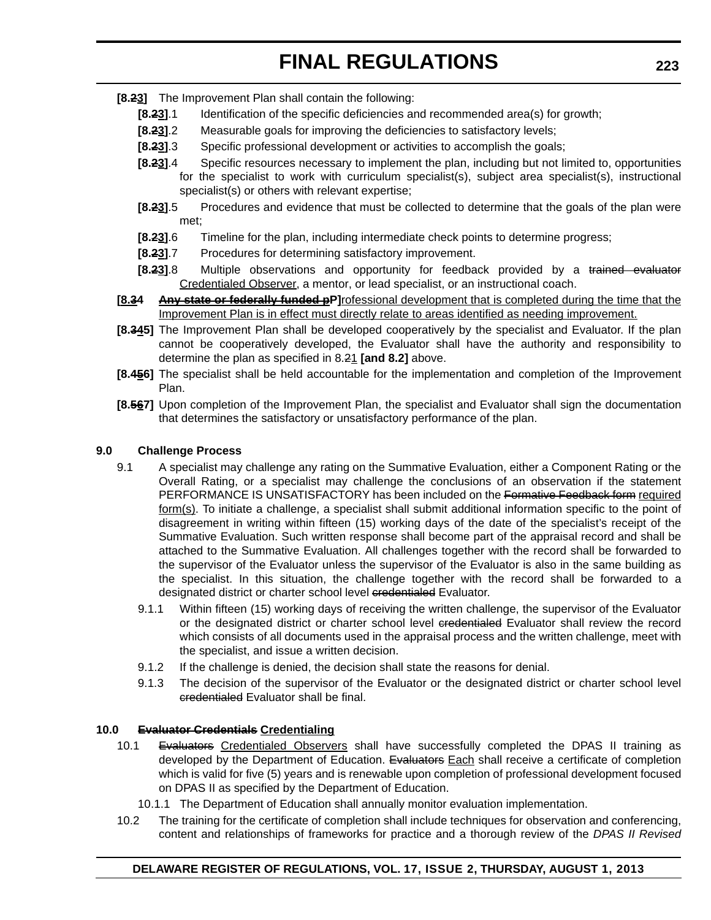- **[8.23]** The Improvement Plan shall contain the following:
	- **[8.23]**.1 Identification of the specific deficiencies and recommended area(s) for growth;
	- **[8.23]**.2 Measurable goals for improving the deficiencies to satisfactory levels;
	- **[8.23]**.3 Specific professional development or activities to accomplish the goals;
	- **[8.23]**.4 Specific resources necessary to implement the plan, including but not limited to, opportunities for the specialist to work with curriculum specialist(s), subject area specialist(s), instructional specialist(s) or others with relevant expertise;
	- **[8.23]**.5 Procedures and evidence that must be collected to determine that the goals of the plan were met;
	- **[8.23]**.6 Timeline for the plan, including intermediate check points to determine progress;
	- **[8.23]**.7 Procedures for determining satisfactory improvement.
	- **[8.23]**.8 Multiple observations and opportunity for feedback provided by a trained evaluator Credentialed Observer, a mentor, or lead specialist, or an instructional coach.
- **[8.34** Any state or federally funded pP] rofessional development that is completed during the time that the Improvement Plan is in effect must directly relate to areas identified as needing improvement.
- **[8.345]** The Improvement Plan shall be developed cooperatively by the specialist and Evaluator. If the plan cannot be cooperatively developed, the Evaluator shall have the authority and responsibility to determine the plan as specified in 8.21 **[and 8.2]** above.
- **[8.456]** The specialist shall be held accountable for the implementation and completion of the Improvement Plan.
- **[8.567]** Upon completion of the Improvement Plan, the specialist and Evaluator shall sign the documentation that determines the satisfactory or unsatisfactory performance of the plan.

### **9.0 Challenge Process**

- 9.1 A specialist may challenge any rating on the Summative Evaluation, either a Component Rating or the Overall Rating, or a specialist may challenge the conclusions of an observation if the statement PERFORMANCE IS UNSATISFACTORY has been included on the Formative Feedback form required form(s). To initiate a challenge, a specialist shall submit additional information specific to the point of disagreement in writing within fifteen (15) working days of the date of the specialist's receipt of the Summative Evaluation. Such written response shall become part of the appraisal record and shall be attached to the Summative Evaluation. All challenges together with the record shall be forwarded to the supervisor of the Evaluator unless the supervisor of the Evaluator is also in the same building as the specialist. In this situation, the challenge together with the record shall be forwarded to a designated district or charter school level eredentialed Evaluator.
	- 9.1.1 Within fifteen (15) working days of receiving the written challenge, the supervisor of the Evaluator or the designated district or charter school level eredentialed Evaluator shall review the record which consists of all documents used in the appraisal process and the written challenge, meet with the specialist, and issue a written decision.
	- 9.1.2 If the challenge is denied, the decision shall state the reasons for denial.
	- 9.1.3 The decision of the supervisor of the Evaluator or the designated district or charter school level credentialed Evaluator shall be final.

### **10.0 Evaluator Credentials Credentialing**

- 10.1 Evaluators Credentialed Observers shall have successfully completed the DPAS II training as developed by the Department of Education. Evaluators Each shall receive a certificate of completion which is valid for five (5) years and is renewable upon completion of professional development focused on DPAS II as specified by the Department of Education.
	- 10.1.1 The Department of Education shall annually monitor evaluation implementation.
- 10.2 The training for the certificate of completion shall include techniques for observation and conferencing, content and relationships of frameworks for practice and a thorough review of the *DPAS II Revised*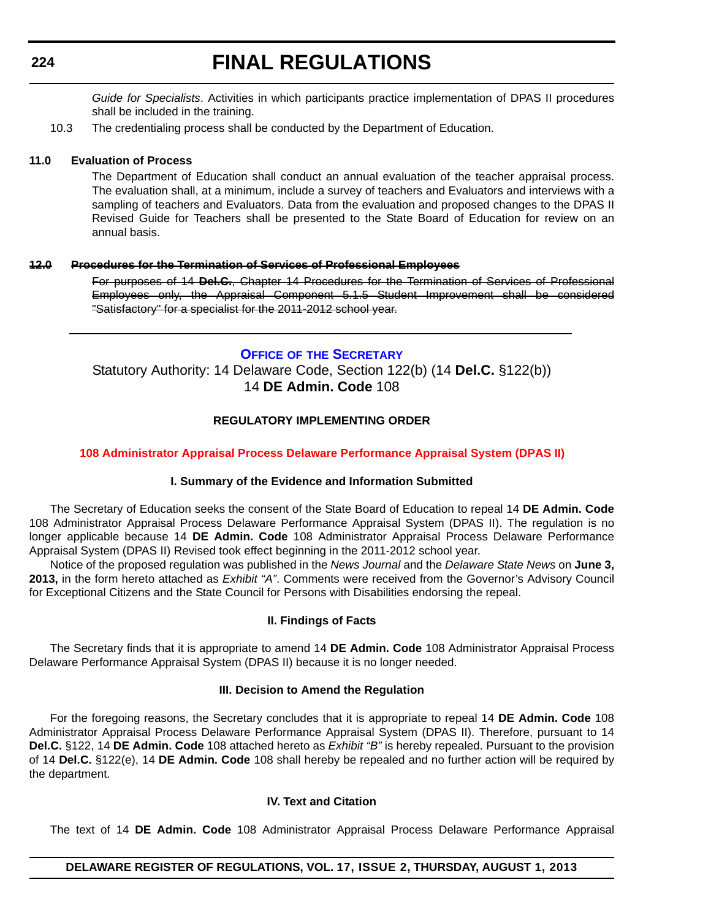### **224**

# **FINAL REGULATIONS**

*Guide for Specialists*. Activities in which participants practice implementation of DPAS II procedures shall be included in the training.

10.3 The credentialing process shall be conducted by the Department of Education.

### **11.0 Evaluation of Process**

The Department of Education shall conduct an annual evaluation of the teacher appraisal process. The evaluation shall, at a minimum, include a survey of teachers and Evaluators and interviews with a sampling of teachers and Evaluators. Data from the evaluation and proposed changes to the DPAS II Revised Guide for Teachers shall be presented to the State Board of Education for review on an annual basis.

### **12.0 Procedures for the Termination of Services of Professional Employees**

For purposes of 14 **Del.C.**, Chapter 14 Procedures for the Termination of Services of Professional Employees only, the Appraisal Component 5.1.5 Student Improvement shall be considered "Satisfactory" for a specialist for the 2011-2012 school year.

### **OFFICE OF THE SECRETARY**

Statutory Authority: 14 Delaware Code, Section 122(b) (14 **Del.C.** §122(b)) 14 **DE Admin. Code** 108

### **REGULATORY IMPLEMENTING ORDER**

### **108 Administrator Appraisal Process [Delaware Performance Appraisal](#page-4-0) System (DPAS II)**

### **I. Summary of the Evidence and Information Submitted**

The Secretary of Education seeks the consent of the State Board of Education to repeal 14 **DE Admin. Code** 108 Administrator Appraisal Process Delaware Performance Appraisal System (DPAS II). The regulation is no longer applicable because 14 **DE Admin. Code** 108 Administrator Appraisal Process Delaware Performance Appraisal System (DPAS II) Revised took effect beginning in the 2011-2012 school year.

Notice of the proposed regulation was published in the *News Journal* and the *Delaware State News* on **June 3, 2013,** in the form hereto attached as *Exhibit "A"*. Comments were received from the Governor's Advisory Council for Exceptional Citizens and the State Council for Persons with Disabilities endorsing the repeal.

#### **II. Findings of Facts**

The Secretary finds that it is appropriate to amend 14 **DE Admin. Code** 108 Administrator Appraisal Process Delaware Performance Appraisal System (DPAS II) because it is no longer needed.

### **III. Decision to Amend the Regulation**

For the foregoing reasons, the Secretary concludes that it is appropriate to repeal 14 **DE Admin. Code** 108 Administrator Appraisal Process Delaware Performance Appraisal System (DPAS II). Therefore, pursuant to 14 **Del.C.** §122, 14 **DE Admin. Code** 108 attached hereto as *Exhibit "B"* is hereby repealed. Pursuant to the provision of 14 **Del.C.** §122(e), 14 **DE Admin. Code** 108 shall hereby be repealed and no further action will be required by the department.

### **IV. Text and Citation**

The text of 14 **DE Admin. Code** 108 Administrator Appraisal Process Delaware Performance Appraisal

#### **DELAWARE REGISTER OF REGULATIONS, VOL. 17, ISSUE 2, THURSDAY, AUGUST 1, 2013**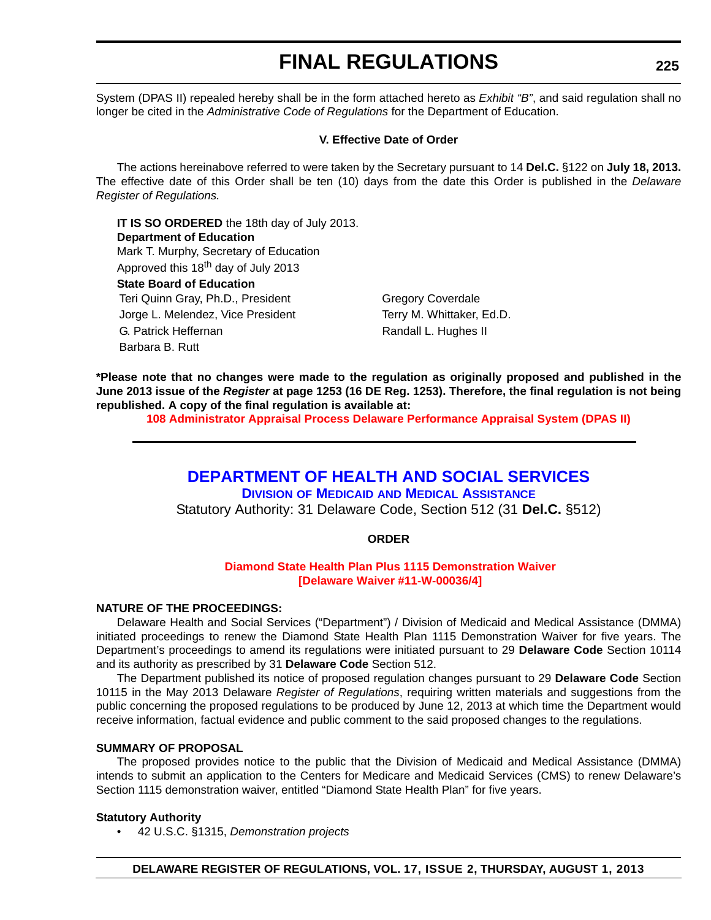System (DPAS II) repealed hereby shall be in the form attached hereto as *Exhibit "B"*, and said regulation shall no longer be cited in the *Administrative Code of Regulations* for the Department of Education.

### **V. Effective Date of Order**

The actions hereinabove referred to were taken by the Secretary pursuant to 14 **Del.C.** §122 on **July 18, 2013.** The effective date of this Order shall be ten (10) days from the date this Order is published in the *Delaware Register of Regulations.*

**IT IS SO ORDERED** the 18th day of July 2013. **Department of Education** Mark T. Murphy, Secretary of Education Approved this 18<sup>th</sup> day of July 2013 **State Board of Education** Teri Quinn Gray, Ph.D., President Gregory Coverdale Jorge L. Melendez, Vice President Terry M. Whittaker, Ed.D. G. Patrick Heffernan **Randall L. Hughes II** 

**\*Please note that no changes were made to the regulation as originally proposed and published in the June 2013 issue of the** *Register* **at page 1253 (16 DE Reg. 1253). Therefore, the final regulation is not being republished. A copy of the final regulation is available at:**

**[108 Administrator Appraisal Process Delaware Performance Appraisal System \(DPAS II\)](http://regulations.delaware.gov/register/august2013/final/17 DE Reg 224 08-01-13.htm)**

### **DEPARTMENT OF HEALTH AND SOCIAL SERVICES**

**DIVISION OF MEDICAID AND MEDICAL ASSISTANCE** Statutory Authority: 31 Delaware Code, Section 512 (31 **Del.C.** §512)

**ORDER**

### **Diamond State Health Plan Plus 1115 Demonstration Waiver [\[Delaware Waiver #11-W-00036/4\]](#page-4-0)**

### **NATURE OF THE PROCEEDINGS:**

Barbara B. Rutt

Delaware Health and Social Services ("Department") / Division of Medicaid and Medical Assistance (DMMA) initiated proceedings to renew the Diamond State Health Plan 1115 Demonstration Waiver for five years. The Department's proceedings to amend its regulations were initiated pursuant to 29 **Delaware Code** Section 10114 and its authority as prescribed by 31 **Delaware Code** Section 512.

The Department published its notice of proposed regulation changes pursuant to 29 **Delaware Code** Section 10115 in the May 2013 Delaware *Register of Regulations*, requiring written materials and suggestions from the public concerning the proposed regulations to be produced by June 12, 2013 at which time the Department would receive information, factual evidence and public comment to the said proposed changes to the regulations.

#### **SUMMARY OF PROPOSAL**

The proposed provides notice to the public that the Division of Medicaid and Medical Assistance (DMMA) intends to submit an application to the Centers for Medicare and Medicaid Services (CMS) to renew Delaware's Section 1115 demonstration waiver, entitled "Diamond State Health Plan" for five years.

### **Statutory Authority**

• 42 U.S.C. §1315, *Demonstration projects*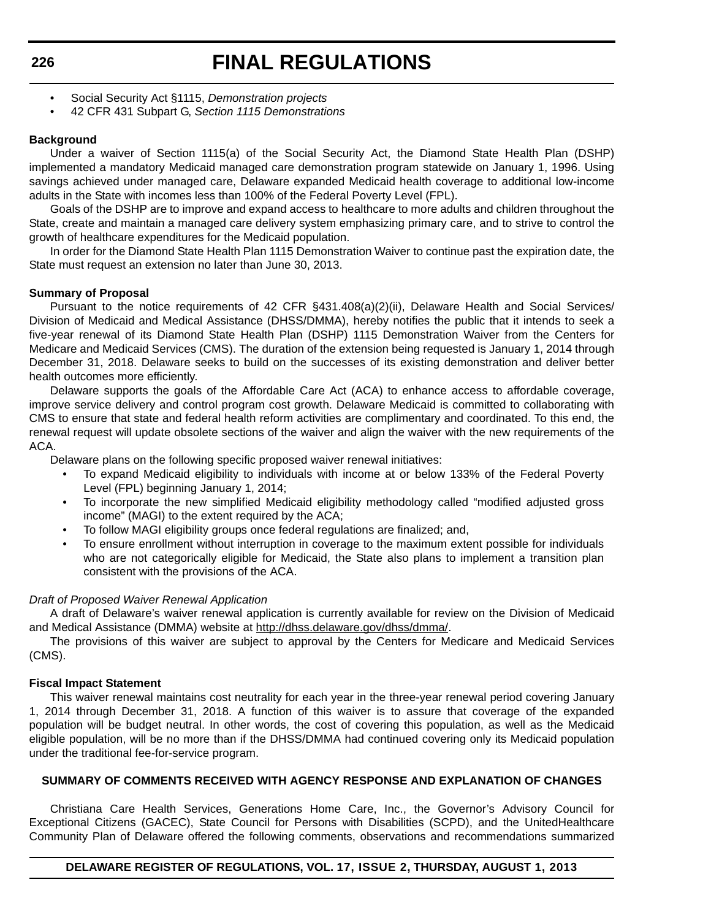- Social Security Act §1115, *Demonstration projects*
- 42 CFR 431 Subpart G, *Section 1115 Demonstrations*

### **Background**

Under a waiver of Section 1115(a) of the Social Security Act, the Diamond State Health Plan (DSHP) implemented a mandatory Medicaid managed care demonstration program statewide on January 1, 1996. Using savings achieved under managed care, Delaware expanded Medicaid health coverage to additional low-income adults in the State with incomes less than 100% of the Federal Poverty Level (FPL).

Goals of the DSHP are to improve and expand access to healthcare to more adults and children throughout the State, create and maintain a managed care delivery system emphasizing primary care, and to strive to control the growth of healthcare expenditures for the Medicaid population.

In order for the Diamond State Health Plan 1115 Demonstration Waiver to continue past the expiration date, the State must request an extension no later than June 30, 2013.

### **Summary of Proposal**

Pursuant to the notice requirements of 42 CFR §431.408(a)(2)(ii), Delaware Health and Social Services/ Division of Medicaid and Medical Assistance (DHSS/DMMA), hereby notifies the public that it intends to seek a five-year renewal of its Diamond State Health Plan (DSHP) 1115 Demonstration Waiver from the Centers for Medicare and Medicaid Services (CMS). The duration of the extension being requested is January 1, 2014 through December 31, 2018. Delaware seeks to build on the successes of its existing demonstration and deliver better health outcomes more efficiently.

Delaware supports the goals of the Affordable Care Act (ACA) to enhance access to affordable coverage, improve service delivery and control program cost growth. Delaware Medicaid is committed to collaborating with CMS to ensure that state and federal health reform activities are complimentary and coordinated. To this end, the renewal request will update obsolete sections of the waiver and align the waiver with the new requirements of the ACA.

Delaware plans on the following specific proposed waiver renewal initiatives:

- To expand Medicaid eligibility to individuals with income at or below 133% of the Federal Poverty Level (FPL) beginning January 1, 2014;
- To incorporate the new simplified Medicaid eligibility methodology called "modified adjusted gross income" (MAGI) to the extent required by the ACA;
- To follow MAGI eligibility groups once federal regulations are finalized; and,
- To ensure enrollment without interruption in coverage to the maximum extent possible for individuals who are not categorically eligible for Medicaid, the State also plans to implement a transition plan consistent with the provisions of the ACA.

#### *Draft of Proposed Waiver Renewal Application*

A draft of Delaware's waiver renewal application is currently available for review on the Division of Medicaid and Medical Assistance (DMMA) website at <http://dhss.delaware.gov/dhss/dmma/>.

The provisions of this waiver are subject to approval by the Centers for Medicare and Medicaid Services (CMS).

#### **Fiscal Impact Statement**

This waiver renewal maintains cost neutrality for each year in the three-year renewal period covering January 1, 2014 through December 31, 2018. A function of this waiver is to assure that coverage of the expanded population will be budget neutral. In other words, the cost of covering this population, as well as the Medicaid eligible population, will be no more than if the DHSS/DMMA had continued covering only its Medicaid population under the traditional fee-for-service program.

### **SUMMARY OF COMMENTS RECEIVED WITH AGENCY RESPONSE AND EXPLANATION OF CHANGES**

Christiana Care Health Services, Generations Home Care, Inc., the Governor's Advisory Council for Exceptional Citizens (GACEC), State Council for Persons with Disabilities (SCPD), and the UnitedHealthcare Community Plan of Delaware offered the following comments, observations and recommendations summarized

### **DELAWARE REGISTER OF REGULATIONS, VOL. 17, ISSUE 2, THURSDAY, AUGUST 1, 2013**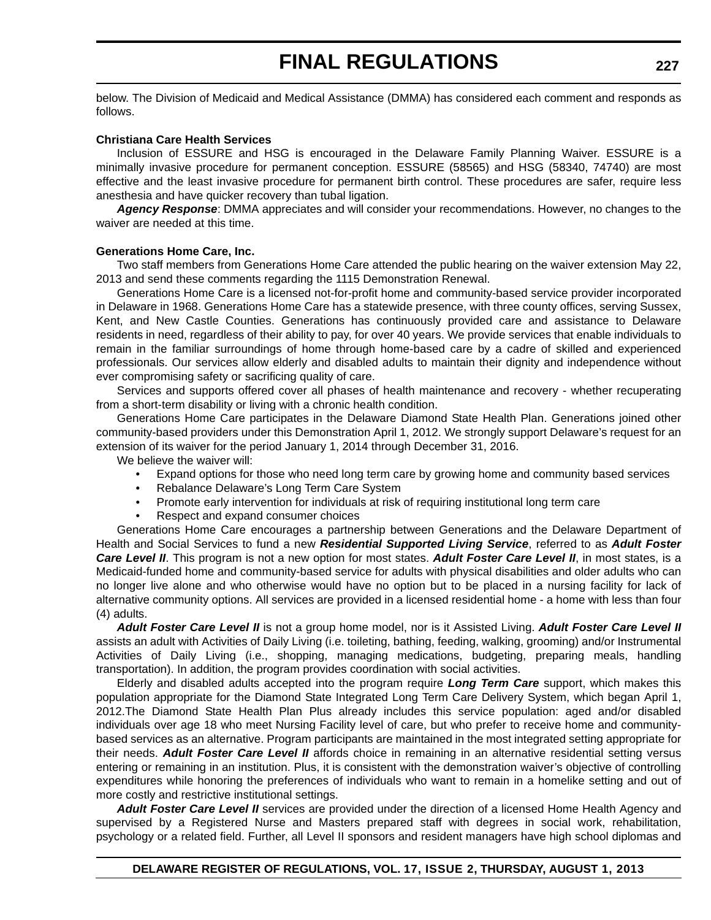below. The Division of Medicaid and Medical Assistance (DMMA) has considered each comment and responds as follows.

#### **Christiana Care Health Services**

Inclusion of ESSURE and HSG is encouraged in the Delaware Family Planning Waiver. ESSURE is a minimally invasive procedure for permanent conception. ESSURE (58565) and HSG (58340, 74740) are most effective and the least invasive procedure for permanent birth control. These procedures are safer, require less anesthesia and have quicker recovery than tubal ligation.

*Agency Response*: DMMA appreciates and will consider your recommendations. However, no changes to the waiver are needed at this time.

#### **Generations Home Care, Inc.**

Two staff members from Generations Home Care attended the public hearing on the waiver extension May 22, 2013 and send these comments regarding the 1115 Demonstration Renewal.

Generations Home Care is a licensed not-for-profit home and community-based service provider incorporated in Delaware in 1968. Generations Home Care has a statewide presence, with three county offices, serving Sussex, Kent, and New Castle Counties. Generations has continuously provided care and assistance to Delaware residents in need, regardless of their ability to pay, for over 40 years. We provide services that enable individuals to remain in the familiar surroundings of home through home-based care by a cadre of skilled and experienced professionals. Our services allow elderly and disabled adults to maintain their dignity and independence without ever compromising safety or sacrificing quality of care.

Services and supports offered cover all phases of health maintenance and recovery - whether recuperating from a short-term disability or living with a chronic health condition.

Generations Home Care participates in the Delaware Diamond State Health Plan. Generations joined other community-based providers under this Demonstration April 1, 2012. We strongly support Delaware's request for an extension of its waiver for the period January 1, 2014 through December 31, 2016. We believe the waiver will:

- Expand options for those who need long term care by growing home and community based services
- Rebalance Delaware's Long Term Care System
- Promote early intervention for individuals at risk of requiring institutional long term care
- Respect and expand consumer choices

Generations Home Care encourages a partnership between Generations and the Delaware Department of Health and Social Services to fund a new *Residential Supported Living Service*, referred to as *Adult Foster Care Level II*. This program is not a new option for most states. *Adult Foster Care Level II*, in most states, is a Medicaid-funded home and community-based service for adults with physical disabilities and older adults who can no longer live alone and who otherwise would have no option but to be placed in a nursing facility for lack of alternative community options. All services are provided in a licensed residential home - a home with less than four (4) adults.

*Adult Foster Care Level II* is not a group home model, nor is it Assisted Living. *Adult Foster Care Level II* assists an adult with Activities of Daily Living (i.e. toileting, bathing, feeding, walking, grooming) and/or Instrumental Activities of Daily Living (i.e., shopping, managing medications, budgeting, preparing meals, handling transportation). In addition, the program provides coordination with social activities.

Elderly and disabled adults accepted into the program require *Long Term Care* support, which makes this population appropriate for the Diamond State Integrated Long Term Care Delivery System, which began April 1, 2012.The Diamond State Health Plan Plus already includes this service population: aged and/or disabled individuals over age 18 who meet Nursing Facility level of care, but who prefer to receive home and communitybased services as an alternative. Program participants are maintained in the most integrated setting appropriate for their needs. *Adult Foster Care Level II* affords choice in remaining in an alternative residential setting versus entering or remaining in an institution. Plus, it is consistent with the demonstration waiver's objective of controlling expenditures while honoring the preferences of individuals who want to remain in a homelike setting and out of more costly and restrictive institutional settings.

*Adult Foster Care Level II* services are provided under the direction of a licensed Home Health Agency and supervised by a Registered Nurse and Masters prepared staff with degrees in social work, rehabilitation, psychology or a related field. Further, all Level II sponsors and resident managers have high school diplomas and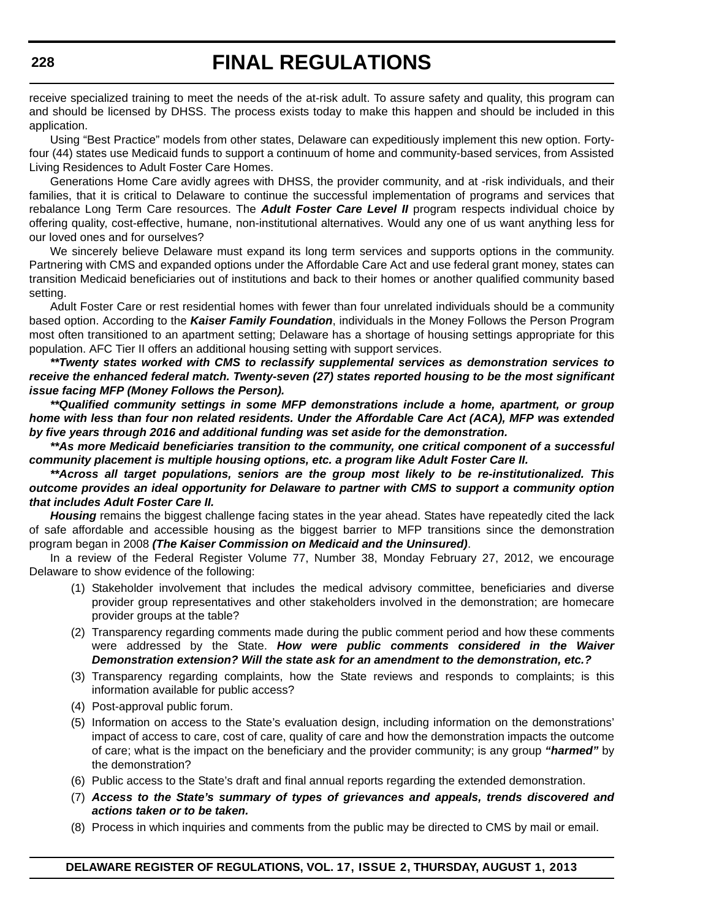receive specialized training to meet the needs of the at-risk adult. To assure safety and quality, this program can and should be licensed by DHSS. The process exists today to make this happen and should be included in this application.

Using "Best Practice" models from other states, Delaware can expeditiously implement this new option. Fortyfour (44) states use Medicaid funds to support a continuum of home and community-based services, from Assisted Living Residences to Adult Foster Care Homes.

Generations Home Care avidly agrees with DHSS, the provider community, and at -risk individuals, and their families, that it is critical to Delaware to continue the successful implementation of programs and services that rebalance Long Term Care resources. The *Adult Foster Care Level II* program respects individual choice by offering quality, cost-effective, humane, non-institutional alternatives. Would any one of us want anything less for our loved ones and for ourselves?

We sincerely believe Delaware must expand its long term services and supports options in the community. Partnering with CMS and expanded options under the Affordable Care Act and use federal grant money, states can transition Medicaid beneficiaries out of institutions and back to their homes or another qualified community based setting.

Adult Foster Care or rest residential homes with fewer than four unrelated individuals should be a community based option. According to the *Kaiser Family Foundation*, individuals in the Money Follows the Person Program most often transitioned to an apartment setting; Delaware has a shortage of housing settings appropriate for this population. AFC Tier II offers an additional housing setting with support services.

*\*\*Twenty states worked with CMS to reclassify supplemental services as demonstration services to receive the enhanced federal match. Twenty-seven (27) states reported housing to be the most significant issue facing MFP (Money Follows the Person).*

*\*\*Qualified community settings in some MFP demonstrations include a home, apartment, or group home with less than four non related residents. Under the Affordable Care Act (ACA), MFP was extended by five years through 2016 and additional funding was set aside for the demonstration.*

*\*\*As more Medicaid beneficiaries transition to the community, one critical component of a successful community placement is multiple housing options, etc. a program like Adult Foster Care II.*

*\*\*Across all target populations, seniors are the group most likely to be re-institutionalized. This outcome provides an ideal opportunity for Delaware to partner with CMS to support a community option that includes Adult Foster Care II.*

*Housing* remains the biggest challenge facing states in the year ahead. States have repeatedly cited the lack of safe affordable and accessible housing as the biggest barrier to MFP transitions since the demonstration program began in 2008 *(The Kaiser Commission on Medicaid and the Uninsured)*.

In a review of the Federal Register Volume 77, Number 38, Monday February 27, 2012, we encourage Delaware to show evidence of the following:

- (1) Stakeholder involvement that includes the medical advisory committee, beneficiaries and diverse provider group representatives and other stakeholders involved in the demonstration; are homecare provider groups at the table?
- (2) Transparency regarding comments made during the public comment period and how these comments were addressed by the State. *How were public comments considered in the Waiver Demonstration extension? Will the state ask for an amendment to the demonstration, etc.?*
- (3) Transparency regarding complaints, how the State reviews and responds to complaints; is this information available for public access?
- (4) Post-approval public forum.
- (5) Information on access to the State's evaluation design, including information on the demonstrations' impact of access to care, cost of care, quality of care and how the demonstration impacts the outcome of care; what is the impact on the beneficiary and the provider community; is any group *"harmed"* by the demonstration?
- (6) Public access to the State's draft and final annual reports regarding the extended demonstration.
- (7) *Access to the State's summary of types of grievances and appeals, trends discovered and actions taken or to be taken.*
- (8) Process in which inquiries and comments from the public may be directed to CMS by mail or email.

**DELAWARE REGISTER OF REGULATIONS, VOL. 17, ISSUE 2, THURSDAY, AUGUST 1, 2013**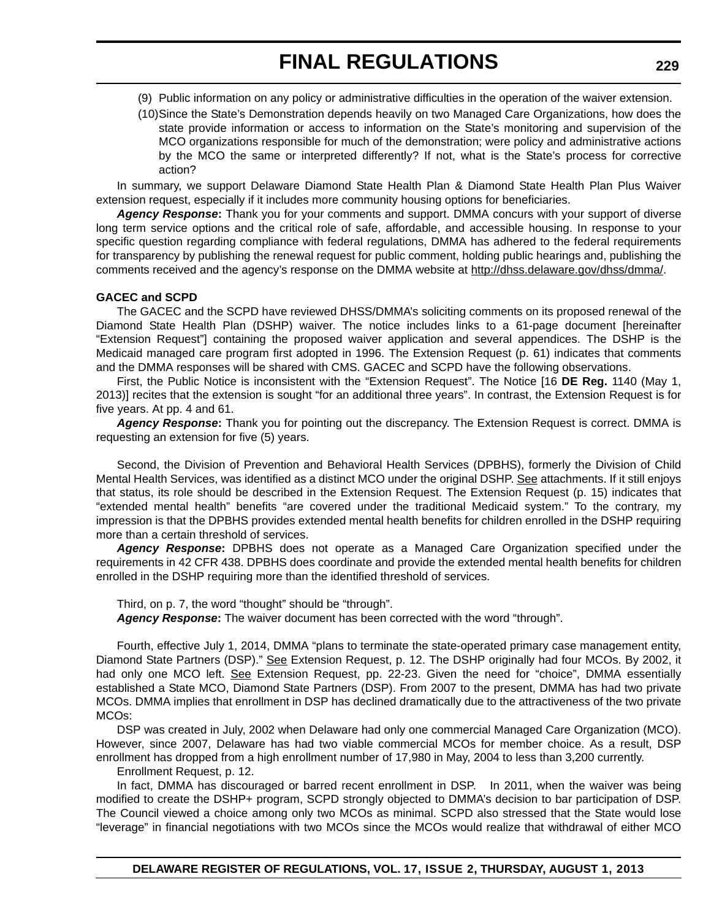- (9) Public information on any policy or administrative difficulties in the operation of the waiver extension.
- (10)Since the State's Demonstration depends heavily on two Managed Care Organizations, how does the state provide information or access to information on the State's monitoring and supervision of the MCO organizations responsible for much of the demonstration; were policy and administrative actions by the MCO the same or interpreted differently? If not, what is the State's process for corrective action?

In summary, we support Delaware Diamond State Health Plan & Diamond State Health Plan Plus Waiver extension request, especially if it includes more community housing options for beneficiaries.

*Agency Response***:** Thank you for your comments and support. DMMA concurs with your support of diverse long term service options and the critical role of safe, affordable, and accessible housing. In response to your specific question regarding compliance with federal regulations, DMMA has adhered to the federal requirements for transparency by publishing the renewal request for public comment, holding public hearings and, publishing the comments received and the agency's response on the DMMA website at <http://dhss.delaware.gov/dhss/dmma/>.

### **GACEC and SCPD**

The GACEC and the SCPD have reviewed DHSS/DMMA's soliciting comments on its proposed renewal of the Diamond State Health Plan (DSHP) waiver. The notice includes links to a 61-page document [hereinafter "Extension Request"] containing the proposed waiver application and several appendices. The DSHP is the Medicaid managed care program first adopted in 1996. The Extension Request (p. 61) indicates that comments and the DMMA responses will be shared with CMS. GACEC and SCPD have the following observations.

First, the Public Notice is inconsistent with the "Extension Request". The Notice [16 **DE Reg.** 1140 (May 1, 2013)] recites that the extension is sought "for an additional three years". In contrast, the Extension Request is for five years. At pp. 4 and 61.

*Agency Response***:** Thank you for pointing out the discrepancy. The Extension Request is correct. DMMA is requesting an extension for five (5) years.

Second, the Division of Prevention and Behavioral Health Services (DPBHS), formerly the Division of Child Mental Health Services, was identified as a distinct MCO under the original DSHP. See attachments. If it still enjoys that status, its role should be described in the Extension Request. The Extension Request (p. 15) indicates that "extended mental health" benefits "are covered under the traditional Medicaid system." To the contrary, my impression is that the DPBHS provides extended mental health benefits for children enrolled in the DSHP requiring more than a certain threshold of services.

*Agency Response***:** DPBHS does not operate as a Managed Care Organization specified under the requirements in 42 CFR 438. DPBHS does coordinate and provide the extended mental health benefits for children enrolled in the DSHP requiring more than the identified threshold of services.

Third, on p. 7, the word "thought" should be "through". *Agency Response***:** The waiver document has been corrected with the word "through".

Fourth, effective July 1, 2014, DMMA "plans to terminate the state-operated primary case management entity, Diamond State Partners (DSP)." See Extension Request, p. 12. The DSHP originally had four MCOs. By 2002, it had only one MCO left. See Extension Request, pp. 22-23. Given the need for "choice", DMMA essentially established a State MCO, Diamond State Partners (DSP). From 2007 to the present, DMMA has had two private MCOs. DMMA implies that enrollment in DSP has declined dramatically due to the attractiveness of the two private MCOs:

DSP was created in July, 2002 when Delaware had only one commercial Managed Care Organization (MCO). However, since 2007, Delaware has had two viable commercial MCOs for member choice. As a result, DSP enrollment has dropped from a high enrollment number of 17,980 in May, 2004 to less than 3,200 currently.

Enrollment Request, p. 12.

In fact, DMMA has discouraged or barred recent enrollment in DSP. In 2011, when the waiver was being modified to create the DSHP+ program, SCPD strongly objected to DMMA's decision to bar participation of DSP. The Council viewed a choice among only two MCOs as minimal. SCPD also stressed that the State would lose "leverage" in financial negotiations with two MCOs since the MCOs would realize that withdrawal of either MCO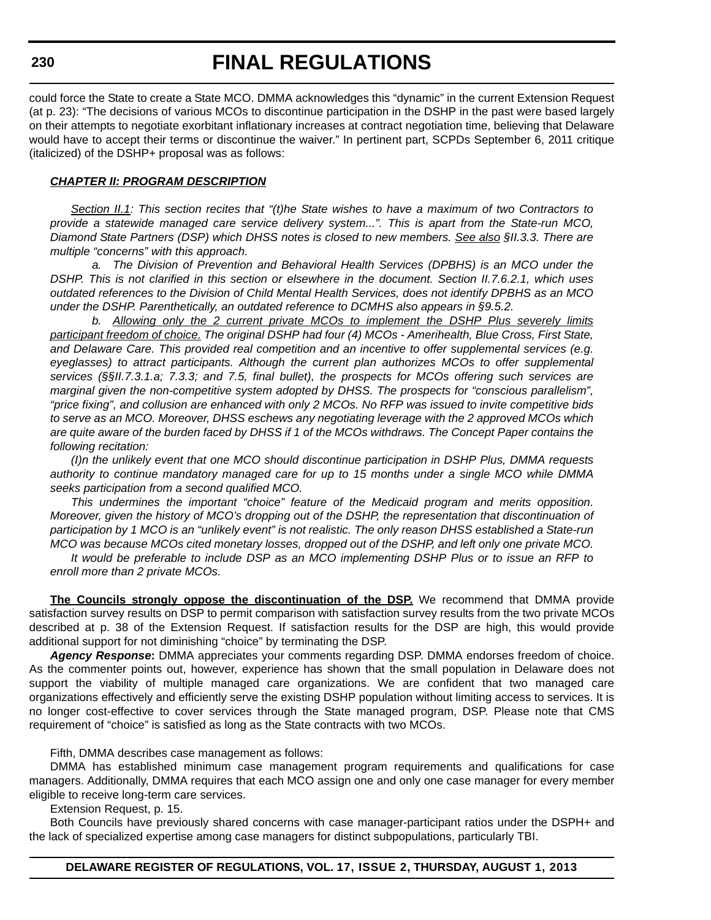could force the State to create a State MCO. DMMA acknowledges this "dynamic" in the current Extension Request (at p. 23): "The decisions of various MCOs to discontinue participation in the DSHP in the past were based largely on their attempts to negotiate exorbitant inflationary increases at contract negotiation time, believing that Delaware would have to accept their terms or discontinue the waiver." In pertinent part, SCPDs September 6, 2011 critique (italicized) of the DSHP+ proposal was as follows:

### *CHAPTER II: PROGRAM DESCRIPTION*

*Section II.1: This section recites that "(t)he State wishes to have a maximum of two Contractors to provide a statewide managed care service delivery system...". This is apart from the State-run MCO, Diamond State Partners (DSP) which DHSS notes is closed to new members. See also §II.3.3. There are multiple "concerns" with this approach.*

*a. The Division of Prevention and Behavioral Health Services (DPBHS) is an MCO under the DSHP. This is not clarified in this section or elsewhere in the document. Section II.7.6.2.1, which uses outdated references to the Division of Child Mental Health Services, does not identify DPBHS as an MCO under the DSHP. Parenthetically, an outdated reference to DCMHS also appears in §9.5.2.* 

*b. Allowing only the 2 current private MCOs to implement the DSHP Plus severely limits participant freedom of choice. The original DSHP had four (4) MCOs - Amerihealth, Blue Cross, First State, and Delaware Care. This provided real competition and an incentive to offer supplemental services (e.g. eyeglasses) to attract participants. Although the current plan authorizes MCOs to offer supplemental services (§§II.7.3.1.a; 7.3.3; and 7.5, final bullet), the prospects for MCOs offering such services are marginal given the non-competitive system adopted by DHSS. The prospects for "conscious parallelism", "price fixing", and collusion are enhanced with only 2 MCOs. No RFP was issued to invite competitive bids to serve as an MCO. Moreover, DHSS eschews any negotiating leverage with the 2 approved MCOs which are quite aware of the burden faced by DHSS if 1 of the MCOs withdraws. The Concept Paper contains the following recitation:*

*(I)n the unlikely event that one MCO should discontinue participation in DSHP Plus, DMMA requests authority to continue mandatory managed care for up to 15 months under a single MCO while DMMA seeks participation from a second qualified MCO.*

*This undermines the important "choice" feature of the Medicaid program and merits opposition. Moreover, given the history of MCO's dropping out of the DSHP, the representation that discontinuation of participation by 1 MCO is an "unlikely event" is not realistic. The only reason DHSS established a State-run MCO was because MCOs cited monetary losses, dropped out of the DSHP, and left only one private MCO.*

*It would be preferable to include DSP as an MCO implementing DSHP Plus or to issue an RFP to enroll more than 2 private MCOs.*

**The Councils strongly oppose the discontinuation of the DSP.** We recommend that DMMA provide satisfaction survey results on DSP to permit comparison with satisfaction survey results from the two private MCOs described at p. 38 of the Extension Request. If satisfaction results for the DSP are high, this would provide additional support for not diminishing "choice" by terminating the DSP.

*Agency Response***:** DMMA appreciates your comments regarding DSP. DMMA endorses freedom of choice. As the commenter points out, however, experience has shown that the small population in Delaware does not support the viability of multiple managed care organizations. We are confident that two managed care organizations effectively and efficiently serve the existing DSHP population without limiting access to services. It is no longer cost-effective to cover services through the State managed program, DSP. Please note that CMS requirement of "choice" is satisfied as long as the State contracts with two MCOs.

Fifth, DMMA describes case management as follows:

DMMA has established minimum case management program requirements and qualifications for case managers. Additionally, DMMA requires that each MCO assign one and only one case manager for every member eligible to receive long-term care services.

Extension Request, p. 15.

Both Councils have previously shared concerns with case manager-participant ratios under the DSPH+ and the lack of specialized expertise among case managers for distinct subpopulations, particularly TBI.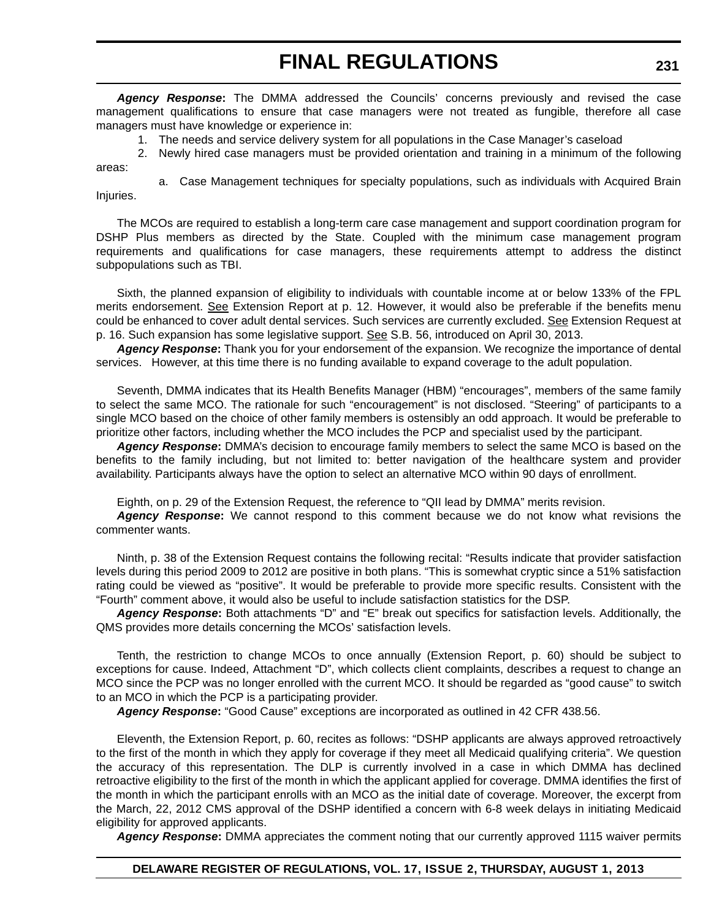*Agency Response***:** The DMMA addressed the Councils' concerns previously and revised the case management qualifications to ensure that case managers were not treated as fungible, therefore all case managers must have knowledge or experience in:

1. The needs and service delivery system for all populations in the Case Manager's caseload

2. Newly hired case managers must be provided orientation and training in a minimum of the following areas:

a. Case Management techniques for specialty populations, such as individuals with Acquired Brain Injuries.

The MCOs are required to establish a long-term care case management and support coordination program for DSHP Plus members as directed by the State. Coupled with the minimum case management program requirements and qualifications for case managers, these requirements attempt to address the distinct subpopulations such as TBI.

Sixth, the planned expansion of eligibility to individuals with countable income at or below 133% of the FPL merits endorsement. See Extension Report at p. 12. However, it would also be preferable if the benefits menu could be enhanced to cover adult dental services. Such services are currently excluded. See Extension Request at p. 16. Such expansion has some legislative support. See S.B. 56, introduced on April 30, 2013.

*Agency Response***:** Thank you for your endorsement of the expansion. We recognize the importance of dental services. However, at this time there is no funding available to expand coverage to the adult population.

Seventh, DMMA indicates that its Health Benefits Manager (HBM) "encourages", members of the same family to select the same MCO. The rationale for such "encouragement" is not disclosed. "Steering" of participants to a single MCO based on the choice of other family members is ostensibly an odd approach. It would be preferable to prioritize other factors, including whether the MCO includes the PCP and specialist used by the participant.

*Agency Response***:** DMMA's decision to encourage family members to select the same MCO is based on the benefits to the family including, but not limited to: better navigation of the healthcare system and provider availability. Participants always have the option to select an alternative MCO within 90 days of enrollment.

Eighth, on p. 29 of the Extension Request, the reference to "QII lead by DMMA" merits revision.

*Agency Response***:** We cannot respond to this comment because we do not know what revisions the commenter wants.

Ninth, p. 38 of the Extension Request contains the following recital: "Results indicate that provider satisfaction levels during this period 2009 to 2012 are positive in both plans. "This is somewhat cryptic since a 51% satisfaction rating could be viewed as "positive". It would be preferable to provide more specific results. Consistent with the "Fourth" comment above, it would also be useful to include satisfaction statistics for the DSP.

*Agency Response***:** Both attachments "D" and "E" break out specifics for satisfaction levels. Additionally, the QMS provides more details concerning the MCOs' satisfaction levels.

Tenth, the restriction to change MCOs to once annually (Extension Report, p. 60) should be subject to exceptions for cause. Indeed, Attachment "D", which collects client complaints, describes a request to change an MCO since the PCP was no longer enrolled with the current MCO. It should be regarded as "good cause" to switch to an MCO in which the PCP is a participating provider.

*Agency Response***:** "Good Cause" exceptions are incorporated as outlined in 42 CFR 438.56.

Eleventh, the Extension Report, p. 60, recites as follows: "DSHP applicants are always approved retroactively to the first of the month in which they apply for coverage if they meet all Medicaid qualifying criteria". We question the accuracy of this representation. The DLP is currently involved in a case in which DMMA has declined retroactive eligibility to the first of the month in which the applicant applied for coverage. DMMA identifies the first of the month in which the participant enrolls with an MCO as the initial date of coverage. Moreover, the excerpt from the March, 22, 2012 CMS approval of the DSHP identified a concern with 6-8 week delays in initiating Medicaid eligibility for approved applicants.

*Agency Response***:** DMMA appreciates the comment noting that our currently approved 1115 waiver permits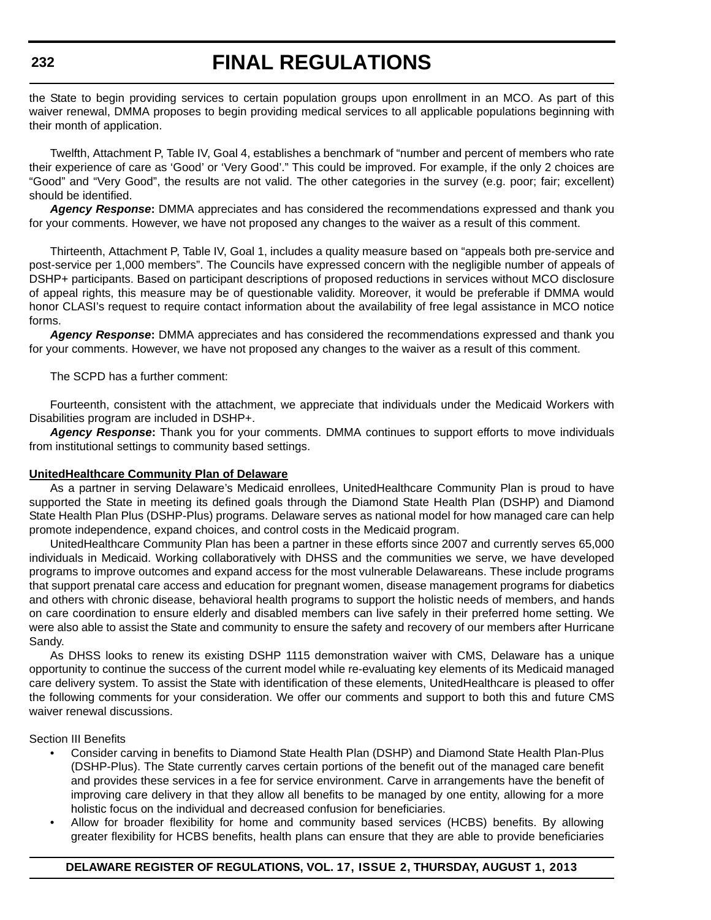the State to begin providing services to certain population groups upon enrollment in an MCO. As part of this waiver renewal, DMMA proposes to begin providing medical services to all applicable populations beginning with their month of application.

Twelfth, Attachment P, Table IV, Goal 4, establishes a benchmark of "number and percent of members who rate their experience of care as 'Good' or 'Very Good'." This could be improved. For example, if the only 2 choices are "Good" and "Very Good", the results are not valid. The other categories in the survey (e.g. poor; fair; excellent) should be identified.

Agency Response: DMMA appreciates and has considered the recommendations expressed and thank you for your comments. However, we have not proposed any changes to the waiver as a result of this comment.

Thirteenth, Attachment P, Table IV, Goal 1, includes a quality measure based on "appeals both pre-service and post-service per 1,000 members". The Councils have expressed concern with the negligible number of appeals of DSHP+ participants. Based on participant descriptions of proposed reductions in services without MCO disclosure of appeal rights, this measure may be of questionable validity. Moreover, it would be preferable if DMMA would honor CLASI's request to require contact information about the availability of free legal assistance in MCO notice forms.

Agency Response: DMMA appreciates and has considered the recommendations expressed and thank you for your comments. However, we have not proposed any changes to the waiver as a result of this comment.

The SCPD has a further comment:

Fourteenth, consistent with the attachment, we appreciate that individuals under the Medicaid Workers with Disabilities program are included in DSHP+.

*Agency Response***:** Thank you for your comments. DMMA continues to support efforts to move individuals from institutional settings to community based settings.

### **UnitedHealthcare Community Plan of Delaware**

As a partner in serving Delaware's Medicaid enrollees, UnitedHealthcare Community Plan is proud to have supported the State in meeting its defined goals through the Diamond State Health Plan (DSHP) and Diamond State Health Plan Plus (DSHP-Plus) programs. Delaware serves as national model for how managed care can help promote independence, expand choices, and control costs in the Medicaid program.

UnitedHealthcare Community Plan has been a partner in these efforts since 2007 and currently serves 65,000 individuals in Medicaid. Working collaboratively with DHSS and the communities we serve, we have developed programs to improve outcomes and expand access for the most vulnerable Delawareans. These include programs that support prenatal care access and education for pregnant women, disease management programs for diabetics and others with chronic disease, behavioral health programs to support the holistic needs of members, and hands on care coordination to ensure elderly and disabled members can live safely in their preferred home setting. We were also able to assist the State and community to ensure the safety and recovery of our members after Hurricane Sandy.

As DHSS looks to renew its existing DSHP 1115 demonstration waiver with CMS, Delaware has a unique opportunity to continue the success of the current model while re-evaluating key elements of its Medicaid managed care delivery system. To assist the State with identification of these elements, UnitedHealthcare is pleased to offer the following comments for your consideration. We offer our comments and support to both this and future CMS waiver renewal discussions.

Section III Benefits

- Consider carving in benefits to Diamond State Health Plan (DSHP) and Diamond State Health Plan-Plus (DSHP-Plus). The State currently carves certain portions of the benefit out of the managed care benefit and provides these services in a fee for service environment. Carve in arrangements have the benefit of improving care delivery in that they allow all benefits to be managed by one entity, allowing for a more holistic focus on the individual and decreased confusion for beneficiaries.
- Allow for broader flexibility for home and community based services (HCBS) benefits. By allowing greater flexibility for HCBS benefits, health plans can ensure that they are able to provide beneficiaries

### **DELAWARE REGISTER OF REGULATIONS, VOL. 17, ISSUE 2, THURSDAY, AUGUST 1, 2013**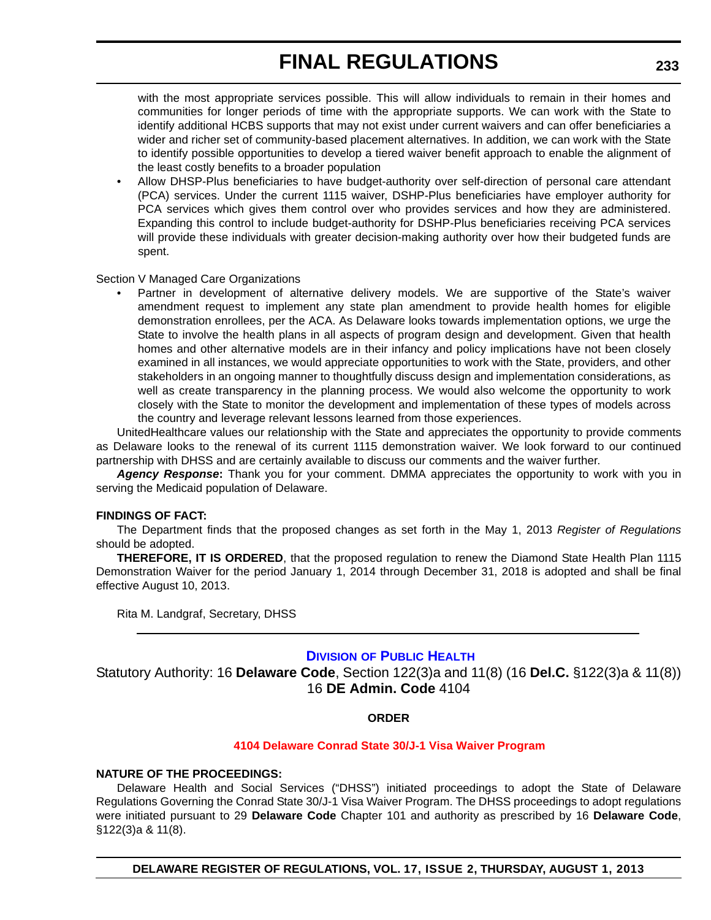with the most appropriate services possible. This will allow individuals to remain in their homes and communities for longer periods of time with the appropriate supports. We can work with the State to identify additional HCBS supports that may not exist under current waivers and can offer beneficiaries a wider and richer set of community-based placement alternatives. In addition, we can work with the State to identify possible opportunities to develop a tiered waiver benefit approach to enable the alignment of the least costly benefits to a broader population

• Allow DHSP-Plus beneficiaries to have budget-authority over self-direction of personal care attendant (PCA) services. Under the current 1115 waiver, DSHP-Plus beneficiaries have employer authority for PCA services which gives them control over who provides services and how they are administered. Expanding this control to include budget-authority for DSHP-Plus beneficiaries receiving PCA services will provide these individuals with greater decision-making authority over how their budgeted funds are spent.

Section V Managed Care Organizations

• Partner in development of alternative delivery models. We are supportive of the State's waiver amendment request to implement any state plan amendment to provide health homes for eligible demonstration enrollees, per the ACA. As Delaware looks towards implementation options, we urge the State to involve the health plans in all aspects of program design and development. Given that health homes and other alternative models are in their infancy and policy implications have not been closely examined in all instances, we would appreciate opportunities to work with the State, providers, and other stakeholders in an ongoing manner to thoughtfully discuss design and implementation considerations, as well as create transparency in the planning process. We would also welcome the opportunity to work closely with the State to monitor the development and implementation of these types of models across the country and leverage relevant lessons learned from those experiences.

UnitedHealthcare values our relationship with the State and appreciates the opportunity to provide comments as Delaware looks to the renewal of its current 1115 demonstration waiver. We look forward to our continued partnership with DHSS and are certainly available to discuss our comments and the waiver further.

*Agency Response***:** Thank you for your comment. DMMA appreciates the opportunity to work with you in serving the Medicaid population of Delaware.

### **FINDINGS OF FACT:**

The Department finds that the proposed changes as set forth in the May 1, 2013 *Register of Regulations* should be adopted.

**THEREFORE, IT IS ORDERED**, that the proposed regulation to renew the Diamond State Health Plan 1115 Demonstration Waiver for the period January 1, 2014 through December 31, 2018 is adopted and shall be final effective August 10, 2013.

Rita M. Landgraf, Secretary, DHSS

### **DIVISION OF PUBLIC HEALTH**

Statutory Authority: 16 **Delaware Code**, Section 122(3)a and 11(8) (16 **Del.C.** §122(3)a & 11(8)) 16 **DE Admin. Code** 4104

### **ORDER**

### **[4104 Delaware Conrad State 30/J-1 Visa Waiver Program](#page-4-0)**

### **NATURE OF THE PROCEEDINGS:**

Delaware Health and Social Services ("DHSS") initiated proceedings to adopt the State of Delaware Regulations Governing the Conrad State 30/J-1 Visa Waiver Program. The DHSS proceedings to adopt regulations were initiated pursuant to 29 **Delaware Code** Chapter 101 and authority as prescribed by 16 **Delaware Code**, §122(3)a & 11(8).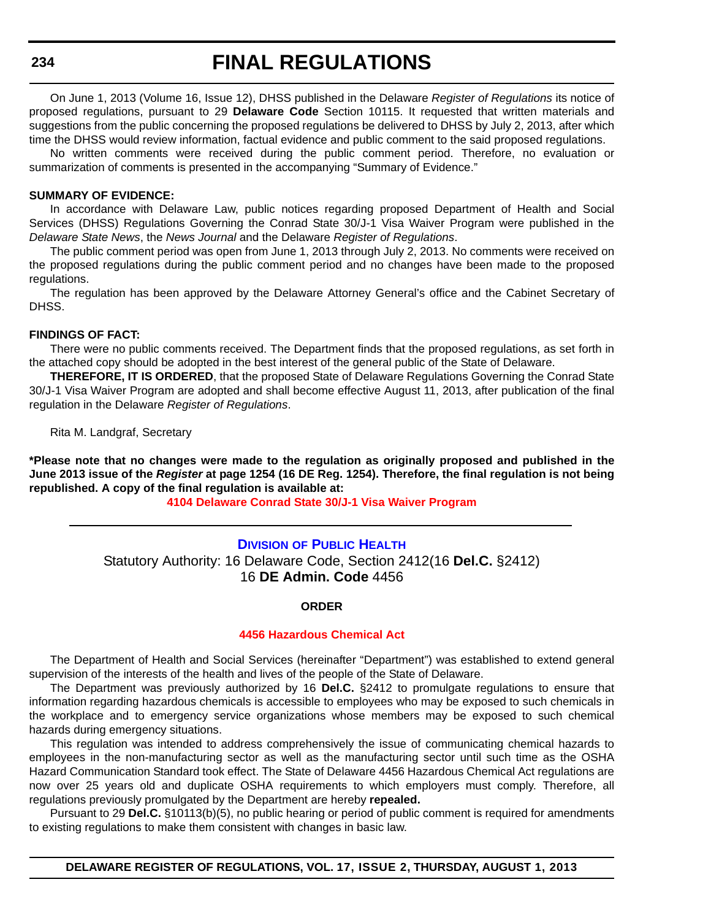On June 1, 2013 (Volume 16, Issue 12), DHSS published in the Delaware *Register of Regulations* its notice of proposed regulations, pursuant to 29 **Delaware Code** Section 10115. It requested that written materials and suggestions from the public concerning the proposed regulations be delivered to DHSS by July 2, 2013, after which time the DHSS would review information, factual evidence and public comment to the said proposed regulations.

No written comments were received during the public comment period. Therefore, no evaluation or summarization of comments is presented in the accompanying "Summary of Evidence."

### **SUMMARY OF EVIDENCE:**

In accordance with Delaware Law, public notices regarding proposed Department of Health and Social Services (DHSS) Regulations Governing the Conrad State 30/J-1 Visa Waiver Program were published in the *Delaware State News*, the *News Journal* and the Delaware *Register of Regulations*.

The public comment period was open from June 1, 2013 through July 2, 2013. No comments were received on the proposed regulations during the public comment period and no changes have been made to the proposed regulations.

The regulation has been approved by the Delaware Attorney General's office and the Cabinet Secretary of DHSS.

### **FINDINGS OF FACT:**

There were no public comments received. The Department finds that the proposed regulations, as set forth in the attached copy should be adopted in the best interest of the general public of the State of Delaware.

**THEREFORE, IT IS ORDERED**, that the proposed State of Delaware Regulations Governing the Conrad State 30/J-1 Visa Waiver Program are adopted and shall become effective August 11, 2013, after publication of the final regulation in the Delaware *Register of Regulations*.

Rita M. Landgraf, Secretary

**\*Please note that no changes were made to the regulation as originally proposed and published in the June 2013 issue of the** *Register* **at page 1254 (16 DE Reg. 1254). Therefore, the final regulation is not being republished. A copy of the final regulation is available at:**

**[4104 Delaware Conrad State 30/J-1 Visa Waiver Program](http://regulations.delaware.gov/register/august2013/final/17 DE Reg 233 08-01-13.htm)**

### **DIVISION OF PUBLIC HEALTH** Statutory Authority: 16 Delaware Code, Section 2412(16 **Del.C.** §2412) 16 **DE Admin. Code** 4456

### **ORDER**

### **[4456 Hazardous Chemical Act](#page-4-0)**

The Department of Health and Social Services (hereinafter "Department") was established to extend general supervision of the interests of the health and lives of the people of the State of Delaware.

The Department was previously authorized by 16 **Del.C.** §2412 to promulgate regulations to ensure that information regarding hazardous chemicals is accessible to employees who may be exposed to such chemicals in the workplace and to emergency service organizations whose members may be exposed to such chemical hazards during emergency situations.

This regulation was intended to address comprehensively the issue of communicating chemical hazards to employees in the non-manufacturing sector as well as the manufacturing sector until such time as the OSHA Hazard Communication Standard took effect. The State of Delaware 4456 Hazardous Chemical Act regulations are now over 25 years old and duplicate OSHA requirements to which employers must comply. Therefore, all regulations previously promulgated by the Department are hereby **repealed.**

Pursuant to 29 **Del.C.** §10113(b)(5), no public hearing or period of public comment is required for amendments to existing regulations to make them consistent with changes in basic law.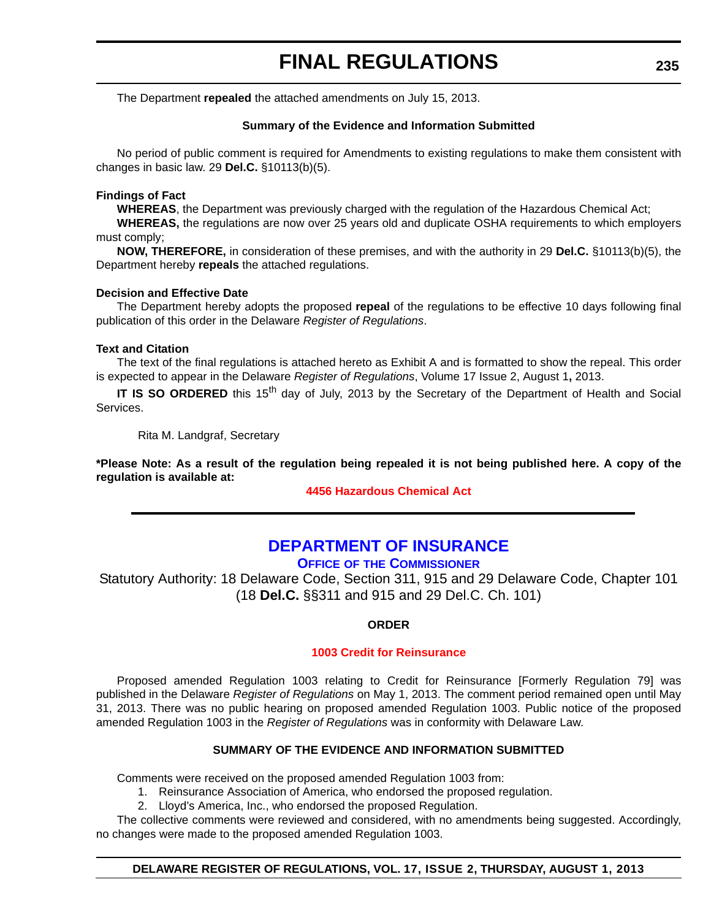The Department **repealed** the attached amendments on July 15, 2013.

### **Summary of the Evidence and Information Submitted**

No period of public comment is required for Amendments to existing regulations to make them consistent with changes in basic law. 29 **Del.C.** §10113(b)(5).

### **Findings of Fact**

**WHEREAS**, the Department was previously charged with the regulation of the Hazardous Chemical Act;

**WHEREAS,** the regulations are now over 25 years old and duplicate OSHA requirements to which employers must comply;

**NOW, THEREFORE,** in consideration of these premises, and with the authority in 29 **Del.C.** §10113(b)(5), the Department hereby **repeals** the attached regulations.

### **Decision and Effective Date**

The Department hereby adopts the proposed **repeal** of the regulations to be effective 10 days following final publication of this order in the Delaware *Register of Regulations*.

### **Text and Citation**

The text of the final regulations is attached hereto as Exhibit A and is formatted to show the repeal. This order is expected to appear in the Delaware *Register of Regulations*, Volume 17 Issue 2, August 1**,** 2013.

**IT IS SO ORDERED** this 15<sup>th</sup> day of July, 2013 by the Secretary of the Department of Health and Social Services.

Rita M. Landgraf, Secretary

**\*Please Note: As a result of the regulation being repealed it is not being published here. A copy of the regulation is available at:**

**[4456 Hazardous Chemical Act](http://regulations.delaware.gov/register/august2013/final/17 DE Reg 234 08-01-13.htm)**

## **DEPARTMENT OF INSURANCE**

**OFFICE OF THE COMMISSIONER**

Statutory Authority: 18 Delaware Code, Section 311, 915 and 29 Delaware Code, Chapter 101 (18 **Del.C.** §§311 and 915 and 29 Del.C. Ch. 101)

**ORDER**

### **[1003 Credit for Reinsurance](#page-4-0)**

Proposed amended Regulation 1003 relating to Credit for Reinsurance [Formerly Regulation 79] was published in the Delaware *Register of Regulations* on May 1, 2013. The comment period remained open until May 31, 2013. There was no public hearing on proposed amended Regulation 1003. Public notice of the proposed amended Regulation 1003 in the *Register of Regulations* was in conformity with Delaware Law.

### **SUMMARY OF THE EVIDENCE AND INFORMATION SUBMITTED**

Comments were received on the proposed amended Regulation 1003 from:

- 1. Reinsurance Association of America, who endorsed the proposed regulation.
- 2. Lloyd's America, Inc., who endorsed the proposed Regulation.

The collective comments were reviewed and considered, with no amendments being suggested. Accordingly, no changes were made to the proposed amended Regulation 1003.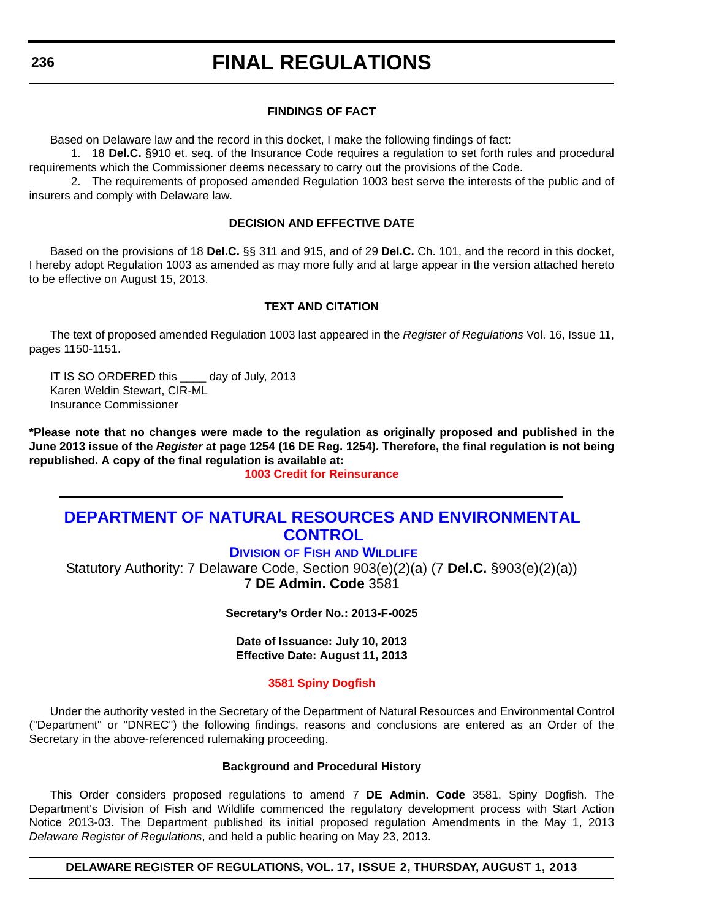### **FINDINGS OF FACT**

Based on Delaware law and the record in this docket, I make the following findings of fact:

1. 18 **Del.C.** §910 et. seq. of the Insurance Code requires a regulation to set forth rules and procedural requirements which the Commissioner deems necessary to carry out the provisions of the Code.

2. The requirements of proposed amended Regulation 1003 best serve the interests of the public and of insurers and comply with Delaware law.

### **DECISION AND EFFECTIVE DATE**

Based on the provisions of 18 **Del.C.** §§ 311 and 915, and of 29 **Del.C.** Ch. 101, and the record in this docket, I hereby adopt Regulation 1003 as amended as may more fully and at large appear in the version attached hereto to be effective on August 15, 2013.

### **TEXT AND CITATION**

The text of proposed amended Regulation 1003 last appeared in the *Register of Regulations* Vol. 16, Issue 11, pages 1150-1151.

IT IS SO ORDERED this \_\_\_\_ day of July, 2013 Karen Weldin Stewart, CIR-ML Insurance Commissioner

**\*Please note that no changes were made to the regulation as originally proposed and published in the June 2013 issue of the** *Register* **at page 1254 (16 DE Reg. 1254). Therefore, the final regulation is not being republished. A copy of the final regulation is available at:**

**[1003 Credit for Reinsurance](http://regulations.delaware.gov/register/august2013/final/17 DE Reg 235 08-01-13.htm)**

## **DEPARTMENT OF NATURAL RESOURCES AND ENVIRONMENTAL CONTROL**

### **DIVISION OF FISH AND WILDLIFE**

Statutory Authority: 7 Delaware Code, Section 903(e)(2)(a) (7 **Del.C.** §903(e)(2)(a)) 7 **DE Admin. Code** 3581

**Secretary's Order No.: 2013-F-0025**

**Date of Issuance: July 10, 2013 Effective Date: August 11, 2013**

### **[3581 Spiny Dogfish](#page-4-0)**

Under the authority vested in the Secretary of the Department of Natural Resources and Environmental Control ("Department" or "DNREC") the following findings, reasons and conclusions are entered as an Order of the Secretary in the above-referenced rulemaking proceeding.

### **Background and Procedural History**

This Order considers proposed regulations to amend 7 **DE Admin. Code** 3581, Spiny Dogfish. The Department's Division of Fish and Wildlife commenced the regulatory development process with Start Action Notice 2013-03. The Department published its initial proposed regulation Amendments in the May 1, 2013 *Delaware Register of Regulations*, and held a public hearing on May 23, 2013.

**DELAWARE REGISTER OF REGULATIONS, VOL. 17, ISSUE 2, THURSDAY, AUGUST 1, 2013**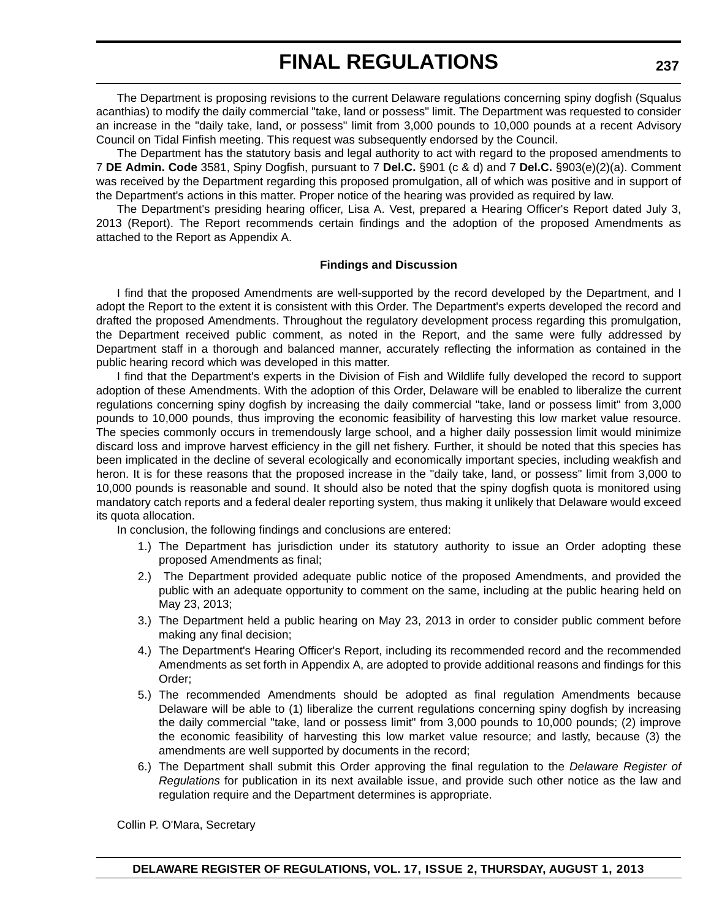The Department is proposing revisions to the current Delaware regulations concerning spiny dogfish (Squalus acanthias) to modify the daily commercial "take, land or possess" limit. The Department was requested to consider an increase in the "daily take, land, or possess" limit from 3,000 pounds to 10,000 pounds at a recent Advisory Council on Tidal Finfish meeting. This request was subsequently endorsed by the Council.

The Department has the statutory basis and legal authority to act with regard to the proposed amendments to 7 **DE Admin. Code** 3581, Spiny Dogfish, pursuant to 7 **Del.C.** §901 (c & d) and 7 **Del.C.** §903(e)(2)(a). Comment was received by the Department regarding this proposed promulgation, all of which was positive and in support of the Department's actions in this matter. Proper notice of the hearing was provided as required by law.

The Department's presiding hearing officer, Lisa A. Vest, prepared a Hearing Officer's Report dated July 3, 2013 (Report). The Report recommends certain findings and the adoption of the proposed Amendments as attached to the Report as Appendix A.

### **Findings and Discussion**

I find that the proposed Amendments are well-supported by the record developed by the Department, and I adopt the Report to the extent it is consistent with this Order. The Department's experts developed the record and drafted the proposed Amendments. Throughout the regulatory development process regarding this promulgation, the Department received public comment, as noted in the Report, and the same were fully addressed by Department staff in a thorough and balanced manner, accurately reflecting the information as contained in the public hearing record which was developed in this matter.

I find that the Department's experts in the Division of Fish and Wildlife fully developed the record to support adoption of these Amendments. With the adoption of this Order, Delaware will be enabled to liberalize the current regulations concerning spiny dogfish by increasing the daily commercial "take, land or possess limit" from 3,000 pounds to 10,000 pounds, thus improving the economic feasibility of harvesting this low market value resource. The species commonly occurs in tremendously large school, and a higher daily possession limit would minimize discard loss and improve harvest efficiency in the gill net fishery. Further, it should be noted that this species has been implicated in the decline of several ecologically and economically important species, including weakfish and heron. It is for these reasons that the proposed increase in the "daily take, land, or possess" limit from 3,000 to 10,000 pounds is reasonable and sound. It should also be noted that the spiny dogfish quota is monitored using mandatory catch reports and a federal dealer reporting system, thus making it unlikely that Delaware would exceed its quota allocation.

In conclusion, the following findings and conclusions are entered:

- 1.) The Department has jurisdiction under its statutory authority to issue an Order adopting these proposed Amendments as final;
- 2.) The Department provided adequate public notice of the proposed Amendments, and provided the public with an adequate opportunity to comment on the same, including at the public hearing held on May 23, 2013;
- 3.) The Department held a public hearing on May 23, 2013 in order to consider public comment before making any final decision;
- 4.) The Department's Hearing Officer's Report, including its recommended record and the recommended Amendments as set forth in Appendix A, are adopted to provide additional reasons and findings for this Order;
- 5.) The recommended Amendments should be adopted as final regulation Amendments because Delaware will be able to (1) liberalize the current regulations concerning spiny dogfish by increasing the daily commercial "take, land or possess limit" from 3,000 pounds to 10,000 pounds; (2) improve the economic feasibility of harvesting this low market value resource; and lastly, because (3) the amendments are well supported by documents in the record;
- 6.) The Department shall submit this Order approving the final regulation to the *Delaware Register of Regulations* for publication in its next available issue, and provide such other notice as the law and regulation require and the Department determines is appropriate.

Collin P. O'Mara, Secretary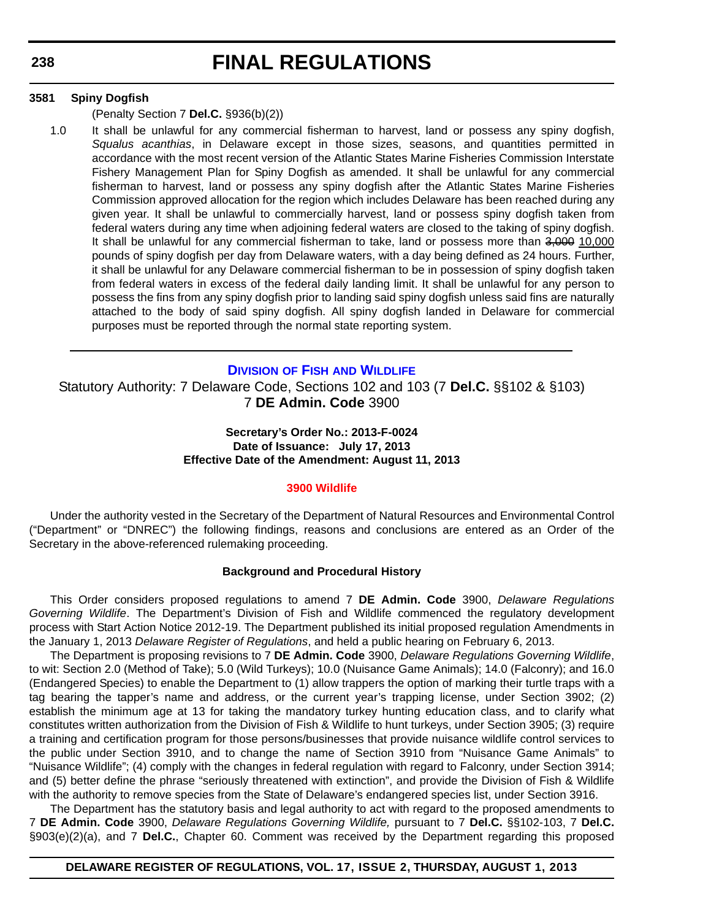### **3581 Spiny Dogfish**

(Penalty Section 7 **Del.C.** §936(b)(2))

1.0 It shall be unlawful for any commercial fisherman to harvest, land or possess any spiny dogfish, *Squalus acanthias*, in Delaware except in those sizes, seasons, and quantities permitted in accordance with the most recent version of the Atlantic States Marine Fisheries Commission Interstate Fishery Management Plan for Spiny Dogfish as amended. It shall be unlawful for any commercial fisherman to harvest, land or possess any spiny dogfish after the Atlantic States Marine Fisheries Commission approved allocation for the region which includes Delaware has been reached during any given year. It shall be unlawful to commercially harvest, land or possess spiny dogfish taken from federal waters during any time when adjoining federal waters are closed to the taking of spiny dogfish. It shall be unlawful for any commercial fisherman to take, land or possess more than 3,000 10,000 pounds of spiny dogfish per day from Delaware waters, with a day being defined as 24 hours. Further, it shall be unlawful for any Delaware commercial fisherman to be in possession of spiny dogfish taken from federal waters in excess of the federal daily landing limit. It shall be unlawful for any person to possess the fins from any spiny dogfish prior to landing said spiny dogfish unless said fins are naturally attached to the body of said spiny dogfish. All spiny dogfish landed in Delaware for commercial purposes must be reported through the normal state reporting system.

### **DIVISION OF FISH AND WILDLIFE**

Statutory Authority: 7 Delaware Code, Sections 102 and 103 (7 **Del.C.** §§102 & §103) 7 **DE Admin. Code** 3900

### **Secretary's Order No.: 2013-F-0024 Date of Issuance: July 17, 2013 Effective Date of the Amendment: August 11, 2013**

### **[3900 Wildlife](#page-4-0)**

Under the authority vested in the Secretary of the Department of Natural Resources and Environmental Control ("Department" or "DNREC") the following findings, reasons and conclusions are entered as an Order of the Secretary in the above-referenced rulemaking proceeding.

### **Background and Procedural History**

This Order considers proposed regulations to amend 7 **DE Admin. Code** 3900, *Delaware Regulations Governing Wildlife*. The Department's Division of Fish and Wildlife commenced the regulatory development process with Start Action Notice 2012-19. The Department published its initial proposed regulation Amendments in the January 1, 2013 *Delaware Register of Regulations*, and held a public hearing on February 6, 2013.

The Department is proposing revisions to 7 **DE Admin. Code** 3900, *Delaware Regulations Governing Wildlife*, to wit: Section 2.0 (Method of Take); 5.0 (Wild Turkeys); 10.0 (Nuisance Game Animals); 14.0 (Falconry); and 16.0 (Endangered Species) to enable the Department to (1) allow trappers the option of marking their turtle traps with a tag bearing the tapper's name and address, or the current year's trapping license, under Section 3902; (2) establish the minimum age at 13 for taking the mandatory turkey hunting education class, and to clarify what constitutes written authorization from the Division of Fish & Wildlife to hunt turkeys, under Section 3905; (3) require a training and certification program for those persons/businesses that provide nuisance wildlife control services to the public under Section 3910, and to change the name of Section 3910 from "Nuisance Game Animals" to "Nuisance Wildlife"; (4) comply with the changes in federal regulation with regard to Falconry, under Section 3914; and (5) better define the phrase "seriously threatened with extinction", and provide the Division of Fish & Wildlife with the authority to remove species from the State of Delaware's endangered species list, under Section 3916.

The Department has the statutory basis and legal authority to act with regard to the proposed amendments to 7 **DE Admin. Code** 3900, *Delaware Regulations Governing Wildlife,* pursuant to 7 **Del.C.** §§102-103, 7 **Del.C.** §903(e)(2)(a), and 7 **Del.C.**, Chapter 60. Comment was received by the Department regarding this proposed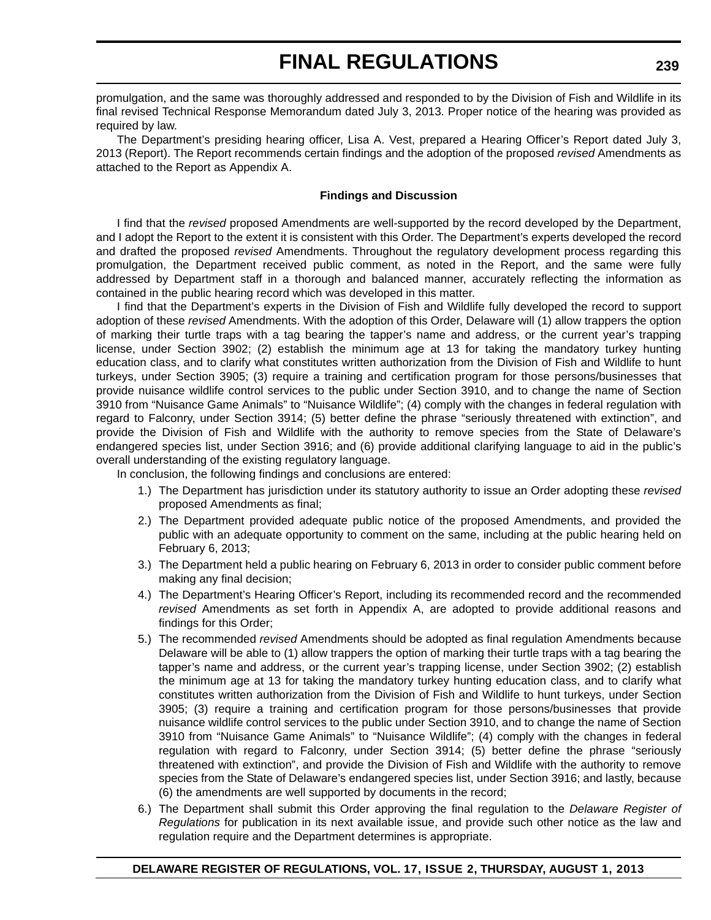promulgation, and the same was thoroughly addressed and responded to by the Division of Fish and Wildlife in its final revised Technical Response Memorandum dated July 3, 2013. Proper notice of the hearing was provided as required by law.

The Department's presiding hearing officer, Lisa A. Vest, prepared a Hearing Officer's Report dated July 3, 2013 (Report). The Report recommends certain findings and the adoption of the proposed *revised* Amendments as attached to the Report as Appendix A.

### **Findings and Discussion**

I find that the *revised* proposed Amendments are well-supported by the record developed by the Department, and I adopt the Report to the extent it is consistent with this Order. The Department's experts developed the record and drafted the proposed *revised* Amendments. Throughout the regulatory development process regarding this promulgation, the Department received public comment, as noted in the Report, and the same were fully addressed by Department staff in a thorough and balanced manner, accurately reflecting the information as contained in the public hearing record which was developed in this matter.

I find that the Department's experts in the Division of Fish and Wildlife fully developed the record to support adoption of these *revised* Amendments. With the adoption of this Order, Delaware will (1) allow trappers the option of marking their turtle traps with a tag bearing the tapper's name and address, or the current year's trapping license, under Section 3902; (2) establish the minimum age at 13 for taking the mandatory turkey hunting education class, and to clarify what constitutes written authorization from the Division of Fish and Wildlife to hunt turkeys, under Section 3905; (3) require a training and certification program for those persons/businesses that provide nuisance wildlife control services to the public under Section 3910, and to change the name of Section 3910 from "Nuisance Game Animals" to "Nuisance Wildlife"; (4) comply with the changes in federal regulation with regard to Falconry, under Section 3914; (5) better define the phrase "seriously threatened with extinction", and provide the Division of Fish and Wildlife with the authority to remove species from the State of Delaware's endangered species list, under Section 3916; and (6) provide additional clarifying language to aid in the public's overall understanding of the existing regulatory language.

In conclusion, the following findings and conclusions are entered:

- 1.) The Department has jurisdiction under its statutory authority to issue an Order adopting these *revised* proposed Amendments as final;
- 2.) The Department provided adequate public notice of the proposed Amendments, and provided the public with an adequate opportunity to comment on the same, including at the public hearing held on February 6, 2013;
- 3.) The Department held a public hearing on February 6, 2013 in order to consider public comment before making any final decision;
- 4.) The Department's Hearing Officer's Report, including its recommended record and the recommended *revised* Amendments as set forth in Appendix A, are adopted to provide additional reasons and findings for this Order;
- 5.) The recommended *revised* Amendments should be adopted as final regulation Amendments because Delaware will be able to (1) allow trappers the option of marking their turtle traps with a tag bearing the tapper's name and address, or the current year's trapping license, under Section 3902; (2) establish the minimum age at 13 for taking the mandatory turkey hunting education class, and to clarify what constitutes written authorization from the Division of Fish and Wildlife to hunt turkeys, under Section 3905; (3) require a training and certification program for those persons/businesses that provide nuisance wildlife control services to the public under Section 3910, and to change the name of Section 3910 from "Nuisance Game Animals" to "Nuisance Wildlife"; (4) comply with the changes in federal regulation with regard to Falconry, under Section 3914; (5) better define the phrase "seriously threatened with extinction", and provide the Division of Fish and Wildlife with the authority to remove species from the State of Delaware's endangered species list, under Section 3916; and lastly, because (6) the amendments are well supported by documents in the record;
- 6.) The Department shall submit this Order approving the final regulation to the *Delaware Register of Regulations* for publication in its next available issue, and provide such other notice as the law and regulation require and the Department determines is appropriate.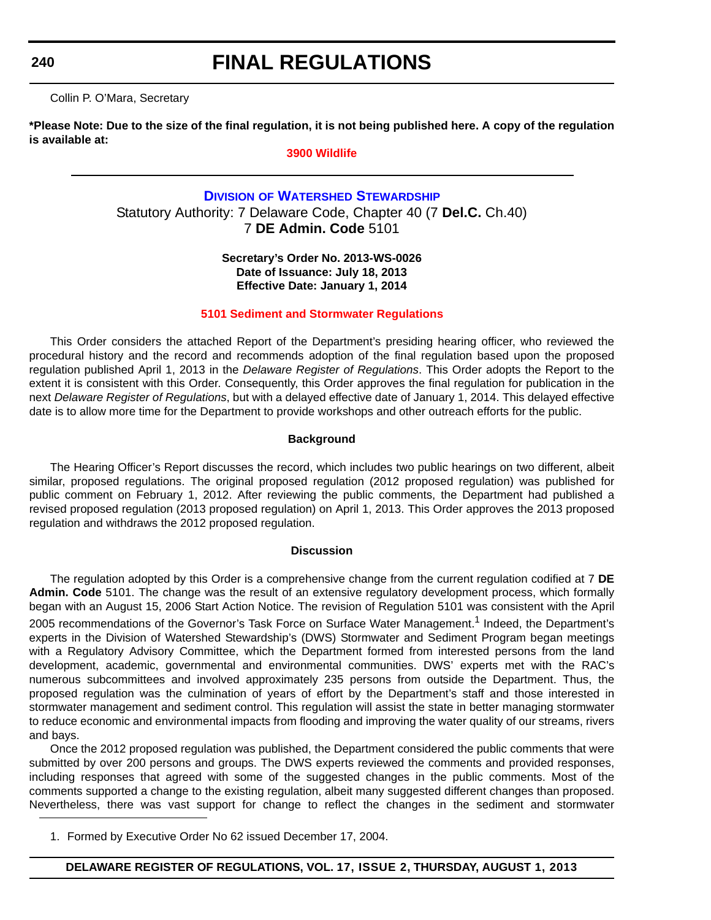**240**

## **FINAL REGULATIONS**

Collin P. O'Mara, Secretary

**\*Please Note: Due to the size of the final regulation, it is not being published here. A copy of the regulation is available at:**

**[3900 Wildlife](http://regulations.delaware.gov/register/august2013/final/17 DE Reg 238 08-01-13.htm)**

### **DIVISION OF WATERSHED STEWARDSHIP** Statutory Authority: 7 Delaware Code, Chapter 40 (7 **Del.C.** Ch.40) 7 **DE Admin. Code** 5101

### **Secretary's Order No. 2013-WS-0026 Date of Issuance: July 18, 2013 Effective Date: January 1, 2014**

### **5101 Sediment [and Stormwater Regulations](#page-4-0)**

This Order considers the attached Report of the Department's presiding hearing officer, who reviewed the procedural history and the record and recommends adoption of the final regulation based upon the proposed regulation published April 1, 2013 in the *Delaware Register of Regulations*. This Order adopts the Report to the extent it is consistent with this Order. Consequently, this Order approves the final regulation for publication in the next *Delaware Register of Regulations*, but with a delayed effective date of January 1, 2014. This delayed effective date is to allow more time for the Department to provide workshops and other outreach efforts for the public.

### **Background**

The Hearing Officer's Report discusses the record, which includes two public hearings on two different, albeit similar, proposed regulations. The original proposed regulation (2012 proposed regulation) was published for public comment on February 1, 2012. After reviewing the public comments, the Department had published a revised proposed regulation (2013 proposed regulation) on April 1, 2013. This Order approves the 2013 proposed regulation and withdraws the 2012 proposed regulation.

### **Discussion**

The regulation adopted by this Order is a comprehensive change from the current regulation codified at 7 **DE Admin. Code** 5101. The change was the result of an extensive regulatory development process, which formally began with an August 15, 2006 Start Action Notice. The revision of Regulation 5101 was consistent with the April 2005 recommendations of the Governor's Task Force on Surface Water Management.<sup>1</sup> Indeed, the Department's experts in the Division of Watershed Stewardship's (DWS) Stormwater and Sediment Program began meetings with a Regulatory Advisory Committee, which the Department formed from interested persons from the land development, academic, governmental and environmental communities. DWS' experts met with the RAC's numerous subcommittees and involved approximately 235 persons from outside the Department. Thus, the proposed regulation was the culmination of years of effort by the Department's staff and those interested in stormwater management and sediment control. This regulation will assist the state in better managing stormwater to reduce economic and environmental impacts from flooding and improving the water quality of our streams, rivers and bays.

Once the 2012 proposed regulation was published, the Department considered the public comments that were submitted by over 200 persons and groups. The DWS experts reviewed the comments and provided responses, including responses that agreed with some of the suggested changes in the public comments. Most of the comments supported a change to the existing regulation, albeit many suggested different changes than proposed. Nevertheless, there was vast support for change to reflect the changes in the sediment and stormwater

1. Formed by Executive Order No 62 issued December 17, 2004.

### **DELAWARE REGISTER OF REGULATIONS, VOL. 17, ISSUE 2, THURSDAY, AUGUST 1, 2013**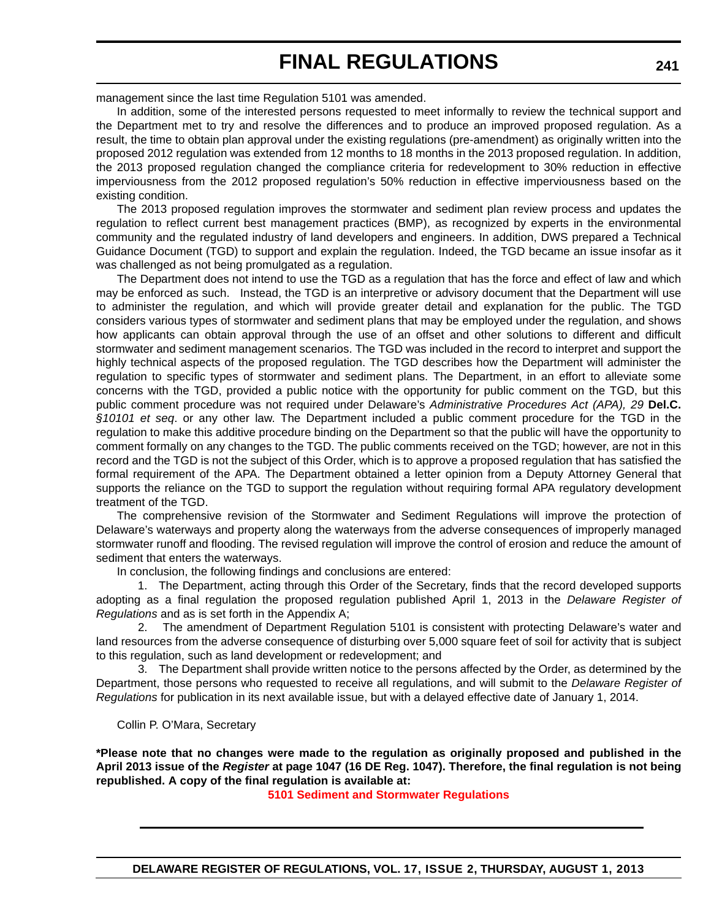management since the last time Regulation 5101 was amended.

In addition, some of the interested persons requested to meet informally to review the technical support and the Department met to try and resolve the differences and to produce an improved proposed regulation. As a result, the time to obtain plan approval under the existing regulations (pre-amendment) as originally written into the proposed 2012 regulation was extended from 12 months to 18 months in the 2013 proposed regulation. In addition, the 2013 proposed regulation changed the compliance criteria for redevelopment to 30% reduction in effective imperviousness from the 2012 proposed regulation's 50% reduction in effective imperviousness based on the existing condition.

The 2013 proposed regulation improves the stormwater and sediment plan review process and updates the regulation to reflect current best management practices (BMP), as recognized by experts in the environmental community and the regulated industry of land developers and engineers. In addition, DWS prepared a Technical Guidance Document (TGD) to support and explain the regulation. Indeed, the TGD became an issue insofar as it was challenged as not being promulgated as a regulation.

The Department does not intend to use the TGD as a regulation that has the force and effect of law and which may be enforced as such. Instead, the TGD is an interpretive or advisory document that the Department will use to administer the regulation, and which will provide greater detail and explanation for the public. The TGD considers various types of stormwater and sediment plans that may be employed under the regulation, and shows how applicants can obtain approval through the use of an offset and other solutions to different and difficult stormwater and sediment management scenarios. The TGD was included in the record to interpret and support the highly technical aspects of the proposed regulation. The TGD describes how the Department will administer the regulation to specific types of stormwater and sediment plans. The Department, in an effort to alleviate some concerns with the TGD, provided a public notice with the opportunity for public comment on the TGD, but this public comment procedure was not required under Delaware's *Administrative Procedures Act (APA), 29* **Del.C.** *§10101 et seq*. or any other law. The Department included a public comment procedure for the TGD in the regulation to make this additive procedure binding on the Department so that the public will have the opportunity to comment formally on any changes to the TGD. The public comments received on the TGD; however, are not in this record and the TGD is not the subject of this Order, which is to approve a proposed regulation that has satisfied the formal requirement of the APA. The Department obtained a letter opinion from a Deputy Attorney General that supports the reliance on the TGD to support the regulation without requiring formal APA regulatory development treatment of the TGD.

The comprehensive revision of the Stormwater and Sediment Regulations will improve the protection of Delaware's waterways and property along the waterways from the adverse consequences of improperly managed stormwater runoff and flooding. The revised regulation will improve the control of erosion and reduce the amount of sediment that enters the waterways.

In conclusion, the following findings and conclusions are entered:

1. The Department, acting through this Order of the Secretary, finds that the record developed supports adopting as a final regulation the proposed regulation published April 1, 2013 in the *Delaware Register of Regulations* and as is set forth in the Appendix A;

2. The amendment of Department Regulation 5101 is consistent with protecting Delaware's water and land resources from the adverse consequence of disturbing over 5,000 square feet of soil for activity that is subject to this regulation, such as land development or redevelopment; and

3. The Department shall provide written notice to the persons affected by the Order, as determined by the Department, those persons who requested to receive all regulations, and will submit to the *Delaware Register of Regulations* for publication in its next available issue, but with a delayed effective date of January 1, 2014.

Collin P. O'Mara, Secretary

**\*Please note that no changes were made to the regulation as originally proposed and published in the April 2013 issue of the** *Register* **at page 1047 (16 DE Reg. 1047). Therefore, the final regulation is not being republished. A copy of the final regulation is available at:**

**[5101 Sediment and Stormwater Regulations](http://regulations.delaware.gov/register/august2013/final/17 DE Reg 240 08-01-13.htm)**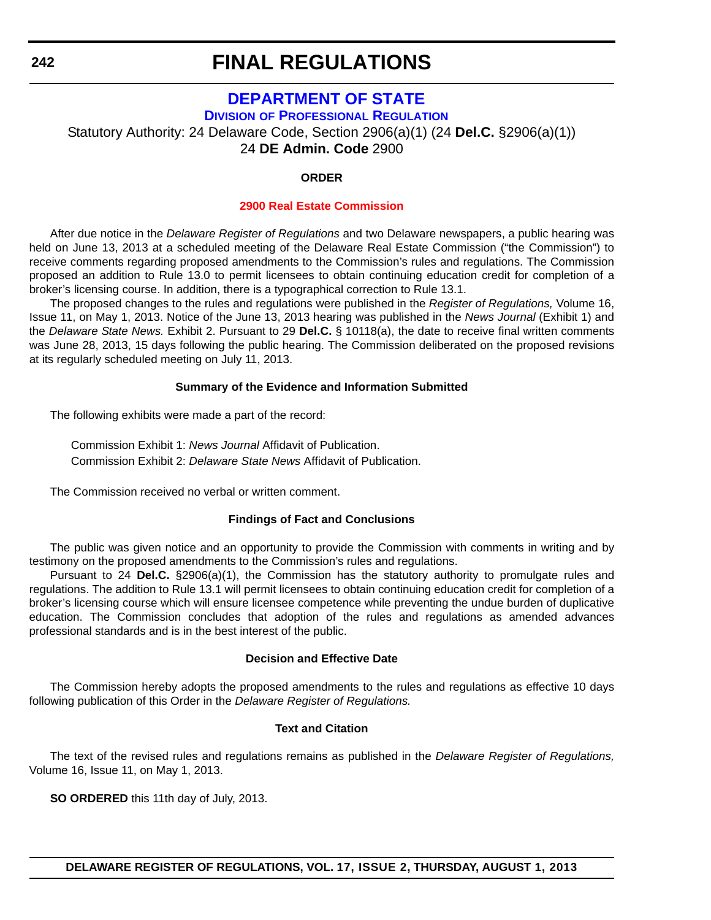### **DEPARTMENT OF STATE DIVISION OF PROFESSIONAL REGULATION**

Statutory Authority: 24 Delaware Code, Section 2906(a)(1) (24 **Del.C.** §2906(a)(1))

24 **DE Admin. Code** 2900

### **ORDER**

### **[2900 Real Estate](#page-4-0) Commission**

After due notice in the *Delaware Register of Regulations* and two Delaware newspapers, a public hearing was held on June 13, 2013 at a scheduled meeting of the Delaware Real Estate Commission ("the Commission") to receive comments regarding proposed amendments to the Commission's rules and regulations. The Commission proposed an addition to Rule 13.0 to permit licensees to obtain continuing education credit for completion of a broker's licensing course. In addition, there is a typographical correction to Rule 13.1.

The proposed changes to the rules and regulations were published in the *Register of Regulations,* Volume 16, Issue 11, on May 1, 2013. Notice of the June 13, 2013 hearing was published in the *News Journal* (Exhibit 1) and the *Delaware State News.* Exhibit 2. Pursuant to 29 **Del.C.** § 10118(a), the date to receive final written comments was June 28, 2013, 15 days following the public hearing. The Commission deliberated on the proposed revisions at its regularly scheduled meeting on July 11, 2013.

### **Summary of the Evidence and Information Submitted**

The following exhibits were made a part of the record:

Commission Exhibit 1: *News Journal* Affidavit of Publication. Commission Exhibit 2: *Delaware State News* Affidavit of Publication.

The Commission received no verbal or written comment.

### **Findings of Fact and Conclusions**

The public was given notice and an opportunity to provide the Commission with comments in writing and by testimony on the proposed amendments to the Commission's rules and regulations.

Pursuant to 24 **Del.C.** §2906(a)(1), the Commission has the statutory authority to promulgate rules and regulations. The addition to Rule 13.1 will permit licensees to obtain continuing education credit for completion of a broker's licensing course which will ensure licensee competence while preventing the undue burden of duplicative education. The Commission concludes that adoption of the rules and regulations as amended advances professional standards and is in the best interest of the public.

### **Decision and Effective Date**

The Commission hereby adopts the proposed amendments to the rules and regulations as effective 10 days following publication of this Order in the *Delaware Register of Regulations.*

### **Text and Citation**

The text of the revised rules and regulations remains as published in the *Delaware Register of Regulations,* Volume 16, Issue 11, on May 1, 2013.

**SO ORDERED** this 11th day of July, 2013.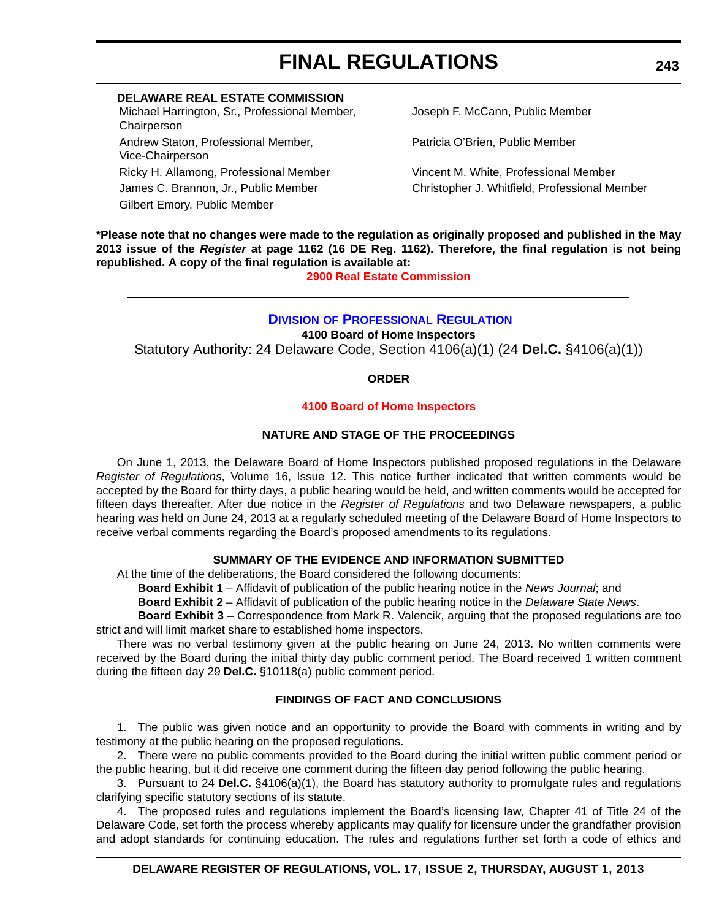### **DELAWARE REAL ESTATE COMMISSION**

Michael Harrington, Sr., Professional Member, Chairperson Andrew Staton, Professional Member, Vice-Chairperson

Gilbert Emory, Public Member

Joseph F. McCann, Public Member

Patricia O'Brien, Public Member

Ricky H. Allamong, Professional Member Vincent M. White, Professional Member James C. Brannon, Jr., Public Member Christopher J. Whitfield, Professional Member

**\*Please note that no changes were made to the regulation as originally proposed and published in the May 2013 issue of the** *Register* **at page 1162 (16 DE Reg. 1162). Therefore, the final regulation is not being republished. A copy of the final regulation is available at:**

**[2900 Real Estate Commission](http://regulations.delaware.gov/register/august2013/final/17 DE Reg 242 08-01-13.htm)**

### **DIVISION OF PROFESSIONAL REGULATION**

**4100 Board of Home Inspectors**

Statutory Authority: 24 Delaware Code, Section 4106(a)(1) (24 **Del.C.** §4106(a)(1))

**ORDER**

### **4100 Board of [Home Inspectors](#page-4-0)**

### **NATURE AND STAGE OF THE PROCEEDINGS**

On June 1, 2013, the Delaware Board of Home Inspectors published proposed regulations in the Delaware *Register of Regulations*, Volume 16, Issue 12. This notice further indicated that written comments would be accepted by the Board for thirty days, a public hearing would be held, and written comments would be accepted for fifteen days thereafter. After due notice in the *Register of Regulations* and two Delaware newspapers, a public hearing was held on June 24, 2013 at a regularly scheduled meeting of the Delaware Board of Home Inspectors to receive verbal comments regarding the Board's proposed amendments to its regulations.

### **SUMMARY OF THE EVIDENCE AND INFORMATION SUBMITTED**

At the time of the deliberations, the Board considered the following documents:

**Board Exhibit 1** – Affidavit of publication of the public hearing notice in the *News Journal*; and

**Board Exhibit 2** – Affidavit of publication of the public hearing notice in the *Delaware State News*.

**Board Exhibit 3** – Correspondence from Mark R. Valencik, arguing that the proposed regulations are too strict and will limit market share to established home inspectors.

There was no verbal testimony given at the public hearing on June 24, 2013. No written comments were received by the Board during the initial thirty day public comment period. The Board received 1 written comment during the fifteen day 29 **Del.C.** §10118(a) public comment period.

### **FINDINGS OF FACT AND CONCLUSIONS**

1. The public was given notice and an opportunity to provide the Board with comments in writing and by testimony at the public hearing on the proposed regulations.

2. There were no public comments provided to the Board during the initial written public comment period or the public hearing, but it did receive one comment during the fifteen day period following the public hearing.

3. Pursuant to 24 **Del.C.** §4106(a)(1), the Board has statutory authority to promulgate rules and regulations clarifying specific statutory sections of its statute.

4. The proposed rules and regulations implement the Board's licensing law, Chapter 41 of Title 24 of the Delaware Code, set forth the process whereby applicants may qualify for licensure under the grandfather provision and adopt standards for continuing education. The rules and regulations further set forth a code of ethics and

### **DELAWARE REGISTER OF REGULATIONS, VOL. 17, ISSUE 2, THURSDAY, AUGUST 1, 2013**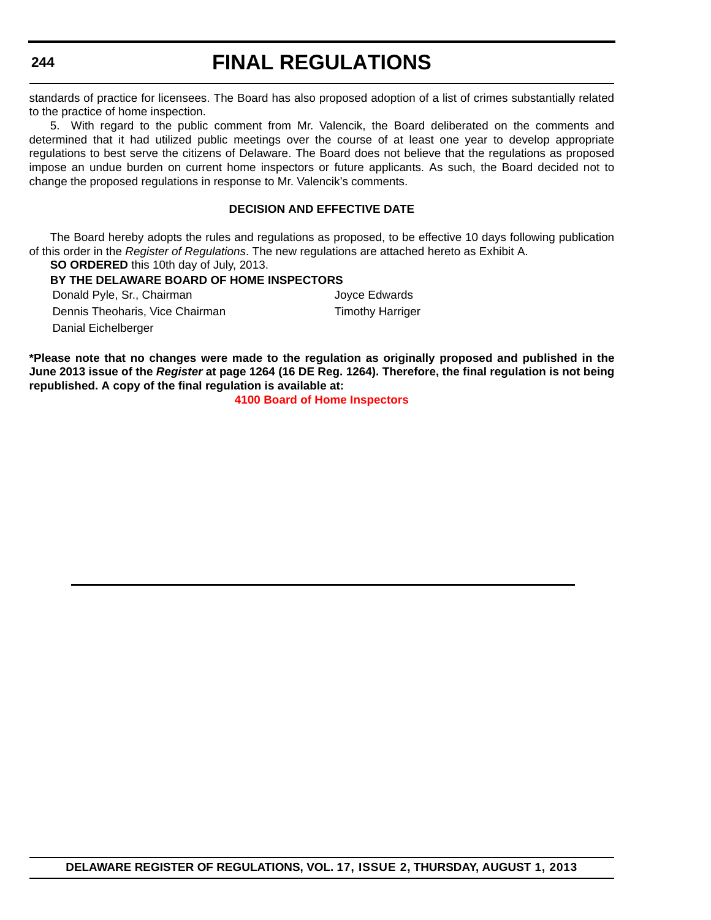### **244**

## **FINAL REGULATIONS**

standards of practice for licensees. The Board has also proposed adoption of a list of crimes substantially related to the practice of home inspection.

5. With regard to the public comment from Mr. Valencik, the Board deliberated on the comments and determined that it had utilized public meetings over the course of at least one year to develop appropriate regulations to best serve the citizens of Delaware. The Board does not believe that the regulations as proposed impose an undue burden on current home inspectors or future applicants. As such, the Board decided not to change the proposed regulations in response to Mr. Valencik's comments.

### **DECISION AND EFFECTIVE DATE**

The Board hereby adopts the rules and regulations as proposed, to be effective 10 days following publication of this order in the *Register of Regulations*. The new regulations are attached hereto as Exhibit A.

**SO ORDERED** this 10th day of July, 2013.

**BY THE DELAWARE BOARD OF HOME INSPECTORS**

Donald Pyle, Sr., Chairman Joyce Edwards

Danial Eichelberger

Dennis Theoharis, Vice Chairman Timothy Harriger

**\*Please note that no changes were made to the regulation as originally proposed and published in the June 2013 issue of the** *Register* **at page 1264 (16 DE Reg. 1264). Therefore, the final regulation is not being republished. A copy of the final regulation is available at:**

**[4100 Board of Home Inspectors](http://regulations.delaware.gov/register/august2013/final/17 DE Reg 243 08-01-13.htm)**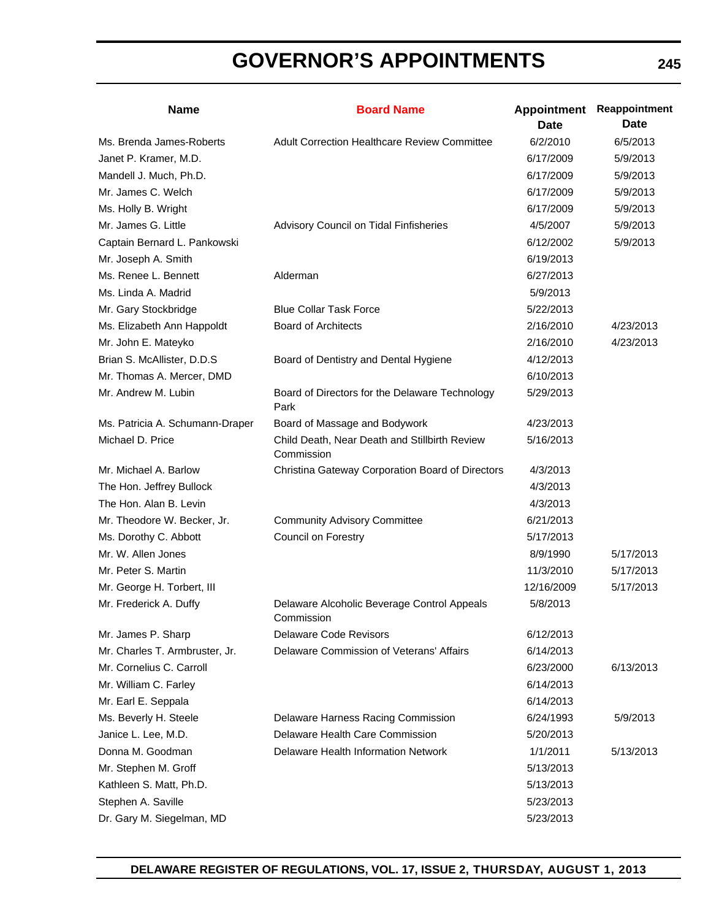# **GOVERNOR'S APPOINTMENTS**

| <b>Name</b>                     | <b>Board Name</b>                                           | <b>Appointment</b><br>Date | Reappointment<br><b>Date</b> |
|---------------------------------|-------------------------------------------------------------|----------------------------|------------------------------|
| Ms. Brenda James-Roberts        | <b>Adult Correction Healthcare Review Committee</b>         | 6/2/2010                   | 6/5/2013                     |
| Janet P. Kramer, M.D.           |                                                             | 6/17/2009                  | 5/9/2013                     |
| Mandell J. Much, Ph.D.          |                                                             | 6/17/2009                  | 5/9/2013                     |
| Mr. James C. Welch              |                                                             | 6/17/2009                  | 5/9/2013                     |
| Ms. Holly B. Wright             |                                                             | 6/17/2009                  | 5/9/2013                     |
| Mr. James G. Little             | Advisory Council on Tidal Finfisheries                      | 4/5/2007                   | 5/9/2013                     |
| Captain Bernard L. Pankowski    |                                                             | 6/12/2002                  | 5/9/2013                     |
| Mr. Joseph A. Smith             |                                                             | 6/19/2013                  |                              |
| Ms. Renee L. Bennett            | Alderman                                                    | 6/27/2013                  |                              |
| Ms. Linda A. Madrid             |                                                             | 5/9/2013                   |                              |
| Mr. Gary Stockbridge            | <b>Blue Collar Task Force</b>                               | 5/22/2013                  |                              |
| Ms. Elizabeth Ann Happoldt      | <b>Board of Architects</b>                                  | 2/16/2010                  | 4/23/2013                    |
| Mr. John E. Mateyko             |                                                             | 2/16/2010                  | 4/23/2013                    |
| Brian S. McAllister, D.D.S      | Board of Dentistry and Dental Hygiene                       | 4/12/2013                  |                              |
| Mr. Thomas A. Mercer, DMD       |                                                             | 6/10/2013                  |                              |
| Mr. Andrew M. Lubin             | Board of Directors for the Delaware Technology<br>Park      | 5/29/2013                  |                              |
| Ms. Patricia A. Schumann-Draper | Board of Massage and Bodywork                               | 4/23/2013                  |                              |
| Michael D. Price                | Child Death, Near Death and Stillbirth Review<br>Commission | 5/16/2013                  |                              |
| Mr. Michael A. Barlow           | Christina Gateway Corporation Board of Directors            | 4/3/2013                   |                              |
| The Hon. Jeffrey Bullock        |                                                             | 4/3/2013                   |                              |
| The Hon, Alan B. Levin          |                                                             | 4/3/2013                   |                              |
| Mr. Theodore W. Becker, Jr.     | <b>Community Advisory Committee</b>                         | 6/21/2013                  |                              |
| Ms. Dorothy C. Abbott           | Council on Forestry                                         | 5/17/2013                  |                              |
| Mr. W. Allen Jones              |                                                             | 8/9/1990                   | 5/17/2013                    |
| Mr. Peter S. Martin             |                                                             | 11/3/2010                  | 5/17/2013                    |
| Mr. George H. Torbert, III      |                                                             | 12/16/2009                 | 5/17/2013                    |
| Mr. Frederick A. Duffy          | Delaware Alcoholic Beverage Control Appeals<br>Commission   | 5/8/2013                   |                              |
| Mr. James P. Sharp              | Delaware Code Revisors                                      | 6/12/2013                  |                              |
| Mr. Charles T. Armbruster, Jr.  | Delaware Commission of Veterans' Affairs                    | 6/14/2013                  |                              |
| Mr. Cornelius C. Carroll        |                                                             | 6/23/2000                  | 6/13/2013                    |
| Mr. William C. Farley           |                                                             | 6/14/2013                  |                              |
| Mr. Earl E. Seppala             |                                                             | 6/14/2013                  |                              |
| Ms. Beverly H. Steele           | Delaware Harness Racing Commission                          | 6/24/1993                  | 5/9/2013                     |
| Janice L. Lee, M.D.             | Delaware Health Care Commission                             | 5/20/2013                  |                              |
| Donna M. Goodman                | Delaware Health Information Network                         | 1/1/2011                   | 5/13/2013                    |
| Mr. Stephen M. Groff            |                                                             | 5/13/2013                  |                              |
| Kathleen S. Matt, Ph.D.         |                                                             | 5/13/2013                  |                              |
| Stephen A. Saville              |                                                             | 5/23/2013                  |                              |
| Dr. Gary M. Siegelman, MD       |                                                             | 5/23/2013                  |                              |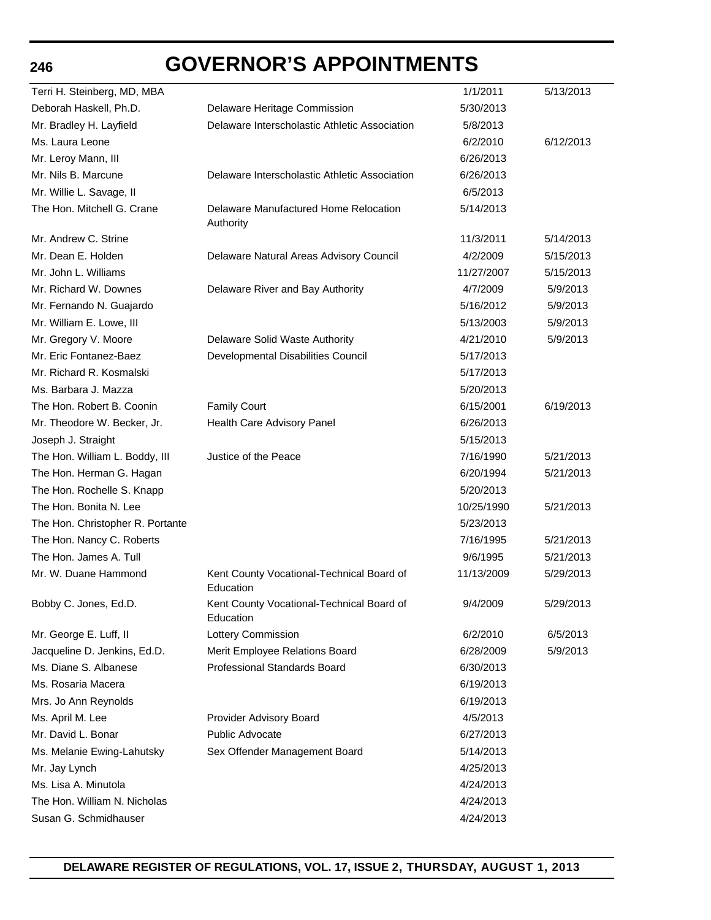# **GOVERNOR'S APPOINTMENTS**

| Terri H. Steinberg, MD, MBA      |                                                        | 1/1/2011   | 5/13/2013 |
|----------------------------------|--------------------------------------------------------|------------|-----------|
| Deborah Haskell, Ph.D.           | Delaware Heritage Commission                           | 5/30/2013  |           |
| Mr. Bradley H. Layfield          | Delaware Interscholastic Athletic Association          | 5/8/2013   |           |
| Ms. Laura Leone                  |                                                        | 6/2/2010   | 6/12/2013 |
| Mr. Leroy Mann, III              |                                                        | 6/26/2013  |           |
| Mr. Nils B. Marcune              | Delaware Interscholastic Athletic Association          | 6/26/2013  |           |
| Mr. Willie L. Savage, II         |                                                        | 6/5/2013   |           |
| The Hon. Mitchell G. Crane       | Delaware Manufactured Home Relocation<br>Authority     | 5/14/2013  |           |
| Mr. Andrew C. Strine             |                                                        | 11/3/2011  | 5/14/2013 |
| Mr. Dean E. Holden               | Delaware Natural Areas Advisory Council                | 4/2/2009   | 5/15/2013 |
| Mr. John L. Williams             |                                                        | 11/27/2007 | 5/15/2013 |
| Mr. Richard W. Downes            | Delaware River and Bay Authority                       | 4/7/2009   | 5/9/2013  |
| Mr. Fernando N. Guajardo         |                                                        | 5/16/2012  | 5/9/2013  |
| Mr. William E. Lowe, III         |                                                        | 5/13/2003  | 5/9/2013  |
| Mr. Gregory V. Moore             | Delaware Solid Waste Authority                         | 4/21/2010  | 5/9/2013  |
| Mr. Eric Fontanez-Baez           | Developmental Disabilities Council                     | 5/17/2013  |           |
| Mr. Richard R. Kosmalski         |                                                        | 5/17/2013  |           |
| Ms. Barbara J. Mazza             |                                                        | 5/20/2013  |           |
| The Hon. Robert B. Coonin        | <b>Family Court</b>                                    | 6/15/2001  | 6/19/2013 |
| Mr. Theodore W. Becker, Jr.      | Health Care Advisory Panel                             | 6/26/2013  |           |
| Joseph J. Straight               |                                                        | 5/15/2013  |           |
| The Hon. William L. Boddy, III   | Justice of the Peace                                   | 7/16/1990  | 5/21/2013 |
| The Hon. Herman G. Hagan         |                                                        | 6/20/1994  | 5/21/2013 |
| The Hon. Rochelle S. Knapp       |                                                        | 5/20/2013  |           |
| The Hon. Bonita N. Lee           |                                                        | 10/25/1990 | 5/21/2013 |
| The Hon. Christopher R. Portante |                                                        | 5/23/2013  |           |
| The Hon. Nancy C. Roberts        |                                                        | 7/16/1995  | 5/21/2013 |
| The Hon. James A. Tull           |                                                        | 9/6/1995   | 5/21/2013 |
| Mr. W. Duane Hammond             | Kent County Vocational-Technical Board of<br>Education | 11/13/2009 | 5/29/2013 |
| Bobby C. Jones, Ed.D.            | Kent County Vocational-Technical Board of<br>Education | 9/4/2009   | 5/29/2013 |
| Mr. George E. Luff, II           | Lottery Commission                                     | 6/2/2010   | 6/5/2013  |
| Jacqueline D. Jenkins, Ed.D.     | Merit Employee Relations Board                         | 6/28/2009  | 5/9/2013  |
| Ms. Diane S. Albanese            | Professional Standards Board                           | 6/30/2013  |           |
| Ms. Rosaria Macera               |                                                        | 6/19/2013  |           |
| Mrs. Jo Ann Reynolds             |                                                        | 6/19/2013  |           |
| Ms. April M. Lee                 | Provider Advisory Board                                | 4/5/2013   |           |
| Mr. David L. Bonar               | Public Advocate                                        | 6/27/2013  |           |
| Ms. Melanie Ewing-Lahutsky       | Sex Offender Management Board                          | 5/14/2013  |           |
| Mr. Jay Lynch                    |                                                        | 4/25/2013  |           |
| Ms. Lisa A. Minutola             |                                                        | 4/24/2013  |           |
| The Hon. William N. Nicholas     |                                                        | 4/24/2013  |           |
| Susan G. Schmidhauser            |                                                        | 4/24/2013  |           |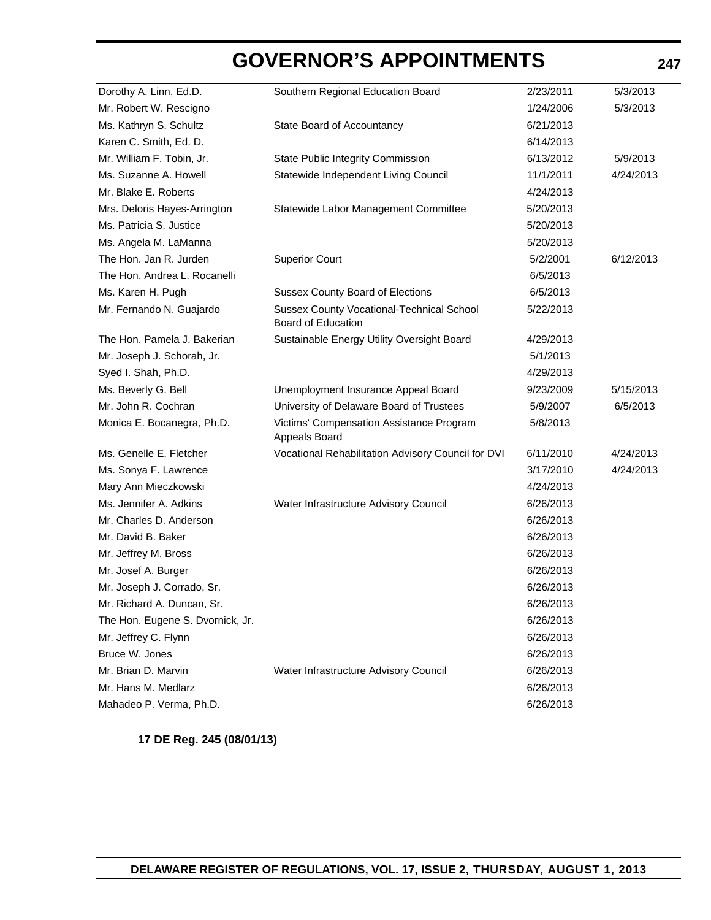# **GOVERNOR'S APPOINTMENTS**

**247**

| Dorothy A. Linn, Ed.D.           | Southern Regional Education Board                                             | 2/23/2011 | 5/3/2013  |
|----------------------------------|-------------------------------------------------------------------------------|-----------|-----------|
| Mr. Robert W. Rescigno           |                                                                               | 1/24/2006 | 5/3/2013  |
| Ms. Kathryn S. Schultz           | State Board of Accountancy                                                    | 6/21/2013 |           |
| Karen C. Smith, Ed. D.           |                                                                               | 6/14/2013 |           |
| Mr. William F. Tobin, Jr.        | State Public Integrity Commission                                             | 6/13/2012 | 5/9/2013  |
| Ms. Suzanne A. Howell            | Statewide Independent Living Council                                          | 11/1/2011 | 4/24/2013 |
| Mr. Blake E. Roberts             |                                                                               | 4/24/2013 |           |
| Mrs. Deloris Hayes-Arrington     | Statewide Labor Management Committee                                          | 5/20/2013 |           |
| Ms. Patricia S. Justice          |                                                                               | 5/20/2013 |           |
| Ms. Angela M. LaManna            |                                                                               | 5/20/2013 |           |
| The Hon. Jan R. Jurden           | <b>Superior Court</b>                                                         | 5/2/2001  | 6/12/2013 |
| The Hon. Andrea L. Rocanelli     |                                                                               | 6/5/2013  |           |
| Ms. Karen H. Pugh                | <b>Sussex County Board of Elections</b>                                       | 6/5/2013  |           |
| Mr. Fernando N. Guajardo         | <b>Sussex County Vocational-Technical School</b><br><b>Board of Education</b> | 5/22/2013 |           |
| The Hon. Pamela J. Bakerian      | Sustainable Energy Utility Oversight Board                                    | 4/29/2013 |           |
| Mr. Joseph J. Schorah, Jr.       |                                                                               | 5/1/2013  |           |
| Syed I. Shah, Ph.D.              |                                                                               | 4/29/2013 |           |
| Ms. Beverly G. Bell              | Unemployment Insurance Appeal Board                                           | 9/23/2009 | 5/15/2013 |
| Mr. John R. Cochran              | University of Delaware Board of Trustees                                      | 5/9/2007  | 6/5/2013  |
| Monica E. Bocanegra, Ph.D.       | Victims' Compensation Assistance Program<br>Appeals Board                     | 5/8/2013  |           |
| Ms. Genelle E. Fletcher          | Vocational Rehabilitation Advisory Council for DVI                            | 6/11/2010 | 4/24/2013 |
| Ms. Sonya F. Lawrence            |                                                                               | 3/17/2010 | 4/24/2013 |
| Mary Ann Mieczkowski             |                                                                               | 4/24/2013 |           |
| Ms. Jennifer A. Adkins           | Water Infrastructure Advisory Council                                         | 6/26/2013 |           |
| Mr. Charles D. Anderson          |                                                                               | 6/26/2013 |           |
| Mr. David B. Baker               |                                                                               | 6/26/2013 |           |
| Mr. Jeffrey M. Bross             |                                                                               | 6/26/2013 |           |
| Mr. Josef A. Burger              |                                                                               | 6/26/2013 |           |
| Mr. Joseph J. Corrado, Sr.       |                                                                               | 6/26/2013 |           |
| Mr. Richard A. Duncan, Sr.       |                                                                               | 6/26/2013 |           |
| The Hon. Eugene S. Dvornick, Jr. |                                                                               | 6/26/2013 |           |
| Mr. Jeffrey C. Flynn             |                                                                               | 6/26/2013 |           |
| Bruce W. Jones                   |                                                                               | 6/26/2013 |           |
| Mr. Brian D. Marvin              | Water Infrastructure Advisory Council                                         | 6/26/2013 |           |
| Mr. Hans M. Medlarz              |                                                                               | 6/26/2013 |           |
| Mahadeo P. Verma, Ph.D.          |                                                                               | 6/26/2013 |           |

**17 DE Reg. 245 (08/01/13)**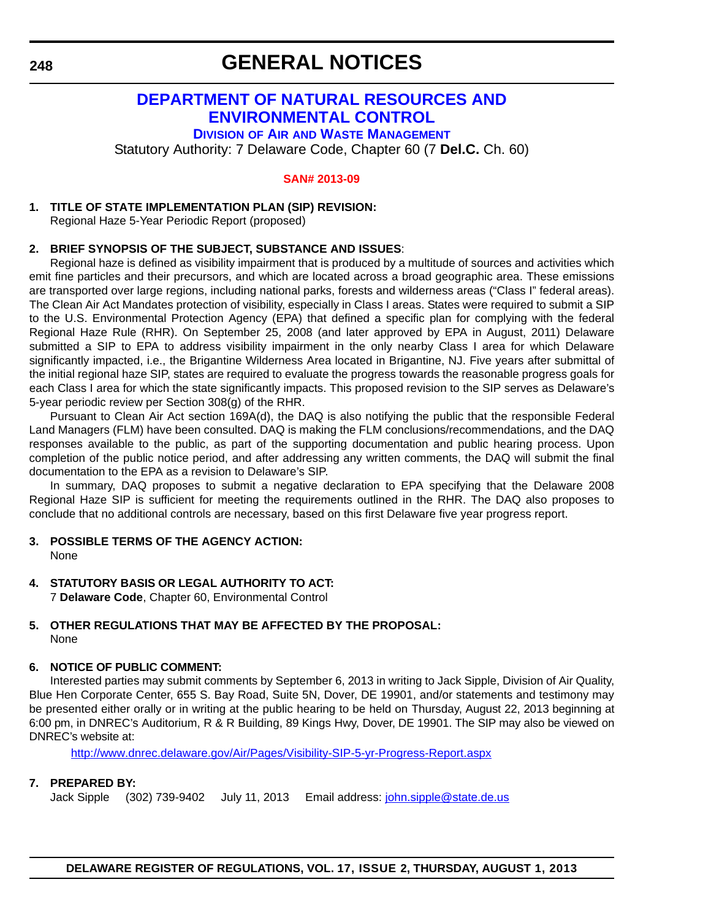## **GENERAL NOTICES**

## **DEPARTMENT OF NATURAL RESOURCES AND ENVIRONMENTAL CONTROL**

**DIVISION OF AIR AND WASTE MANAGEMENT** Statutory Authority: 7 Delaware Code, Chapter 60 (7 **Del.C.** Ch. 60)

### **[SAN# 2013-09](#page-4-0)**

### **1. TITLE OF STATE IMPLEMENTATION PLAN (SIP) REVISION:**

Regional Haze 5-Year Periodic Report (proposed)

### **2. BRIEF SYNOPSIS OF THE SUBJECT, SUBSTANCE AND ISSUES**:

Regional haze is defined as visibility impairment that is produced by a multitude of sources and activities which emit fine particles and their precursors, and which are located across a broad geographic area. These emissions are transported over large regions, including national parks, forests and wilderness areas ("Class I" federal areas). The Clean Air Act Mandates protection of visibility, especially in Class I areas. States were required to submit a SIP to the U.S. Environmental Protection Agency (EPA) that defined a specific plan for complying with the federal Regional Haze Rule (RHR). On September 25, 2008 (and later approved by EPA in August, 2011) Delaware submitted a SIP to EPA to address visibility impairment in the only nearby Class I area for which Delaware significantly impacted, i.e., the Brigantine Wilderness Area located in Brigantine, NJ. Five years after submittal of the initial regional haze SIP, states are required to evaluate the progress towards the reasonable progress goals for each Class I area for which the state significantly impacts. This proposed revision to the SIP serves as Delaware's 5-year periodic review per Section 308(g) of the RHR.

Pursuant to Clean Air Act section 169A(d), the DAQ is also notifying the public that the responsible Federal Land Managers (FLM) have been consulted. DAQ is making the FLM conclusions/recommendations, and the DAQ responses available to the public, as part of the supporting documentation and public hearing process. Upon completion of the public notice period, and after addressing any written comments, the DAQ will submit the final documentation to the EPA as a revision to Delaware's SIP.

In summary, DAQ proposes to submit a negative declaration to EPA specifying that the Delaware 2008 Regional Haze SIP is sufficient for meeting the requirements outlined in the RHR. The DAQ also proposes to conclude that no additional controls are necessary, based on this first Delaware five year progress report.

**3. POSSIBLE TERMS OF THE AGENCY ACTION:** None

#### **4. STATUTORY BASIS OR LEGAL AUTHORITY TO ACT:** 7 **Delaware Code**, Chapter 60, Environmental Control

### **5. OTHER REGULATIONS THAT MAY BE AFFECTED BY THE PROPOSAL:** None

### **6. NOTICE OF PUBLIC COMMENT:**

Interested parties may submit comments by September 6, 2013 in writing to Jack Sipple, Division of Air Quality, Blue Hen Corporate Center, 655 S. Bay Road, Suite 5N, Dover, DE 19901, and/or statements and testimony may be presented either orally or in writing at the public hearing to be held on Thursday, August 22, 2013 beginning at 6:00 pm, in DNREC's Auditorium, R & R Building, 89 Kings Hwy, Dover, DE 19901. The SIP may also be viewed on DNREC's website at:

<http://www.dnrec.delaware.gov/Air/Pages/Visibility-SIP-5-yr-Progress-Report.aspx>

### **7. PREPARED BY:**

Jack Sipple (302) 739-9402 July 11, 2013 Email address: john.sipple@state.de.us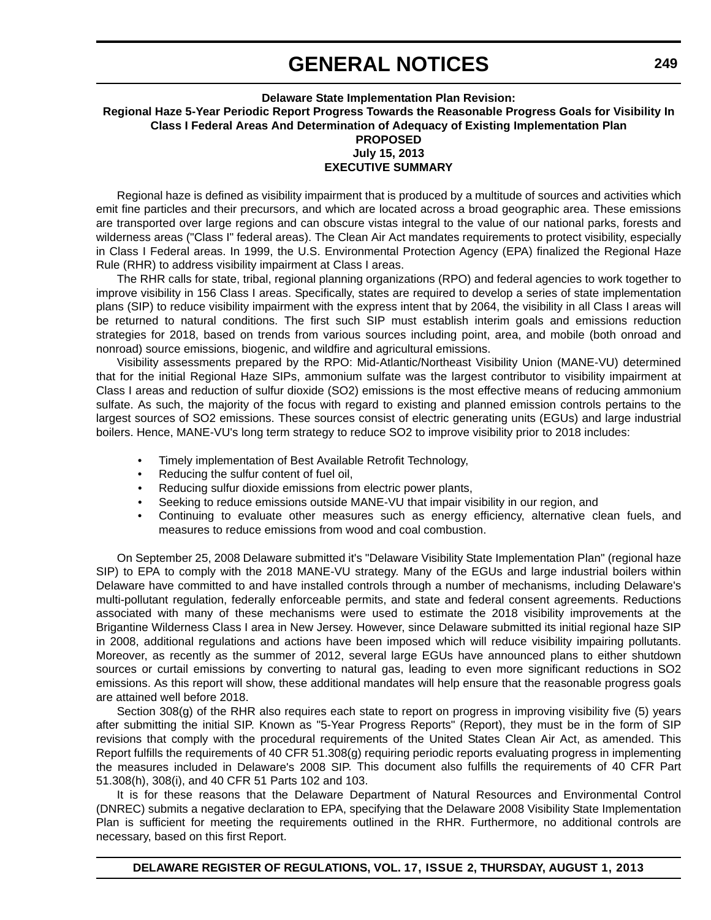## **GENERAL NOTICES**

**Delaware State Implementation Plan Revision: Regional Haze 5-Year Periodic Report Progress Towards the Reasonable Progress Goals for Visibility In Class I Federal Areas And Determination of Adequacy of Existing Implementation Plan PROPOSED**

### **July 15, 2013 EXECUTIVE SUMMARY**

Regional haze is defined as visibility impairment that is produced by a multitude of sources and activities which emit fine particles and their precursors, and which are located across a broad geographic area. These emissions are transported over large regions and can obscure vistas integral to the value of our national parks, forests and wilderness areas ("Class I" federal areas). The Clean Air Act mandates requirements to protect visibility, especially in Class I Federal areas. In 1999, the U.S. Environmental Protection Agency (EPA) finalized the Regional Haze Rule (RHR) to address visibility impairment at Class I areas.

The RHR calls for state, tribal, regional planning organizations (RPO) and federal agencies to work together to improve visibility in 156 Class I areas. Specifically, states are required to develop a series of state implementation plans (SIP) to reduce visibility impairment with the express intent that by 2064, the visibility in all Class I areas will be returned to natural conditions. The first such SIP must establish interim goals and emissions reduction strategies for 2018, based on trends from various sources including point, area, and mobile (both onroad and nonroad) source emissions, biogenic, and wildfire and agricultural emissions.

Visibility assessments prepared by the RPO: Mid-Atlantic/Northeast Visibility Union (MANE-VU) determined that for the initial Regional Haze SIPs, ammonium sulfate was the largest contributor to visibility impairment at Class I areas and reduction of sulfur dioxide (SO2) emissions is the most effective means of reducing ammonium sulfate. As such, the majority of the focus with regard to existing and planned emission controls pertains to the largest sources of SO2 emissions. These sources consist of electric generating units (EGUs) and large industrial boilers. Hence, MANE-VU's long term strategy to reduce SO2 to improve visibility prior to 2018 includes:

- Timely implementation of Best Available Retrofit Technology,
- Reducing the sulfur content of fuel oil,
- Reducing sulfur dioxide emissions from electric power plants,
- Seeking to reduce emissions outside MANE-VU that impair visibility in our region, and
- Continuing to evaluate other measures such as energy efficiency, alternative clean fuels, and measures to reduce emissions from wood and coal combustion.

On September 25, 2008 Delaware submitted it's "Delaware Visibility State Implementation Plan" (regional haze SIP) to EPA to comply with the 2018 MANE-VU strategy. Many of the EGUs and large industrial boilers within Delaware have committed to and have installed controls through a number of mechanisms, including Delaware's multi-pollutant regulation, federally enforceable permits, and state and federal consent agreements. Reductions associated with many of these mechanisms were used to estimate the 2018 visibility improvements at the Brigantine Wilderness Class I area in New Jersey. However, since Delaware submitted its initial regional haze SIP in 2008, additional regulations and actions have been imposed which will reduce visibility impairing pollutants. Moreover, as recently as the summer of 2012, several large EGUs have announced plans to either shutdown sources or curtail emissions by converting to natural gas, leading to even more significant reductions in SO2 emissions. As this report will show, these additional mandates will help ensure that the reasonable progress goals are attained well before 2018.

Section 308(g) of the RHR also requires each state to report on progress in improving visibility five (5) years after submitting the initial SIP. Known as "5-Year Progress Reports" (Report), they must be in the form of SIP revisions that comply with the procedural requirements of the United States Clean Air Act, as amended. This Report fulfills the requirements of 40 CFR 51.308(g) requiring periodic reports evaluating progress in implementing the measures included in Delaware's 2008 SIP. This document also fulfills the requirements of 40 CFR Part 51.308(h), 308(i), and 40 CFR 51 Parts 102 and 103.

It is for these reasons that the Delaware Department of Natural Resources and Environmental Control (DNREC) submits a negative declaration to EPA, specifying that the Delaware 2008 Visibility State Implementation Plan is sufficient for meeting the requirements outlined in the RHR. Furthermore, no additional controls are necessary, based on this first Report.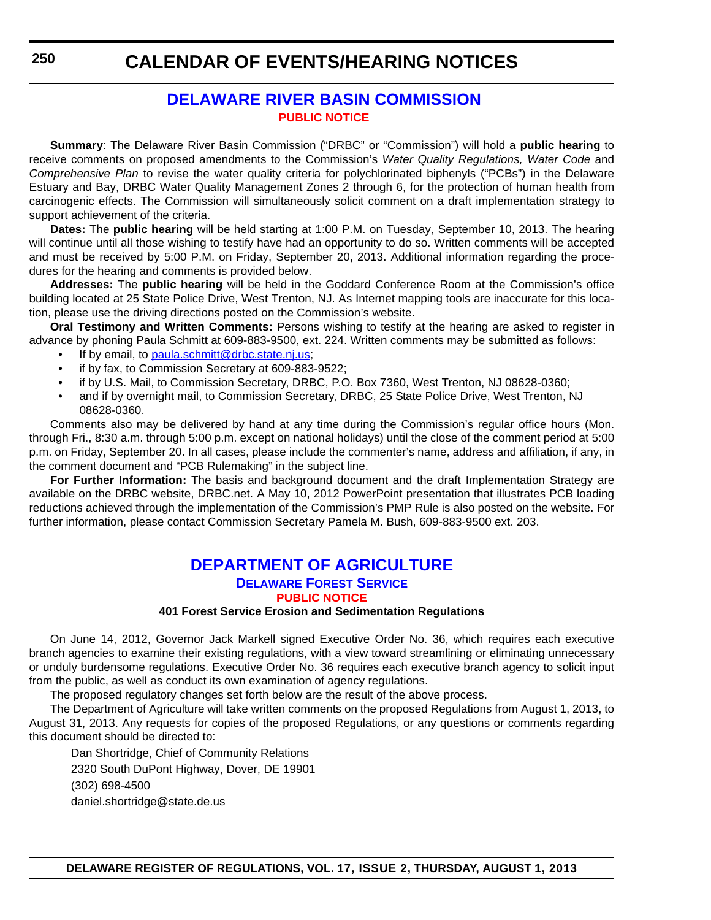## **DELAWARE RIVER BASIN COMMISSION [PUBLIC NOTICE](#page-4-0)**

**Summary**: The Delaware River Basin Commission ("DRBC" or "Commission") will hold a **public hearing** to receive comments on proposed amendments to the Commission's *Water Quality Regulations, Water Code* and *Comprehensive Plan* to revise the water quality criteria for polychlorinated biphenyls ("PCBs") in the Delaware Estuary and Bay, DRBC Water Quality Management Zones 2 through 6, for the protection of human health from carcinogenic effects. The Commission will simultaneously solicit comment on a draft implementation strategy to support achievement of the criteria.

**Dates:** The **public hearing** will be held starting at 1:00 P.M. on Tuesday, September 10, 2013. The hearing will continue until all those wishing to testify have had an opportunity to do so. Written comments will be accepted and must be received by 5:00 P.M. on Friday, September 20, 2013. Additional information regarding the procedures for the hearing and comments is provided below.

**Addresses:** The **public hearing** will be held in the Goddard Conference Room at the Commission's office building located at 25 State Police Drive, West Trenton, NJ. As Internet mapping tools are inaccurate for this location, please use the driving directions posted on the Commission's website.

**Oral Testimony and Written Comments:** Persons wishing to testify at the hearing are asked to register in advance by phoning Paula Schmitt at 609-883-9500, ext. 224. Written comments may be submitted as follows:

- If by email, to [paula.schmitt@drbc.state.nj.us](mailto:paula.schmitt@drbc.state.nj.us);
- if by fax, to Commission Secretary at 609-883-9522;
- if by U.S. Mail, to Commission Secretary, DRBC, P.O. Box 7360, West Trenton, NJ 08628-0360;
- and if by overnight mail, to Commission Secretary, DRBC, 25 State Police Drive, West Trenton, NJ 08628-0360.

Comments also may be delivered by hand at any time during the Commission's regular office hours (Mon. through Fri., 8:30 a.m. through 5:00 p.m. except on national holidays) until the close of the comment period at 5:00 p.m. on Friday, September 20. In all cases, please include the commenter's name, address and affiliation, if any, in the comment document and "PCB Rulemaking" in the subject line.

**For Further Information:** The basis and background document and the draft Implementation Strategy are available on the DRBC website, DRBC.net. A May 10, 2012 PowerPoint presentation that illustrates PCB loading reductions achieved through the implementation of the Commission's PMP Rule is also posted on the website. For further information, please contact Commission Secretary Pamela M. Bush, 609-883-9500 ext. 203.

## **DEPARTMENT OF AGRICULTURE DELAWARE FOREST SERVICE [PUBLIC NOTICE](#page-4-0)**

### **401 Forest Service Erosion and Sedimentation Regulations**

On June 14, 2012, Governor Jack Markell signed Executive Order No. 36, which requires each executive branch agencies to examine their existing regulations, with a view toward streamlining or eliminating unnecessary or unduly burdensome regulations. Executive Order No. 36 requires each executive branch agency to solicit input from the public, as well as conduct its own examination of agency regulations.

The proposed regulatory changes set forth below are the result of the above process.

The Department of Agriculture will take written comments on the proposed Regulations from August 1, 2013, to August 31, 2013. Any requests for copies of the proposed Regulations, or any questions or comments regarding this document should be directed to:

Dan Shortridge, Chief of Community Relations 2320 South DuPont Highway, Dover, DE 19901 (302) 698-4500 daniel.shortridge@state.de.us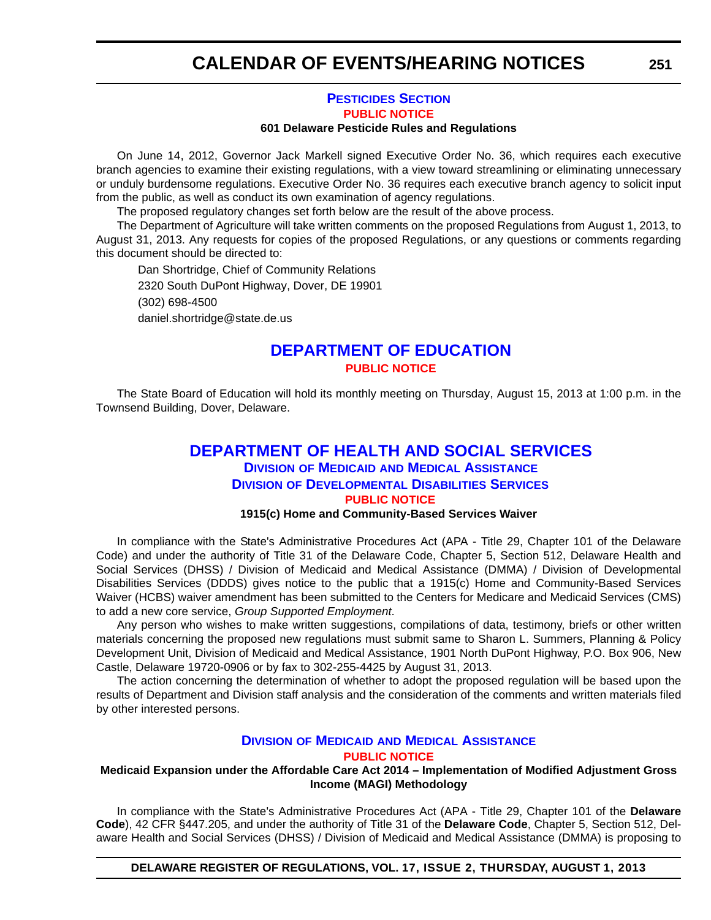### **PESTICIDES SECTION [PUBLIC NOTICE](#page-4-0)**

#### **601 Delaware Pesticide Rules and Regulations**

On June 14, 2012, Governor Jack Markell signed Executive Order No. 36, which requires each executive branch agencies to examine their existing regulations, with a view toward streamlining or eliminating unnecessary or unduly burdensome regulations. Executive Order No. 36 requires each executive branch agency to solicit input from the public, as well as conduct its own examination of agency regulations.

The proposed regulatory changes set forth below are the result of the above process.

The Department of Agriculture will take written comments on the proposed Regulations from August 1, 2013, to August 31, 2013. Any requests for copies of the proposed Regulations, or any questions or comments regarding this document should be directed to:

Dan Shortridge, Chief of Community Relations 2320 South DuPont Highway, Dover, DE 19901 (302) 698-4500 daniel.shortridge@state.de.us

### **DEPARTMENT OF EDUCATION [PUBLIC NOTICE](#page-4-0)**

The State Board of Education will hold its monthly meeting on Thursday, August 15, 2013 at 1:00 p.m. in the Townsend Building, Dover, Delaware.

### **DEPARTMENT OF HEALTH AND SOCIAL SERVICES DIVISION OF MEDICAID AND MEDICAL ASSISTANCE DIVISION OF DEVELOPMENTAL DISABILITIES SERVICES [PUBLIC NOTICE](#page-4-0) 1915(c) Home and Community-Based Services Waiver**

In compliance with the State's Administrative Procedures Act (APA - Title 29, Chapter 101 of the Delaware Code) and under the authority of Title 31 of the Delaware Code, Chapter 5, Section 512, Delaware Health and Social Services (DHSS) / Division of Medicaid and Medical Assistance (DMMA) / Division of Developmental Disabilities Services (DDDS) gives notice to the public that a 1915(c) Home and Community-Based Services Waiver (HCBS) waiver amendment has been submitted to the Centers for Medicare and Medicaid Services (CMS) to add a new core service, *Group Supported Employment*.

Any person who wishes to make written suggestions, compilations of data, testimony, briefs or other written materials concerning the proposed new regulations must submit same to Sharon L. Summers, Planning & Policy Development Unit, Division of Medicaid and Medical Assistance, 1901 North DuPont Highway, P.O. Box 906, New Castle, Delaware 19720-0906 or by fax to 302-255-4425 by August 31, 2013.

The action concerning the determination of whether to adopt the proposed regulation will be based upon the results of Department and Division staff analysis and the consideration of the comments and written materials filed by other interested persons.

### **DIVISION OF MEDICAID AND MEDICAL ASSISTANCE [PUBLIC NOTICE](#page-4-0)**

### **Medicaid Expansion under the Affordable Care Act 2014 – Implementation of Modified Adjustment Gross Income (MAGI) Methodology**

In compliance with the State's Administrative Procedures Act (APA - Title 29, Chapter 101 of the **Delaware Code**), 42 CFR §447.205, and under the authority of Title 31 of the **Delaware Code**, Chapter 5, Section 512, Delaware Health and Social Services (DHSS) / Division of Medicaid and Medical Assistance (DMMA) is proposing to

**DELAWARE REGISTER OF REGULATIONS, VOL. 17, ISSUE 2, THURSDAY, AUGUST 1, 2013**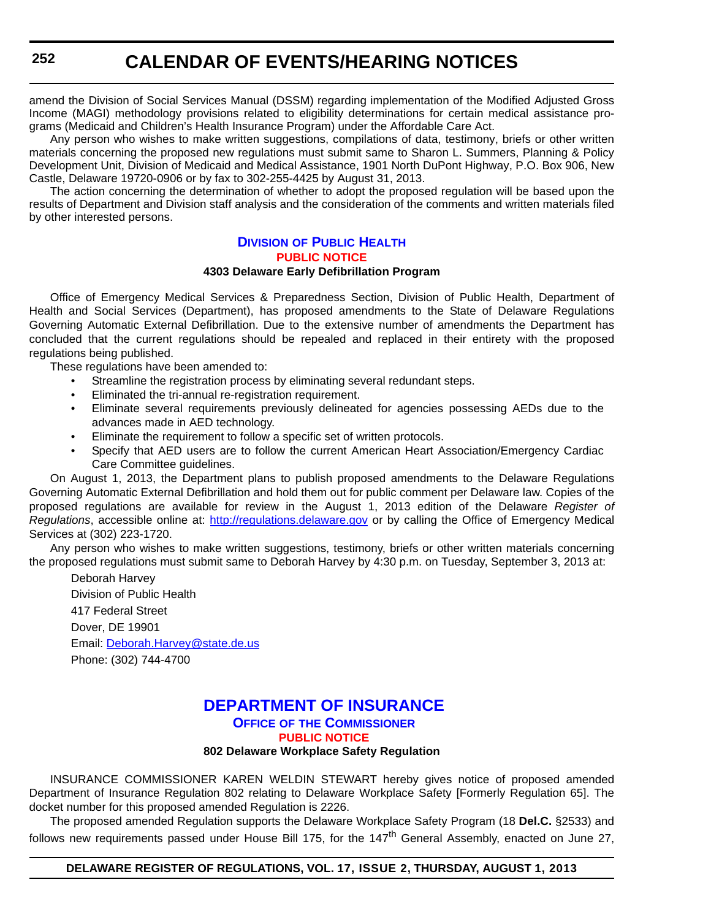amend the Division of Social Services Manual (DSSM) regarding implementation of the Modified Adjusted Gross Income (MAGI) methodology provisions related to eligibility determinations for certain medical assistance programs (Medicaid and Children's Health Insurance Program) under the Affordable Care Act.

Any person who wishes to make written suggestions, compilations of data, testimony, briefs or other written materials concerning the proposed new regulations must submit same to Sharon L. Summers, Planning & Policy Development Unit, Division of Medicaid and Medical Assistance, 1901 North DuPont Highway, P.O. Box 906, New Castle, Delaware 19720-0906 or by fax to 302-255-4425 by August 31, 2013.

The action concerning the determination of whether to adopt the proposed regulation will be based upon the results of Department and Division staff analysis and the consideration of the comments and written materials filed by other interested persons.

### **DIVISION OF PUBLIC HEALTH [PUBLIC NOTICE](#page-4-0)**

### **4303 Delaware Early Defibrillation Program**

Office of Emergency Medical Services & Preparedness Section, Division of Public Health, Department of Health and Social Services (Department), has proposed amendments to the State of Delaware Regulations Governing Automatic External Defibrillation. Due to the extensive number of amendments the Department has concluded that the current regulations should be repealed and replaced in their entirety with the proposed regulations being published.

These regulations have been amended to:

- Streamline the registration process by eliminating several redundant steps.
- Eliminated the tri-annual re-registration requirement.
- Eliminate several requirements previously delineated for agencies possessing AEDs due to the advances made in AED technology.
- Eliminate the requirement to follow a specific set of written protocols.
- Specify that AED users are to follow the current American Heart Association/Emergency Cardiac Care Committee guidelines.

On August 1, 2013, the Department plans to publish proposed amendments to the Delaware Regulations Governing Automatic External Defibrillation and hold them out for public comment per Delaware law. Copies of the proposed regulations are available for review in the August 1, 2013 edition of the Delaware *Register of Regulations*, accessible online at: http://regulations.delaware.gov or by calling the Office of Emergency Medical Services at (302) 223-1720.

Any person who wishes to make written suggestions, testimony, briefs or other written materials concerning the proposed regulations must submit same to Deborah Harvey by 4:30 p.m. on Tuesday, September 3, 2013 at:

Deborah Harvey Division of Public Health 417 Federal Street Dover, DE 19901 Email: Deborah.Harvey@state.de.us Phone: (302) 744-4700

### **DEPARTMENT OF INSURANCE**

**OFFICE OF THE COMMISSIONER** 

**[PUBLIC NOTICE](#page-4-0)**

### **802 Delaware Workplace Safety Regulation**

INSURANCE COMMISSIONER KAREN WELDIN STEWART hereby gives notice of proposed amended Department of Insurance Regulation 802 relating to Delaware Workplace Safety [Formerly Regulation 65]. The docket number for this proposed amended Regulation is 2226.

 The proposed amended Regulation supports the Delaware Workplace Safety Program (18 **Del.C.** §2533) and follows new requirements passed under House Bill 175, for the 147<sup>th</sup> General Assembly, enacted on June 27,

### **DELAWARE REGISTER OF REGULATIONS, VOL. 17, ISSUE 2, THURSDAY, AUGUST 1, 2013**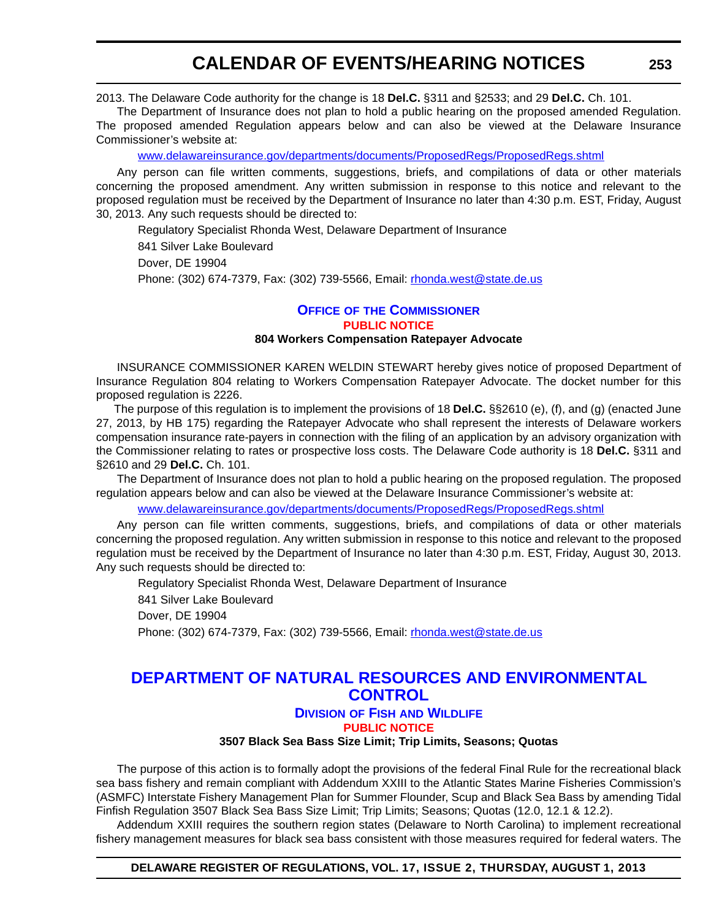2013. The Delaware Code authority for the change is 18 **Del.C.** §311 and §2533; and 29 **Del.C.** Ch. 101.

The Department of Insurance does not plan to hold a public hearing on the proposed amended Regulation. The proposed amended Regulation appears below and can also be viewed at the Delaware Insurance Commissioner's website at:

[www.delawareinsurance.gov/departments/documents/ProposedRegs/ProposedRegs.shtml](http://www.delawareinsurance.gov/departments/documents/ProposedRegs/ProposedRegs.shtml)

Any person can file written comments, suggestions, briefs, and compilations of data or other materials concerning the proposed amendment. Any written submission in response to this notice and relevant to the proposed regulation must be received by the Department of Insurance no later than 4:30 p.m. EST, Friday, August 30, 2013. Any such requests should be directed to:

Regulatory Specialist Rhonda West, Delaware Department of Insurance 841 Silver Lake Boulevard Dover, DE 19904 Phone: (302) 674-7379, Fax: (302) 739-5566, Email: rhonda.west@state.de.us

### **OFFICE OF THE COMMISSIONER PUBLIC NOTICE 804 Workers Compensation Ratepayer Advocate**

INSURANCE COMMISSIONER KAREN WELDIN STEWART hereby gives notice of proposed Department of Insurance Regulation 804 relating to Workers Compensation Ratepayer Advocate. The docket number for this proposed regulation is 2226.

 The purpose of this regulation is to implement the provisions of 18 **Del.C.** §§2610 (e), (f), and (g) (enacted June 27, 2013, by HB 175) regarding the Ratepayer Advocate who shall represent the interests of Delaware workers compensation insurance rate-payers in connection with the filing of an application by an advisory organization with the Commissioner relating to rates or prospective loss costs. The Delaware Code authority is 18 **Del.C.** §311 and §2610 and 29 **Del.C.** Ch. 101.

The Department of Insurance does not plan to hold a public hearing on the proposed regulation. The proposed regulation appears below and can also be viewed at the Delaware Insurance Commissioner's website at:

[www.delawareinsurance.gov/departments/documents/ProposedRegs/ProposedRegs.shtml](http://www.delawareinsurance.gov/departments/documents/ProposedRegs/ProposedRegs.shtml)

Any person can file written comments, suggestions, briefs, and compilations of data or other materials concerning the proposed regulation. Any written submission in response to this notice and relevant to the proposed regulation must be received by the Department of Insurance no later than 4:30 p.m. EST, Friday, August 30, 2013. Any such requests should be directed to:

Regulatory Specialist Rhonda West, Delaware Department of Insurance 841 Silver Lake Boulevard Dover, DE 19904 Phone: (302) 674-7379, Fax: (302) 739-5566, Email: rhonda.west@state.de.us

## **DEPARTMENT OF NATURAL RESOURCES AND ENVIRONMENTAL CONTROL**

### **DIVISION OF FISH AND WILDLIFE [PUBLIC NOTICE](#page-4-0)**

### **3507 Black Sea Bass Size Limit; Trip Limits, Seasons; Quotas**

The purpose of this action is to formally adopt the provisions of the federal Final Rule for the recreational black sea bass fishery and remain compliant with Addendum XXIII to the Atlantic States Marine Fisheries Commission's (ASMFC) Interstate Fishery Management Plan for Summer Flounder, Scup and Black Sea Bass by amending Tidal Finfish Regulation 3507 Black Sea Bass Size Limit; Trip Limits; Seasons; Quotas (12.0, 12.1 & 12.2).

Addendum XXIII requires the southern region states (Delaware to North Carolina) to implement recreational fishery management measures for black sea bass consistent with those measures required for federal waters. The

### **DELAWARE REGISTER OF REGULATIONS, VOL. 17, ISSUE 2, THURSDAY, AUGUST 1, 2013**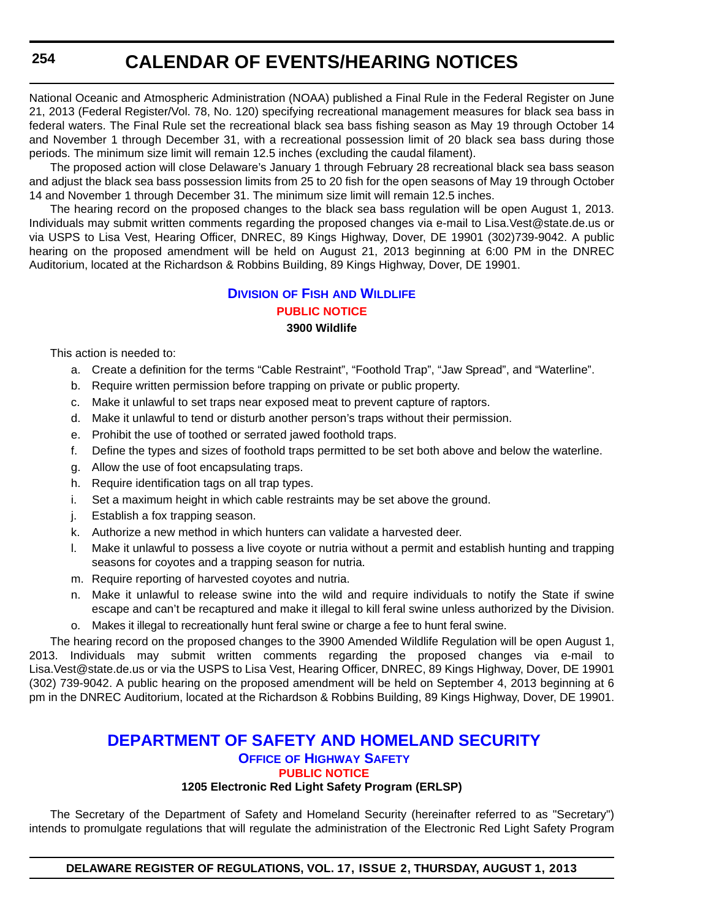National Oceanic and Atmospheric Administration (NOAA) published a Final Rule in the Federal Register on June 21, 2013 (Federal Register/Vol. 78, No. 120) specifying recreational management measures for black sea bass in federal waters. The Final Rule set the recreational black sea bass fishing season as May 19 through October 14 and November 1 through December 31, with a recreational possession limit of 20 black sea bass during those periods. The minimum size limit will remain 12.5 inches (excluding the caudal filament).

The proposed action will close Delaware's January 1 through February 28 recreational black sea bass season and adjust the black sea bass possession limits from 25 to 20 fish for the open seasons of May 19 through October 14 and November 1 through December 31. The minimum size limit will remain 12.5 inches.

The hearing record on the proposed changes to the black sea bass regulation will be open August 1, 2013. Individuals may submit written comments regarding the proposed changes via e-mail to Lisa.Vest@state.de.us or via USPS to Lisa Vest, Hearing Officer, DNREC, 89 Kings Highway, Dover, DE 19901 (302)739-9042. A public hearing on the proposed amendment will be held on August 21, 2013 beginning at 6:00 PM in the DNREC Auditorium, located at the Richardson & Robbins Building, 89 Kings Highway, Dover, DE 19901.

## **DIVISION OF FISH AND WILDLIFE [PUBLIC NOTICE](#page-4-0)**

**3900 Wildlife**

This action is needed to:

- a. Create a definition for the terms "Cable Restraint", "Foothold Trap", "Jaw Spread", and "Waterline".
- b. Require written permission before trapping on private or public property.
- c. Make it unlawful to set traps near exposed meat to prevent capture of raptors.
- d. Make it unlawful to tend or disturb another person's traps without their permission.
- e. Prohibit the use of toothed or serrated jawed foothold traps.
- f. Define the types and sizes of foothold traps permitted to be set both above and below the waterline.
- g. Allow the use of foot encapsulating traps.
- h. Require identification tags on all trap types.
- i. Set a maximum height in which cable restraints may be set above the ground.
- j. Establish a fox trapping season.
- k. Authorize a new method in which hunters can validate a harvested deer.
- l. Make it unlawful to possess a live coyote or nutria without a permit and establish hunting and trapping seasons for coyotes and a trapping season for nutria.
- m. Require reporting of harvested coyotes and nutria.
- n. Make it unlawful to release swine into the wild and require individuals to notify the State if swine escape and can't be recaptured and make it illegal to kill feral swine unless authorized by the Division.
- o. Makes it illegal to recreationally hunt feral swine or charge a fee to hunt feral swine.

The hearing record on the proposed changes to the 3900 Amended Wildlife Regulation will be open August 1, 2013. Individuals may submit written comments regarding the proposed changes via e-mail to Lisa.Vest@state.de.us or via the USPS to Lisa Vest, Hearing Officer, DNREC, 89 Kings Highway, Dover, DE 19901 (302) 739-9042. A public hearing on the proposed amendment will be held on September 4, 2013 beginning at 6 pm in the DNREC Auditorium, located at the Richardson & Robbins Building, 89 Kings Highway, Dover, DE 19901.

### **DEPARTMENT OF SAFETY AND HOMELAND SECURITY OFFICE OF HIGHWAY SAFETY [PUBLIC NOTICE](#page-4-0) 1205 Electronic Red Light Safety Program (ERLSP)**

The Secretary of the Department of Safety and Homeland Security (hereinafter referred to as "Secretary") intends to promulgate regulations that will regulate the administration of the Electronic Red Light Safety Program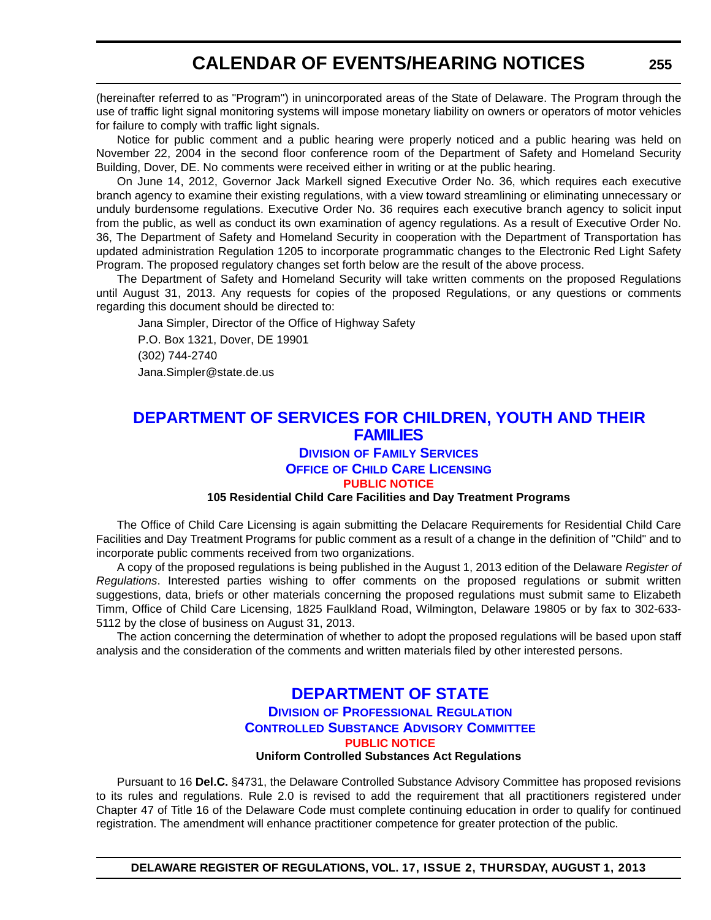(hereinafter referred to as "Program") in unincorporated areas of the State of Delaware. The Program through the use of traffic light signal monitoring systems will impose monetary liability on owners or operators of motor vehicles for failure to comply with traffic light signals.

Notice for public comment and a public hearing were properly noticed and a public hearing was held on November 22, 2004 in the second floor conference room of the Department of Safety and Homeland Security Building, Dover, DE. No comments were received either in writing or at the public hearing.

On June 14, 2012, Governor Jack Markell signed Executive Order No. 36, which requires each executive branch agency to examine their existing regulations, with a view toward streamlining or eliminating unnecessary or unduly burdensome regulations. Executive Order No. 36 requires each executive branch agency to solicit input from the public, as well as conduct its own examination of agency regulations. As a result of Executive Order No. 36, The Department of Safety and Homeland Security in cooperation with the Department of Transportation has updated administration Regulation 1205 to incorporate programmatic changes to the Electronic Red Light Safety Program. The proposed regulatory changes set forth below are the result of the above process.

The Department of Safety and Homeland Security will take written comments on the proposed Regulations until August 31, 2013. Any requests for copies of the proposed Regulations, or any questions or comments regarding this document should be directed to:

Jana Simpler, Director of the Office of Highway Safety P.O. Box 1321, Dover, DE 19901 (302) 744-2740 Jana.Simpler@state.de.us

## **DEPARTMENT OF SERVICES FOR CHILDREN, YOUTH AND THEIR FAMILIES**

### **DIVISION OF FAMILY SERVICES**

**OFFICE OF CHILD CARE LICENSING**

### **[PUBLIC NOTICE](#page-4-0)**

### **105 Residential Child Care Facilities and Day Treatment Programs**

The Office of Child Care Licensing is again submitting the Delacare Requirements for Residential Child Care Facilities and Day Treatment Programs for public comment as a result of a change in the definition of "Child" and to incorporate public comments received from two organizations.

A copy of the proposed regulations is being published in the August 1, 2013 edition of the Delaware *Register of Regulations*. Interested parties wishing to offer comments on the proposed regulations or submit written suggestions, data, briefs or other materials concerning the proposed regulations must submit same to Elizabeth Timm, Office of Child Care Licensing, 1825 Faulkland Road, Wilmington, Delaware 19805 or by fax to 302-633- 5112 by the close of business on August 31, 2013.

The action concerning the determination of whether to adopt the proposed regulations will be based upon staff analysis and the consideration of the comments and written materials filed by other interested persons.

### **DEPARTMENT OF STATE DIVISION OF PROFESSIONAL REGULATION CONTROLLED SUBSTANCE ADVISORY COMMITTEE [PUBLIC NOTICE](#page-4-0)**

### **Uniform Controlled Substances Act Regulations**

Pursuant to 16 **Del.C.** §4731, the Delaware Controlled Substance Advisory Committee has proposed revisions to its rules and regulations. Rule 2.0 is revised to add the requirement that all practitioners registered under Chapter 47 of Title 16 of the Delaware Code must complete continuing education in order to qualify for continued registration. The amendment will enhance practitioner competence for greater protection of the public.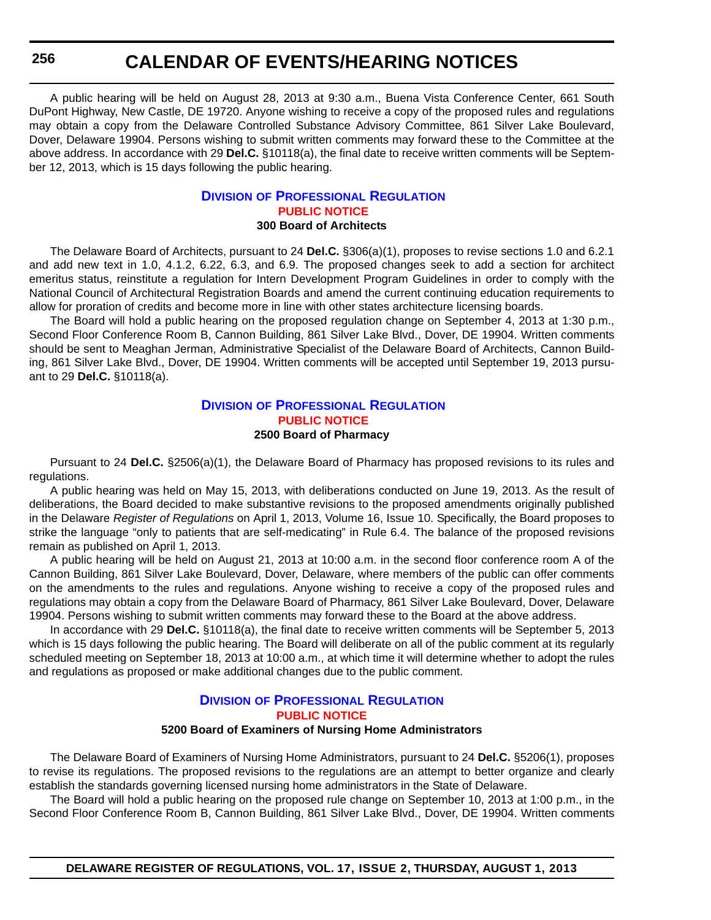A public hearing will be held on August 28, 2013 at 9:30 a.m., Buena Vista Conference Center, 661 South DuPont Highway, New Castle, DE 19720. Anyone wishing to receive a copy of the proposed rules and regulations may obtain a copy from the Delaware Controlled Substance Advisory Committee, 861 Silver Lake Boulevard, Dover, Delaware 19904. Persons wishing to submit written comments may forward these to the Committee at the above address. In accordance with 29 **Del.C.** §10118(a), the final date to receive written comments will be September 12, 2013, which is 15 days following the public hearing.

### **DIVISION OF PROFESSIONAL REGULATION [PUBLIC NOTICE](#page-4-0) 300 Board of Architects**

The Delaware Board of Architects, pursuant to 24 **Del.C.** §306(a)(1), proposes to revise sections 1.0 and 6.2.1 and add new text in 1.0, 4.1.2, 6.22, 6.3, and 6.9. The proposed changes seek to add a section for architect emeritus status, reinstitute a regulation for Intern Development Program Guidelines in order to comply with the National Council of Architectural Registration Boards and amend the current continuing education requirements to allow for proration of credits and become more in line with other states architecture licensing boards.

The Board will hold a public hearing on the proposed regulation change on September 4, 2013 at 1:30 p.m., Second Floor Conference Room B, Cannon Building, 861 Silver Lake Blvd., Dover, DE 19904. Written comments should be sent to Meaghan Jerman, Administrative Specialist of the Delaware Board of Architects, Cannon Building, 861 Silver Lake Blvd., Dover, DE 19904. Written comments will be accepted until September 19, 2013 pursuant to 29 **Del.C.** §10118(a).

### **DIVISION OF PROFESSIONAL REGULATION [PUBLIC NOTICE](#page-4-0) 2500 Board of Pharmacy**

Pursuant to 24 **Del.C.** §2506(a)(1), the Delaware Board of Pharmacy has proposed revisions to its rules and regulations.

A public hearing was held on May 15, 2013, with deliberations conducted on June 19, 2013. As the result of deliberations, the Board decided to make substantive revisions to the proposed amendments originally published in the Delaware *Register of Regulations* on April 1, 2013, Volume 16, Issue 10. Specifically, the Board proposes to strike the language "only to patients that are self-medicating" in Rule 6.4. The balance of the proposed revisions remain as published on April 1, 2013.

A public hearing will be held on August 21, 2013 at 10:00 a.m. in the second floor conference room A of the Cannon Building, 861 Silver Lake Boulevard, Dover, Delaware, where members of the public can offer comments on the amendments to the rules and regulations. Anyone wishing to receive a copy of the proposed rules and regulations may obtain a copy from the Delaware Board of Pharmacy, 861 Silver Lake Boulevard, Dover, Delaware 19904. Persons wishing to submit written comments may forward these to the Board at the above address.

In accordance with 29 **Del.C.** §10118(a), the final date to receive written comments will be September 5, 2013 which is 15 days following the public hearing. The Board will deliberate on all of the public comment at its regularly scheduled meeting on September 18, 2013 at 10:00 a.m., at which time it will determine whether to adopt the rules and regulations as proposed or make additional changes due to the public comment.

### **DIVISION OF PROFESSIONAL REGULATION [PUBLIC NOTICE](#page-4-0)**

### **5200 Board of Examiners of Nursing Home Administrators**

The Delaware Board of Examiners of Nursing Home Administrators, pursuant to 24 **Del.C.** §5206(1), proposes to revise its regulations. The proposed revisions to the regulations are an attempt to better organize and clearly establish the standards governing licensed nursing home administrators in the State of Delaware.

The Board will hold a public hearing on the proposed rule change on September 10, 2013 at 1:00 p.m., in the Second Floor Conference Room B, Cannon Building, 861 Silver Lake Blvd., Dover, DE 19904. Written comments

**DELAWARE REGISTER OF REGULATIONS, VOL. 17, ISSUE 2, THURSDAY, AUGUST 1, 2013**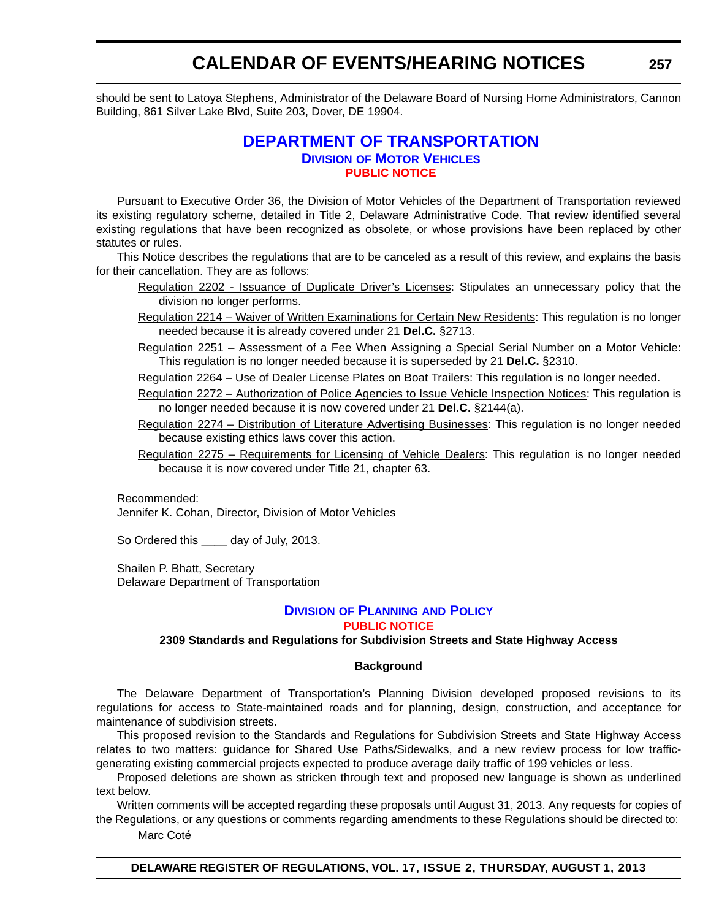should be sent to Latoya Stephens, Administrator of the Delaware Board of Nursing Home Administrators, Cannon Building, 861 Silver Lake Blvd, Suite 203, Dover, DE 19904.

### **DEPARTMENT OF TRANSPORTATION DIVISION OF MOTOR VEHICLES [PUBLIC NOTICE](#page-4-0)**

Pursuant to Executive Order 36, the Division of Motor Vehicles of the Department of Transportation reviewed its existing regulatory scheme, detailed in Title 2, Delaware Administrative Code. That review identified several existing regulations that have been recognized as obsolete, or whose provisions have been replaced by other statutes or rules.

This Notice describes the regulations that are to be canceled as a result of this review, and explains the basis for their cancellation. They are as follows:

- Regulation 2202 Issuance of Duplicate Driver's Licenses: Stipulates an unnecessary policy that the division no longer performs.
- Regulation 2214 Waiver of Written Examinations for Certain New Residents: This regulation is no longer needed because it is already covered under 21 **Del.C.** §2713.
- Regulation 2251 Assessment of a Fee When Assigning a Special Serial Number on a Motor Vehicle: This regulation is no longer needed because it is superseded by 21 **Del.C.** §2310.
- Regulation 2264 Use of Dealer License Plates on Boat Trailers: This regulation is no longer needed.
- Regulation 2272 Authorization of Police Agencies to Issue Vehicle Inspection Notices: This regulation is no longer needed because it is now covered under 21 **Del.C.** §2144(a).
- Regulation 2274 Distribution of Literature Advertising Businesses: This regulation is no longer needed because existing ethics laws cover this action.
- Regulation 2275 Requirements for Licensing of Vehicle Dealers: This regulation is no longer needed because it is now covered under Title 21, chapter 63.

Recommended:

Jennifer K. Cohan, Director, Division of Motor Vehicles

So Ordered this \_\_\_\_ day of July, 2013.

Shailen P. Bhatt, Secretary Delaware Department of Transportation

### **DIVISION OF PLANNING AND POLICY [PUBLIC NOTICE](#page-4-0)**

### **2309 Standards and Regulations for Subdivision Streets and State Highway Access**

### **Background**

The Delaware Department of Transportation's Planning Division developed proposed revisions to its regulations for access to State-maintained roads and for planning, design, construction, and acceptance for maintenance of subdivision streets.

This proposed revision to the Standards and Regulations for Subdivision Streets and State Highway Access relates to two matters: guidance for Shared Use Paths/Sidewalks, and a new review process for low trafficgenerating existing commercial projects expected to produce average daily traffic of 199 vehicles or less.

Proposed deletions are shown as stricken through text and proposed new language is shown as underlined text below.

Written comments will be accepted regarding these proposals until August 31, 2013. Any requests for copies of the Regulations, or any questions or comments regarding amendments to these Regulations should be directed to:

Marc Coté